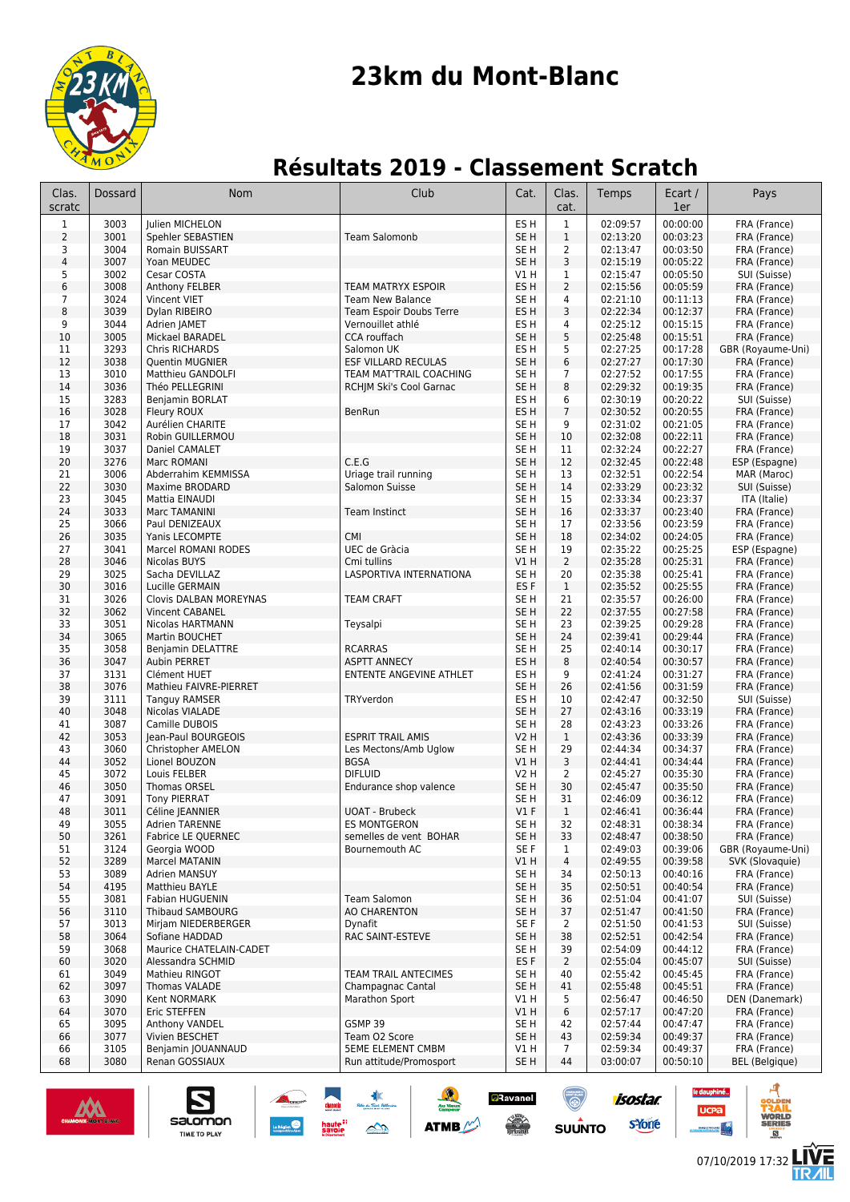

# **23km du Mont-Blanc**

## **Résultats 2019 - Classement Scratch**

| Clas.<br>scratc         | Dossard      | <b>Nom</b>                                  | Club                                                  | Cat.                    | Clas.<br>cat.                  | Temps                | Ecart /<br>1er       | Pays                         |
|-------------------------|--------------|---------------------------------------------|-------------------------------------------------------|-------------------------|--------------------------------|----------------------|----------------------|------------------------------|
| $\mathbf{1}$            | 3003         | Julien MICHELON                             |                                                       | ES <sub>H</sub>         | $\mathbf 1$                    | 02:09:57             | 00:00:00             | FRA (France)                 |
| $\overline{2}$          | 3001         | Spehler SEBASTIEN                           | <b>Team Salomonb</b>                                  | SE <sub>H</sub>         | $1\,$                          | 02:13:20             | 00:03:23             | FRA (France)                 |
| 3                       | 3004         | Romain BUISSART                             |                                                       | SE <sub>H</sub>         | $\overline{2}$                 | 02:13:47             | 00:03:50             | FRA (France)                 |
| $\overline{\mathbf{4}}$ | 3007         | Yoan MEUDEC                                 |                                                       | SE <sub>H</sub>         | 3                              | 02:15:19             | 00:05:22             | FRA (France)                 |
| 5<br>6                  | 3002<br>3008 | Cesar COSTA<br>Anthony FELBER               | <b>TEAM MATRYX ESPOIR</b>                             | V1 H<br>ES H            | $\mathbf{1}$<br>$\overline{2}$ | 02:15:47<br>02:15:56 | 00:05:50<br>00:05:59 | SUI (Suisse)<br>FRA (France) |
| 7                       | 3024         | Vincent VIET                                | <b>Team New Balance</b>                               | SE H                    | 4                              | 02:21:10             | 00:11:13             | FRA (France)                 |
| 8                       | 3039         | Dylan RIBEIRO                               | Team Espoir Doubs Terre                               | ES H                    | 3                              | 02:22:34             | 00:12:37             | FRA (France)                 |
| 9                       | 3044         | Adrien JAMET                                | Vernouillet athlé                                     | ES H                    | 4                              | 02:25:12             | 00:15:15             | FRA (France)                 |
| 10                      | 3005         | Mickael BARADEL                             | <b>CCA</b> rouffach                                   | SE H                    | 5                              | 02:25:48             | 00:15:51             | FRA (France)                 |
| 11                      | 3293         | Chris RICHARDS                              | Salomon UK                                            | ES H                    | 5                              | 02:27:25             | 00:17:28             | GBR (Royaume-Uni)            |
| 12<br>13                | 3038<br>3010 | <b>Quentin MUGNIER</b><br>Matthieu GANDOLFI | ESF VILLARD RECULAS<br><b>TEAM MAT'TRAIL COACHING</b> | SE <sub>H</sub><br>SE H | 6<br>7                         | 02:27:27<br>02:27:52 | 00:17:30<br>00:17:55 | FRA (France)<br>FRA (France) |
| 14                      | 3036         | Théo PELLEGRINI                             | RCHJM Ski's Cool Garnac                               | SE <sub>H</sub>         | 8                              | 02:29:32             | 00:19:35             | FRA (France)                 |
| 15                      | 3283         | Benjamin BORLAT                             |                                                       | ES H                    | 6                              | 02:30:19             | 00:20:22             | SUI (Suisse)                 |
| 16                      | 3028         | Fleury ROUX                                 | BenRun                                                | ES <sub>H</sub>         | $\overline{7}$                 | 02:30:52             | 00:20:55             | FRA (France)                 |
| 17                      | 3042         | Aurélien CHARITE                            |                                                       | SE H                    | 9                              | 02:31:02             | 00:21:05             | FRA (France)                 |
| 18                      | 3031         | Robin GUILLERMOU                            |                                                       | SE <sub>H</sub>         | 10                             | 02:32:08             | 00:22:11             | FRA (France)                 |
| 19                      | 3037         | Daniel CAMALET                              | C.E.G                                                 | SE H                    | 11                             | 02:32:24             | 00:22:27             | FRA (France)                 |
| 20<br>21                | 3276<br>3006 | Marc ROMANI<br>Abderrahim KEMMISSA          | Uriage trail running                                  | SE <sub>H</sub><br>SE H | 12<br>13                       | 02:32:45<br>02:32:51 | 00:22:48<br>00:22:54 | ESP (Espagne)<br>MAR (Maroc) |
| 22                      | 3030         | Maxime BRODARD                              | Salomon Suisse                                        | SE <sub>H</sub>         | 14                             | 02:33:29             | 00:23:32             | SUI (Suisse)                 |
| 23                      | 3045         | Mattia EINAUDI                              |                                                       | SE H                    | 15                             | 02:33:34             | 00:23:37             | ITA (Italie)                 |
| 24                      | 3033         | Marc TAMANINI                               | Team Instinct                                         | SE H                    | 16                             | 02:33:37             | 00:23:40             | FRA (France)                 |
| 25                      | 3066         | Paul DENIZEAUX                              |                                                       | SE H                    | 17                             | 02:33:56             | 00:23:59             | FRA (France)                 |
| 26                      | 3035         | Yanis LECOMPTE                              | <b>CMI</b>                                            | SE <sub>H</sub>         | 18                             | 02:34:02             | 00:24:05             | FRA (France)                 |
| 27<br>28                | 3041<br>3046 | Marcel ROMANI RODES                         | UEC de Gràcia<br>Cmi tullins                          | SE <sub>H</sub><br>V1H  | 19<br>$\overline{2}$           | 02:35:22<br>02:35:28 | 00:25:25<br>00:25:31 | ESP (Espagne)                |
| 29                      | 3025         | Nicolas BUYS<br>Sacha DEVILLAZ              | LASPORTIVA INTERNATIONA                               | SE H                    | 20                             | 02:35:38             | 00:25:41             | FRA (France)<br>FRA (France) |
| 30                      | 3016         | Lucille GERMAIN                             |                                                       | ES <sub>F</sub>         | $\mathbf{1}$                   | 02:35:52             | 00:25:55             | FRA (France)                 |
| 31                      | 3026         | Clovis DALBAN MOREYNAS                      | <b>TEAM CRAFT</b>                                     | SE H                    | 21                             | 02:35:57             | 00:26:00             | FRA (France)                 |
| 32                      | 3062         | Vincent CABANEL                             |                                                       | SE <sub>H</sub>         | 22                             | 02:37:55             | 00:27:58             | FRA (France)                 |
| 33                      | 3051         | Nicolas HARTMANN                            | Teysalpi                                              | SE H                    | 23                             | 02:39:25             | 00:29:28             | FRA (France)                 |
| 34                      | 3065         | Martin BOUCHET                              |                                                       | SE <sub>H</sub>         | 24                             | 02:39:41             | 00:29:44             | FRA (France)                 |
| 35<br>36                | 3058<br>3047 | Benjamin DELATTRE<br>Aubin PERRET           | <b>RCARRAS</b><br><b>ASPTT ANNECY</b>                 | SE H<br>ES H            | 25<br>8                        | 02:40:14<br>02:40:54 | 00:30:17<br>00:30:57 | FRA (France)<br>FRA (France) |
| 37                      | 3131         | Clément HUET                                | ENTENTE ANGEVINE ATHLET                               | ES H                    | 9                              | 02:41:24             | 00:31:27             | FRA (France)                 |
| 38                      | 3076         | Mathieu FAIVRE-PIERRET                      |                                                       | SE H                    | 26                             | 02:41:56             | 00:31:59             | FRA (France)                 |
| 39                      | 3111         | Tanguy RAMSER                               | TRYverdon                                             | ES H                    | 10                             | 02:42:47             | 00:32:50             | SUI (Suisse)                 |
| 40                      | 3048         | Nicolas VIALADE                             |                                                       | SE <sub>H</sub>         | 27                             | 02:43:16             | 00:33:19             | FRA (France)                 |
| 41                      | 3087         | Camille DUBOIS                              |                                                       | SE H                    | 28                             | 02:43:23             | 00:33:26             | FRA (France)                 |
| 42<br>43                | 3053<br>3060 | Jean-Paul BOURGEOIS<br>Christopher AMELON   | <b>ESPRIT TRAIL AMIS</b><br>Les Mectons/Amb Uglow     | <b>V2 H</b><br>SE H     | $\mathbf{1}$<br>29             | 02:43:36<br>02:44:34 | 00:33:39<br>00:34:37 | FRA (France)<br>FRA (France) |
| 44                      | 3052         | Lionel BOUZON                               | <b>BGSA</b>                                           | VIH                     | 3                              | 02:44:41             | 00:34:44             | FRA (France)                 |
| 45                      | 3072         | Louis FELBER                                | <b>DIFLUID</b>                                        | <b>V2 H</b>             | 2                              | 02:45:27             | 00:35:30             | FRA (France)                 |
| 46                      | 3050         | Thomas ORSEL                                | Endurance shop valence                                | SE <sub>H</sub>         | 30                             | 02:45:47             | 00:35:50             | FRA (France)                 |
| 47                      | 3091         | <b>Tony PIERRAT</b>                         |                                                       | SE H                    | 31                             | 02:46:09             | 00:36:12             | FRA (France)                 |
| 48                      | 3011         | Céline JEANNIER                             | <b>UOAT - Brubeck</b>                                 | $VI$ F                  | $\mathbf{1}$                   | 02:46:41             | 00:36:44             | FRA (France)                 |
| 49<br>50                | 3055<br>3261 | <b>Adrien TARENNE</b><br>Fabrice LE QUERNEC | <b>ES MONTGERON</b><br>semelles de vent BOHAR         | SE H<br>SE H            | 32<br>33                       | 02:48:31<br>02:48:47 | 00:38:34<br>00:38:50 | FRA (France)<br>FRA (France) |
| 51                      | 3124         | Georgia WOOD                                | Bournemouth AC                                        | SE F                    | $\mathbf{1}$                   | 02:49:03             | 00:39:06             | GBR (Royaume-Uni)            |
| 52                      | 3289         | Marcel MATANIN                              |                                                       | V1H                     | 4                              | 02:49:55             | 00:39:58             | SVK (Slovaquie)              |
| 53                      | 3089         | Adrien MANSUY                               |                                                       | SE H                    | 34                             | 02:50:13             | 00:40:16             | FRA (France)                 |
| 54                      | 4195         | Matthieu BAYLE                              |                                                       | SE H                    | 35                             | 02:50:51             | 00:40:54             | FRA (France)                 |
| 55                      | 3081         | Fabian HUGUENIN                             | <b>Team Salomon</b>                                   | SE H                    | 36                             | 02:51:04             | 00:41:07             | SUI (Suisse)                 |
| 56                      | 3110         | <b>Thibaud SAMBOURG</b>                     | <b>AO CHARENTON</b>                                   | SE <sub>H</sub>         | 37                             | 02:51:47             | 00:41:50             | FRA (France)                 |
| 57<br>58                | 3013<br>3064 | Mirjam NIEDERBERGER<br>Sofiane HADDAD       | Dynafit<br>RAC SAINT-ESTEVE                           | SE F<br>SE H            | $\overline{2}$<br>38           | 02:51:50<br>02:52:51 | 00:41:53<br>00:42:54 | SUI (Suisse)<br>FRA (France) |
| 59                      | 3068         | Maurice CHATELAIN-CADET                     |                                                       | SE H                    | 39                             | 02:54:09             | 00:44:12             | FRA (France)                 |
| 60                      | 3020         | Alessandra SCHMID                           |                                                       | ES F                    | $\overline{2}$                 | 02:55:04             | 00:45:07             | SUI (Suisse)                 |
| 61                      | 3049         | Mathieu RINGOT                              | <b>TEAM TRAIL ANTECIMES</b>                           | SE H                    | 40                             | 02:55:42             | 00:45:45             | FRA (France)                 |
| 62                      | 3097         | Thomas VALADE                               | Champagnac Cantal                                     | SE H                    | 41                             | 02:55:48             | 00:45:51             | FRA (France)                 |
| 63                      | 3090         | Kent NORMARK                                | Marathon Sport                                        | V1H                     | 5                              | 02:56:47             | 00:46:50             | DEN (Danemark)               |
| 64<br>65                | 3070<br>3095 | Eric STEFFEN<br>Anthony VANDEL              | GSMP 39                                               | V1H<br>SE H             | 6<br>42                        | 02:57:17<br>02:57:44 | 00:47:20<br>00:47:47 | FRA (France)<br>FRA (France) |
| 66                      | 3077         | Vivien BESCHET                              | Team O2 Score                                         | SE <sub>H</sub>         | 43                             | 02:59:34             | 00:49:37             | FRA (France)                 |
| 66                      | 3105         | Benjamin JOUANNAUD                          | <b>5EME ELEMENT CMBM</b>                              | V1 H                    | 7                              | 02:59:34             | 00:49:37             | FRA (France)                 |
| 68                      | 3080         | Renan GOSSIAUX                              | Run attitude/Promosport                               | SE H                    | 44                             | 03:00:07             | 00:50:10             | <b>BEL</b> (Belgique)        |

نا≵<br>ستمبر

haute<sup>::</sup><br>savoie

 $\rightarrow$ 



Z

salomon

**TIME TO PLAY** 

**isostar** 

syone

**SUUNTO** 

**a**Ravanel

 $\frac{1}{\sqrt{2}}$ 

**ATMB** 

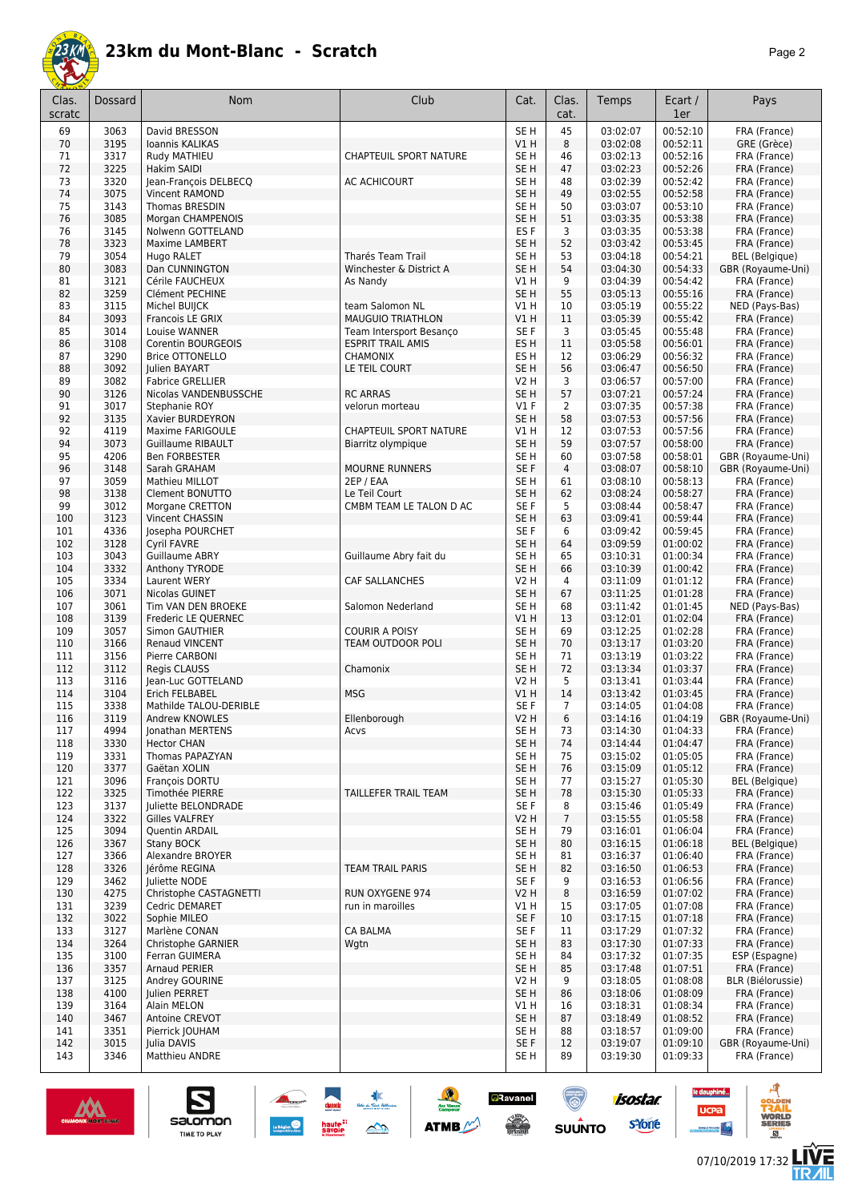

| Clas.<br>scratc | Dossard      | Nom                                     | Club                                                | Cat.                               | Clas.<br>cat.  | Temps                | Ecart /<br>1er       | Pays                                       |
|-----------------|--------------|-----------------------------------------|-----------------------------------------------------|------------------------------------|----------------|----------------------|----------------------|--------------------------------------------|
| 69              | 3063         | David BRESSON                           |                                                     | SE <sub>H</sub>                    | 45             | 03:02:07             | 00:52:10             | FRA (France)                               |
| 70              | 3195         | Ioannis KALIKAS                         |                                                     | V1H                                | 8              | 03:02:08             | 00:52:11             | GRE (Grèce)                                |
| 71              | 3317         | Rudy MATHIEU<br><b>Hakim SAIDI</b>      | <b>CHAPTEUIL SPORT NATURE</b>                       | SE <sub>H</sub>                    | 46             | 03:02:13             | 00:52:16             | FRA (France)                               |
| 72<br>73        | 3225<br>3320 | Jean-François DELBECQ                   | AC ACHICOURT                                        | SE <sub>H</sub><br>SE H            | 47<br>48       | 03:02:23<br>03:02:39 | 00:52:26<br>00:52:42 | FRA (France)<br>FRA (France)               |
| 74              | 3075         | <b>Vincent RAMOND</b>                   |                                                     | SE <sub>H</sub>                    | 49             | 03:02:55             | 00:52:58             | FRA (France)                               |
| 75              | 3143         | Thomas BRESDIN                          |                                                     | SE <sub>H</sub>                    | 50             | 03:03:07             | 00:53:10             | FRA (France)                               |
| 76              | 3085         | Morgan CHAMPENOIS                       |                                                     | SE <sub>H</sub>                    | 51             | 03:03:35             | 00:53:38             | FRA (France)                               |
| 76              | 3145         | Nolwenn GOTTELAND                       |                                                     | ES F                               | 3              | 03:03:35             | 00:53:38             | FRA (France)                               |
| 78              | 3323         | Maxime LAMBERT                          |                                                     | SE <sub>H</sub>                    | 52             | 03:03:42             | 00:53:45             | FRA (France)                               |
| 79<br>80        | 3054<br>3083 | Hugo RALET<br>Dan CUNNINGTON            | <b>Tharés Team Trail</b><br>Winchester & District A | SE H<br>SE H                       | 53<br>54       | 03:04:18<br>03:04:30 | 00:54:21<br>00:54:33 | <b>BEL</b> (Belgique)<br>GBR (Royaume-Uni) |
| 81              | 3121         | Cérile FAUCHEUX                         | As Nandy                                            | V1 H                               | 9              | 03:04:39             | 00:54:42             | FRA (France)                               |
| 82              | 3259         | Clément PECHINE                         |                                                     | SE <sub>H</sub>                    | 55             | 03:05:13             | 00:55:16             | FRA (France)                               |
| 83              | 3115         | Michel BUIJCK                           | team Salomon NL                                     | V1H                                | 10             | 03:05:19             | 00:55:22             | NED (Pays-Bas)                             |
| 84              | 3093         | Francois LE GRIX                        | <b>MAUGUIO TRIATHLON</b>                            | V1H                                | 11             | 03:05:39             | 00:55:42             | FRA (France)                               |
| 85              | 3014         | Louise WANNER                           | Team Intersport Besanço                             | SE F                               | 3              | 03:05:45             | 00:55:48             | FRA (France)                               |
| 86              | 3108         | Corentin BOURGEOIS                      | <b>ESPRIT TRAIL AMIS</b>                            | ES <sub>H</sub>                    | 11             | 03:05:58             | 00:56:01             | FRA (France)                               |
| 87<br>88        | 3290<br>3092 | <b>Brice OTTONELLO</b><br>Julien BAYART | <b>CHAMONIX</b><br>LE TEIL COURT                    | ES H<br>SE <sub>H</sub>            | 12<br>56       | 03:06:29<br>03:06:47 | 00:56:32<br>00:56:50 | FRA (France)<br>FRA (France)               |
| 89              | 3082         | <b>Fabrice GRELLIER</b>                 |                                                     | <b>V2 H</b>                        | 3              | 03:06:57             | 00:57:00             | FRA (France)                               |
| 90              | 3126         | Nicolas VANDENBUSSCHE                   | <b>RC ARRAS</b>                                     | SE <sub>H</sub>                    | 57             | 03:07:21             | 00:57:24             | FRA (France)                               |
| 91              | 3017         | Stephanie ROY                           | velorun morteau                                     | $VI$ F                             | $\overline{2}$ | 03:07:35             | 00:57:38             | FRA (France)                               |
| 92              | 3135         | Xavier BURDEYRON                        |                                                     | SE <sub>H</sub>                    | 58             | 03:07:53             | 00:57:56             | FRA (France)                               |
| 92              | 4119         | Maxime FARIGOULE                        | CHAPTEUIL SPORT NATURE                              | V1 H                               | 12             | 03:07:53             | 00:57:56             | FRA (France)                               |
| 94              | 3073         | <b>Guillaume RIBAULT</b>                | Biarritz olympique                                  | SE <sub>H</sub>                    | 59             | 03:07:57             | 00:58:00             | FRA (France)                               |
| 95<br>96        | 4206<br>3148 | <b>Ben FORBESTER</b><br>Sarah GRAHAM    | <b>MOURNE RUNNERS</b>                               | SE <sub>H</sub><br>SE F            | 60<br>4        | 03:07:58<br>03:08:07 | 00:58:01<br>00:58:10 | GBR (Royaume-Uni)<br>GBR (Royaume-Uni)     |
| 97              | 3059         | Mathieu MILLOT                          | 2EP / EAA                                           | SE <sub>H</sub>                    | 61             | 03:08:10             | 00:58:13             | FRA (France)                               |
| 98              | 3138         | Clement BONUTTO                         | Le Teil Court                                       | SE <sub>H</sub>                    | 62             | 03:08:24             | 00:58:27             | FRA (France)                               |
| 99              | 3012         | Morgane CRETTON                         | CMBM TEAM LE TALON D AC                             | SE <sub>F</sub>                    | 5              | 03:08:44             | 00:58:47             | FRA (France)                               |
| 100             | 3123         | Vincent CHASSIN                         |                                                     | SE <sub>H</sub>                    | 63             | 03:09:41             | 00:59:44             | FRA (France)                               |
| 101             | 4336         | Josepha POURCHET                        |                                                     | SE F                               | 6              | 03:09:42             | 00:59:45             | FRA (France)                               |
| 102             | 3128         | <b>Cyril FAVRE</b>                      |                                                     | SE H                               | 64             | 03:09:59             | 01:00:02             | FRA (France)                               |
| 103<br>104      | 3043<br>3332 | Guillaume ABRY<br>Anthony TYRODE        | Guillaume Abry fait du                              | SE H<br>SE <sub>H</sub>            | 65<br>66       | 03:10:31<br>03:10:39 | 01:00:34<br>01:00:42 | FRA (France)<br>FRA (France)               |
| 105             | 3334         | Laurent WERY                            | CAF SALLANCHES                                      | V2 H                               | 4              | 03:11:09             | 01:01:12             | FRA (France)                               |
| 106             | 3071         | Nicolas GUINET                          |                                                     | SE <sub>H</sub>                    | 67             | 03:11:25             | 01:01:28             | FRA (France)                               |
| 107             | 3061         | Tim VAN DEN BROEKE                      | Salomon Nederland                                   | SE <sub>H</sub>                    | 68             | 03:11:42             | 01:01:45             | NED (Pays-Bas)                             |
| 108             | 3139         | Frederic LE QUERNEC                     |                                                     | VIH                                | 13             | 03:12:01             | 01:02:04             | FRA (France)                               |
| 109             | 3057         | Simon GAUTHIER                          | <b>COURIR A POISY</b>                               | SE H                               | 69             | 03:12:25             | 01:02:28             | FRA (France)                               |
| 110<br>111      | 3166<br>3156 | Renaud VINCENT<br>Pierre CARBONI        | <b>TEAM OUTDOOR POLI</b>                            | SE <sub>H</sub><br>SE <sub>H</sub> | 70<br>71       | 03:13:17<br>03:13:19 | 01:03:20<br>01:03:22 | FRA (France)<br>FRA (France)               |
| 112             | 3112         | Regis CLAUSS                            | Chamonix                                            | SE <sub>H</sub>                    | 72             | 03:13:34             | 01:03:37             | FRA (France)                               |
| 113             | 3116         | Jean-Luc GOTTELAND                      |                                                     | V2 H                               | 5              | 03:13:41             | 01:03:44             | FRA (France)                               |
| 114             | 3104         | Erich FELBABEL                          | <b>MSG</b>                                          | V1 H                               | 14             | 03:13:42             | 01:03:45             | FRA (France)                               |
| 115             | 3338         | Mathilde TALOU-DERIBLE                  |                                                     | SE F                               | 7              | 03:14:05             | 01:04:08             | FRA (France)                               |
| 116             | 3119         | Andrew KNOWLES                          | Ellenborough                                        | V2 H                               | 6              | 03:14:16             | 01:04:19             | GBR (Royaume-Uni)                          |
| 117<br>118      | 4994<br>3330 | Jonathan MERTENS<br><b>Hector CHAN</b>  | Acvs                                                | SE H<br>SE <sub>H</sub>            | 73<br>74       | 03:14:30<br>03:14:44 | 01:04:33<br>01:04:47 | FRA (France)<br>FRA (France)               |
| 119             | 3331         | Thomas PAPAZYAN                         |                                                     | SE <sub>H</sub>                    | 75             | 03:15:02             | 01:05:05             | FRA (France)                               |
| 120             | 3377         | Gaëtan XOLIN                            |                                                     | SE <sub>H</sub>                    | 76             | 03:15:09             | 01:05:12             | FRA (France)                               |
| 121             | 3096         | François DORTU                          |                                                     | SE H                               | 77             | 03:15:27             | 01:05:30             | <b>BEL</b> (Belgique)                      |
| 122             | 3325         | Timothée PIERRE                         | TAILLEFER TRAIL TEAM                                | SE <sub>H</sub>                    | 78             | 03:15:30             | 01:05:33             | FRA (France)                               |
| 123             | 3137         | Juliette BELONDRADE                     |                                                     | SE F                               | 8              | 03:15:46             | 01:05:49             | FRA (France)                               |
| 124             | 3322<br>3094 | Gilles VALFREY<br>Quentin ARDAIL        |                                                     | V2 H<br>SE <sub>H</sub>            | $\overline{7}$ | 03:15:55<br>03:16:01 | 01:05:58<br>01:06:04 | FRA (France)                               |
| 125<br>126      | 3367         | Stany BOCK                              |                                                     | SE <sub>H</sub>                    | 79<br>80       | 03:16:15             | 01:06:18             | FRA (France)<br><b>BEL</b> (Belgique)      |
| 127             | 3366         | Alexandre BROYER                        |                                                     | SE H                               | 81             | 03:16:37             | 01:06:40             | FRA (France)                               |
| 128             | 3326         | Jérôme REGINA                           | TEAM TRAIL PARIS                                    | SE H                               | 82             | 03:16:50             | 01:06:53             | FRA (France)                               |
| 129             | 3462         | Juliette NODE                           |                                                     | SE F                               | 9              | 03:16:53             | 01:06:56             | FRA (France)                               |
| 130             | 4275         | Christophe CASTAGNETTI                  | RUN OXYGENE 974                                     | V2 H                               | 8              | 03:16:59             | 01:07:02             | FRA (France)                               |
| 131             | 3239         | Cedric DEMARET                          | run in maroilles                                    | V1H                                | 15             | 03:17:05             | 01:07:08             | FRA (France)                               |
| 132<br>133      | 3022<br>3127 | Sophie MILEO<br>Marlène CONAN           | <b>CA BALMA</b>                                     | SE F<br>SE F                       | 10<br>11       | 03:17:15<br>03:17:29 | 01:07:18<br>01:07:32 | FRA (France)<br>FRA (France)               |
| 134             | 3264         | Christophe GARNIER                      | Wgtn                                                | SE <sub>H</sub>                    | 83             | 03:17:30             | 01:07:33             | FRA (France)                               |
| 135             | 3100         | Ferran GUIMERA                          |                                                     | SE H                               | 84             | 03:17:32             | 01:07:35             | ESP (Espagne)                              |
| 136             | 3357         | Arnaud PERIER                           |                                                     | SE <sub>H</sub>                    | 85             | 03:17:48             | 01:07:51             | FRA (France)                               |
| 137             | 3125         | Andrey GOURINE                          |                                                     | V2 H                               | 9              | 03:18:05             | 01:08:08             | BLR (Biélorussie)                          |
| 138             | 4100         | Julien PERRET                           |                                                     | SE H                               | 86             | 03:18:06             | 01:08:09             | FRA (France)                               |
| 139             | 3164         | Alain MELON                             |                                                     | V1H                                | 16             | 03:18:31             | 01:08:34             | FRA (France)                               |
| 140<br>141      | 3467<br>3351 | Antoine CREVOT<br>Pierrick JOUHAM       |                                                     | SE H<br>SE H                       | 87<br>88       | 03:18:49<br>03:18:57 | 01:08:52<br>01:09:00 | FRA (France)<br>FRA (France)               |
| 142             | 3015         | Julia DAVIS                             |                                                     | SE F                               | 12             | 03:19:07             | 01:09:10             | GBR (Royaume-Uni)                          |
| 143             | 3346         | Matthieu ANDRE                          |                                                     | SE H                               | 89             | 03:19:30             | 01:09:33             | FRA (France)                               |

惠

 $\rightarrow$ 

**ATMB** 

**a**Ravanel

**SERVICE** 

 $\bigcirc$ 

 $su\overset{\bullet}{\mathsf{unro}}$ 



S

salomon

TIME TO PLAY

G

le dauphiné...

**UCPa** 

isostar.

**s**Yone

ه

**VORLD**<br>ERIES

**LIVE<br>TR***A***IL**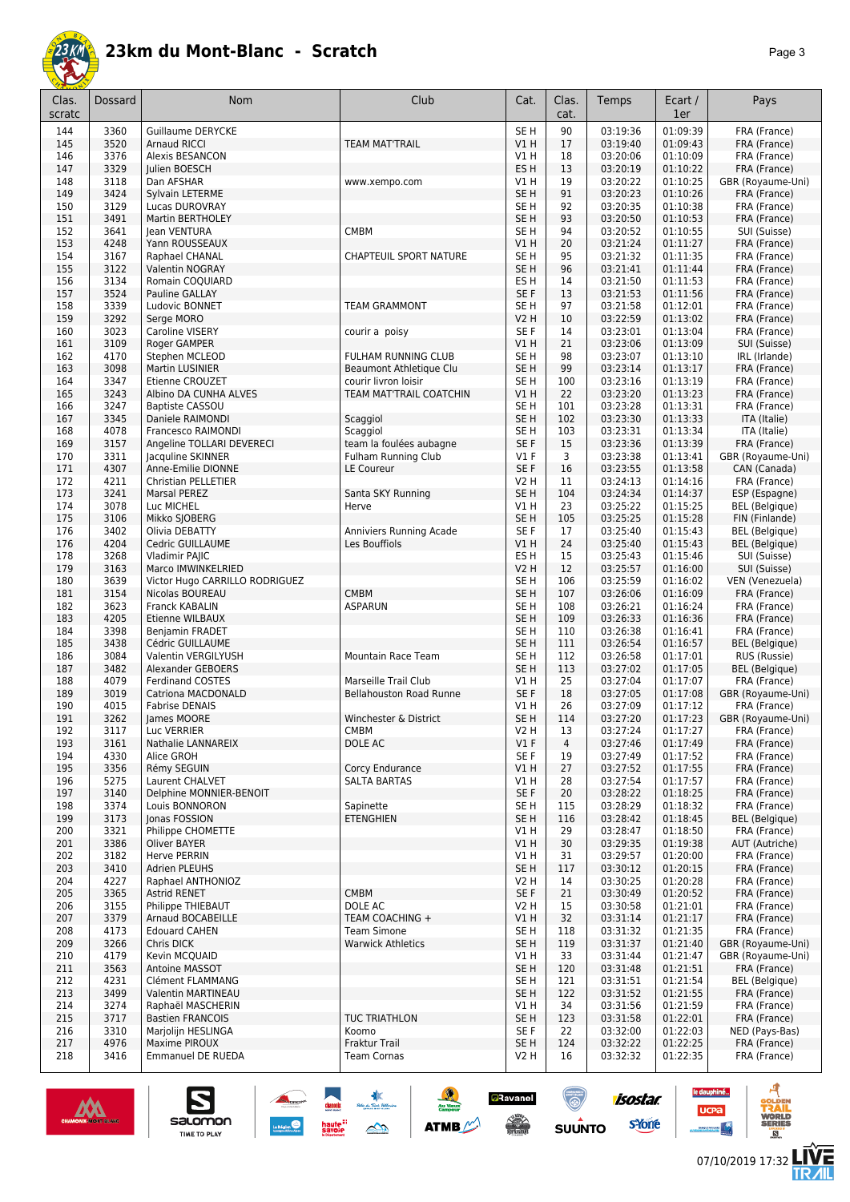

| Clas.<br>scratc | <b>Dossard</b> | Nom                                      | Club                                           | Cat.                               | Clas.<br>cat. | Temps                | Ecart /<br>1er       | Pays                                  |
|-----------------|----------------|------------------------------------------|------------------------------------------------|------------------------------------|---------------|----------------------|----------------------|---------------------------------------|
| 144             | 3360           | <b>Guillaume DERYCKE</b>                 |                                                | SE <sub>H</sub>                    | 90            | 03:19:36             | 01:09:39             | FRA (France)                          |
| 145             | 3520           | <b>Arnaud RICCI</b>                      | <b>TEAM MAT'TRAIL</b>                          | V1H                                | 17            | 03:19:40             | 01:09:43             | FRA (France)                          |
| 146             | 3376           | Alexis BESANCON                          |                                                | V1 H                               | 18            | 03:20:06             | 01:10:09             | FRA (France)                          |
| 147             | 3329           | Julien BOESCH                            |                                                | ES <sub>H</sub>                    | 13            | 03:20:19             | 01:10:22             | FRA (France)                          |
| 148             | 3118<br>3424   | Dan AFSHAR                               | www.xempo.com                                  | V1 H<br>SE <sub>H</sub>            | 19<br>91      | 03:20:22<br>03:20:23 | 01:10:25<br>01:10:26 | GBR (Royaume-Uni)                     |
| 149<br>150      | 3129           | Sylvain LETERME<br><b>Lucas DUROVRAY</b> |                                                | SE <sub>H</sub>                    | 92            | 03:20:35             | 01:10:38             | FRA (France)<br>FRA (France)          |
| 151             | 3491           | Martin BERTHOLEY                         |                                                | SE <sub>H</sub>                    | 93            | 03:20:50             | 01:10:53             | FRA (France)                          |
| 152             | 3641           | <b>Iean VENTURA</b>                      | CMBM                                           | SE H                               | 94            | 03:20:52             | 01:10:55             | SUI (Suisse)                          |
| 153             | 4248           | Yann ROUSSEAUX                           |                                                | VIH                                | 20            | 03:21:24             | 01:11:27             | FRA (France)                          |
| 154             | 3167           | Raphael CHANAL                           | <b>CHAPTEUIL SPORT NATURE</b>                  | SE H                               | 95            | 03:21:32             | 01:11:35             | FRA (France)                          |
| 155             | 3122           | Valentin NOGRAY                          |                                                | SE <sub>H</sub>                    | 96            | 03:21:41             | 01:11:44             | FRA (France)                          |
| 156             | 3134           | Romain COQUIARD                          |                                                | ES <sub>H</sub>                    | 14            | 03:21:50             | 01:11:53             | FRA (France)                          |
| 157             | 3524           | Pauline GALLAY                           |                                                | SE F                               | 13            | 03:21:53             | 01:11:56             | FRA (France)                          |
| 158             | 3339           | Ludovic BONNET                           | <b>TEAM GRAMMONT</b>                           | SE H                               | 97            | 03:21:58             | 01:12:01             | FRA (France)                          |
| 159             | 3292           | Serge MORO                               |                                                | <b>V2 H</b>                        | 10            | 03:22:59             | 01:13:02             | FRA (France)                          |
| 160             | 3023           | <b>Caroline VISERY</b>                   | courir a poisy                                 | SE F                               | 14            | 03:23:01             | 01:13:04             | FRA (France)                          |
| 161             | 3109           | Roger GAMPER                             |                                                | VIH                                | 21            | 03:23:06             | 01:13:09             | SUI (Suisse)                          |
| 162<br>163      | 4170<br>3098   | Stephen MCLEOD<br>Martin LUSINIER        | FULHAM RUNNING CLUB<br>Beaumont Athletique Clu | SE <sub>H</sub><br>SE <sub>H</sub> | 98<br>99      | 03:23:07<br>03:23:14 | 01:13:10<br>01:13:17 | IRL (Irlande)                         |
| 164             | 3347           | Etienne CROUZET                          | courir livron loisir                           | SE H                               | 100           | 03:23:16             | 01:13:19             | FRA (France)<br>FRA (France)          |
| 165             | 3243           | Albino DA CUNHA ALVES                    | TEAM MAT'TRAIL COATCHIN                        | V1 H                               | 22            | 03:23:20             | 01:13:23             | FRA (France)                          |
| 166             | 3247           | <b>Baptiste CASSOU</b>                   |                                                | SE H                               | 101           | 03:23:28             | 01:13:31             | FRA (France)                          |
| 167             | 3345           | Daniele RAIMONDI                         | Scaggiol                                       | SE <sub>H</sub>                    | 102           | 03:23:30             | 01:13:33             | ITA (Italie)                          |
| 168             | 4078           | Francesco RAIMONDI                       | Scaggiol                                       | SE <sub>H</sub>                    | 103           | 03:23:31             | 01:13:34             | ITA (Italie)                          |
| 169             | 3157           | Angeline TOLLARI DEVERECI                | team la foulées aubagne                        | SE F                               | 15            | 03:23:36             | 01:13:39             | FRA (France)                          |
| 170             | 3311           | Jacquline SKINNER                        | <b>Fulham Running Club</b>                     | $VI$ F                             | 3             | 03:23:38             | 01:13:41             | GBR (Royaume-Uni)                     |
| 171             | 4307           | Anne-Emilie DIONNE                       | LE Coureur                                     | SE F                               | 16            | 03:23:55             | 01:13:58             | CAN (Canada)                          |
| 172             | 4211           | Christian PELLETIER                      |                                                | <b>V2 H</b>                        | 11            | 03:24:13             | 01:14:16             | FRA (France)                          |
| 173             | 3241           | Marsal PEREZ                             | Santa SKY Running                              | SE <sub>H</sub>                    | 104           | 03:24:34             | 01:14:37             | ESP (Espagne)                         |
| 174             | 3078           | Luc MICHEL                               | Herve                                          | V1H                                | 23            | 03:25:22             | 01:15:25             | <b>BEL</b> (Belgique)                 |
| 175             | 3106           | Mikko SJOBERG                            |                                                | SE <sub>H</sub>                    | 105           | 03:25:25             | 01:15:28             | FIN (Finlande)                        |
| 176             | 3402           | Olivia DEBATTY                           | Anniviers Running Acade                        | SE F                               | 17            | 03:25:40             | 01:15:43             | BEL (Belgique)                        |
| 176<br>178      | 4204<br>3268   | Cedric GUILLAUME<br>Vladimir PAJIC       | Les Bouffiols                                  | V1 H<br>ES H                       | 24<br>15      | 03:25:40<br>03:25:43 | 01:15:43<br>01:15:46 | <b>BEL</b> (Belgique)<br>SUI (Suisse) |
| 179             | 3163           | Marco IMWINKELRIED                       |                                                | <b>V2 H</b>                        | 12            | 03:25:57             | 01:16:00             | SUI (Suisse)                          |
| 180             | 3639           | Victor Hugo CARRILLO RODRIGUEZ           |                                                | SE H                               | 106           | 03:25:59             | 01:16:02             | VEN (Venezuela)                       |
| 181             | 3154           | Nicolas BOUREAU                          | <b>CMBM</b>                                    | SE <sub>H</sub>                    | 107           | 03:26:06             | 01:16:09             | FRA (France)                          |
| 182             | 3623           | Franck KABALIN                           | ASPARUN                                        | SE <sub>H</sub>                    | 108           | 03:26:21             | 01:16:24             | FRA (France)                          |
| 183             | 4205           | Etienne WILBAUX                          |                                                | SE <sub>H</sub>                    | 109           | 03:26:33             | 01:16:36             | FRA (France)                          |
| 184             | 3398           | Benjamin FRADET                          |                                                | SE H                               | 110           | 03:26:38             | 01:16:41             | FRA (France)                          |
| 185             | 3438           | Cédric GUILLAUME                         |                                                | SE <sub>H</sub>                    | 111           | 03:26:54             | 01:16:57             | <b>BEL</b> (Belgique)                 |
| 186             | 3084           | Valentin VERGILYUSH                      | <b>Mountain Race Team</b>                      | SE <sub>H</sub>                    | 112           | 03:26:58             | 01:17:01             | RUS (Russie)                          |
| 187             | 3482           | Alexander GEBOERS                        |                                                | SE <sub>H</sub>                    | 113           | 03:27:02             | 01:17:05             | <b>BEL</b> (Belgique)                 |
| 188             | 4079           | <b>Ferdinand COSTES</b>                  | Marseille Trail Club                           | V1 H                               | 25            | 03:27:04             | 01:17:07             | FRA (France)                          |
| 189             | 3019           | Catriona MACDONALD                       | <b>Bellahouston Road Runne</b>                 | SE F                               | 18            | 03:27:05             | 01:17:08             | GBR (Royaume-Uni)                     |
| 190             | 4015           | <b>Fabrise DENAIS</b>                    |                                                | V1 H                               | 26            | 03:27:09             | 01:17:12             | FRA (France)                          |
| 191             | 3262           | James MOORE                              | Winchester & District                          | SE H                               | 114           | 03:27:20             | 01:17:23             | GBR (Royaume-Uni)                     |
| 192<br>193      | 3117<br>3161   | Luc VERRIER<br>Nathalie LANNAREIX        | СМВМ<br>DOLE AC                                | V2 H<br>$VI$ F                     | 13<br>4       | 03:27:24<br>03:27:46 | 01:17:27<br>01:17:49 | FRA (France)<br>FRA (France)          |
| 194             | 4330           | Alice GROH                               |                                                | SE F                               | 19            | 03:27:49             | 01:17:52             | FRA (France)                          |
| 195             | 3356           | Rémy SEGUIN                              | Corcy Endurance                                | V1 H                               | 27            | 03:27:52             | 01:17:55             | FRA (France)                          |
| 196             | 5275           | Laurent CHALVET                          | <b>SALTA BARTAS</b>                            | V1 H                               | 28            | 03:27:54             | 01:17:57             | FRA (France)                          |
| 197             | 3140           | Delphine MONNIER-BENOIT                  |                                                | SE F                               | 20            | 03:28:22             | 01:18:25             | FRA (France)                          |
| 198             | 3374           | Louis BONNORON                           | Sapinette                                      | SE <sub>H</sub>                    | 115           | 03:28:29             | 01:18:32             | FRA (France)                          |
| 199             | 3173           | Jonas FOSSION                            | <b>ETENGHIEN</b>                               | SE <sub>H</sub>                    | 116           | 03:28:42             | 01:18:45             | <b>BEL</b> (Belgique)                 |
| 200             | 3321           | Philippe CHOMETTE                        |                                                | V1H                                | 29            | 03:28:47             | 01:18:50             | FRA (France)                          |
| 201             | 3386           | Oliver BAYER                             |                                                | V1H                                | 30            | 03:29:35             | 01:19:38             | AUT (Autriche)                        |
| 202             | 3182           | Herve PERRIN                             |                                                | V1 H                               | 31            | 03:29:57             | 01:20:00             | FRA (France)                          |
| 203             | 3410           | <b>Adrien PLEUHS</b>                     |                                                | SE <sub>H</sub>                    | 117           | 03:30:12             | 01:20:15             | FRA (France)                          |
| 204             | 4227           | Raphael ANTHONIOZ                        |                                                | V2 H                               | 14            | 03:30:25             | 01:20:28             | FRA (France)                          |
| 205<br>206      | 3365           | Astrid RENET<br>Philippe THIEBAUT        | <b>CMBM</b><br>DOLE AC                         | SE F<br>V2 H                       | 21<br>15      | 03:30:49<br>03:30:58 | 01:20:52<br>01:21:01 | FRA (France)<br>FRA (France)          |
| 207             | 3155<br>3379   | Arnaud BOCABEILLE                        | TEAM COACHING +                                | V1H                                | 32            | 03:31:14             | 01:21:17             | FRA (France)                          |
| 208             | 4173           | <b>Edouard CAHEN</b>                     | <b>Team Simone</b>                             | SE H                               | 118           | 03:31:32             | 01:21:35             | FRA (France)                          |
| 209             | 3266           | Chris DICK                               | <b>Warwick Athletics</b>                       | SE <sub>H</sub>                    | 119           | 03:31:37             | 01:21:40             | GBR (Royaume-Uni)                     |
| 210             | 4179           | Kevin MCQUAID                            |                                                | V1 H                               | 33            | 03:31:44             | 01:21:47             | GBR (Royaume-Uni)                     |
| 211             | 3563           | Antoine MASSOT                           |                                                | SE <sub>H</sub>                    | 120           | 03:31:48             | 01:21:51             | FRA (France)                          |
| 212             | 4231           | Clément FLAMMANG                         |                                                | SE H                               | 121           | 03:31:51             | 01:21:54             | <b>BEL</b> (Belgique)                 |
| 213             | 3499           | Valentin MARTINEAU                       |                                                | SE H                               | 122           | 03:31:52             | 01:21:55             | FRA (France)                          |
| 214             | 3274           | Raphaël MASCHERIN                        |                                                | V1 H                               | 34            | 03:31:56             | 01:21:59             | FRA (France)                          |
| 215             | 3717           | <b>Bastien FRANCOIS</b>                  | <b>TUC TRIATHLON</b>                           | SE <sub>H</sub>                    | 123           | 03:31:58             | 01:22:01             | FRA (France)                          |
| 216             | 3310           | Marjolijn HESLINGA                       | Koomo                                          | SE F                               | 22            | 03:32:00             | 01:22:03             | NED (Pays-Bas)                        |
| 217             | 4976           | Maxime PIROUX                            | Fraktur Trail                                  | SE <sub>H</sub>                    | 124           | 03:32:22             | 01:22:25             | FRA (France)                          |
| 218             | 3416           | Emmanuel DE RUEDA                        | <b>Team Cornas</b>                             | V2 H                               | 16            | 03:32:32             | 01:22:35             | FRA (France)                          |





le dauphiné...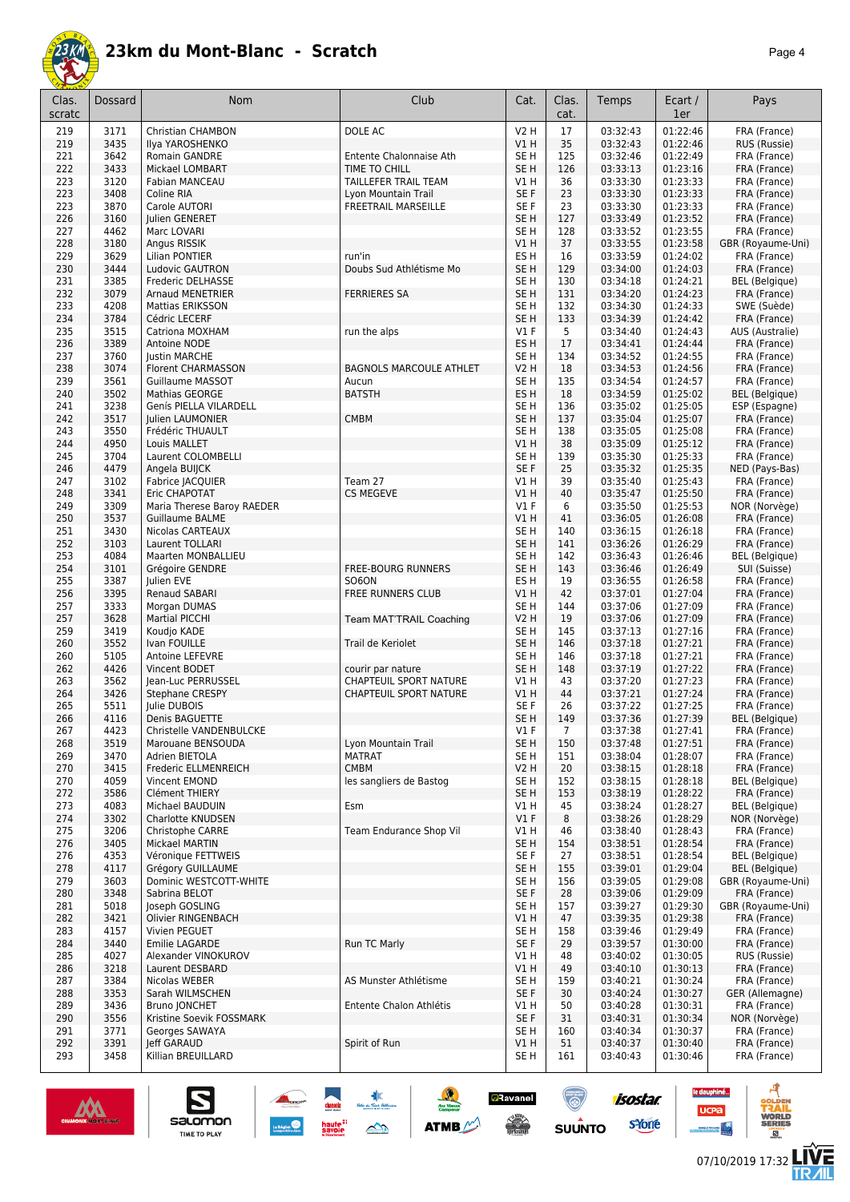

|--|--|

| Clas.<br>scratc | Dossard      | Nom                                       | Club                                      | Cat.                               | Clas.<br>cat. | Temps                | Ecart /<br>1er       | Pays                                   |
|-----------------|--------------|-------------------------------------------|-------------------------------------------|------------------------------------|---------------|----------------------|----------------------|----------------------------------------|
| 219             | 3171         | Christian CHAMBON                         | DOLE AC                                   | <b>V2 H</b>                        | 17            | 03:32:43             | 01:22:46             | FRA (France)                           |
| 219<br>221      | 3435<br>3642 | Ilya YAROSHENKO<br>Romain GANDRE          | Entente Chalonnaise Ath                   | VIH<br>SE <sub>H</sub>             | 35<br>125     | 03:32:43<br>03:32:46 | 01:22:46<br>01:22:49 | RUS (Russie)<br>FRA (France)           |
| 222             | 3433         | Mickael LOMBART                           | TIME TO CHILL                             | SE <sub>H</sub>                    | 126           | 03:33:13             | 01:23:16             | FRA (France)                           |
| 223             | 3120         | Fabian MANCEAU                            | TAILLEFER TRAIL TEAM                      | V1H                                | 36            | 03:33:30             | 01:23:33             | FRA (France)                           |
| 223             | 3408         | Coline RIA                                | Lyon Mountain Trail                       | SE F                               | 23            | 03:33:30             | 01:23:33             | FRA (France)                           |
| 223             | 3870         | Carole AUTORI                             | <b>FREETRAIL MARSEILLE</b>                | SE F                               | 23            | 03:33:30             | 01:23:33             | FRA (France)                           |
| 226<br>227      | 3160<br>4462 | Julien GENERET<br>Marc LOVARI             |                                           | SE <sub>H</sub><br>SE <sub>H</sub> | 127<br>128    | 03:33:49<br>03:33:52 | 01:23:52<br>01:23:55 | FRA (France)<br>FRA (France)           |
| 228             | 3180         | Angus RISSIK                              |                                           | V1H                                | 37            | 03:33:55             | 01:23:58             | GBR (Royaume-Uni)                      |
| 229             | 3629         | Lilian PONTIER                            | run'in                                    | ES <sub>H</sub>                    | 16            | 03:33:59             | 01:24:02             | FRA (France)                           |
| 230             | 3444         | Ludovic GAUTRON                           | Doubs Sud Athlétisme Mo                   | SE <sub>H</sub>                    | 129           | 03:34:00             | 01:24:03             | FRA (France)                           |
| 231             | 3385         | Frederic DELHASSE                         |                                           | SE <sub>H</sub>                    | 130           | 03:34:18             | 01:24:21             | <b>BEL</b> (Belgique)                  |
| 232             | 3079         | <b>Arnaud MENETRIER</b>                   | <b>FERRIERES SA</b>                       | SE H                               | 131           | 03:34:20             | 01:24:23             | FRA (France)                           |
| 233<br>234      | 4208<br>3784 | <b>Mattias ERIKSSON</b><br>Cédric LECERF  |                                           | SE <sub>H</sub><br>SE <sub>H</sub> | 132<br>133    | 03:34:30<br>03:34:39 | 01:24:33<br>01:24:42 | SWE (Suède)<br>FRA (France)            |
| 235             | 3515         | Catriona MOXHAM                           | run the alps                              | $VI$ F                             | 5             | 03:34:40             | 01:24:43             | AUS (Australie)                        |
| 236             | 3389         | Antoine NODE                              |                                           | ES H                               | 17            | 03:34:41             | 01:24:44             | FRA (France)                           |
| 237             | 3760         | <b>Justin MARCHE</b>                      |                                           | SE <sub>H</sub>                    | 134           | 03:34:52             | 01:24:55             | FRA (France)                           |
| 238             | 3074         | Florent CHARMASSON                        | <b>BAGNOLS MARCOULE ATHLET</b>            | <b>V2 H</b>                        | 18            | 03:34:53             | 01:24:56             | FRA (France)                           |
| 239             | 3561         | Guillaume MASSOT                          | Aucun                                     | SE <sub>H</sub>                    | 135           | 03:34:54             | 01:24:57             | FRA (France)                           |
| 240<br>241      | 3502<br>3238 | Mathias GEORGE<br>Genís PIELLA VILARDELL  | <b>BATSTH</b>                             | ES <sub>H</sub><br>SE <sub>H</sub> | 18<br>136     | 03:34:59<br>03:35:02 | 01:25:02<br>01:25:05 | <b>BEL</b> (Belgique)<br>ESP (Espagne) |
| 242             | 3517         | Julien LAUMONIER                          | <b>CMBM</b>                               | SE <sub>H</sub>                    | 137           | 03:35:04             | 01:25:07             | FRA (France)                           |
| 243             | 3550         | Frédéric THUAULT                          |                                           | SE <sub>H</sub>                    | 138           | 03:35:05             | 01:25:08             | FRA (France)                           |
| 244             | 4950         | Louis MALLET                              |                                           | V1H                                | 38            | 03:35:09             | 01:25:12             | FRA (France)                           |
| 245             | 3704         | Laurent COLOMBELLI                        |                                           | SE <sub>H</sub>                    | 139           | 03:35:30             | 01:25:33             | FRA (France)                           |
| 246             | 4479         | Angela BUIJCK                             |                                           | SE <sub>F</sub>                    | 25            | 03:35:32             | 01:25:35             | NED (Pays-Bas)                         |
| 247             | 3102<br>3341 | Fabrice JACQUIER<br>Eric CHAPOTAT         | Team 27<br>CS MEGEVE                      | V1H<br>V1H                         | 39<br>40      | 03:35:40<br>03:35:47 | 01:25:43<br>01:25:50 | FRA (France)<br>FRA (France)           |
| 248<br>249      | 3309         | Maria Therese Baroy RAEDER                |                                           | $VI$ F                             | 6             | 03:35:50             | 01:25:53             | NOR (Norvège)                          |
| 250             | 3537         | Guillaume BALME                           |                                           | V1 H                               | 41            | 03:36:05             | 01:26:08             | FRA (France)                           |
| 251             | 3430         | Nicolas CARTEAUX                          |                                           | SE <sub>H</sub>                    | 140           | 03:36:15             | 01:26:18             | FRA (France)                           |
| 252             | 3103         | Laurent TOLLARI                           |                                           | SE <sub>H</sub>                    | 141           | 03:36:26             | 01:26:29             | FRA (France)                           |
| 253             | 4084         | Maarten MONBALLIEU                        |                                           | SE <sub>H</sub>                    | 142           | 03:36:43             | 01:26:46             | <b>BEL</b> (Belgique)                  |
| 254<br>255      | 3101<br>3387 | Grégoire GENDRE<br>Julien EVE             | <b>FREE-BOURG RUNNERS</b><br><b>SO6ON</b> | SE <sub>H</sub><br>ES <sub>H</sub> | 143<br>19     | 03:36:46<br>03:36:55 | 01:26:49<br>01:26:58 | SUI (Suisse)<br>FRA (France)           |
| 256             | 3395         | Renaud SABARI                             | FREE RUNNERS CLUB                         | V1 H                               | 42            | 03:37:01             | 01:27:04             | FRA (France)                           |
| 257             | 3333         | Morgan DUMAS                              |                                           | SE <sub>H</sub>                    | 144           | 03:37:06             | 01:27:09             | FRA (France)                           |
| 257             | 3628         | <b>Martial PICCHI</b>                     | Team MAT'TRAIL Coaching                   | <b>V2 H</b>                        | 19            | 03:37:06             | 01:27:09             | FRA (France)                           |
| 259             | 3419         | Koudjo KADE                               |                                           | SE <sub>H</sub>                    | 145           | 03:37:13             | 01:27:16             | FRA (France)                           |
| 260             | 3552         | Ivan FOUILLE                              | Trail de Keriolet                         | SE <sub>H</sub>                    | 146           | 03:37:18             | 01:27:21<br>01:27:21 | FRA (France)                           |
| 260<br>262      | 5105<br>4426 | Antoine LEFEVRE<br>Vincent BODET          | courir par nature                         | SE <sub>H</sub><br>SE <sub>H</sub> | 146<br>148    | 03:37:18<br>03:37:19 | 01:27:22             | FRA (France)<br>FRA (France)           |
| 263             | 3562         | Jean-Luc PERRUSSEL                        | CHAPTEUIL SPORT NATURE                    | V1H                                | 43            | 03:37:20             | 01:27:23             | FRA (France)                           |
| 264             | 3426         | Stephane CRESPY                           | <b>CHAPTEUIL SPORT NATURE</b>             | V1H                                | 44            | 03:37:21             | 01:27:24             | FRA (France)                           |
| 265             | 5511         | Julie DUBOIS                              |                                           | SE <sub>F</sub>                    | 26            | 03:37:22             | 01:27:25             | FRA (France)                           |
| 266             | 4116         | Denis BAGUETTE                            |                                           | SE <sub>H</sub>                    | 149           | 03:37:36             | 01:27:39             | <b>BEL</b> (Belgique)                  |
| 267             | 4423         | Christelle VANDENBULCKE                   |                                           | V1 F                               | 7             | 03:37:38             | 01:27:41             | FRA (France)                           |
| 268<br>269      | 3519<br>3470 | Marouane BENSOUDA<br>Adrien BIETOLA       | Lyon Mountain Trail<br><b>MATRAT</b>      | SE H<br>SE H                       | 150<br>151    | 03:37:48<br>03:38:04 | 01:27:51<br>01:28:07 | FRA (France)<br>FRA (France)           |
| 270             | 3415         | Frederic ELLMENREICH                      | <b>CMBM</b>                               | V2 H                               | 20            | 03:38:15             | 01:28:18             | FRA (France)                           |
| 270             | 4059         | Vincent EMOND                             | les sangliers de Bastog                   | SE <sub>H</sub>                    | 152           | 03:38:15             | 01:28:18             | <b>BEL</b> (Belgique)                  |
| 272             | 3586         | Clément THIERY                            |                                           | SE <sub>H</sub>                    | 153           | 03:38:19             | 01:28:22             | FRA (France)                           |
| 273             | 4083         | Michael BAUDUIN                           | Esm                                       | V1 H                               | 45            | 03:38:24             | 01:28:27             | <b>BEL</b> (Belgique)                  |
| 274<br>275      | 3302<br>3206 | Charlotte KNUDSEN<br>Christophe CARRE     | Team Endurance Shop Vil                   | $VI$ F<br>V1 H                     | 8<br>46       | 03:38:26<br>03:38:40 | 01:28:29<br>01:28:43 | NOR (Norvège)<br>FRA (France)          |
| 276             | 3405         | Mickael MARTIN                            |                                           | SE <sub>H</sub>                    | 154           | 03:38:51             | 01:28:54             | FRA (France)                           |
| 276             | 4353         | Véronique FETTWEIS                        |                                           | SE F                               | 27            | 03:38:51             | 01:28:54             | <b>BEL</b> (Belgique)                  |
| 278             | 4117         | Grégory GUILLAUME                         |                                           | SE H                               | 155           | 03:39:01             | 01:29:04             | <b>BEL</b> (Belgique)                  |
| 279             | 3603         | Dominic WESTCOTT-WHITE                    |                                           | SE H                               | 156           | 03:39:05             | 01:29:08             | GBR (Royaume-Uni)                      |
| 280             | 3348         | Sabrina BELOT                             |                                           | SE F                               | 28            | 03:39:06             | 01:29:09             | FRA (France)                           |
| 281<br>282      | 5018<br>3421 | Joseph GOSLING<br>Olivier RINGENBACH      |                                           | SE H<br>V1 H                       | 157<br>47     | 03:39:27<br>03:39:35 | 01:29:30<br>01:29:38 | GBR (Royaume-Uni)<br>FRA (France)      |
| 283             | 4157         | Vivien PEGUET                             |                                           | SE <sub>H</sub>                    | 158           | 03:39:46             | 01:29:49             | FRA (France)                           |
| 284             | 3440         | Emilie LAGARDE                            | Run TC Marly                              | SE F                               | 29            | 03:39:57             | 01:30:00             | FRA (France)                           |
| 285             | 4027         | Alexander VINOKUROV                       |                                           | V1 H                               | 48            | 03:40:02             | 01:30:05             | RUS (Russie)                           |
| 286             | 3218         | Laurent DESBARD                           |                                           | V1H                                | 49            | 03:40:10             | 01:30:13             | FRA (France)                           |
| 287             | 3384         | Nicolas WEBER                             | AS Munster Athlétisme                     | SE <sub>H</sub>                    | 159           | 03:40:21             | 01:30:24             | FRA (France)                           |
| 288             | 3353         | Sarah WILMSCHEN                           |                                           | SE F<br>V1 H                       | 30<br>50      | 03:40:24             | 01:30:27<br>01:30:31 | GER (Allemagne)                        |
| 289<br>290      | 3436<br>3556 | Bruno JONCHET<br>Kristine Soevik FOSSMARK | Entente Chalon Athlétis                   | SE F                               | 31            | 03:40:28<br>03:40:31 | 01:30:34             | FRA (France)<br>NOR (Norvège)          |
| 291             | 3771         | Georges SAWAYA                            |                                           | SE H                               | 160           | 03:40:34             | 01:30:37             | FRA (France)                           |
| 292             | 3391         | leff GARAUD                               | Spirit of Run                             | VIH                                | 51            | 03:40:37             | 01:30:40             | FRA (France)                           |
| 293             | 3458         | Killian BREUILLARD                        |                                           | SE H                               | 161           | 03:40:43             | 01:30:46             | FRA (France)                           |

**ANGEL 1989** 

**CONTINUES** 

 $\frac{1}{2}$ 

**ATMB** 

**a**Ravanel

 $\frac{1}{\sqrt{2}}$ 

ۿ

 $su\overset{\bullet}{\mathsf{unro}}$ 



 $\sum_{\text{SALOMOM}}$ 

ø

**LIVE<br>TR***A***IL** 

**UCPa** 

isostar.

svone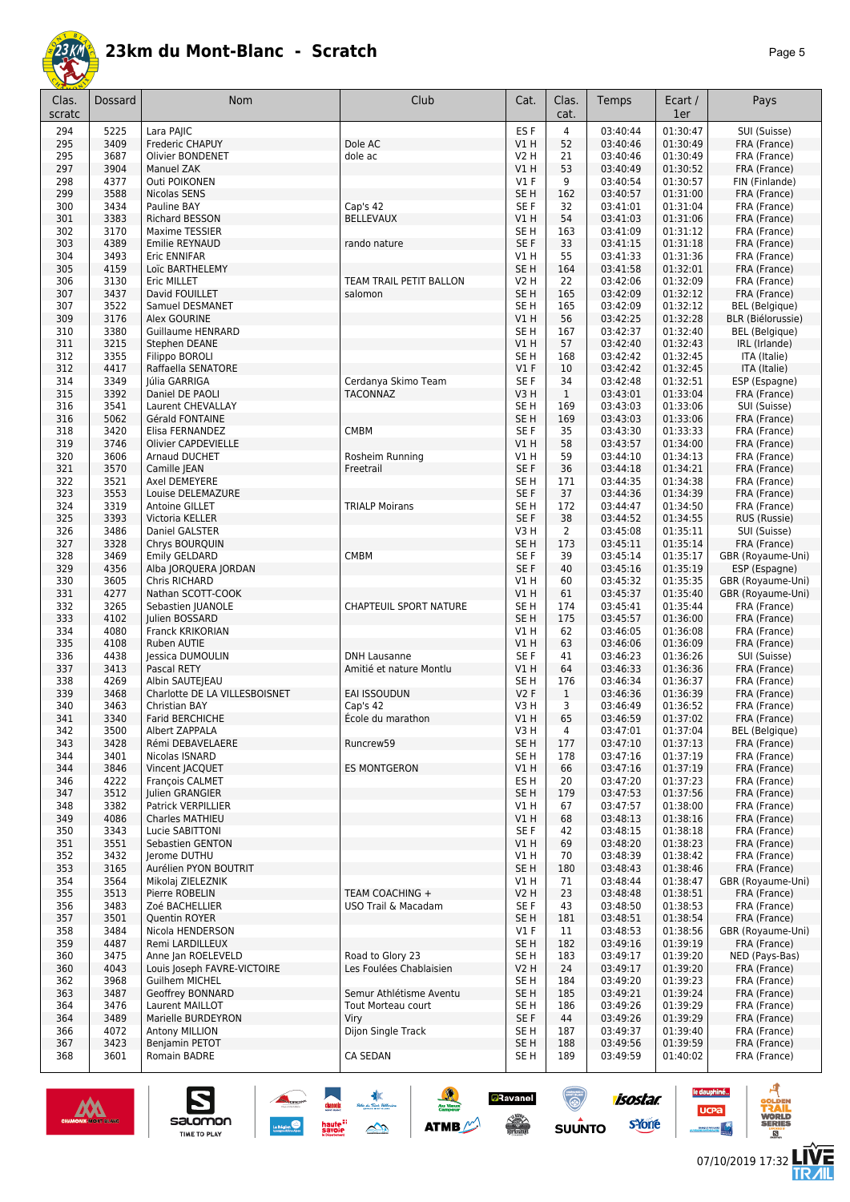

| Clas.<br>scratc | <b>Dossard</b> | Nom                                      | Club                            | Cat.                               | Clas.<br>cat.      | Temps                | Ecart /<br>1er       | Pays                                  |
|-----------------|----------------|------------------------------------------|---------------------------------|------------------------------------|--------------------|----------------------|----------------------|---------------------------------------|
| 294             | 5225           | Lara PAIIC                               |                                 | ES <sub>F</sub>                    | 4                  | 03:40:44             | 01:30:47             | SUI (Suisse)                          |
| 295             | 3409           | Frederic CHAPUY                          | Dole AC                         | V1 H                               | 52                 | 03:40:46             | 01:30:49             | FRA (France)                          |
| 295             | 3687           | Olivier BONDENET                         | dole ac                         | V2 H                               | 21                 | 03:40:46             | 01:30:49             | FRA (France)                          |
| 297             | 3904           | Manuel ZAK                               |                                 | VIH                                | 53                 | 03:40:49             | 01:30:52             | FRA (France)                          |
| 298             | 4377           | Outi POIKONEN                            |                                 | $VI$ F                             | 9                  | 03:40:54             | 01:30:57             | FIN (Finlande)                        |
| 299<br>300      | 3588<br>3434   | Nicolas SENS<br>Pauline BAY              | Cap's 42                        | SE <sub>H</sub><br>SE <sub>F</sub> | 162<br>32          | 03:40:57<br>03:41:01 | 01:31:00<br>01:31:04 | FRA (France)<br>FRA (France)          |
| 301             | 3383           | Richard BESSON                           | <b>BELLEVAUX</b>                | V1 H                               | 54                 | 03:41:03             | 01:31:06             | FRA (France)                          |
| 302             | 3170           | Maxime TESSIER                           |                                 | SE <sub>H</sub>                    | 163                | 03:41:09             | 01:31:12             | FRA (France)                          |
| 303             | 4389           | Emilie REYNAUD                           | rando nature                    | SE F                               | 33                 | 03:41:15             | 01:31:18             | FRA (France)                          |
| 304             | 3493           | Eric ENNIFAR                             |                                 | V1 H                               | 55                 | 03:41:33             | 01:31:36             | FRA (France)                          |
| 305             | 4159           | Loïc BARTHELEMY                          |                                 | SE <sub>H</sub>                    | 164                | 03:41:58             | 01:32:01             | FRA (France)                          |
| 306             | 3130           | Eric MILLET                              | TEAM TRAIL PETIT BALLON         | V2 H                               | 22                 | 03:42:06<br>03:42:09 | 01:32:09             | FRA (France)                          |
| 307<br>307      | 3437<br>3522   | David FOUILLET<br>Samuel DESMANET        | salomon                         | SE <sub>H</sub><br>SE H            | 165<br>165         | 03:42:09             | 01:32:12<br>01:32:12 | FRA (France)<br><b>BEL</b> (Belgique) |
| 309             | 3176           | Alex GOURINE                             |                                 | V1 H                               | 56                 | 03:42:25             | 01:32:28             | <b>BLR (Biélorussie)</b>              |
| 310             | 3380           | <b>Guillaume HENRARD</b>                 |                                 | SE H                               | 167                | 03:42:37             | 01:32:40             | <b>BEL</b> (Belgique)                 |
| 311             | 3215           | Stephen DEANE                            |                                 | V1H                                | 57                 | 03:42:40             | 01:32:43             | IRL (Irlande)                         |
| 312             | 3355           | Filippo BOROLI                           |                                 | SE <sub>H</sub>                    | 168                | 03:42:42             | 01:32:45             | ITA (Italie)                          |
| 312             | 4417           | Raffaella SENATORE                       |                                 | V1F                                | 10                 | 03:42:42             | 01:32:45             | ITA (Italie)                          |
| 314<br>315      | 3349<br>3392   | Júlia GARRIGA<br>Daniel DE PAOLI         | Cerdanya Skimo Team<br>TACONNAZ | SE F<br>V3H                        | 34<br>$\mathbf{1}$ | 03:42:48             | 01:32:51<br>01:33:04 | ESP (Espagne)                         |
| 316             | 3541           | Laurent CHEVALLAY                        |                                 | SE <sub>H</sub>                    | 169                | 03:43:01<br>03:43:03 | 01:33:06             | FRA (France)<br>SUI (Suisse)          |
| 316             | 5062           | Gérald FONTAINE                          |                                 | SE <sub>H</sub>                    | 169                | 03:43:03             | 01:33:06             | FRA (France)                          |
| 318             | 3420           | Elisa FERNANDEZ                          | <b>CMBM</b>                     | SE F                               | 35                 | 03:43:30             | 01:33:33             | FRA (France)                          |
| 319             | 3746           | Olivier CAPDEVIELLE                      |                                 | VIH                                | 58                 | 03:43:57             | 01:34:00             | FRA (France)                          |
| 320             | 3606           | Arnaud DUCHET                            | Rosheim Running                 | V1H                                | 59                 | 03:44:10             | 01:34:13             | FRA (France)                          |
| 321             | 3570           | Camille JEAN                             | Freetrail                       | SE F                               | 36                 | 03:44:18             | 01:34:21             | FRA (France)                          |
| 322             | 3521           | Axel DEMEYERE                            |                                 | SE <sub>H</sub>                    | 171                | 03:44:35             | 01:34:38             | FRA (France)                          |
| 323             | 3553           | Louise DELEMAZURE                        |                                 | SE <sub>F</sub>                    | 37                 | 03:44:36             | 01:34:39             | FRA (France)                          |
| 324<br>325      | 3319<br>3393   | Antoine GILLET<br>Victoria KELLER        | <b>TRIALP Moirans</b>           | SE <sub>H</sub><br>SE F            | 172<br>38          | 03:44:47<br>03:44:52 | 01:34:50<br>01:34:55 | FRA (France)<br>RUS (Russie)          |
| 326             | 3486           | Daniel GALSTER                           |                                 | V3H                                | 2                  | 03:45:08             | 01:35:11             | SUI (Suisse)                          |
| 327             | 3328           | Chrys BOURQUIN                           |                                 | SE H                               | 173                | 03:45:11             | 01:35:14             | FRA (France)                          |
| 328             | 3469           | Emily GELDARD                            | <b>CMBM</b>                     | SE F                               | 39                 | 03:45:14             | 01:35:17             | GBR (Royaume-Uni)                     |
| 329             | 4356           | Alba JORQUERA JORDAN                     |                                 | SE F                               | 40                 | 03:45:16             | 01:35:19             | ESP (Espagne)                         |
| 330             | 3605           | Chris RICHARD                            |                                 | V1H                                | 60                 | 03:45:32             | 01:35:35             | GBR (Royaume-Uni)                     |
| 331             | 4277           | Nathan SCOTT-COOK                        |                                 | V1 H                               | 61                 | 03:45:37             | 01:35:40             | GBR (Royaume-Uni)                     |
| 332             | 3265           | Sebastien JUANOLE                        | CHAPTEUIL SPORT NATURE          | SE H                               | 174                | 03:45:41             | 01:35:44             | FRA (France)                          |
| 333<br>334      | 4102<br>4080   | Julien BOSSARD<br>Franck KRIKORIAN       |                                 | SE H<br>V1H                        | 175<br>62          | 03:45:57<br>03:46:05 | 01:36:00<br>01:36:08 | FRA (France)<br>FRA (France)          |
| 335             | 4108           | Ruben AUTIE                              |                                 | V1 H                               | 63                 | 03:46:06             | 01:36:09             | FRA (France)                          |
| 336             | 4438           | Jessica DUMOULIN                         | <b>DNH Lausanne</b>             | SE F                               | 41                 | 03:46:23             | 01:36:26             | SUI (Suisse)                          |
| 337             | 3413           | Pascal RETY                              | Amitié et nature Montlu         | V1 H                               | 64                 | 03:46:33             | 01:36:36             | FRA (France)                          |
| 338             | 4269           | Albin SAUTEJEAU                          |                                 | SE H                               | 176                | 03:46:34             | 01:36:37             | FRA (France)                          |
| 339             | 3468           | Charlotte DE LA VILLESBOISNET            | EAI ISSOUDUN                    | V2F                                | $\mathbf{1}$       | 03:46:36             | 01:36:39             | FRA (France)                          |
| 340             | 3463           | Christian BAY                            | Cap's 42                        | V3 H                               | 3                  | 03:46:49             | 01:36:52             | FRA (France)                          |
| 341<br>342      | 3340<br>3500   | <b>Farid BERCHICHE</b><br>Albert ZAPPALA | École du marathon               | VIH<br>V3H                         | 65<br>4            | 03:46:59<br>03:47:01 | 01:37:02<br>01:37:04 | FRA (France)<br><b>BEL</b> (Belgique) |
| 343             | 3428           | Rémi DEBAVELAERE                         | Runcrew59                       | SE H                               | 177                | 03:47:10             | 01:37:13             | FRA (France)                          |
| 344             | 3401           | Nicolas ISNARD                           |                                 | SE H                               | 178                | 03:47:16             | 01:37:19             | FRA (France)                          |
| 344             | 3846           | Vincent JACQUET                          | <b>ES MONTGERON</b>             | V1 H                               | 66                 | 03:47:16             | 01:37:19             | FRA (France)                          |
| 346             | 4222           | François CALMET                          |                                 | ES H                               | 20                 | 03:47:20             | 01:37:23             | FRA (France)                          |
| 347             | 3512           | <b>Julien GRANGIER</b>                   |                                 | SE <sub>H</sub>                    | 179                | 03:47:53             | 01:37:56             | FRA (France)                          |
| 348             | 3382           | Patrick VERPILLIER                       |                                 | V1H                                | 67                 | 03:47:57             | 01:38:00             | FRA (France)                          |
| 349<br>350      | 4086<br>3343   | Charles MATHIEU<br>Lucie SABITTONI       |                                 | V1H<br>SE F                        | 68<br>42           | 03:48:13<br>03:48:15 | 01:38:16<br>01:38:18 | FRA (France)<br>FRA (France)          |
| 351             | 3551           | Sebastien GENTON                         |                                 | V1H                                | 69                 | 03:48:20             | 01:38:23             | FRA (France)                          |
| 352             | 3432           | Jerome DUTHU                             |                                 | V1H                                | 70                 | 03:48:39             | 01:38:42             | FRA (France)                          |
| 353             | 3165           | Aurélien PYON BOUTRIT                    |                                 | SE <sub>H</sub>                    | 180                | 03:48:43             | 01:38:46             | FRA (France)                          |
| 354             | 3564           | Mikolaj ZIELEZNIK                        |                                 | V1H                                | 71                 | 03:48:44             | 01:38:47             | GBR (Royaume-Uni)                     |
| 355             | 3513           | Pierre ROBELIN                           | TEAM COACHING +                 | V2 H                               | 23                 | 03:48:48             | 01:38:51             | FRA (France)                          |
| 356             | 3483           | Zoé BACHELLIER                           | USO Trail & Macadam             | SE F                               | 43                 | 03:48:50             | 01:38:53             | FRA (France)                          |
| 357             | 3501           | Quentin ROYER<br>Nicola HENDERSON        |                                 | SE H                               | 181                | 03:48:51             | 01:38:54             | FRA (France)                          |
| 358<br>359      | 3484<br>4487   | Remi LARDILLEUX                          |                                 | $VI$ F<br>SE H                     | 11<br>182          | 03:48:53<br>03:49:16 | 01:38:56<br>01:39:19 | GBR (Royaume-Uni)<br>FRA (France)     |
| 360             | 3475           | Anne Jan ROELEVELD                       | Road to Glory 23                | SE H                               | 183                | 03:49:17             | 01:39:20             | NED (Pays-Bas)                        |
| 360             | 4043           | Louis Joseph FAVRE-VICTOIRE              | Les Foulées Chablaisien         | <b>V2 H</b>                        | 24                 | 03:49:17             | 01:39:20             | FRA (France)                          |
| 362             | 3968           | Guilhem MICHEL                           |                                 | SE H                               | 184                | 03:49:20             | 01:39:23             | FRA (France)                          |
| 363             | 3487           | Geoffrey BONNARD                         | Semur Athlétisme Aventu         | SE H                               | 185                | 03:49:21             | 01:39:24             | FRA (France)                          |
| 364             | 3476           | Laurent MAILLOT                          | Tout Morteau court              | SE H                               | 186                | 03:49:26             | 01:39:29             | FRA (France)                          |
| 364             | 3489           | Marielle BURDEYRON                       | Viry                            | SE F                               | 44                 | 03:49:26             | 01:39:29             | FRA (France)                          |
| 366<br>367      | 4072<br>3423   | Antony MILLION<br>Benjamin PETOT         | Dijon Single Track              | SE H<br>SE H                       | 187<br>188         | 03:49:37<br>03:49:56 | 01:39:40<br>01:39:59 | FRA (France)<br>FRA (France)          |
| 368             | 3601           | Romain BADRE                             | CA SEDAN                        | SE H                               | 189                | 03:49:59             | 01:40:02             | FRA (France)                          |
|                 |                |                                          |                                 |                                    |                    |                      |                      |                                       |

東

 $\rightarrow$ 

ATMB



S

salomon

TIME TO PLAY

**isostar** 

sYone

(@)

 $su\overset{\bullet}{\mathsf{unro}}$ 

**aRavanel** 

**SERVICE** 

le dauphiné...

**UCPa** 

*<u>ANGLE</u>RENCE</u>* 



ه

**VORLD**<br>ERIES

 $<sup>B</sup>$ </sup>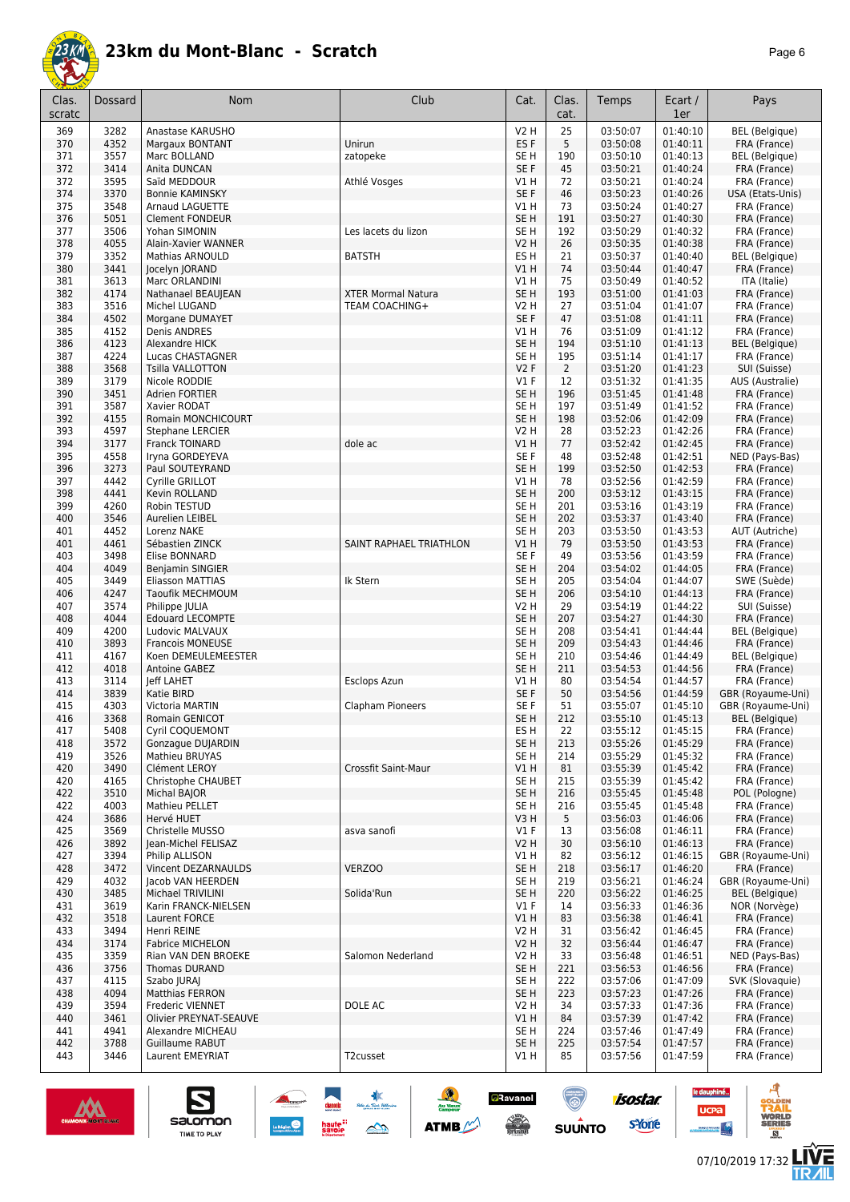

| r. |  |
|----|--|
|----|--|

| Clas.<br>scratc | Dossard      | Nom                                     | Club                                        | Cat.                               | Clas.<br>cat.  | Temps                | Ecart /<br>1er       | Pays                             |
|-----------------|--------------|-----------------------------------------|---------------------------------------------|------------------------------------|----------------|----------------------|----------------------|----------------------------------|
| 369             | 3282         | Anastase KARUSHO                        |                                             | <b>V2 H</b>                        | 25             | 03:50:07             | 01:40:10             | <b>BEL</b> (Belgique)            |
| 370             | 4352         | Margaux BONTANT                         | Unirun                                      | ES F                               | 5              | 03:50:08             | 01:40:11             | FRA (France)                     |
| 371             | 3557         | Marc BOLLAND                            | zatopeke                                    | SE H                               | 190            | 03:50:10             | 01:40:13             | <b>BEL</b> (Belgique)            |
| 372             | 3414         | Anita DUNCAN                            |                                             | SE <sub>F</sub>                    | 45             | 03:50:21             | 01:40:24             | FRA (France)                     |
| 372<br>374      | 3595<br>3370 | Saïd MEDDOUR<br><b>Bonnie KAMINSKY</b>  | Athlé Vosges                                | V1H<br>SE F                        | 72<br>46       | 03:50:21<br>03:50:23 | 01:40:24<br>01:40:26 | FRA (France)<br>USA (Etats-Unis) |
| 375             | 3548         | Arnaud LAGUETTE                         |                                             | V1H                                | 73             | 03:50:24             | 01:40:27             | FRA (France)                     |
| 376             | 5051         | <b>Clement FONDEUR</b>                  |                                             | SE <sub>H</sub>                    | 191            | 03:50:27             | 01:40:30             | FRA (France)                     |
| 377             | 3506         | Yohan SIMONIN                           | Les lacets du lizon                         | SE H                               | 192            | 03:50:29             | 01:40:32             | FRA (France)                     |
| 378             | 4055         | Alain-Xavier WANNER                     |                                             | V2 H                               | 26             | 03:50:35             | 01:40:38             | FRA (France)                     |
| 379             | 3352         | <b>Mathias ARNOULD</b>                  | <b>BATSTH</b>                               | ES H                               | 21             | 03:50:37             | 01:40:40             | <b>BEL</b> (Belgique)            |
| 380             | 3441         | Jocelyn JORAND                          |                                             | V1H                                | 74             | 03:50:44             | 01:40:47             | FRA (France)                     |
| 381             | 3613         | Marc ORLANDINI                          |                                             | V1H                                | 75             | 03:50:49             | 01:40:52             | ITA (Italie)                     |
| 382<br>383      | 4174<br>3516 | Nathanael BEAUJEAN<br>Michel LUGAND     | <b>XTER Mormal Natura</b><br>TEAM COACHING+ | SE <sub>H</sub><br>V2 H            | 193<br>27      | 03:51:00<br>03:51:04 | 01:41:03<br>01:41:07 | FRA (France)<br>FRA (France)     |
| 384             | 4502         | Morgane DUMAYET                         |                                             | SE F                               | 47             | 03:51:08             | 01:41:11             | FRA (France)                     |
| 385             | 4152         | Denis ANDRES                            |                                             | V1H                                | 76             | 03:51:09             | 01:41:12             | FRA (France)                     |
| 386             | 4123         | Alexandre HICK                          |                                             | SE <sub>H</sub>                    | 194            | 03:51:10             | 01:41:13             | <b>BEL</b> (Belgique)            |
| 387             | 4224         | Lucas CHASTAGNER                        |                                             | SE <sub>H</sub>                    | 195            | 03:51:14             | 01:41:17             | FRA (France)                     |
| 388             | 3568         | <b>Tsilla VALLOTTON</b>                 |                                             | V2F                                | $\overline{2}$ | 03:51:20             | 01:41:23             | SUI (Suisse)                     |
| 389             | 3179         | Nicole RODDIE                           |                                             | $VI$ F                             | 12             | 03:51:32             | 01:41:35             | AUS (Australie)                  |
| 390             | 3451         | <b>Adrien FORTIER</b>                   |                                             | SE <sub>H</sub>                    | 196            | 03:51:45             | 01:41:48             | FRA (France)                     |
| 391<br>392      | 3587<br>4155 | Xavier RODAT<br>Romain MONCHICOURT      |                                             | SE H<br>SE <sub>H</sub>            | 197<br>198     | 03:51:49<br>03:52:06 | 01:41:52<br>01:42:09 | FRA (France)<br>FRA (France)     |
| 393             | 4597         | <b>Stephane LERCIER</b>                 |                                             | V2 H                               | 28             | 03:52:23             | 01:42:26             | FRA (France)                     |
| 394             | 3177         | Franck TOINARD                          | dole ac                                     | VIH                                | 77             | 03:52:42             | 01:42:45             | FRA (France)                     |
| 395             | 4558         | Iryna GORDEYEVA                         |                                             | SE F                               | 48             | 03:52:48             | 01:42:51             | NED (Pays-Bas)                   |
| 396             | 3273         | Paul SOUTEYRAND                         |                                             | SE <sub>H</sub>                    | 199            | 03:52:50             | 01:42:53             | FRA (France)                     |
| 397             | 4442         | Cyrille GRILLOT                         |                                             | V1H                                | 78             | 03:52:56             | 01:42:59             | FRA (France)                     |
| 398             | 4441         | Kevin ROLLAND                           |                                             | SE <sub>H</sub>                    | 200            | 03:53:12             | 01:43:15             | FRA (France)                     |
| 399             | 4260         | Robin TESTUD                            |                                             | SE <sub>H</sub>                    | 201            | 03:53:16             | 01:43:19             | FRA (France)                     |
| 400<br>401      | 3546<br>4452 | Aurelien LEIBEL<br>Lorenz NAKE          |                                             | SE <sub>H</sub><br>SE <sub>H</sub> | 202<br>203     | 03:53:37<br>03:53:50 | 01:43:40<br>01:43:53 | FRA (France)<br>AUT (Autriche)   |
| 401             | 4461         | Sébastien ZINCK                         | SAINT RAPHAEL TRIATHLON                     | V1 H                               | 79             | 03:53:50             | 01:43:53             | FRA (France)                     |
| 403             | 3498         | Elise BONNARD                           |                                             | SE <sub>F</sub>                    | 49             | 03:53:56             | 01:43:59             | FRA (France)                     |
| 404             | 4049         | Benjamin SINGIER                        |                                             | SE <sub>H</sub>                    | 204            | 03:54:02             | 01:44:05             | FRA (France)                     |
| 405             | 3449         | Eliasson MATTIAS                        | Ik Stern                                    | SE <sub>H</sub>                    | 205            | 03:54:04             | 01:44:07             | SWE (Suède)                      |
| 406             | 4247         | Taoufik MECHMOUM                        |                                             | SE <sub>H</sub>                    | 206            | 03:54:10             | 01:44:13             | FRA (France)                     |
| 407             | 3574         | Philippe JULIA                          |                                             | <b>V2 H</b>                        | 29             | 03:54:19             | 01:44:22             | SUI (Suisse)                     |
| 408<br>409      | 4044<br>4200 | Edouard LECOMPTE<br>Ludovic MALVAUX     |                                             | SE <sub>H</sub><br>SE <sub>H</sub> | 207<br>208     | 03:54:27<br>03:54:41 | 01:44:30<br>01:44:44 | FRA (France)<br>BEL (Belgique)   |
| 410             | 3893         | <b>Francois MONEUSE</b>                 |                                             | SE <sub>H</sub>                    | 209            | 03:54:43             | 01:44:46             | FRA (France)                     |
| 411             | 4167         | Koen DEMEULEMEESTER                     |                                             | SE <sub>H</sub>                    | 210            | 03:54:46             | 01:44:49             | <b>BEL</b> (Belgique)            |
| 412             | 4018         | Antoine GABEZ                           |                                             | SE H                               | 211            | 03:54:53             | 01:44:56             | FRA (France)                     |
| 413             | 3114         | <b>Jeff LAHET</b>                       | Esclops Azun                                | V1 H                               | 80             | 03:54:54             | 01:44:57             | FRA (France)                     |
| 414             | 3839         | Katie BIRD                              |                                             | SE F                               | 50             | 03:54:56             | 01:44:59             | GBR (Royaume-Uni)                |
| 415             | 4303         | Victoria MARTIN                         | Clapham Pioneers                            | SE F                               | 51             | 03:55:07             | 01:45:10             | GBR (Royaume-Uni)                |
| 416             | 3368         | Romain GENICOT                          |                                             | SE H                               | 212            | 03:55:10             | 01:45:13             | <b>BEL</b> (Belgique)            |
| 417<br>418      | 5408<br>3572 | Cyril COQUEMONT<br>Gonzague DUJARDIN    |                                             | ES H<br>SE <sub>H</sub>            | 22<br>213      | 03:55:12<br>03:55:26 | 01:45:15<br>01:45:29 | FRA (France)<br>FRA (France)     |
| 419             | 3526         | Mathieu BRUYAS                          |                                             | SE <sub>H</sub>                    | 214            | 03:55:29             | 01:45:32             | FRA (France)                     |
| 420             | 3490         | Clément LEROY                           | Crossfit Saint-Maur                         | V1 H                               | 81             | 03:55:39             | 01:45:42             | FRA (France)                     |
| 420             | 4165         | Christophe CHAUBET                      |                                             | SE H                               | 215            | 03:55:39             | 01:45:42             | FRA (France)                     |
| 422             | 3510         | Michal BAJOR                            |                                             | SE <sub>H</sub>                    | 216            | 03:55:45             | 01:45:48             | POL (Pologne)                    |
| 422             | 4003         | Mathieu PELLET                          |                                             | SE H                               | 216            | 03:55:45             | 01:45:48             | FRA (France)                     |
| 424             | 3686         | Hervé HUET                              |                                             | V3H                                | 5              | 03:56:03             | 01:46:06             | FRA (France)                     |
| 425<br>426      | 3569<br>3892 | Christelle MUSSO<br>Iean-Michel FELISAZ | asva sanofi                                 | $VI$ F<br>V2 H                     | 13<br>30       | 03:56:08<br>03:56:10 | 01:46:11<br>01:46:13 | FRA (France)<br>FRA (France)     |
| 427             | 3394         | Philip ALLISON                          |                                             | V1 H                               | 82             | 03:56:12             | 01:46:15             | GBR (Royaume-Uni)                |
| 428             | 3472         | Vincent DEZARNAULDS                     | VERZOO                                      | SE H                               | 218            | 03:56:17             | 01:46:20             | FRA (France)                     |
| 429             | 4032         | Jacob VAN HEERDEN                       |                                             | SE H                               | 219            | 03:56:21             | 01:46:24             | GBR (Royaume-Uni)                |
| 430             | 3485         | Michael TRIVILINI                       | Solida'Run                                  | SE <sub>H</sub>                    | 220            | 03:56:22             | 01:46:25             | <b>BEL</b> (Belgique)            |
| 431             | 3619         | Karin FRANCK-NIELSEN                    |                                             | $VI$ F                             | 14             | 03:56:33             | 01:46:36             | NOR (Norvège)                    |
| 432             | 3518         | Laurent FORCE                           |                                             | V1H                                | 83             | 03:56:38             | 01:46:41             | FRA (France)                     |
| 433             | 3494<br>3174 | Henri REINE<br><b>Fabrice MICHELON</b>  |                                             | V2 H                               | 31             | 03:56:42<br>03:56:44 | 01:46:45<br>01:46:47 | FRA (France)                     |
| 434<br>435      | 3359         | Rian VAN DEN BROEKE                     | Salomon Nederland                           | V2 H<br>V2 H                       | 32<br>33       | 03:56:48             | 01:46:51             | FRA (France)<br>NED (Pays-Bas)   |
| 436             | 3756         | Thomas DURAND                           |                                             | SE H                               | 221            | 03:56:53             | 01:46:56             | FRA (France)                     |
| 437             | 4115         | Szabo JURAJ                             |                                             | SE H                               | 222            | 03:57:06             | 01:47:09             | SVK (Slovaquie)                  |
| 438             | 4094         | Matthias FERRON                         |                                             | SE H                               | 223            | 03:57:23             | 01:47:26             | FRA (France)                     |
| 439             | 3594         | Frederic VIENNET                        | DOLE AC                                     | V2 H                               | 34             | 03:57:33             | 01:47:36             | FRA (France)                     |
| 440             | 3461         | Olivier PREYNAT-SEAUVE                  |                                             | V1 H                               | 84             | 03:57:39             | 01:47:42             | FRA (France)                     |
| 441             | 4941         | Alexandre MICHEAU                       |                                             | SE H                               | 224            | 03:57:46             | 01:47:49             | FRA (France)                     |
| 442<br>443      | 3788<br>3446 | Guillaume RABUT<br>Laurent EMEYRIAT     | T2cusset                                    | SE H<br>V1 H                       | 225<br>85      | 03:57:54<br>03:57:56 | 01:47:57<br>01:47:59 | FRA (France)<br>FRA (France)     |
|                 |              |                                         |                                             |                                    |                |                      |                      |                                  |

**Allegard Communication**<br> **Savide** COM

**a**Ravanel

 $\frac{1}{\sqrt{2}}$ 

ۿ

 $su\overset{\bullet}{\mathsf{unro}}$ 

 $\frac{1}{2}$ 

**ATMB** 

*England* 



 $\sum_{\text{SALOMOM}}$ 

ø

**LIVE<br>TR***A***IL** 

**UCPa** 

isostar.

svone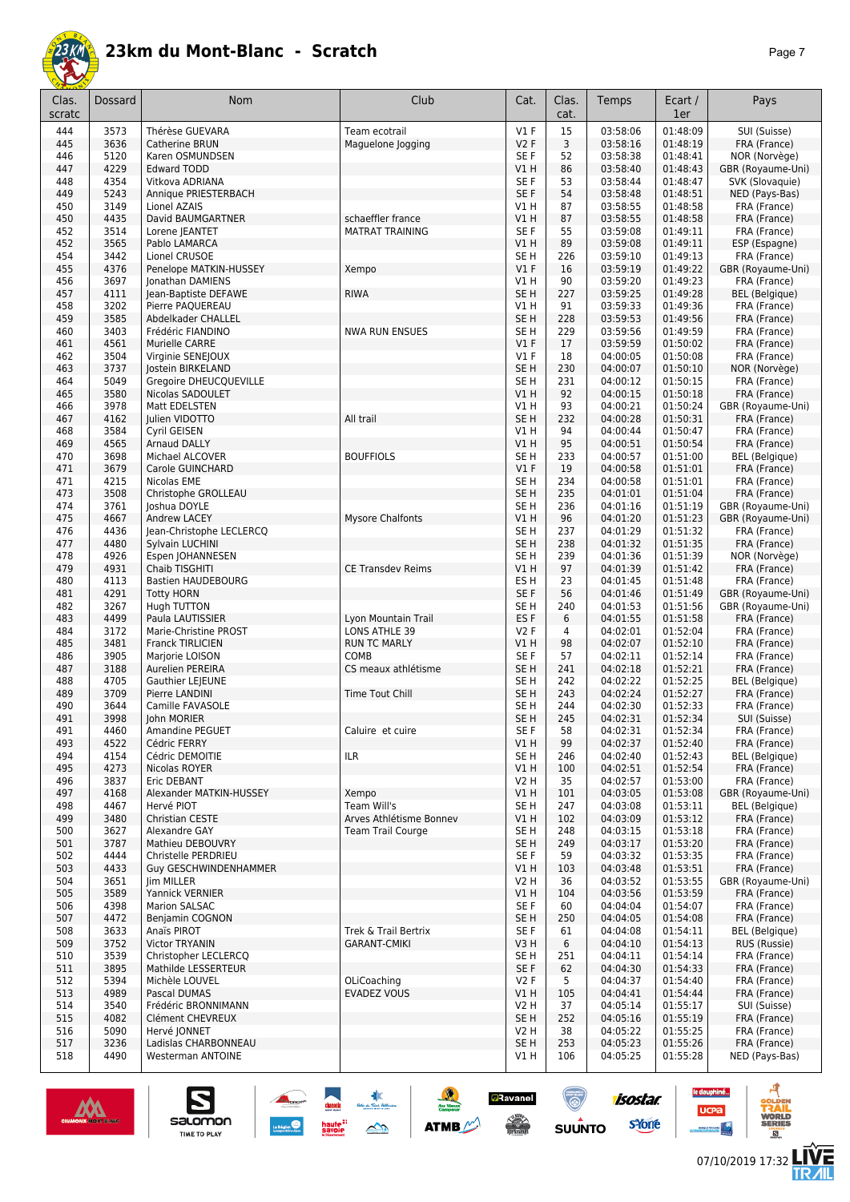

| Clas.<br>scratc | Dossard      | Nom                                           | Club                     | Cat.                               | Clas.<br>cat. | Temps                | Ecart /<br>1er       | Pays                                   |
|-----------------|--------------|-----------------------------------------------|--------------------------|------------------------------------|---------------|----------------------|----------------------|----------------------------------------|
| 444             | 3573         | Thérèse GUEVARA                               | Team ecotrail            | $VI$ F                             | 15            | 03:58:06             | 01:48:09             | SUI (Suisse)                           |
| 445             | 3636         | Catherine BRUN                                | Maguelone Jogging        | V2F                                | 3             | 03:58:16             | 01:48:19             | FRA (France)                           |
| 446             | 5120         | Karen OSMUNDSEN                               |                          | SE F                               | 52            | 03:58:38             | 01:48:41             | NOR (Norvège)                          |
| 447<br>448      | 4229<br>4354 | <b>Edward TODD</b><br>Vitkova ADRIANA         |                          | V1H<br>SE F                        | 86<br>53      | 03:58:40<br>03:58:44 | 01:48:43<br>01:48:47 | GBR (Royaume-Uni)<br>SVK (Slovaquie)   |
| 449             | 5243         | Annique PRIESTERBACH                          |                          | SE F                               | 54            | 03:58:48             | 01:48:51             | NED (Pays-Bas)                         |
| 450             | 3149         | Lionel AZAIS                                  |                          | V1 H                               | 87            | 03:58:55             | 01:48:58             | FRA (France)                           |
| 450             | 4435         | David BAUMGARTNER                             | schaeffler france        | V1H                                | 87            | 03:58:55             | 01:48:58             | FRA (France)                           |
| 452             | 3514         | Lorene JEANTET                                | <b>MATRAT TRAINING</b>   | SE F                               | 55            | 03:59:08             | 01:49:11             | FRA (France)                           |
| 452             | 3565         | Pablo LAMARCA                                 |                          | V1 H                               | 89            | 03:59:08             | 01:49:11             | ESP (Espagne)                          |
| 454<br>455      | 3442<br>4376 | Lionel CRUSOE<br>Penelope MATKIN-HUSSEY       | Xempo                    | SE H<br>$VI$ F                     | 226<br>16     | 03:59:10<br>03:59:19 | 01:49:13<br>01:49:22 | FRA (France)<br>GBR (Royaume-Uni)      |
| 456             | 3697         | Jonathan DAMIENS                              |                          | V1 H                               | 90            | 03:59:20             | 01:49:23             | FRA (France)                           |
| 457             | 4111         | Jean-Baptiste DEFAWE                          | <b>RIWA</b>              | SE <sub>H</sub>                    | 227           | 03:59:25             | 01:49:28             | <b>BEL</b> (Belgique)                  |
| 458             | 3202         | Pierre PAQUEREAU                              |                          | V1 H                               | 91            | 03:59:33             | 01:49:36             | FRA (France)                           |
| 459             | 3585         | Abdelkader CHALLEL                            |                          | SE <sub>H</sub>                    | 228           | 03:59:53             | 01:49:56             | FRA (France)                           |
| 460<br>461      | 3403<br>4561 | Frédéric FIANDINO<br>Murielle CARRE           | <b>NWA RUN ENSUES</b>    | SE <sub>H</sub><br>$VI$ F          | 229<br>17     | 03:59:56<br>03:59:59 | 01:49:59<br>01:50:02 | FRA (France)<br>FRA (France)           |
| 462             | 3504         | Virginie SENEJOUX                             |                          | $VI$ F                             | 18            | 04:00:05             | 01:50:08             | FRA (France)                           |
| 463             | 3737         | Jostein BIRKELAND                             |                          | SE <sub>H</sub>                    | 230           | 04:00:07             | 01:50:10             | NOR (Norvège)                          |
| 464             | 5049         | Gregoire DHEUCQUEVILLE                        |                          | SE <sub>H</sub>                    | 231           | 04:00:12             | 01:50:15             | FRA (France)                           |
| 465             | 3580         | Nicolas SADOULET                              |                          | VIH                                | 92            | 04:00:15             | 01:50:18             | FRA (France)                           |
| 466             | 3978         | Matt EDELSTEN                                 |                          | V1 H                               | 93            | 04:00:21             | 01:50:24             | GBR (Royaume-Uni)                      |
| 467             | 4162<br>3584 | Julien VIDOTTO<br>Cyril GEISEN                | All trail                | SE <sub>H</sub><br>V1H             | 232<br>94     | 04:00:28<br>04:00:44 | 01:50:31<br>01:50:47 | FRA (France)<br>FRA (France)           |
| 468<br>469      | 4565         | Arnaud DALLY                                  |                          | V1H                                | 95            | 04:00:51             | 01:50:54             | FRA (France)                           |
| 470             | 3698         | Michael ALCOVER                               | <b>BOUFFIOLS</b>         | SE <sub>H</sub>                    | 233           | 04:00:57             | 01:51:00             | <b>BEL</b> (Belgique)                  |
| 471             | 3679         | Carole GUINCHARD                              |                          | $VI$ F                             | 19            | 04:00:58             | 01:51:01             | FRA (France)                           |
| 471             | 4215         | Nicolas EME                                   |                          | SE <sub>H</sub>                    | 234           | 04:00:58             | 01:51:01             | FRA (France)                           |
| 473             | 3508         | Christophe GROLLEAU                           |                          | SE <sub>H</sub>                    | 235           | 04:01:01             | 01:51:04             | FRA (France)                           |
| 474             | 3761<br>4667 | Joshua DOYLE<br>Andrew LACEY                  |                          | SE <sub>H</sub>                    | 236<br>96     | 04:01:16             | 01:51:19<br>01:51:23 | GBR (Royaume-Uni)<br>GBR (Royaume-Uni) |
| 475<br>476      | 4436         | Jean-Christophe LECLERCQ                      | <b>Mysore Chalfonts</b>  | V1 H<br>SE <sub>H</sub>            | 237           | 04:01:20<br>04:01:29 | 01:51:32             | FRA (France)                           |
| 477             | 4480         | Sylvain LUCHINI                               |                          | SE <sub>H</sub>                    | 238           | 04:01:32             | 01:51:35             | FRA (France)                           |
| 478             | 4926         | Espen JOHANNESEN                              |                          | SE <sub>H</sub>                    | 239           | 04:01:36             | 01:51:39             | NOR (Norvège)                          |
| 479             | 4931         | Chaib TISGHITI                                | <b>CE Transdev Reims</b> | V1H                                | 97            | 04:01:39             | 01:51:42             | FRA (France)                           |
| 480             | 4113         | <b>Bastien HAUDEBOURG</b>                     |                          | ES <sub>H</sub>                    | 23            | 04:01:45             | 01:51:48             | FRA (France)                           |
| 481<br>482      | 4291<br>3267 | <b>Totty HORN</b><br>Hugh TUTTON              |                          | SE F<br>SE <sub>H</sub>            | 56<br>240     | 04:01:46<br>04:01:53 | 01:51:49<br>01:51:56 | GBR (Royaume-Uni)<br>GBR (Royaume-Uni) |
| 483             | 4499         | Paula LAUTISSIER                              | Lyon Mountain Trail      | ES <sub>F</sub>                    | 6             | 04:01:55             | 01:51:58             | FRA (France)                           |
| 484             | 3172         | Marie-Christine PROST                         | LONS ATHLE 39            | <b>V2F</b>                         | 4             | 04:02:01             | 01:52:04             | FRA (France)                           |
| 485             | 3481         | <b>Franck TIRLICIEN</b>                       | <b>RUN TC MARLY</b>      | V1H                                | 98            | 04:02:07             | 01:52:10             | FRA (France)                           |
| 486             | 3905         | Marjorie LOISON                               | COMB                     | SE F                               | 57            | 04:02:11             | 01:52:14             | FRA (France)                           |
| 487             | 3188         | Aurelien PEREIRA                              | CS meaux athlétisme      | SE <sub>H</sub>                    | 241           | 04:02:18             | 01:52:21             | FRA (France)                           |
| 488<br>489      | 4705<br>3709 | Gauthier LEJEUNE<br>Pierre LANDINI            | Time Tout Chill          | SE <sub>H</sub><br>SE <sub>H</sub> | 242<br>243    | 04:02:22<br>04:02:24 | 01:52:25<br>01:52:27 | <b>BEL</b> (Belgique)<br>FRA (France)  |
| 490             | 3644         | Camille FAVASOLE                              |                          | SE <sub>H</sub>                    | 244           | 04:02:30             | 01:52:33             | FRA (France)                           |
| 491             | 3998         | John MORIER                                   |                          | SE <sub>H</sub>                    | 245           | 04:02:31             | 01:52:34             | SUI (Suisse)                           |
| 491             | 4460         | Amandine PEGUET                               | Caluire et cuire         | SE F                               | 58            | 04:02:31             | 01:52:34             | FRA (France)                           |
| 493             | 4522         | Cédric FERRY                                  |                          | V1H                                | 99            | 04:02:37             | 01:52:40             | FRA (France)                           |
| 494             | 4154         | Cédric DEMOITIE                               | <b>ILR</b>               | SE <sub>H</sub>                    | 246           | 04:02:40             | 01:52:43             | <b>BEL</b> (Belgique)                  |
| 495<br>496      | 4273<br>3837 | Nicolas ROYER<br>Eric DEBANT                  |                          | V1H<br><b>V2 H</b>                 | 100<br>35     | 04:02:51<br>04:02:57 | 01:52:54<br>01:53:00 | FRA (France)<br>FRA (France)           |
| 497             | 4168         | Alexander MATKIN-HUSSEY                       | Xempo                    | V1H                                | 101           | 04:03:05             | 01:53:08             | GBR (Royaume-Uni)                      |
| 498             | 4467         | Hervé PIOT                                    | Team Will's              | SE <sub>H</sub>                    | 247           | 04:03:08             | 01:53:11             | <b>BEL</b> (Belgique)                  |
| 499             | 3480         | Christian CESTE                               | Arves Athlétisme Bonnev  | V1 H                               | 102           | 04:03:09             | 01:53:12             | FRA (France)                           |
| 500             | 3627         | Alexandre GAY                                 | <b>Team Trail Courge</b> | SE <sub>H</sub>                    | 248           | 04:03:15             | 01:53:18             | FRA (France)                           |
| 501             | 3787         | Mathieu DEBOUVRY                              |                          | SE <sub>H</sub>                    | 249           | 04:03:17             | 01:53:20             | FRA (France)                           |
| 502<br>503      | 4444<br>4433 | Christelle PERDRIEU<br>Guy GESCHWINDENHAMMER  |                          | SE F<br>V1H                        | 59<br>103     | 04:03:32<br>04:03:48 | 01:53:35<br>01:53:51 | FRA (France)<br>FRA (France)           |
| 504             | 3651         | Jim MILLER                                    |                          | V2 H                               | 36            | 04:03:52             | 01:53:55             | GBR (Royaume-Uni)                      |
| 505             | 3589         | <b>Yannick VERNIER</b>                        |                          | VIH                                | 104           | 04:03:56             | 01:53:59             | FRA (France)                           |
| 506             | 4398         | Marion SALSAC                                 |                          | SE F                               | 60            | 04:04:04             | 01:54:07             | FRA (France)                           |
| 507             | 4472         | Benjamin COGNON                               |                          | SE <sub>H</sub>                    | 250           | 04:04:05             | 01:54:08             | FRA (France)                           |
| 508             | 3633         | Anaïs PIROT                                   | Trek & Trail Bertrix     | SE F                               | 61            | 04:04:08             | 01:54:11             | <b>BEL</b> (Belgique)                  |
| 509<br>510      | 3752<br>3539 | <b>Victor TRYANIN</b><br>Christopher LECLERCQ | <b>GARANT-CMIKI</b>      | V3H<br>SE <sub>H</sub>             | 6<br>251      | 04:04:10<br>04:04:11 | 01:54:13<br>01:54:14 | RUS (Russie)<br>FRA (France)           |
| 511             | 3895         | Mathilde LESSERTEUR                           |                          | SE F                               | 62            | 04:04:30             | 01:54:33             | FRA (France)                           |
| 512             | 5394         | Michèle LOUVEL                                | <b>OLiCoaching</b>       | V2F                                | 5             | 04:04:37             | 01:54:40             | FRA (France)                           |
| 513             | 4989         | Pascal DUMAS                                  | EVADEZ VOUS              | V1 H                               | 105           | 04:04:41             | 01:54:44             | FRA (France)                           |
| 514             | 3540         | Frédéric BRONNIMANN                           |                          | V2 H                               | 37            | 04:05:14             | 01:55:17             | SUI (Suisse)                           |
| 515             | 4082         | Clément CHEVREUX                              |                          | SE <sub>H</sub>                    | 252           | 04:05:16             | 01:55:19             | FRA (France)                           |
| 516<br>517      | 5090<br>3236 | Hervé JONNET<br>Ladislas CHARBONNEAU          |                          | V2 H<br>SE <sub>H</sub>            | 38<br>253     | 04:05:22<br>04:05:23 | 01:55:25<br>01:55:26 | FRA (France)<br>FRA (France)           |
| 518             | 4490         | <b>Westerman ANTOINE</b>                      |                          | VIH                                | 106           | 04:05:25             | 01:55:28             | NED (Pays-Bas)                         |
|                 |              |                                               |                          |                                    |               |                      |                      |                                        |



 $\sum_{\text{SALOMOM}}$ 

**Example 14**<br> **Savoie** 200

**Continued** 

 $\underbrace{\qquad \qquad }_{\text{Lagrange}}\bigotimes$ 

 $\frac{1}{2}$ 

**ATMB** 

**a**Ravanel

 $\frac{1}{\sqrt{2}}$ 

**LIVE<br>TR***A***IL** 

**UCPa** 

**isostar** 

svone

**SUUNTO**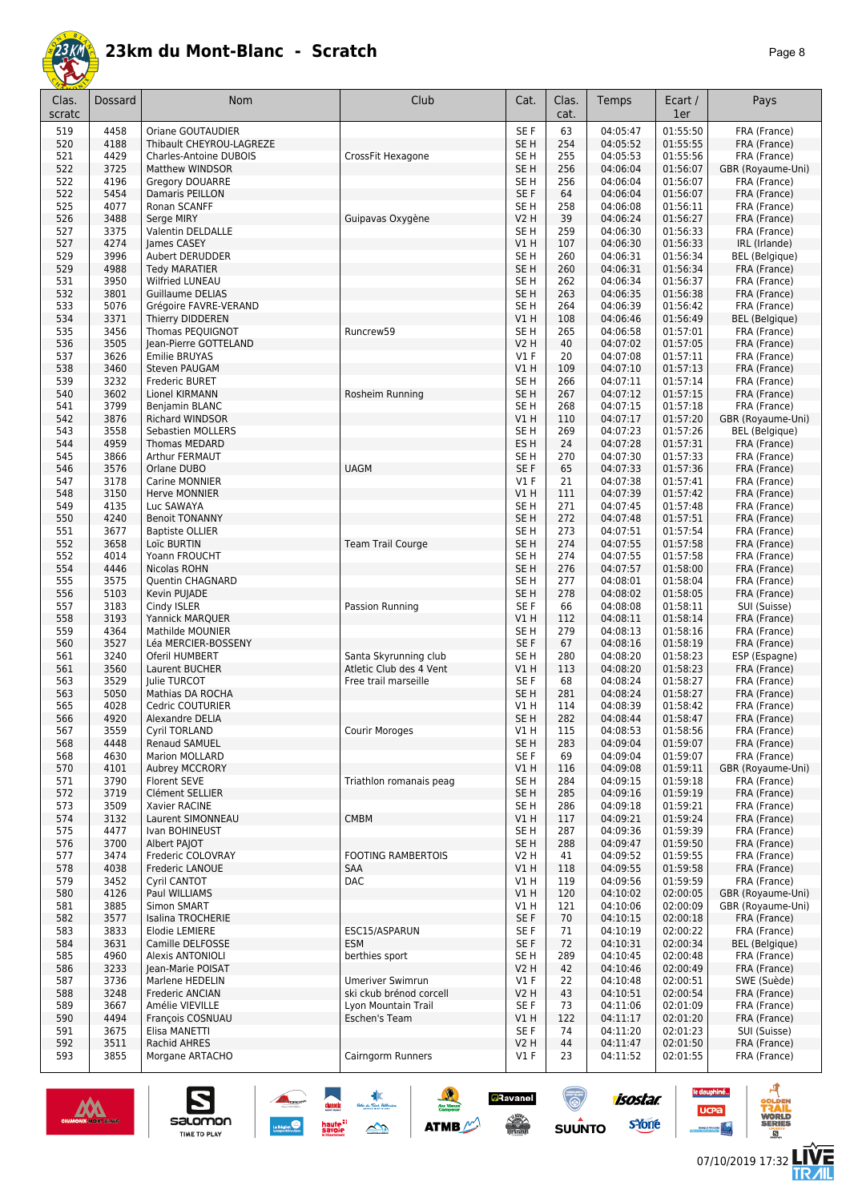

|--|--|

| 4458<br>SE F<br>63<br>04:05:47<br>FRA (France)<br>519<br>Oriane GOUTAUDIER<br>01:55:50<br>01:55:55<br>4188<br>Thibault CHEYROU-LAGREZE<br>SE <sub>H</sub><br>254<br>04:05:52<br>FRA (France)<br>520<br>4429<br>SE <sub>H</sub><br>255<br>04:05:53<br>01:55:56<br>FRA (France)<br>521<br><b>Charles-Antoine DUBOIS</b><br>CrossFit Hexagone<br>522<br>3725<br>SE <sub>H</sub><br>04:06:04<br>01:56:07<br><b>Matthew WINDSOR</b><br>256<br>GBR (Royaume-Uni)<br>4196<br>Gregory DOUARRE<br>SE <sub>H</sub><br>04:06:04<br>01:56:07<br>FRA (France)<br>522<br>256<br>522<br>5454<br>Damaris PEILLON<br>SE F<br>64<br>04:06:04<br>01:56:07<br>FRA (France)<br>4077<br>Ronan SCANFF<br>SE <sub>H</sub><br>258<br>01:56:11<br>FRA (France)<br>525<br>04:06:08<br>3488<br><b>V2 H</b><br>39<br>01:56:27<br>526<br>Serge MIRY<br>Guipavas Oxygène<br>04:06:24<br>FRA (France)<br>3375<br>259<br>01:56:33<br>527<br>Valentin DELDALLE<br>SE <sub>H</sub><br>04:06:30<br>FRA (France)<br>V1H<br>01:56:33<br>IRL (Irlande)<br>527<br>4274<br>James CASEY<br>107<br>04:06:30<br>3996<br>SE <sub>H</sub><br>01:56:34<br><b>BEL</b> (Belgique)<br>529<br><b>Aubert DERUDDER</b><br>260<br>04:06:31<br>529<br>4988<br>SE <sub>H</sub><br>260<br>01:56:34<br>FRA (France)<br><b>Tedy MARATIER</b><br>04:06:31<br>3950<br>SE <sub>H</sub><br>04:06:34<br>01:56:37<br>FRA (France)<br>531<br><b>Wilfried LUNEAU</b><br>262<br>SE <sub>H</sub><br>532<br>3801<br>263<br>04:06:35<br>01:56:38<br>FRA (France)<br><b>Guillaume DELIAS</b><br>5076<br>SE <sub>H</sub><br>04:06:39<br>01:56:42<br>FRA (France)<br>533<br>Grégoire FAVRE-VERAND<br>264<br>534<br>3371<br>V1H<br>108<br>04:06:46<br>01:56:49<br><b>BEL</b> (Belgique)<br>Thierry DIDDEREN<br>3456<br>Thomas PEQUIGNOT<br>SE <sub>H</sub><br>04:06:58<br>01:57:01<br>FRA (France)<br>535<br>Runcrew59<br>265<br>3505<br>Jean-Pierre GOTTELAND<br><b>V2 H</b><br>40<br>04:07:02<br>01:57:05<br>FRA (France)<br>536<br>3626<br>Emilie BRUYAS<br>$VI$ F<br>20<br>04:07:08<br>01:57:11<br>FRA (France)<br>537<br>3460<br>V1H<br>109<br>04:07:10<br>01:57:13<br>538<br>Steven PAUGAM<br>FRA (France)<br>3232<br>539<br>Frederic BURET<br>SE <sub>H</sub><br>266<br>04:07:11<br>01:57:14<br>FRA (France)<br>3602<br>SE <sub>H</sub><br>01:57:15<br>540<br>Lionel KIRMANN<br>Rosheim Running<br>267<br>04:07:12<br>FRA (France)<br>3799<br>SE <sub>H</sub><br>541<br><b>Benjamin BLANC</b><br>268<br>04:07:15<br>01:57:18<br>FRA (France)<br>3876<br>V1H<br>01:57:20<br>542<br><b>Richard WINDSOR</b><br>110<br>04:07:17<br>GBR (Royaume-Uni)<br>543<br>3558<br>SE <sub>H</sub><br>269<br>01:57:26<br><b>BEL</b> (Belgique)<br>Sebastien MOLLERS<br>04:07:23<br>4959<br>ES <sub>H</sub><br>04:07:28<br>01:57:31<br>FRA (France)<br>544<br>Thomas MEDARD<br>24<br>3866<br>Arthur FERMAUT<br>270<br>04:07:30<br>01:57:33<br>FRA (France)<br>545<br>SE <sub>H</sub><br>SE F<br>01:57:36<br>3576<br><b>UAGM</b><br>65<br>04:07:33<br>FRA (France)<br>546<br>Orlane DUBO<br>3178<br>Carine MONNIER<br>$VI$ F<br>21<br>04:07:38<br>01:57:41<br>547<br>FRA (France)<br>3150<br>V1H<br>111<br>04:07:39<br>01:57:42<br>FRA (France)<br>548<br><b>Herve MONNIER</b><br>4135<br>SE <sub>H</sub><br>271<br>04:07:45<br>01:57:48<br>FRA (France)<br>549<br>Luc SAWAYA<br>SE <sub>H</sub><br>01:57:51<br>550<br>4240<br><b>Benoit TONANNY</b><br>272<br>04:07:48<br>FRA (France)<br>3677<br>SE <sub>H</sub><br>04:07:51<br>01:57:54<br>551<br><b>Baptiste OLLIER</b><br>273<br>FRA (France)<br>SE <sub>H</sub><br>552<br>3658<br>Loïc BURTIN<br><b>Team Trail Courge</b><br>274<br>04:07:55<br>01:57:58<br>FRA (France)<br>4014<br>SE <sub>H</sub><br>Yoann FROUCHT<br>274<br>04:07:55<br>01:57:58<br>FRA (France)<br>552<br>4446<br>SE <sub>H</sub><br>276<br>01:58:00<br>554<br>Nicolas ROHN<br>04:07:57<br>FRA (France)<br>3575<br>SE <sub>H</sub><br>01:58:04<br>FRA (France)<br>555<br>Quentin CHAGNARD<br>277<br>04:08:01<br>5103<br>SE <sub>H</sub><br>278<br>04:08:02<br>01:58:05<br>FRA (France)<br>556<br>Kevin PUJADE<br>SUI (Suisse)<br>3183<br>Cindy ISLER<br>SE F<br>04:08:08<br>01:58:11<br>557<br>Passion Running<br>66<br>558<br>3193<br>V1H<br>01:58:14<br>FRA (France)<br>Yannick MARQUER<br>112<br>04:08:11<br>4364<br>Mathilde MOUNIER<br>SE <sub>H</sub><br>279<br>04:08:13<br>01:58:16<br>FRA (France)<br>559<br>SE <sub>F</sub><br>3527<br>67<br>04:08:16<br>01:58:19<br>FRA (France)<br>560<br>Léa MERCIER-BOSSENY<br>3240<br>SE <sub>H</sub><br>280<br>04:08:20<br>01:58:23<br>561<br>Oferil HUMBERT<br>Santa Skyrunning club<br>ESP (Espagne)<br>3560<br>Atletic Club des 4 Vent<br>01:58:23<br>561<br>Laurent BUCHER<br>V1H<br>113<br>04:08:20<br>FRA (France)<br>3529<br>SE F<br>68<br>01:58:27<br>FRA (France)<br>563<br><b>Iulie TURCOT</b><br>Free trail marseille<br>04:08:24<br>5050<br>563<br>Mathias DA ROCHA<br>SE <sub>H</sub><br>281<br>04:08:24<br>01:58:27<br>FRA (France)<br>565<br>4028<br>Cedric COUTURIER<br>V1 H<br>114<br>01:58:42<br>FRA (France)<br>04:08:39<br>4920<br>SE <sub>H</sub><br>282<br>566<br>Alexandre DELIA<br>04:08:44<br>01:58:47<br>FRA (France)<br>567<br>3559<br>Cyril TORLAND<br>Courir Moroges<br>V1 H<br>115<br>04:08:53<br>01:58:56<br>FRA (France)<br>SE <sub>H</sub><br>01:59:07<br>568<br>4448<br>Renaud SAMUEL<br>283<br>04:09:04<br>FRA (France)<br>SE <sub>F</sub><br>4630<br>Marion MOLLARD<br>04:09:04<br>01:59:07<br>FRA (France)<br>568<br>69<br>V1H<br>01:59:11<br>570<br>4101<br>Aubrey MCCRORY<br>116<br>04:09:08<br>GBR (Royaume-Uni)<br>Triathlon romanais peag<br>01:59:18<br>571<br>3790<br>Florent SEVE<br>SE <sub>H</sub><br>284<br>04:09:15<br>FRA (France)<br>SE <sub>H</sub><br>01:59:19<br>FRA (France)<br>572<br>3719<br>Clément SELLIER<br>285<br>04:09:16<br>3509<br>SE <sub>H</sub><br>04:09:18<br>01:59:21<br>573<br>Xavier RACINE<br>286<br>FRA (France)<br><b>CMBM</b><br>01:59:24<br>574<br>3132<br>Laurent SIMONNEAU<br>V1H<br>117<br>04:09:21<br>FRA (France)<br>4477<br>SE <sub>H</sub><br>04:09:36<br>01:59:39<br>575<br>Ivan BOHINEUST<br>287<br>FRA (France)<br>576<br>3700<br>Albert PAJOT<br>SE <sub>H</sub><br>288<br>04:09:47<br>01:59:50<br>FRA (France)<br>3474<br>Frederic COLOVRAY<br><b>FOOTING RAMBERTOIS</b><br>V2 H<br>04:09:52<br>01:59:55<br>FRA (France)<br>577<br>41<br>SAA<br>578<br>4038<br>V1 H<br>118<br>04:09:55<br>01:59:58<br>FRA (France)<br>Frederic LANOUE<br><b>DAC</b><br>01:59:59<br>3452<br>V1 H<br>119<br>04:09:56<br>FRA (France)<br>579<br>Cyril CANTOT<br>580<br>4126<br>V1 H<br>120<br>GBR (Royaume-Uni)<br>Paul WILLIAMS<br>04:10:02<br>02:00:05<br>3885<br>02:00:09<br>GBR (Royaume-Uni)<br>581<br>Simon SMART<br>V1 H<br>121<br>04:10:06<br>SE F<br>02:00:18<br>582<br>3577<br>Isalina TROCHERIE<br>70<br>04:10:15<br>FRA (France)<br>02:00:22<br>FRA (France)<br>583<br>3833<br>Elodie LEMIERE<br>ESC15/ASPARUN<br>SE F<br>71<br>04:10:19<br>3631<br>SE F<br>02:00:34<br>584<br>Camille DELFOSSE<br><b>ESM</b><br>72<br>04:10:31<br><b>BEL</b> (Belgique)<br>SE <sub>H</sub><br>289<br>02:00:48<br>585<br>4960<br>Alexis ANTONIOLI<br>berthies sport<br>04:10:45<br>FRA (France)<br>3233<br>02:00:49<br>586<br>Jean-Marie POISAT<br><b>V2 H</b><br>42<br>04:10:46<br>FRA (France)<br>02:00:51<br>587<br>3736<br>Marlene HEDELIN<br>Umeriver Swimrun<br>$VI$ F<br>22<br>04:10:48<br>SWE (Suède)<br>3248<br>Frederic ANCIAN<br>ski ckub brénod corcell<br>V2 H<br>43<br>04:10:51<br>02:00:54<br>588<br>FRA (France)<br>589<br>3667<br>Amélie VIEVILLE<br>Lyon Mountain Trail<br>SE F<br>73<br>04:11:06<br>02:01:09<br>FRA (France)<br>4494<br>Eschen's Team<br>V1H<br>122<br>04:11:17<br>02:01:20<br>590<br>François COSNUAU<br>FRA (France)<br>591<br>3675<br>Elisa MANETTI<br>SE F<br>74<br>02:01:23<br>04:11:20<br>SUI (Suisse)<br>3511<br><b>V2 H</b><br>44<br>02:01:50<br>FRA (France)<br>592<br>Rachid AHRES<br>04:11:47<br>593<br>3855<br>Morgane ARTACHO<br>Cairngorm Runners<br>$VI$ F<br>23<br>04:11:52<br>02:01:55<br>FRA (France) | Clas.<br>scratc | Dossard | Nom | Club | Cat. | Clas.<br>cat. | Temps | Ecart /<br>1er | Pays |
|-----------------------------------------------------------------------------------------------------------------------------------------------------------------------------------------------------------------------------------------------------------------------------------------------------------------------------------------------------------------------------------------------------------------------------------------------------------------------------------------------------------------------------------------------------------------------------------------------------------------------------------------------------------------------------------------------------------------------------------------------------------------------------------------------------------------------------------------------------------------------------------------------------------------------------------------------------------------------------------------------------------------------------------------------------------------------------------------------------------------------------------------------------------------------------------------------------------------------------------------------------------------------------------------------------------------------------------------------------------------------------------------------------------------------------------------------------------------------------------------------------------------------------------------------------------------------------------------------------------------------------------------------------------------------------------------------------------------------------------------------------------------------------------------------------------------------------------------------------------------------------------------------------------------------------------------------------------------------------------------------------------------------------------------------------------------------------------------------------------------------------------------------------------------------------------------------------------------------------------------------------------------------------------------------------------------------------------------------------------------------------------------------------------------------------------------------------------------------------------------------------------------------------------------------------------------------------------------------------------------------------------------------------------------------------------------------------------------------------------------------------------------------------------------------------------------------------------------------------------------------------------------------------------------------------------------------------------------------------------------------------------------------------------------------------------------------------------------------------------------------------------------------------------------------------------------------------------------------------------------------------------------------------------------------------------------------------------------------------------------------------------------------------------------------------------------------------------------------------------------------------------------------------------------------------------------------------------------------------------------------------------------------------------------------------------------------------------------------------------------------------------------------------------------------------------------------------------------------------------------------------------------------------------------------------------------------------------------------------------------------------------------------------------------------------------------------------------------------------------------------------------------------------------------------------------------------------------------------------------------------------------------------------------------------------------------------------------------------------------------------------------------------------------------------------------------------------------------------------------------------------------------------------------------------------------------------------------------------------------------------------------------------------------------------------------------------------------------------------------------------------------------------------------------------------------------------------------------------------------------------------------------------------------------------------------------------------------------------------------------------------------------------------------------------------------------------------------------------------------------------------------------------------------------------------------------------------------------------------------------------------------------------------------------------------------------------------------------------------------------------------------------------------------------------------------------------------------------------------------------------------------------------------------------------------------------------------------------------------------------------------------------------------------------------------------------------------------------------------------------------------------------------------------------------------------------------------------------------------------------------------------------------------------------------------------------------------------------------------------------------------------------------------------------------------------------------------------------------------------------------------------------------------------------------------------------------------------------------------------------------------------------------------------------------------------------------------------------------------------------------------------------------------------------------------------------------------------------------------------------------------------------------------------------------------------------------------------------------------------------------------------------------------------------------------------------------------------------------------------------------------------------------------------------------------------------------------------------------------------------------------------------------------------------------------------------------------------------------------------------------------------------------------------------------------------------------------------------------------------------------------------------------------------------------------------------------------------------------------------------------------------------------------------------------------------------------------------------------------------------------------------------------------------------------------------------------------------------------------------------------------------------------------------------------------------------------------------------------------------------------------------------------------------------------------------------------------------------------------------------------------------------------------------------------------------------------------------------------------------------------------------------------------------------------------------------------------------------------------------------------------------------|-----------------|---------|-----|------|------|---------------|-------|----------------|------|
|                                                                                                                                                                                                                                                                                                                                                                                                                                                                                                                                                                                                                                                                                                                                                                                                                                                                                                                                                                                                                                                                                                                                                                                                                                                                                                                                                                                                                                                                                                                                                                                                                                                                                                                                                                                                                                                                                                                                                                                                                                                                                                                                                                                                                                                                                                                                                                                                                                                                                                                                                                                                                                                                                                                                                                                                                                                                                                                                                                                                                                                                                                                                                                                                                                                                                                                                                                                                                                                                                                                                                                                                                                                                                                                                                                                                                                                                                                                                                                                                                                                                                                                                                                                                                                                                                                                                                                                                                                                                                                                                                                                                                                                                                                                                                                                                                                                                                                                                                                                                                                                                                                                                                                                                                                                                                                                                                                                                                                                                                                                                                                                                                                                                                                                                                                                                                                                                                                                                                                                                                                                                                                                                                                                                                                                                                                                                                                                                                                                                                                                                                                                                                                                                                                                                                                                                                                                                                                                                                                                                                                                                                                                                                                                                                                                                                                                                                                                                                                                                                                                                                                                                                                                                                                                                                                                                                                                                                                                                                                                                                 |                 |         |     |      |      |               |       |                |      |
|                                                                                                                                                                                                                                                                                                                                                                                                                                                                                                                                                                                                                                                                                                                                                                                                                                                                                                                                                                                                                                                                                                                                                                                                                                                                                                                                                                                                                                                                                                                                                                                                                                                                                                                                                                                                                                                                                                                                                                                                                                                                                                                                                                                                                                                                                                                                                                                                                                                                                                                                                                                                                                                                                                                                                                                                                                                                                                                                                                                                                                                                                                                                                                                                                                                                                                                                                                                                                                                                                                                                                                                                                                                                                                                                                                                                                                                                                                                                                                                                                                                                                                                                                                                                                                                                                                                                                                                                                                                                                                                                                                                                                                                                                                                                                                                                                                                                                                                                                                                                                                                                                                                                                                                                                                                                                                                                                                                                                                                                                                                                                                                                                                                                                                                                                                                                                                                                                                                                                                                                                                                                                                                                                                                                                                                                                                                                                                                                                                                                                                                                                                                                                                                                                                                                                                                                                                                                                                                                                                                                                                                                                                                                                                                                                                                                                                                                                                                                                                                                                                                                                                                                                                                                                                                                                                                                                                                                                                                                                                                                                 |                 |         |     |      |      |               |       |                |      |
|                                                                                                                                                                                                                                                                                                                                                                                                                                                                                                                                                                                                                                                                                                                                                                                                                                                                                                                                                                                                                                                                                                                                                                                                                                                                                                                                                                                                                                                                                                                                                                                                                                                                                                                                                                                                                                                                                                                                                                                                                                                                                                                                                                                                                                                                                                                                                                                                                                                                                                                                                                                                                                                                                                                                                                                                                                                                                                                                                                                                                                                                                                                                                                                                                                                                                                                                                                                                                                                                                                                                                                                                                                                                                                                                                                                                                                                                                                                                                                                                                                                                                                                                                                                                                                                                                                                                                                                                                                                                                                                                                                                                                                                                                                                                                                                                                                                                                                                                                                                                                                                                                                                                                                                                                                                                                                                                                                                                                                                                                                                                                                                                                                                                                                                                                                                                                                                                                                                                                                                                                                                                                                                                                                                                                                                                                                                                                                                                                                                                                                                                                                                                                                                                                                                                                                                                                                                                                                                                                                                                                                                                                                                                                                                                                                                                                                                                                                                                                                                                                                                                                                                                                                                                                                                                                                                                                                                                                                                                                                                                                 |                 |         |     |      |      |               |       |                |      |
|                                                                                                                                                                                                                                                                                                                                                                                                                                                                                                                                                                                                                                                                                                                                                                                                                                                                                                                                                                                                                                                                                                                                                                                                                                                                                                                                                                                                                                                                                                                                                                                                                                                                                                                                                                                                                                                                                                                                                                                                                                                                                                                                                                                                                                                                                                                                                                                                                                                                                                                                                                                                                                                                                                                                                                                                                                                                                                                                                                                                                                                                                                                                                                                                                                                                                                                                                                                                                                                                                                                                                                                                                                                                                                                                                                                                                                                                                                                                                                                                                                                                                                                                                                                                                                                                                                                                                                                                                                                                                                                                                                                                                                                                                                                                                                                                                                                                                                                                                                                                                                                                                                                                                                                                                                                                                                                                                                                                                                                                                                                                                                                                                                                                                                                                                                                                                                                                                                                                                                                                                                                                                                                                                                                                                                                                                                                                                                                                                                                                                                                                                                                                                                                                                                                                                                                                                                                                                                                                                                                                                                                                                                                                                                                                                                                                                                                                                                                                                                                                                                                                                                                                                                                                                                                                                                                                                                                                                                                                                                                                                 |                 |         |     |      |      |               |       |                |      |
|                                                                                                                                                                                                                                                                                                                                                                                                                                                                                                                                                                                                                                                                                                                                                                                                                                                                                                                                                                                                                                                                                                                                                                                                                                                                                                                                                                                                                                                                                                                                                                                                                                                                                                                                                                                                                                                                                                                                                                                                                                                                                                                                                                                                                                                                                                                                                                                                                                                                                                                                                                                                                                                                                                                                                                                                                                                                                                                                                                                                                                                                                                                                                                                                                                                                                                                                                                                                                                                                                                                                                                                                                                                                                                                                                                                                                                                                                                                                                                                                                                                                                                                                                                                                                                                                                                                                                                                                                                                                                                                                                                                                                                                                                                                                                                                                                                                                                                                                                                                                                                                                                                                                                                                                                                                                                                                                                                                                                                                                                                                                                                                                                                                                                                                                                                                                                                                                                                                                                                                                                                                                                                                                                                                                                                                                                                                                                                                                                                                                                                                                                                                                                                                                                                                                                                                                                                                                                                                                                                                                                                                                                                                                                                                                                                                                                                                                                                                                                                                                                                                                                                                                                                                                                                                                                                                                                                                                                                                                                                                                                 |                 |         |     |      |      |               |       |                |      |
|                                                                                                                                                                                                                                                                                                                                                                                                                                                                                                                                                                                                                                                                                                                                                                                                                                                                                                                                                                                                                                                                                                                                                                                                                                                                                                                                                                                                                                                                                                                                                                                                                                                                                                                                                                                                                                                                                                                                                                                                                                                                                                                                                                                                                                                                                                                                                                                                                                                                                                                                                                                                                                                                                                                                                                                                                                                                                                                                                                                                                                                                                                                                                                                                                                                                                                                                                                                                                                                                                                                                                                                                                                                                                                                                                                                                                                                                                                                                                                                                                                                                                                                                                                                                                                                                                                                                                                                                                                                                                                                                                                                                                                                                                                                                                                                                                                                                                                                                                                                                                                                                                                                                                                                                                                                                                                                                                                                                                                                                                                                                                                                                                                                                                                                                                                                                                                                                                                                                                                                                                                                                                                                                                                                                                                                                                                                                                                                                                                                                                                                                                                                                                                                                                                                                                                                                                                                                                                                                                                                                                                                                                                                                                                                                                                                                                                                                                                                                                                                                                                                                                                                                                                                                                                                                                                                                                                                                                                                                                                                                                 |                 |         |     |      |      |               |       |                |      |
|                                                                                                                                                                                                                                                                                                                                                                                                                                                                                                                                                                                                                                                                                                                                                                                                                                                                                                                                                                                                                                                                                                                                                                                                                                                                                                                                                                                                                                                                                                                                                                                                                                                                                                                                                                                                                                                                                                                                                                                                                                                                                                                                                                                                                                                                                                                                                                                                                                                                                                                                                                                                                                                                                                                                                                                                                                                                                                                                                                                                                                                                                                                                                                                                                                                                                                                                                                                                                                                                                                                                                                                                                                                                                                                                                                                                                                                                                                                                                                                                                                                                                                                                                                                                                                                                                                                                                                                                                                                                                                                                                                                                                                                                                                                                                                                                                                                                                                                                                                                                                                                                                                                                                                                                                                                                                                                                                                                                                                                                                                                                                                                                                                                                                                                                                                                                                                                                                                                                                                                                                                                                                                                                                                                                                                                                                                                                                                                                                                                                                                                                                                                                                                                                                                                                                                                                                                                                                                                                                                                                                                                                                                                                                                                                                                                                                                                                                                                                                                                                                                                                                                                                                                                                                                                                                                                                                                                                                                                                                                                                                 |                 |         |     |      |      |               |       |                |      |
|                                                                                                                                                                                                                                                                                                                                                                                                                                                                                                                                                                                                                                                                                                                                                                                                                                                                                                                                                                                                                                                                                                                                                                                                                                                                                                                                                                                                                                                                                                                                                                                                                                                                                                                                                                                                                                                                                                                                                                                                                                                                                                                                                                                                                                                                                                                                                                                                                                                                                                                                                                                                                                                                                                                                                                                                                                                                                                                                                                                                                                                                                                                                                                                                                                                                                                                                                                                                                                                                                                                                                                                                                                                                                                                                                                                                                                                                                                                                                                                                                                                                                                                                                                                                                                                                                                                                                                                                                                                                                                                                                                                                                                                                                                                                                                                                                                                                                                                                                                                                                                                                                                                                                                                                                                                                                                                                                                                                                                                                                                                                                                                                                                                                                                                                                                                                                                                                                                                                                                                                                                                                                                                                                                                                                                                                                                                                                                                                                                                                                                                                                                                                                                                                                                                                                                                                                                                                                                                                                                                                                                                                                                                                                                                                                                                                                                                                                                                                                                                                                                                                                                                                                                                                                                                                                                                                                                                                                                                                                                                                                 |                 |         |     |      |      |               |       |                |      |
|                                                                                                                                                                                                                                                                                                                                                                                                                                                                                                                                                                                                                                                                                                                                                                                                                                                                                                                                                                                                                                                                                                                                                                                                                                                                                                                                                                                                                                                                                                                                                                                                                                                                                                                                                                                                                                                                                                                                                                                                                                                                                                                                                                                                                                                                                                                                                                                                                                                                                                                                                                                                                                                                                                                                                                                                                                                                                                                                                                                                                                                                                                                                                                                                                                                                                                                                                                                                                                                                                                                                                                                                                                                                                                                                                                                                                                                                                                                                                                                                                                                                                                                                                                                                                                                                                                                                                                                                                                                                                                                                                                                                                                                                                                                                                                                                                                                                                                                                                                                                                                                                                                                                                                                                                                                                                                                                                                                                                                                                                                                                                                                                                                                                                                                                                                                                                                                                                                                                                                                                                                                                                                                                                                                                                                                                                                                                                                                                                                                                                                                                                                                                                                                                                                                                                                                                                                                                                                                                                                                                                                                                                                                                                                                                                                                                                                                                                                                                                                                                                                                                                                                                                                                                                                                                                                                                                                                                                                                                                                                                                 |                 |         |     |      |      |               |       |                |      |
|                                                                                                                                                                                                                                                                                                                                                                                                                                                                                                                                                                                                                                                                                                                                                                                                                                                                                                                                                                                                                                                                                                                                                                                                                                                                                                                                                                                                                                                                                                                                                                                                                                                                                                                                                                                                                                                                                                                                                                                                                                                                                                                                                                                                                                                                                                                                                                                                                                                                                                                                                                                                                                                                                                                                                                                                                                                                                                                                                                                                                                                                                                                                                                                                                                                                                                                                                                                                                                                                                                                                                                                                                                                                                                                                                                                                                                                                                                                                                                                                                                                                                                                                                                                                                                                                                                                                                                                                                                                                                                                                                                                                                                                                                                                                                                                                                                                                                                                                                                                                                                                                                                                                                                                                                                                                                                                                                                                                                                                                                                                                                                                                                                                                                                                                                                                                                                                                                                                                                                                                                                                                                                                                                                                                                                                                                                                                                                                                                                                                                                                                                                                                                                                                                                                                                                                                                                                                                                                                                                                                                                                                                                                                                                                                                                                                                                                                                                                                                                                                                                                                                                                                                                                                                                                                                                                                                                                                                                                                                                                                                 |                 |         |     |      |      |               |       |                |      |
|                                                                                                                                                                                                                                                                                                                                                                                                                                                                                                                                                                                                                                                                                                                                                                                                                                                                                                                                                                                                                                                                                                                                                                                                                                                                                                                                                                                                                                                                                                                                                                                                                                                                                                                                                                                                                                                                                                                                                                                                                                                                                                                                                                                                                                                                                                                                                                                                                                                                                                                                                                                                                                                                                                                                                                                                                                                                                                                                                                                                                                                                                                                                                                                                                                                                                                                                                                                                                                                                                                                                                                                                                                                                                                                                                                                                                                                                                                                                                                                                                                                                                                                                                                                                                                                                                                                                                                                                                                                                                                                                                                                                                                                                                                                                                                                                                                                                                                                                                                                                                                                                                                                                                                                                                                                                                                                                                                                                                                                                                                                                                                                                                                                                                                                                                                                                                                                                                                                                                                                                                                                                                                                                                                                                                                                                                                                                                                                                                                                                                                                                                                                                                                                                                                                                                                                                                                                                                                                                                                                                                                                                                                                                                                                                                                                                                                                                                                                                                                                                                                                                                                                                                                                                                                                                                                                                                                                                                                                                                                                                                 |                 |         |     |      |      |               |       |                |      |
|                                                                                                                                                                                                                                                                                                                                                                                                                                                                                                                                                                                                                                                                                                                                                                                                                                                                                                                                                                                                                                                                                                                                                                                                                                                                                                                                                                                                                                                                                                                                                                                                                                                                                                                                                                                                                                                                                                                                                                                                                                                                                                                                                                                                                                                                                                                                                                                                                                                                                                                                                                                                                                                                                                                                                                                                                                                                                                                                                                                                                                                                                                                                                                                                                                                                                                                                                                                                                                                                                                                                                                                                                                                                                                                                                                                                                                                                                                                                                                                                                                                                                                                                                                                                                                                                                                                                                                                                                                                                                                                                                                                                                                                                                                                                                                                                                                                                                                                                                                                                                                                                                                                                                                                                                                                                                                                                                                                                                                                                                                                                                                                                                                                                                                                                                                                                                                                                                                                                                                                                                                                                                                                                                                                                                                                                                                                                                                                                                                                                                                                                                                                                                                                                                                                                                                                                                                                                                                                                                                                                                                                                                                                                                                                                                                                                                                                                                                                                                                                                                                                                                                                                                                                                                                                                                                                                                                                                                                                                                                                                                 |                 |         |     |      |      |               |       |                |      |
|                                                                                                                                                                                                                                                                                                                                                                                                                                                                                                                                                                                                                                                                                                                                                                                                                                                                                                                                                                                                                                                                                                                                                                                                                                                                                                                                                                                                                                                                                                                                                                                                                                                                                                                                                                                                                                                                                                                                                                                                                                                                                                                                                                                                                                                                                                                                                                                                                                                                                                                                                                                                                                                                                                                                                                                                                                                                                                                                                                                                                                                                                                                                                                                                                                                                                                                                                                                                                                                                                                                                                                                                                                                                                                                                                                                                                                                                                                                                                                                                                                                                                                                                                                                                                                                                                                                                                                                                                                                                                                                                                                                                                                                                                                                                                                                                                                                                                                                                                                                                                                                                                                                                                                                                                                                                                                                                                                                                                                                                                                                                                                                                                                                                                                                                                                                                                                                                                                                                                                                                                                                                                                                                                                                                                                                                                                                                                                                                                                                                                                                                                                                                                                                                                                                                                                                                                                                                                                                                                                                                                                                                                                                                                                                                                                                                                                                                                                                                                                                                                                                                                                                                                                                                                                                                                                                                                                                                                                                                                                                                                 |                 |         |     |      |      |               |       |                |      |
|                                                                                                                                                                                                                                                                                                                                                                                                                                                                                                                                                                                                                                                                                                                                                                                                                                                                                                                                                                                                                                                                                                                                                                                                                                                                                                                                                                                                                                                                                                                                                                                                                                                                                                                                                                                                                                                                                                                                                                                                                                                                                                                                                                                                                                                                                                                                                                                                                                                                                                                                                                                                                                                                                                                                                                                                                                                                                                                                                                                                                                                                                                                                                                                                                                                                                                                                                                                                                                                                                                                                                                                                                                                                                                                                                                                                                                                                                                                                                                                                                                                                                                                                                                                                                                                                                                                                                                                                                                                                                                                                                                                                                                                                                                                                                                                                                                                                                                                                                                                                                                                                                                                                                                                                                                                                                                                                                                                                                                                                                                                                                                                                                                                                                                                                                                                                                                                                                                                                                                                                                                                                                                                                                                                                                                                                                                                                                                                                                                                                                                                                                                                                                                                                                                                                                                                                                                                                                                                                                                                                                                                                                                                                                                                                                                                                                                                                                                                                                                                                                                                                                                                                                                                                                                                                                                                                                                                                                                                                                                                                                 |                 |         |     |      |      |               |       |                |      |
|                                                                                                                                                                                                                                                                                                                                                                                                                                                                                                                                                                                                                                                                                                                                                                                                                                                                                                                                                                                                                                                                                                                                                                                                                                                                                                                                                                                                                                                                                                                                                                                                                                                                                                                                                                                                                                                                                                                                                                                                                                                                                                                                                                                                                                                                                                                                                                                                                                                                                                                                                                                                                                                                                                                                                                                                                                                                                                                                                                                                                                                                                                                                                                                                                                                                                                                                                                                                                                                                                                                                                                                                                                                                                                                                                                                                                                                                                                                                                                                                                                                                                                                                                                                                                                                                                                                                                                                                                                                                                                                                                                                                                                                                                                                                                                                                                                                                                                                                                                                                                                                                                                                                                                                                                                                                                                                                                                                                                                                                                                                                                                                                                                                                                                                                                                                                                                                                                                                                                                                                                                                                                                                                                                                                                                                                                                                                                                                                                                                                                                                                                                                                                                                                                                                                                                                                                                                                                                                                                                                                                                                                                                                                                                                                                                                                                                                                                                                                                                                                                                                                                                                                                                                                                                                                                                                                                                                                                                                                                                                                                 |                 |         |     |      |      |               |       |                |      |
|                                                                                                                                                                                                                                                                                                                                                                                                                                                                                                                                                                                                                                                                                                                                                                                                                                                                                                                                                                                                                                                                                                                                                                                                                                                                                                                                                                                                                                                                                                                                                                                                                                                                                                                                                                                                                                                                                                                                                                                                                                                                                                                                                                                                                                                                                                                                                                                                                                                                                                                                                                                                                                                                                                                                                                                                                                                                                                                                                                                                                                                                                                                                                                                                                                                                                                                                                                                                                                                                                                                                                                                                                                                                                                                                                                                                                                                                                                                                                                                                                                                                                                                                                                                                                                                                                                                                                                                                                                                                                                                                                                                                                                                                                                                                                                                                                                                                                                                                                                                                                                                                                                                                                                                                                                                                                                                                                                                                                                                                                                                                                                                                                                                                                                                                                                                                                                                                                                                                                                                                                                                                                                                                                                                                                                                                                                                                                                                                                                                                                                                                                                                                                                                                                                                                                                                                                                                                                                                                                                                                                                                                                                                                                                                                                                                                                                                                                                                                                                                                                                                                                                                                                                                                                                                                                                                                                                                                                                                                                                                                                 |                 |         |     |      |      |               |       |                |      |
|                                                                                                                                                                                                                                                                                                                                                                                                                                                                                                                                                                                                                                                                                                                                                                                                                                                                                                                                                                                                                                                                                                                                                                                                                                                                                                                                                                                                                                                                                                                                                                                                                                                                                                                                                                                                                                                                                                                                                                                                                                                                                                                                                                                                                                                                                                                                                                                                                                                                                                                                                                                                                                                                                                                                                                                                                                                                                                                                                                                                                                                                                                                                                                                                                                                                                                                                                                                                                                                                                                                                                                                                                                                                                                                                                                                                                                                                                                                                                                                                                                                                                                                                                                                                                                                                                                                                                                                                                                                                                                                                                                                                                                                                                                                                                                                                                                                                                                                                                                                                                                                                                                                                                                                                                                                                                                                                                                                                                                                                                                                                                                                                                                                                                                                                                                                                                                                                                                                                                                                                                                                                                                                                                                                                                                                                                                                                                                                                                                                                                                                                                                                                                                                                                                                                                                                                                                                                                                                                                                                                                                                                                                                                                                                                                                                                                                                                                                                                                                                                                                                                                                                                                                                                                                                                                                                                                                                                                                                                                                                                                 |                 |         |     |      |      |               |       |                |      |
|                                                                                                                                                                                                                                                                                                                                                                                                                                                                                                                                                                                                                                                                                                                                                                                                                                                                                                                                                                                                                                                                                                                                                                                                                                                                                                                                                                                                                                                                                                                                                                                                                                                                                                                                                                                                                                                                                                                                                                                                                                                                                                                                                                                                                                                                                                                                                                                                                                                                                                                                                                                                                                                                                                                                                                                                                                                                                                                                                                                                                                                                                                                                                                                                                                                                                                                                                                                                                                                                                                                                                                                                                                                                                                                                                                                                                                                                                                                                                                                                                                                                                                                                                                                                                                                                                                                                                                                                                                                                                                                                                                                                                                                                                                                                                                                                                                                                                                                                                                                                                                                                                                                                                                                                                                                                                                                                                                                                                                                                                                                                                                                                                                                                                                                                                                                                                                                                                                                                                                                                                                                                                                                                                                                                                                                                                                                                                                                                                                                                                                                                                                                                                                                                                                                                                                                                                                                                                                                                                                                                                                                                                                                                                                                                                                                                                                                                                                                                                                                                                                                                                                                                                                                                                                                                                                                                                                                                                                                                                                                                                 |                 |         |     |      |      |               |       |                |      |
|                                                                                                                                                                                                                                                                                                                                                                                                                                                                                                                                                                                                                                                                                                                                                                                                                                                                                                                                                                                                                                                                                                                                                                                                                                                                                                                                                                                                                                                                                                                                                                                                                                                                                                                                                                                                                                                                                                                                                                                                                                                                                                                                                                                                                                                                                                                                                                                                                                                                                                                                                                                                                                                                                                                                                                                                                                                                                                                                                                                                                                                                                                                                                                                                                                                                                                                                                                                                                                                                                                                                                                                                                                                                                                                                                                                                                                                                                                                                                                                                                                                                                                                                                                                                                                                                                                                                                                                                                                                                                                                                                                                                                                                                                                                                                                                                                                                                                                                                                                                                                                                                                                                                                                                                                                                                                                                                                                                                                                                                                                                                                                                                                                                                                                                                                                                                                                                                                                                                                                                                                                                                                                                                                                                                                                                                                                                                                                                                                                                                                                                                                                                                                                                                                                                                                                                                                                                                                                                                                                                                                                                                                                                                                                                                                                                                                                                                                                                                                                                                                                                                                                                                                                                                                                                                                                                                                                                                                                                                                                                                                 |                 |         |     |      |      |               |       |                |      |
|                                                                                                                                                                                                                                                                                                                                                                                                                                                                                                                                                                                                                                                                                                                                                                                                                                                                                                                                                                                                                                                                                                                                                                                                                                                                                                                                                                                                                                                                                                                                                                                                                                                                                                                                                                                                                                                                                                                                                                                                                                                                                                                                                                                                                                                                                                                                                                                                                                                                                                                                                                                                                                                                                                                                                                                                                                                                                                                                                                                                                                                                                                                                                                                                                                                                                                                                                                                                                                                                                                                                                                                                                                                                                                                                                                                                                                                                                                                                                                                                                                                                                                                                                                                                                                                                                                                                                                                                                                                                                                                                                                                                                                                                                                                                                                                                                                                                                                                                                                                                                                                                                                                                                                                                                                                                                                                                                                                                                                                                                                                                                                                                                                                                                                                                                                                                                                                                                                                                                                                                                                                                                                                                                                                                                                                                                                                                                                                                                                                                                                                                                                                                                                                                                                                                                                                                                                                                                                                                                                                                                                                                                                                                                                                                                                                                                                                                                                                                                                                                                                                                                                                                                                                                                                                                                                                                                                                                                                                                                                                                                 |                 |         |     |      |      |               |       |                |      |
|                                                                                                                                                                                                                                                                                                                                                                                                                                                                                                                                                                                                                                                                                                                                                                                                                                                                                                                                                                                                                                                                                                                                                                                                                                                                                                                                                                                                                                                                                                                                                                                                                                                                                                                                                                                                                                                                                                                                                                                                                                                                                                                                                                                                                                                                                                                                                                                                                                                                                                                                                                                                                                                                                                                                                                                                                                                                                                                                                                                                                                                                                                                                                                                                                                                                                                                                                                                                                                                                                                                                                                                                                                                                                                                                                                                                                                                                                                                                                                                                                                                                                                                                                                                                                                                                                                                                                                                                                                                                                                                                                                                                                                                                                                                                                                                                                                                                                                                                                                                                                                                                                                                                                                                                                                                                                                                                                                                                                                                                                                                                                                                                                                                                                                                                                                                                                                                                                                                                                                                                                                                                                                                                                                                                                                                                                                                                                                                                                                                                                                                                                                                                                                                                                                                                                                                                                                                                                                                                                                                                                                                                                                                                                                                                                                                                                                                                                                                                                                                                                                                                                                                                                                                                                                                                                                                                                                                                                                                                                                                                                 |                 |         |     |      |      |               |       |                |      |
|                                                                                                                                                                                                                                                                                                                                                                                                                                                                                                                                                                                                                                                                                                                                                                                                                                                                                                                                                                                                                                                                                                                                                                                                                                                                                                                                                                                                                                                                                                                                                                                                                                                                                                                                                                                                                                                                                                                                                                                                                                                                                                                                                                                                                                                                                                                                                                                                                                                                                                                                                                                                                                                                                                                                                                                                                                                                                                                                                                                                                                                                                                                                                                                                                                                                                                                                                                                                                                                                                                                                                                                                                                                                                                                                                                                                                                                                                                                                                                                                                                                                                                                                                                                                                                                                                                                                                                                                                                                                                                                                                                                                                                                                                                                                                                                                                                                                                                                                                                                                                                                                                                                                                                                                                                                                                                                                                                                                                                                                                                                                                                                                                                                                                                                                                                                                                                                                                                                                                                                                                                                                                                                                                                                                                                                                                                                                                                                                                                                                                                                                                                                                                                                                                                                                                                                                                                                                                                                                                                                                                                                                                                                                                                                                                                                                                                                                                                                                                                                                                                                                                                                                                                                                                                                                                                                                                                                                                                                                                                                                                 |                 |         |     |      |      |               |       |                |      |
|                                                                                                                                                                                                                                                                                                                                                                                                                                                                                                                                                                                                                                                                                                                                                                                                                                                                                                                                                                                                                                                                                                                                                                                                                                                                                                                                                                                                                                                                                                                                                                                                                                                                                                                                                                                                                                                                                                                                                                                                                                                                                                                                                                                                                                                                                                                                                                                                                                                                                                                                                                                                                                                                                                                                                                                                                                                                                                                                                                                                                                                                                                                                                                                                                                                                                                                                                                                                                                                                                                                                                                                                                                                                                                                                                                                                                                                                                                                                                                                                                                                                                                                                                                                                                                                                                                                                                                                                                                                                                                                                                                                                                                                                                                                                                                                                                                                                                                                                                                                                                                                                                                                                                                                                                                                                                                                                                                                                                                                                                                                                                                                                                                                                                                                                                                                                                                                                                                                                                                                                                                                                                                                                                                                                                                                                                                                                                                                                                                                                                                                                                                                                                                                                                                                                                                                                                                                                                                                                                                                                                                                                                                                                                                                                                                                                                                                                                                                                                                                                                                                                                                                                                                                                                                                                                                                                                                                                                                                                                                                                                 |                 |         |     |      |      |               |       |                |      |
|                                                                                                                                                                                                                                                                                                                                                                                                                                                                                                                                                                                                                                                                                                                                                                                                                                                                                                                                                                                                                                                                                                                                                                                                                                                                                                                                                                                                                                                                                                                                                                                                                                                                                                                                                                                                                                                                                                                                                                                                                                                                                                                                                                                                                                                                                                                                                                                                                                                                                                                                                                                                                                                                                                                                                                                                                                                                                                                                                                                                                                                                                                                                                                                                                                                                                                                                                                                                                                                                                                                                                                                                                                                                                                                                                                                                                                                                                                                                                                                                                                                                                                                                                                                                                                                                                                                                                                                                                                                                                                                                                                                                                                                                                                                                                                                                                                                                                                                                                                                                                                                                                                                                                                                                                                                                                                                                                                                                                                                                                                                                                                                                                                                                                                                                                                                                                                                                                                                                                                                                                                                                                                                                                                                                                                                                                                                                                                                                                                                                                                                                                                                                                                                                                                                                                                                                                                                                                                                                                                                                                                                                                                                                                                                                                                                                                                                                                                                                                                                                                                                                                                                                                                                                                                                                                                                                                                                                                                                                                                                                                 |                 |         |     |      |      |               |       |                |      |
|                                                                                                                                                                                                                                                                                                                                                                                                                                                                                                                                                                                                                                                                                                                                                                                                                                                                                                                                                                                                                                                                                                                                                                                                                                                                                                                                                                                                                                                                                                                                                                                                                                                                                                                                                                                                                                                                                                                                                                                                                                                                                                                                                                                                                                                                                                                                                                                                                                                                                                                                                                                                                                                                                                                                                                                                                                                                                                                                                                                                                                                                                                                                                                                                                                                                                                                                                                                                                                                                                                                                                                                                                                                                                                                                                                                                                                                                                                                                                                                                                                                                                                                                                                                                                                                                                                                                                                                                                                                                                                                                                                                                                                                                                                                                                                                                                                                                                                                                                                                                                                                                                                                                                                                                                                                                                                                                                                                                                                                                                                                                                                                                                                                                                                                                                                                                                                                                                                                                                                                                                                                                                                                                                                                                                                                                                                                                                                                                                                                                                                                                                                                                                                                                                                                                                                                                                                                                                                                                                                                                                                                                                                                                                                                                                                                                                                                                                                                                                                                                                                                                                                                                                                                                                                                                                                                                                                                                                                                                                                                                                 |                 |         |     |      |      |               |       |                |      |
|                                                                                                                                                                                                                                                                                                                                                                                                                                                                                                                                                                                                                                                                                                                                                                                                                                                                                                                                                                                                                                                                                                                                                                                                                                                                                                                                                                                                                                                                                                                                                                                                                                                                                                                                                                                                                                                                                                                                                                                                                                                                                                                                                                                                                                                                                                                                                                                                                                                                                                                                                                                                                                                                                                                                                                                                                                                                                                                                                                                                                                                                                                                                                                                                                                                                                                                                                                                                                                                                                                                                                                                                                                                                                                                                                                                                                                                                                                                                                                                                                                                                                                                                                                                                                                                                                                                                                                                                                                                                                                                                                                                                                                                                                                                                                                                                                                                                                                                                                                                                                                                                                                                                                                                                                                                                                                                                                                                                                                                                                                                                                                                                                                                                                                                                                                                                                                                                                                                                                                                                                                                                                                                                                                                                                                                                                                                                                                                                                                                                                                                                                                                                                                                                                                                                                                                                                                                                                                                                                                                                                                                                                                                                                                                                                                                                                                                                                                                                                                                                                                                                                                                                                                                                                                                                                                                                                                                                                                                                                                                                                 |                 |         |     |      |      |               |       |                |      |
|                                                                                                                                                                                                                                                                                                                                                                                                                                                                                                                                                                                                                                                                                                                                                                                                                                                                                                                                                                                                                                                                                                                                                                                                                                                                                                                                                                                                                                                                                                                                                                                                                                                                                                                                                                                                                                                                                                                                                                                                                                                                                                                                                                                                                                                                                                                                                                                                                                                                                                                                                                                                                                                                                                                                                                                                                                                                                                                                                                                                                                                                                                                                                                                                                                                                                                                                                                                                                                                                                                                                                                                                                                                                                                                                                                                                                                                                                                                                                                                                                                                                                                                                                                                                                                                                                                                                                                                                                                                                                                                                                                                                                                                                                                                                                                                                                                                                                                                                                                                                                                                                                                                                                                                                                                                                                                                                                                                                                                                                                                                                                                                                                                                                                                                                                                                                                                                                                                                                                                                                                                                                                                                                                                                                                                                                                                                                                                                                                                                                                                                                                                                                                                                                                                                                                                                                                                                                                                                                                                                                                                                                                                                                                                                                                                                                                                                                                                                                                                                                                                                                                                                                                                                                                                                                                                                                                                                                                                                                                                                                                 |                 |         |     |      |      |               |       |                |      |
|                                                                                                                                                                                                                                                                                                                                                                                                                                                                                                                                                                                                                                                                                                                                                                                                                                                                                                                                                                                                                                                                                                                                                                                                                                                                                                                                                                                                                                                                                                                                                                                                                                                                                                                                                                                                                                                                                                                                                                                                                                                                                                                                                                                                                                                                                                                                                                                                                                                                                                                                                                                                                                                                                                                                                                                                                                                                                                                                                                                                                                                                                                                                                                                                                                                                                                                                                                                                                                                                                                                                                                                                                                                                                                                                                                                                                                                                                                                                                                                                                                                                                                                                                                                                                                                                                                                                                                                                                                                                                                                                                                                                                                                                                                                                                                                                                                                                                                                                                                                                                                                                                                                                                                                                                                                                                                                                                                                                                                                                                                                                                                                                                                                                                                                                                                                                                                                                                                                                                                                                                                                                                                                                                                                                                                                                                                                                                                                                                                                                                                                                                                                                                                                                                                                                                                                                                                                                                                                                                                                                                                                                                                                                                                                                                                                                                                                                                                                                                                                                                                                                                                                                                                                                                                                                                                                                                                                                                                                                                                                                                 |                 |         |     |      |      |               |       |                |      |
|                                                                                                                                                                                                                                                                                                                                                                                                                                                                                                                                                                                                                                                                                                                                                                                                                                                                                                                                                                                                                                                                                                                                                                                                                                                                                                                                                                                                                                                                                                                                                                                                                                                                                                                                                                                                                                                                                                                                                                                                                                                                                                                                                                                                                                                                                                                                                                                                                                                                                                                                                                                                                                                                                                                                                                                                                                                                                                                                                                                                                                                                                                                                                                                                                                                                                                                                                                                                                                                                                                                                                                                                                                                                                                                                                                                                                                                                                                                                                                                                                                                                                                                                                                                                                                                                                                                                                                                                                                                                                                                                                                                                                                                                                                                                                                                                                                                                                                                                                                                                                                                                                                                                                                                                                                                                                                                                                                                                                                                                                                                                                                                                                                                                                                                                                                                                                                                                                                                                                                                                                                                                                                                                                                                                                                                                                                                                                                                                                                                                                                                                                                                                                                                                                                                                                                                                                                                                                                                                                                                                                                                                                                                                                                                                                                                                                                                                                                                                                                                                                                                                                                                                                                                                                                                                                                                                                                                                                                                                                                                                                 |                 |         |     |      |      |               |       |                |      |
|                                                                                                                                                                                                                                                                                                                                                                                                                                                                                                                                                                                                                                                                                                                                                                                                                                                                                                                                                                                                                                                                                                                                                                                                                                                                                                                                                                                                                                                                                                                                                                                                                                                                                                                                                                                                                                                                                                                                                                                                                                                                                                                                                                                                                                                                                                                                                                                                                                                                                                                                                                                                                                                                                                                                                                                                                                                                                                                                                                                                                                                                                                                                                                                                                                                                                                                                                                                                                                                                                                                                                                                                                                                                                                                                                                                                                                                                                                                                                                                                                                                                                                                                                                                                                                                                                                                                                                                                                                                                                                                                                                                                                                                                                                                                                                                                                                                                                                                                                                                                                                                                                                                                                                                                                                                                                                                                                                                                                                                                                                                                                                                                                                                                                                                                                                                                                                                                                                                                                                                                                                                                                                                                                                                                                                                                                                                                                                                                                                                                                                                                                                                                                                                                                                                                                                                                                                                                                                                                                                                                                                                                                                                                                                                                                                                                                                                                                                                                                                                                                                                                                                                                                                                                                                                                                                                                                                                                                                                                                                                                                 |                 |         |     |      |      |               |       |                |      |
|                                                                                                                                                                                                                                                                                                                                                                                                                                                                                                                                                                                                                                                                                                                                                                                                                                                                                                                                                                                                                                                                                                                                                                                                                                                                                                                                                                                                                                                                                                                                                                                                                                                                                                                                                                                                                                                                                                                                                                                                                                                                                                                                                                                                                                                                                                                                                                                                                                                                                                                                                                                                                                                                                                                                                                                                                                                                                                                                                                                                                                                                                                                                                                                                                                                                                                                                                                                                                                                                                                                                                                                                                                                                                                                                                                                                                                                                                                                                                                                                                                                                                                                                                                                                                                                                                                                                                                                                                                                                                                                                                                                                                                                                                                                                                                                                                                                                                                                                                                                                                                                                                                                                                                                                                                                                                                                                                                                                                                                                                                                                                                                                                                                                                                                                                                                                                                                                                                                                                                                                                                                                                                                                                                                                                                                                                                                                                                                                                                                                                                                                                                                                                                                                                                                                                                                                                                                                                                                                                                                                                                                                                                                                                                                                                                                                                                                                                                                                                                                                                                                                                                                                                                                                                                                                                                                                                                                                                                                                                                                                                 |                 |         |     |      |      |               |       |                |      |
|                                                                                                                                                                                                                                                                                                                                                                                                                                                                                                                                                                                                                                                                                                                                                                                                                                                                                                                                                                                                                                                                                                                                                                                                                                                                                                                                                                                                                                                                                                                                                                                                                                                                                                                                                                                                                                                                                                                                                                                                                                                                                                                                                                                                                                                                                                                                                                                                                                                                                                                                                                                                                                                                                                                                                                                                                                                                                                                                                                                                                                                                                                                                                                                                                                                                                                                                                                                                                                                                                                                                                                                                                                                                                                                                                                                                                                                                                                                                                                                                                                                                                                                                                                                                                                                                                                                                                                                                                                                                                                                                                                                                                                                                                                                                                                                                                                                                                                                                                                                                                                                                                                                                                                                                                                                                                                                                                                                                                                                                                                                                                                                                                                                                                                                                                                                                                                                                                                                                                                                                                                                                                                                                                                                                                                                                                                                                                                                                                                                                                                                                                                                                                                                                                                                                                                                                                                                                                                                                                                                                                                                                                                                                                                                                                                                                                                                                                                                                                                                                                                                                                                                                                                                                                                                                                                                                                                                                                                                                                                                                                 |                 |         |     |      |      |               |       |                |      |
|                                                                                                                                                                                                                                                                                                                                                                                                                                                                                                                                                                                                                                                                                                                                                                                                                                                                                                                                                                                                                                                                                                                                                                                                                                                                                                                                                                                                                                                                                                                                                                                                                                                                                                                                                                                                                                                                                                                                                                                                                                                                                                                                                                                                                                                                                                                                                                                                                                                                                                                                                                                                                                                                                                                                                                                                                                                                                                                                                                                                                                                                                                                                                                                                                                                                                                                                                                                                                                                                                                                                                                                                                                                                                                                                                                                                                                                                                                                                                                                                                                                                                                                                                                                                                                                                                                                                                                                                                                                                                                                                                                                                                                                                                                                                                                                                                                                                                                                                                                                                                                                                                                                                                                                                                                                                                                                                                                                                                                                                                                                                                                                                                                                                                                                                                                                                                                                                                                                                                                                                                                                                                                                                                                                                                                                                                                                                                                                                                                                                                                                                                                                                                                                                                                                                                                                                                                                                                                                                                                                                                                                                                                                                                                                                                                                                                                                                                                                                                                                                                                                                                                                                                                                                                                                                                                                                                                                                                                                                                                                                                 |                 |         |     |      |      |               |       |                |      |
|                                                                                                                                                                                                                                                                                                                                                                                                                                                                                                                                                                                                                                                                                                                                                                                                                                                                                                                                                                                                                                                                                                                                                                                                                                                                                                                                                                                                                                                                                                                                                                                                                                                                                                                                                                                                                                                                                                                                                                                                                                                                                                                                                                                                                                                                                                                                                                                                                                                                                                                                                                                                                                                                                                                                                                                                                                                                                                                                                                                                                                                                                                                                                                                                                                                                                                                                                                                                                                                                                                                                                                                                                                                                                                                                                                                                                                                                                                                                                                                                                                                                                                                                                                                                                                                                                                                                                                                                                                                                                                                                                                                                                                                                                                                                                                                                                                                                                                                                                                                                                                                                                                                                                                                                                                                                                                                                                                                                                                                                                                                                                                                                                                                                                                                                                                                                                                                                                                                                                                                                                                                                                                                                                                                                                                                                                                                                                                                                                                                                                                                                                                                                                                                                                                                                                                                                                                                                                                                                                                                                                                                                                                                                                                                                                                                                                                                                                                                                                                                                                                                                                                                                                                                                                                                                                                                                                                                                                                                                                                                                                 |                 |         |     |      |      |               |       |                |      |
|                                                                                                                                                                                                                                                                                                                                                                                                                                                                                                                                                                                                                                                                                                                                                                                                                                                                                                                                                                                                                                                                                                                                                                                                                                                                                                                                                                                                                                                                                                                                                                                                                                                                                                                                                                                                                                                                                                                                                                                                                                                                                                                                                                                                                                                                                                                                                                                                                                                                                                                                                                                                                                                                                                                                                                                                                                                                                                                                                                                                                                                                                                                                                                                                                                                                                                                                                                                                                                                                                                                                                                                                                                                                                                                                                                                                                                                                                                                                                                                                                                                                                                                                                                                                                                                                                                                                                                                                                                                                                                                                                                                                                                                                                                                                                                                                                                                                                                                                                                                                                                                                                                                                                                                                                                                                                                                                                                                                                                                                                                                                                                                                                                                                                                                                                                                                                                                                                                                                                                                                                                                                                                                                                                                                                                                                                                                                                                                                                                                                                                                                                                                                                                                                                                                                                                                                                                                                                                                                                                                                                                                                                                                                                                                                                                                                                                                                                                                                                                                                                                                                                                                                                                                                                                                                                                                                                                                                                                                                                                                                                 |                 |         |     |      |      |               |       |                |      |
|                                                                                                                                                                                                                                                                                                                                                                                                                                                                                                                                                                                                                                                                                                                                                                                                                                                                                                                                                                                                                                                                                                                                                                                                                                                                                                                                                                                                                                                                                                                                                                                                                                                                                                                                                                                                                                                                                                                                                                                                                                                                                                                                                                                                                                                                                                                                                                                                                                                                                                                                                                                                                                                                                                                                                                                                                                                                                                                                                                                                                                                                                                                                                                                                                                                                                                                                                                                                                                                                                                                                                                                                                                                                                                                                                                                                                                                                                                                                                                                                                                                                                                                                                                                                                                                                                                                                                                                                                                                                                                                                                                                                                                                                                                                                                                                                                                                                                                                                                                                                                                                                                                                                                                                                                                                                                                                                                                                                                                                                                                                                                                                                                                                                                                                                                                                                                                                                                                                                                                                                                                                                                                                                                                                                                                                                                                                                                                                                                                                                                                                                                                                                                                                                                                                                                                                                                                                                                                                                                                                                                                                                                                                                                                                                                                                                                                                                                                                                                                                                                                                                                                                                                                                                                                                                                                                                                                                                                                                                                                                                                 |                 |         |     |      |      |               |       |                |      |
|                                                                                                                                                                                                                                                                                                                                                                                                                                                                                                                                                                                                                                                                                                                                                                                                                                                                                                                                                                                                                                                                                                                                                                                                                                                                                                                                                                                                                                                                                                                                                                                                                                                                                                                                                                                                                                                                                                                                                                                                                                                                                                                                                                                                                                                                                                                                                                                                                                                                                                                                                                                                                                                                                                                                                                                                                                                                                                                                                                                                                                                                                                                                                                                                                                                                                                                                                                                                                                                                                                                                                                                                                                                                                                                                                                                                                                                                                                                                                                                                                                                                                                                                                                                                                                                                                                                                                                                                                                                                                                                                                                                                                                                                                                                                                                                                                                                                                                                                                                                                                                                                                                                                                                                                                                                                                                                                                                                                                                                                                                                                                                                                                                                                                                                                                                                                                                                                                                                                                                                                                                                                                                                                                                                                                                                                                                                                                                                                                                                                                                                                                                                                                                                                                                                                                                                                                                                                                                                                                                                                                                                                                                                                                                                                                                                                                                                                                                                                                                                                                                                                                                                                                                                                                                                                                                                                                                                                                                                                                                                                                 |                 |         |     |      |      |               |       |                |      |
|                                                                                                                                                                                                                                                                                                                                                                                                                                                                                                                                                                                                                                                                                                                                                                                                                                                                                                                                                                                                                                                                                                                                                                                                                                                                                                                                                                                                                                                                                                                                                                                                                                                                                                                                                                                                                                                                                                                                                                                                                                                                                                                                                                                                                                                                                                                                                                                                                                                                                                                                                                                                                                                                                                                                                                                                                                                                                                                                                                                                                                                                                                                                                                                                                                                                                                                                                                                                                                                                                                                                                                                                                                                                                                                                                                                                                                                                                                                                                                                                                                                                                                                                                                                                                                                                                                                                                                                                                                                                                                                                                                                                                                                                                                                                                                                                                                                                                                                                                                                                                                                                                                                                                                                                                                                                                                                                                                                                                                                                                                                                                                                                                                                                                                                                                                                                                                                                                                                                                                                                                                                                                                                                                                                                                                                                                                                                                                                                                                                                                                                                                                                                                                                                                                                                                                                                                                                                                                                                                                                                                                                                                                                                                                                                                                                                                                                                                                                                                                                                                                                                                                                                                                                                                                                                                                                                                                                                                                                                                                                                                 |                 |         |     |      |      |               |       |                |      |
|                                                                                                                                                                                                                                                                                                                                                                                                                                                                                                                                                                                                                                                                                                                                                                                                                                                                                                                                                                                                                                                                                                                                                                                                                                                                                                                                                                                                                                                                                                                                                                                                                                                                                                                                                                                                                                                                                                                                                                                                                                                                                                                                                                                                                                                                                                                                                                                                                                                                                                                                                                                                                                                                                                                                                                                                                                                                                                                                                                                                                                                                                                                                                                                                                                                                                                                                                                                                                                                                                                                                                                                                                                                                                                                                                                                                                                                                                                                                                                                                                                                                                                                                                                                                                                                                                                                                                                                                                                                                                                                                                                                                                                                                                                                                                                                                                                                                                                                                                                                                                                                                                                                                                                                                                                                                                                                                                                                                                                                                                                                                                                                                                                                                                                                                                                                                                                                                                                                                                                                                                                                                                                                                                                                                                                                                                                                                                                                                                                                                                                                                                                                                                                                                                                                                                                                                                                                                                                                                                                                                                                                                                                                                                                                                                                                                                                                                                                                                                                                                                                                                                                                                                                                                                                                                                                                                                                                                                                                                                                                                                 |                 |         |     |      |      |               |       |                |      |
|                                                                                                                                                                                                                                                                                                                                                                                                                                                                                                                                                                                                                                                                                                                                                                                                                                                                                                                                                                                                                                                                                                                                                                                                                                                                                                                                                                                                                                                                                                                                                                                                                                                                                                                                                                                                                                                                                                                                                                                                                                                                                                                                                                                                                                                                                                                                                                                                                                                                                                                                                                                                                                                                                                                                                                                                                                                                                                                                                                                                                                                                                                                                                                                                                                                                                                                                                                                                                                                                                                                                                                                                                                                                                                                                                                                                                                                                                                                                                                                                                                                                                                                                                                                                                                                                                                                                                                                                                                                                                                                                                                                                                                                                                                                                                                                                                                                                                                                                                                                                                                                                                                                                                                                                                                                                                                                                                                                                                                                                                                                                                                                                                                                                                                                                                                                                                                                                                                                                                                                                                                                                                                                                                                                                                                                                                                                                                                                                                                                                                                                                                                                                                                                                                                                                                                                                                                                                                                                                                                                                                                                                                                                                                                                                                                                                                                                                                                                                                                                                                                                                                                                                                                                                                                                                                                                                                                                                                                                                                                                                                 |                 |         |     |      |      |               |       |                |      |
|                                                                                                                                                                                                                                                                                                                                                                                                                                                                                                                                                                                                                                                                                                                                                                                                                                                                                                                                                                                                                                                                                                                                                                                                                                                                                                                                                                                                                                                                                                                                                                                                                                                                                                                                                                                                                                                                                                                                                                                                                                                                                                                                                                                                                                                                                                                                                                                                                                                                                                                                                                                                                                                                                                                                                                                                                                                                                                                                                                                                                                                                                                                                                                                                                                                                                                                                                                                                                                                                                                                                                                                                                                                                                                                                                                                                                                                                                                                                                                                                                                                                                                                                                                                                                                                                                                                                                                                                                                                                                                                                                                                                                                                                                                                                                                                                                                                                                                                                                                                                                                                                                                                                                                                                                                                                                                                                                                                                                                                                                                                                                                                                                                                                                                                                                                                                                                                                                                                                                                                                                                                                                                                                                                                                                                                                                                                                                                                                                                                                                                                                                                                                                                                                                                                                                                                                                                                                                                                                                                                                                                                                                                                                                                                                                                                                                                                                                                                                                                                                                                                                                                                                                                                                                                                                                                                                                                                                                                                                                                                                                 |                 |         |     |      |      |               |       |                |      |
|                                                                                                                                                                                                                                                                                                                                                                                                                                                                                                                                                                                                                                                                                                                                                                                                                                                                                                                                                                                                                                                                                                                                                                                                                                                                                                                                                                                                                                                                                                                                                                                                                                                                                                                                                                                                                                                                                                                                                                                                                                                                                                                                                                                                                                                                                                                                                                                                                                                                                                                                                                                                                                                                                                                                                                                                                                                                                                                                                                                                                                                                                                                                                                                                                                                                                                                                                                                                                                                                                                                                                                                                                                                                                                                                                                                                                                                                                                                                                                                                                                                                                                                                                                                                                                                                                                                                                                                                                                                                                                                                                                                                                                                                                                                                                                                                                                                                                                                                                                                                                                                                                                                                                                                                                                                                                                                                                                                                                                                                                                                                                                                                                                                                                                                                                                                                                                                                                                                                                                                                                                                                                                                                                                                                                                                                                                                                                                                                                                                                                                                                                                                                                                                                                                                                                                                                                                                                                                                                                                                                                                                                                                                                                                                                                                                                                                                                                                                                                                                                                                                                                                                                                                                                                                                                                                                                                                                                                                                                                                                                                 |                 |         |     |      |      |               |       |                |      |
|                                                                                                                                                                                                                                                                                                                                                                                                                                                                                                                                                                                                                                                                                                                                                                                                                                                                                                                                                                                                                                                                                                                                                                                                                                                                                                                                                                                                                                                                                                                                                                                                                                                                                                                                                                                                                                                                                                                                                                                                                                                                                                                                                                                                                                                                                                                                                                                                                                                                                                                                                                                                                                                                                                                                                                                                                                                                                                                                                                                                                                                                                                                                                                                                                                                                                                                                                                                                                                                                                                                                                                                                                                                                                                                                                                                                                                                                                                                                                                                                                                                                                                                                                                                                                                                                                                                                                                                                                                                                                                                                                                                                                                                                                                                                                                                                                                                                                                                                                                                                                                                                                                                                                                                                                                                                                                                                                                                                                                                                                                                                                                                                                                                                                                                                                                                                                                                                                                                                                                                                                                                                                                                                                                                                                                                                                                                                                                                                                                                                                                                                                                                                                                                                                                                                                                                                                                                                                                                                                                                                                                                                                                                                                                                                                                                                                                                                                                                                                                                                                                                                                                                                                                                                                                                                                                                                                                                                                                                                                                                                                 |                 |         |     |      |      |               |       |                |      |
|                                                                                                                                                                                                                                                                                                                                                                                                                                                                                                                                                                                                                                                                                                                                                                                                                                                                                                                                                                                                                                                                                                                                                                                                                                                                                                                                                                                                                                                                                                                                                                                                                                                                                                                                                                                                                                                                                                                                                                                                                                                                                                                                                                                                                                                                                                                                                                                                                                                                                                                                                                                                                                                                                                                                                                                                                                                                                                                                                                                                                                                                                                                                                                                                                                                                                                                                                                                                                                                                                                                                                                                                                                                                                                                                                                                                                                                                                                                                                                                                                                                                                                                                                                                                                                                                                                                                                                                                                                                                                                                                                                                                                                                                                                                                                                                                                                                                                                                                                                                                                                                                                                                                                                                                                                                                                                                                                                                                                                                                                                                                                                                                                                                                                                                                                                                                                                                                                                                                                                                                                                                                                                                                                                                                                                                                                                                                                                                                                                                                                                                                                                                                                                                                                                                                                                                                                                                                                                                                                                                                                                                                                                                                                                                                                                                                                                                                                                                                                                                                                                                                                                                                                                                                                                                                                                                                                                                                                                                                                                                                                 |                 |         |     |      |      |               |       |                |      |
|                                                                                                                                                                                                                                                                                                                                                                                                                                                                                                                                                                                                                                                                                                                                                                                                                                                                                                                                                                                                                                                                                                                                                                                                                                                                                                                                                                                                                                                                                                                                                                                                                                                                                                                                                                                                                                                                                                                                                                                                                                                                                                                                                                                                                                                                                                                                                                                                                                                                                                                                                                                                                                                                                                                                                                                                                                                                                                                                                                                                                                                                                                                                                                                                                                                                                                                                                                                                                                                                                                                                                                                                                                                                                                                                                                                                                                                                                                                                                                                                                                                                                                                                                                                                                                                                                                                                                                                                                                                                                                                                                                                                                                                                                                                                                                                                                                                                                                                                                                                                                                                                                                                                                                                                                                                                                                                                                                                                                                                                                                                                                                                                                                                                                                                                                                                                                                                                                                                                                                                                                                                                                                                                                                                                                                                                                                                                                                                                                                                                                                                                                                                                                                                                                                                                                                                                                                                                                                                                                                                                                                                                                                                                                                                                                                                                                                                                                                                                                                                                                                                                                                                                                                                                                                                                                                                                                                                                                                                                                                                                                 |                 |         |     |      |      |               |       |                |      |
|                                                                                                                                                                                                                                                                                                                                                                                                                                                                                                                                                                                                                                                                                                                                                                                                                                                                                                                                                                                                                                                                                                                                                                                                                                                                                                                                                                                                                                                                                                                                                                                                                                                                                                                                                                                                                                                                                                                                                                                                                                                                                                                                                                                                                                                                                                                                                                                                                                                                                                                                                                                                                                                                                                                                                                                                                                                                                                                                                                                                                                                                                                                                                                                                                                                                                                                                                                                                                                                                                                                                                                                                                                                                                                                                                                                                                                                                                                                                                                                                                                                                                                                                                                                                                                                                                                                                                                                                                                                                                                                                                                                                                                                                                                                                                                                                                                                                                                                                                                                                                                                                                                                                                                                                                                                                                                                                                                                                                                                                                                                                                                                                                                                                                                                                                                                                                                                                                                                                                                                                                                                                                                                                                                                                                                                                                                                                                                                                                                                                                                                                                                                                                                                                                                                                                                                                                                                                                                                                                                                                                                                                                                                                                                                                                                                                                                                                                                                                                                                                                                                                                                                                                                                                                                                                                                                                                                                                                                                                                                                                                 |                 |         |     |      |      |               |       |                |      |
|                                                                                                                                                                                                                                                                                                                                                                                                                                                                                                                                                                                                                                                                                                                                                                                                                                                                                                                                                                                                                                                                                                                                                                                                                                                                                                                                                                                                                                                                                                                                                                                                                                                                                                                                                                                                                                                                                                                                                                                                                                                                                                                                                                                                                                                                                                                                                                                                                                                                                                                                                                                                                                                                                                                                                                                                                                                                                                                                                                                                                                                                                                                                                                                                                                                                                                                                                                                                                                                                                                                                                                                                                                                                                                                                                                                                                                                                                                                                                                                                                                                                                                                                                                                                                                                                                                                                                                                                                                                                                                                                                                                                                                                                                                                                                                                                                                                                                                                                                                                                                                                                                                                                                                                                                                                                                                                                                                                                                                                                                                                                                                                                                                                                                                                                                                                                                                                                                                                                                                                                                                                                                                                                                                                                                                                                                                                                                                                                                                                                                                                                                                                                                                                                                                                                                                                                                                                                                                                                                                                                                                                                                                                                                                                                                                                                                                                                                                                                                                                                                                                                                                                                                                                                                                                                                                                                                                                                                                                                                                                                                 |                 |         |     |      |      |               |       |                |      |
|                                                                                                                                                                                                                                                                                                                                                                                                                                                                                                                                                                                                                                                                                                                                                                                                                                                                                                                                                                                                                                                                                                                                                                                                                                                                                                                                                                                                                                                                                                                                                                                                                                                                                                                                                                                                                                                                                                                                                                                                                                                                                                                                                                                                                                                                                                                                                                                                                                                                                                                                                                                                                                                                                                                                                                                                                                                                                                                                                                                                                                                                                                                                                                                                                                                                                                                                                                                                                                                                                                                                                                                                                                                                                                                                                                                                                                                                                                                                                                                                                                                                                                                                                                                                                                                                                                                                                                                                                                                                                                                                                                                                                                                                                                                                                                                                                                                                                                                                                                                                                                                                                                                                                                                                                                                                                                                                                                                                                                                                                                                                                                                                                                                                                                                                                                                                                                                                                                                                                                                                                                                                                                                                                                                                                                                                                                                                                                                                                                                                                                                                                                                                                                                                                                                                                                                                                                                                                                                                                                                                                                                                                                                                                                                                                                                                                                                                                                                                                                                                                                                                                                                                                                                                                                                                                                                                                                                                                                                                                                                                                 |                 |         |     |      |      |               |       |                |      |
|                                                                                                                                                                                                                                                                                                                                                                                                                                                                                                                                                                                                                                                                                                                                                                                                                                                                                                                                                                                                                                                                                                                                                                                                                                                                                                                                                                                                                                                                                                                                                                                                                                                                                                                                                                                                                                                                                                                                                                                                                                                                                                                                                                                                                                                                                                                                                                                                                                                                                                                                                                                                                                                                                                                                                                                                                                                                                                                                                                                                                                                                                                                                                                                                                                                                                                                                                                                                                                                                                                                                                                                                                                                                                                                                                                                                                                                                                                                                                                                                                                                                                                                                                                                                                                                                                                                                                                                                                                                                                                                                                                                                                                                                                                                                                                                                                                                                                                                                                                                                                                                                                                                                                                                                                                                                                                                                                                                                                                                                                                                                                                                                                                                                                                                                                                                                                                                                                                                                                                                                                                                                                                                                                                                                                                                                                                                                                                                                                                                                                                                                                                                                                                                                                                                                                                                                                                                                                                                                                                                                                                                                                                                                                                                                                                                                                                                                                                                                                                                                                                                                                                                                                                                                                                                                                                                                                                                                                                                                                                                                                 |                 |         |     |      |      |               |       |                |      |
|                                                                                                                                                                                                                                                                                                                                                                                                                                                                                                                                                                                                                                                                                                                                                                                                                                                                                                                                                                                                                                                                                                                                                                                                                                                                                                                                                                                                                                                                                                                                                                                                                                                                                                                                                                                                                                                                                                                                                                                                                                                                                                                                                                                                                                                                                                                                                                                                                                                                                                                                                                                                                                                                                                                                                                                                                                                                                                                                                                                                                                                                                                                                                                                                                                                                                                                                                                                                                                                                                                                                                                                                                                                                                                                                                                                                                                                                                                                                                                                                                                                                                                                                                                                                                                                                                                                                                                                                                                                                                                                                                                                                                                                                                                                                                                                                                                                                                                                                                                                                                                                                                                                                                                                                                                                                                                                                                                                                                                                                                                                                                                                                                                                                                                                                                                                                                                                                                                                                                                                                                                                                                                                                                                                                                                                                                                                                                                                                                                                                                                                                                                                                                                                                                                                                                                                                                                                                                                                                                                                                                                                                                                                                                                                                                                                                                                                                                                                                                                                                                                                                                                                                                                                                                                                                                                                                                                                                                                                                                                                                                 |                 |         |     |      |      |               |       |                |      |
|                                                                                                                                                                                                                                                                                                                                                                                                                                                                                                                                                                                                                                                                                                                                                                                                                                                                                                                                                                                                                                                                                                                                                                                                                                                                                                                                                                                                                                                                                                                                                                                                                                                                                                                                                                                                                                                                                                                                                                                                                                                                                                                                                                                                                                                                                                                                                                                                                                                                                                                                                                                                                                                                                                                                                                                                                                                                                                                                                                                                                                                                                                                                                                                                                                                                                                                                                                                                                                                                                                                                                                                                                                                                                                                                                                                                                                                                                                                                                                                                                                                                                                                                                                                                                                                                                                                                                                                                                                                                                                                                                                                                                                                                                                                                                                                                                                                                                                                                                                                                                                                                                                                                                                                                                                                                                                                                                                                                                                                                                                                                                                                                                                                                                                                                                                                                                                                                                                                                                                                                                                                                                                                                                                                                                                                                                                                                                                                                                                                                                                                                                                                                                                                                                                                                                                                                                                                                                                                                                                                                                                                                                                                                                                                                                                                                                                                                                                                                                                                                                                                                                                                                                                                                                                                                                                                                                                                                                                                                                                                                                 |                 |         |     |      |      |               |       |                |      |
|                                                                                                                                                                                                                                                                                                                                                                                                                                                                                                                                                                                                                                                                                                                                                                                                                                                                                                                                                                                                                                                                                                                                                                                                                                                                                                                                                                                                                                                                                                                                                                                                                                                                                                                                                                                                                                                                                                                                                                                                                                                                                                                                                                                                                                                                                                                                                                                                                                                                                                                                                                                                                                                                                                                                                                                                                                                                                                                                                                                                                                                                                                                                                                                                                                                                                                                                                                                                                                                                                                                                                                                                                                                                                                                                                                                                                                                                                                                                                                                                                                                                                                                                                                                                                                                                                                                                                                                                                                                                                                                                                                                                                                                                                                                                                                                                                                                                                                                                                                                                                                                                                                                                                                                                                                                                                                                                                                                                                                                                                                                                                                                                                                                                                                                                                                                                                                                                                                                                                                                                                                                                                                                                                                                                                                                                                                                                                                                                                                                                                                                                                                                                                                                                                                                                                                                                                                                                                                                                                                                                                                                                                                                                                                                                                                                                                                                                                                                                                                                                                                                                                                                                                                                                                                                                                                                                                                                                                                                                                                                                                 |                 |         |     |      |      |               |       |                |      |
|                                                                                                                                                                                                                                                                                                                                                                                                                                                                                                                                                                                                                                                                                                                                                                                                                                                                                                                                                                                                                                                                                                                                                                                                                                                                                                                                                                                                                                                                                                                                                                                                                                                                                                                                                                                                                                                                                                                                                                                                                                                                                                                                                                                                                                                                                                                                                                                                                                                                                                                                                                                                                                                                                                                                                                                                                                                                                                                                                                                                                                                                                                                                                                                                                                                                                                                                                                                                                                                                                                                                                                                                                                                                                                                                                                                                                                                                                                                                                                                                                                                                                                                                                                                                                                                                                                                                                                                                                                                                                                                                                                                                                                                                                                                                                                                                                                                                                                                                                                                                                                                                                                                                                                                                                                                                                                                                                                                                                                                                                                                                                                                                                                                                                                                                                                                                                                                                                                                                                                                                                                                                                                                                                                                                                                                                                                                                                                                                                                                                                                                                                                                                                                                                                                                                                                                                                                                                                                                                                                                                                                                                                                                                                                                                                                                                                                                                                                                                                                                                                                                                                                                                                                                                                                                                                                                                                                                                                                                                                                                                                 |                 |         |     |      |      |               |       |                |      |
|                                                                                                                                                                                                                                                                                                                                                                                                                                                                                                                                                                                                                                                                                                                                                                                                                                                                                                                                                                                                                                                                                                                                                                                                                                                                                                                                                                                                                                                                                                                                                                                                                                                                                                                                                                                                                                                                                                                                                                                                                                                                                                                                                                                                                                                                                                                                                                                                                                                                                                                                                                                                                                                                                                                                                                                                                                                                                                                                                                                                                                                                                                                                                                                                                                                                                                                                                                                                                                                                                                                                                                                                                                                                                                                                                                                                                                                                                                                                                                                                                                                                                                                                                                                                                                                                                                                                                                                                                                                                                                                                                                                                                                                                                                                                                                                                                                                                                                                                                                                                                                                                                                                                                                                                                                                                                                                                                                                                                                                                                                                                                                                                                                                                                                                                                                                                                                                                                                                                                                                                                                                                                                                                                                                                                                                                                                                                                                                                                                                                                                                                                                                                                                                                                                                                                                                                                                                                                                                                                                                                                                                                                                                                                                                                                                                                                                                                                                                                                                                                                                                                                                                                                                                                                                                                                                                                                                                                                                                                                                                                                 |                 |         |     |      |      |               |       |                |      |
|                                                                                                                                                                                                                                                                                                                                                                                                                                                                                                                                                                                                                                                                                                                                                                                                                                                                                                                                                                                                                                                                                                                                                                                                                                                                                                                                                                                                                                                                                                                                                                                                                                                                                                                                                                                                                                                                                                                                                                                                                                                                                                                                                                                                                                                                                                                                                                                                                                                                                                                                                                                                                                                                                                                                                                                                                                                                                                                                                                                                                                                                                                                                                                                                                                                                                                                                                                                                                                                                                                                                                                                                                                                                                                                                                                                                                                                                                                                                                                                                                                                                                                                                                                                                                                                                                                                                                                                                                                                                                                                                                                                                                                                                                                                                                                                                                                                                                                                                                                                                                                                                                                                                                                                                                                                                                                                                                                                                                                                                                                                                                                                                                                                                                                                                                                                                                                                                                                                                                                                                                                                                                                                                                                                                                                                                                                                                                                                                                                                                                                                                                                                                                                                                                                                                                                                                                                                                                                                                                                                                                                                                                                                                                                                                                                                                                                                                                                                                                                                                                                                                                                                                                                                                                                                                                                                                                                                                                                                                                                                                                 |                 |         |     |      |      |               |       |                |      |
|                                                                                                                                                                                                                                                                                                                                                                                                                                                                                                                                                                                                                                                                                                                                                                                                                                                                                                                                                                                                                                                                                                                                                                                                                                                                                                                                                                                                                                                                                                                                                                                                                                                                                                                                                                                                                                                                                                                                                                                                                                                                                                                                                                                                                                                                                                                                                                                                                                                                                                                                                                                                                                                                                                                                                                                                                                                                                                                                                                                                                                                                                                                                                                                                                                                                                                                                                                                                                                                                                                                                                                                                                                                                                                                                                                                                                                                                                                                                                                                                                                                                                                                                                                                                                                                                                                                                                                                                                                                                                                                                                                                                                                                                                                                                                                                                                                                                                                                                                                                                                                                                                                                                                                                                                                                                                                                                                                                                                                                                                                                                                                                                                                                                                                                                                                                                                                                                                                                                                                                                                                                                                                                                                                                                                                                                                                                                                                                                                                                                                                                                                                                                                                                                                                                                                                                                                                                                                                                                                                                                                                                                                                                                                                                                                                                                                                                                                                                                                                                                                                                                                                                                                                                                                                                                                                                                                                                                                                                                                                                                                 |                 |         |     |      |      |               |       |                |      |
|                                                                                                                                                                                                                                                                                                                                                                                                                                                                                                                                                                                                                                                                                                                                                                                                                                                                                                                                                                                                                                                                                                                                                                                                                                                                                                                                                                                                                                                                                                                                                                                                                                                                                                                                                                                                                                                                                                                                                                                                                                                                                                                                                                                                                                                                                                                                                                                                                                                                                                                                                                                                                                                                                                                                                                                                                                                                                                                                                                                                                                                                                                                                                                                                                                                                                                                                                                                                                                                                                                                                                                                                                                                                                                                                                                                                                                                                                                                                                                                                                                                                                                                                                                                                                                                                                                                                                                                                                                                                                                                                                                                                                                                                                                                                                                                                                                                                                                                                                                                                                                                                                                                                                                                                                                                                                                                                                                                                                                                                                                                                                                                                                                                                                                                                                                                                                                                                                                                                                                                                                                                                                                                                                                                                                                                                                                                                                                                                                                                                                                                                                                                                                                                                                                                                                                                                                                                                                                                                                                                                                                                                                                                                                                                                                                                                                                                                                                                                                                                                                                                                                                                                                                                                                                                                                                                                                                                                                                                                                                                                                 |                 |         |     |      |      |               |       |                |      |
|                                                                                                                                                                                                                                                                                                                                                                                                                                                                                                                                                                                                                                                                                                                                                                                                                                                                                                                                                                                                                                                                                                                                                                                                                                                                                                                                                                                                                                                                                                                                                                                                                                                                                                                                                                                                                                                                                                                                                                                                                                                                                                                                                                                                                                                                                                                                                                                                                                                                                                                                                                                                                                                                                                                                                                                                                                                                                                                                                                                                                                                                                                                                                                                                                                                                                                                                                                                                                                                                                                                                                                                                                                                                                                                                                                                                                                                                                                                                                                                                                                                                                                                                                                                                                                                                                                                                                                                                                                                                                                                                                                                                                                                                                                                                                                                                                                                                                                                                                                                                                                                                                                                                                                                                                                                                                                                                                                                                                                                                                                                                                                                                                                                                                                                                                                                                                                                                                                                                                                                                                                                                                                                                                                                                                                                                                                                                                                                                                                                                                                                                                                                                                                                                                                                                                                                                                                                                                                                                                                                                                                                                                                                                                                                                                                                                                                                                                                                                                                                                                                                                                                                                                                                                                                                                                                                                                                                                                                                                                                                                                 |                 |         |     |      |      |               |       |                |      |
|                                                                                                                                                                                                                                                                                                                                                                                                                                                                                                                                                                                                                                                                                                                                                                                                                                                                                                                                                                                                                                                                                                                                                                                                                                                                                                                                                                                                                                                                                                                                                                                                                                                                                                                                                                                                                                                                                                                                                                                                                                                                                                                                                                                                                                                                                                                                                                                                                                                                                                                                                                                                                                                                                                                                                                                                                                                                                                                                                                                                                                                                                                                                                                                                                                                                                                                                                                                                                                                                                                                                                                                                                                                                                                                                                                                                                                                                                                                                                                                                                                                                                                                                                                                                                                                                                                                                                                                                                                                                                                                                                                                                                                                                                                                                                                                                                                                                                                                                                                                                                                                                                                                                                                                                                                                                                                                                                                                                                                                                                                                                                                                                                                                                                                                                                                                                                                                                                                                                                                                                                                                                                                                                                                                                                                                                                                                                                                                                                                                                                                                                                                                                                                                                                                                                                                                                                                                                                                                                                                                                                                                                                                                                                                                                                                                                                                                                                                                                                                                                                                                                                                                                                                                                                                                                                                                                                                                                                                                                                                                                                 |                 |         |     |      |      |               |       |                |      |
|                                                                                                                                                                                                                                                                                                                                                                                                                                                                                                                                                                                                                                                                                                                                                                                                                                                                                                                                                                                                                                                                                                                                                                                                                                                                                                                                                                                                                                                                                                                                                                                                                                                                                                                                                                                                                                                                                                                                                                                                                                                                                                                                                                                                                                                                                                                                                                                                                                                                                                                                                                                                                                                                                                                                                                                                                                                                                                                                                                                                                                                                                                                                                                                                                                                                                                                                                                                                                                                                                                                                                                                                                                                                                                                                                                                                                                                                                                                                                                                                                                                                                                                                                                                                                                                                                                                                                                                                                                                                                                                                                                                                                                                                                                                                                                                                                                                                                                                                                                                                                                                                                                                                                                                                                                                                                                                                                                                                                                                                                                                                                                                                                                                                                                                                                                                                                                                                                                                                                                                                                                                                                                                                                                                                                                                                                                                                                                                                                                                                                                                                                                                                                                                                                                                                                                                                                                                                                                                                                                                                                                                                                                                                                                                                                                                                                                                                                                                                                                                                                                                                                                                                                                                                                                                                                                                                                                                                                                                                                                                                                 |                 |         |     |      |      |               |       |                |      |
|                                                                                                                                                                                                                                                                                                                                                                                                                                                                                                                                                                                                                                                                                                                                                                                                                                                                                                                                                                                                                                                                                                                                                                                                                                                                                                                                                                                                                                                                                                                                                                                                                                                                                                                                                                                                                                                                                                                                                                                                                                                                                                                                                                                                                                                                                                                                                                                                                                                                                                                                                                                                                                                                                                                                                                                                                                                                                                                                                                                                                                                                                                                                                                                                                                                                                                                                                                                                                                                                                                                                                                                                                                                                                                                                                                                                                                                                                                                                                                                                                                                                                                                                                                                                                                                                                                                                                                                                                                                                                                                                                                                                                                                                                                                                                                                                                                                                                                                                                                                                                                                                                                                                                                                                                                                                                                                                                                                                                                                                                                                                                                                                                                                                                                                                                                                                                                                                                                                                                                                                                                                                                                                                                                                                                                                                                                                                                                                                                                                                                                                                                                                                                                                                                                                                                                                                                                                                                                                                                                                                                                                                                                                                                                                                                                                                                                                                                                                                                                                                                                                                                                                                                                                                                                                                                                                                                                                                                                                                                                                                                 |                 |         |     |      |      |               |       |                |      |
|                                                                                                                                                                                                                                                                                                                                                                                                                                                                                                                                                                                                                                                                                                                                                                                                                                                                                                                                                                                                                                                                                                                                                                                                                                                                                                                                                                                                                                                                                                                                                                                                                                                                                                                                                                                                                                                                                                                                                                                                                                                                                                                                                                                                                                                                                                                                                                                                                                                                                                                                                                                                                                                                                                                                                                                                                                                                                                                                                                                                                                                                                                                                                                                                                                                                                                                                                                                                                                                                                                                                                                                                                                                                                                                                                                                                                                                                                                                                                                                                                                                                                                                                                                                                                                                                                                                                                                                                                                                                                                                                                                                                                                                                                                                                                                                                                                                                                                                                                                                                                                                                                                                                                                                                                                                                                                                                                                                                                                                                                                                                                                                                                                                                                                                                                                                                                                                                                                                                                                                                                                                                                                                                                                                                                                                                                                                                                                                                                                                                                                                                                                                                                                                                                                                                                                                                                                                                                                                                                                                                                                                                                                                                                                                                                                                                                                                                                                                                                                                                                                                                                                                                                                                                                                                                                                                                                                                                                                                                                                                                                 |                 |         |     |      |      |               |       |                |      |
|                                                                                                                                                                                                                                                                                                                                                                                                                                                                                                                                                                                                                                                                                                                                                                                                                                                                                                                                                                                                                                                                                                                                                                                                                                                                                                                                                                                                                                                                                                                                                                                                                                                                                                                                                                                                                                                                                                                                                                                                                                                                                                                                                                                                                                                                                                                                                                                                                                                                                                                                                                                                                                                                                                                                                                                                                                                                                                                                                                                                                                                                                                                                                                                                                                                                                                                                                                                                                                                                                                                                                                                                                                                                                                                                                                                                                                                                                                                                                                                                                                                                                                                                                                                                                                                                                                                                                                                                                                                                                                                                                                                                                                                                                                                                                                                                                                                                                                                                                                                                                                                                                                                                                                                                                                                                                                                                                                                                                                                                                                                                                                                                                                                                                                                                                                                                                                                                                                                                                                                                                                                                                                                                                                                                                                                                                                                                                                                                                                                                                                                                                                                                                                                                                                                                                                                                                                                                                                                                                                                                                                                                                                                                                                                                                                                                                                                                                                                                                                                                                                                                                                                                                                                                                                                                                                                                                                                                                                                                                                                                                 |                 |         |     |      |      |               |       |                |      |
|                                                                                                                                                                                                                                                                                                                                                                                                                                                                                                                                                                                                                                                                                                                                                                                                                                                                                                                                                                                                                                                                                                                                                                                                                                                                                                                                                                                                                                                                                                                                                                                                                                                                                                                                                                                                                                                                                                                                                                                                                                                                                                                                                                                                                                                                                                                                                                                                                                                                                                                                                                                                                                                                                                                                                                                                                                                                                                                                                                                                                                                                                                                                                                                                                                                                                                                                                                                                                                                                                                                                                                                                                                                                                                                                                                                                                                                                                                                                                                                                                                                                                                                                                                                                                                                                                                                                                                                                                                                                                                                                                                                                                                                                                                                                                                                                                                                                                                                                                                                                                                                                                                                                                                                                                                                                                                                                                                                                                                                                                                                                                                                                                                                                                                                                                                                                                                                                                                                                                                                                                                                                                                                                                                                                                                                                                                                                                                                                                                                                                                                                                                                                                                                                                                                                                                                                                                                                                                                                                                                                                                                                                                                                                                                                                                                                                                                                                                                                                                                                                                                                                                                                                                                                                                                                                                                                                                                                                                                                                                                                                 |                 |         |     |      |      |               |       |                |      |
|                                                                                                                                                                                                                                                                                                                                                                                                                                                                                                                                                                                                                                                                                                                                                                                                                                                                                                                                                                                                                                                                                                                                                                                                                                                                                                                                                                                                                                                                                                                                                                                                                                                                                                                                                                                                                                                                                                                                                                                                                                                                                                                                                                                                                                                                                                                                                                                                                                                                                                                                                                                                                                                                                                                                                                                                                                                                                                                                                                                                                                                                                                                                                                                                                                                                                                                                                                                                                                                                                                                                                                                                                                                                                                                                                                                                                                                                                                                                                                                                                                                                                                                                                                                                                                                                                                                                                                                                                                                                                                                                                                                                                                                                                                                                                                                                                                                                                                                                                                                                                                                                                                                                                                                                                                                                                                                                                                                                                                                                                                                                                                                                                                                                                                                                                                                                                                                                                                                                                                                                                                                                                                                                                                                                                                                                                                                                                                                                                                                                                                                                                                                                                                                                                                                                                                                                                                                                                                                                                                                                                                                                                                                                                                                                                                                                                                                                                                                                                                                                                                                                                                                                                                                                                                                                                                                                                                                                                                                                                                                                                 |                 |         |     |      |      |               |       |                |      |
|                                                                                                                                                                                                                                                                                                                                                                                                                                                                                                                                                                                                                                                                                                                                                                                                                                                                                                                                                                                                                                                                                                                                                                                                                                                                                                                                                                                                                                                                                                                                                                                                                                                                                                                                                                                                                                                                                                                                                                                                                                                                                                                                                                                                                                                                                                                                                                                                                                                                                                                                                                                                                                                                                                                                                                                                                                                                                                                                                                                                                                                                                                                                                                                                                                                                                                                                                                                                                                                                                                                                                                                                                                                                                                                                                                                                                                                                                                                                                                                                                                                                                                                                                                                                                                                                                                                                                                                                                                                                                                                                                                                                                                                                                                                                                                                                                                                                                                                                                                                                                                                                                                                                                                                                                                                                                                                                                                                                                                                                                                                                                                                                                                                                                                                                                                                                                                                                                                                                                                                                                                                                                                                                                                                                                                                                                                                                                                                                                                                                                                                                                                                                                                                                                                                                                                                                                                                                                                                                                                                                                                                                                                                                                                                                                                                                                                                                                                                                                                                                                                                                                                                                                                                                                                                                                                                                                                                                                                                                                                                                                 |                 |         |     |      |      |               |       |                |      |

**Allegard Communication**<br> **Savide** COM

*England* 



 $\sum_{\text{SALOMOM}}$ 



**UCPa** 

ø

**LIVE<br>TR***A***IL** 

isostar.

svone

**a**Ravanel

 $\frac{1}{\sqrt{2}}$ 

ۿ

 $\frac{1}{2}$ 

**ATMB**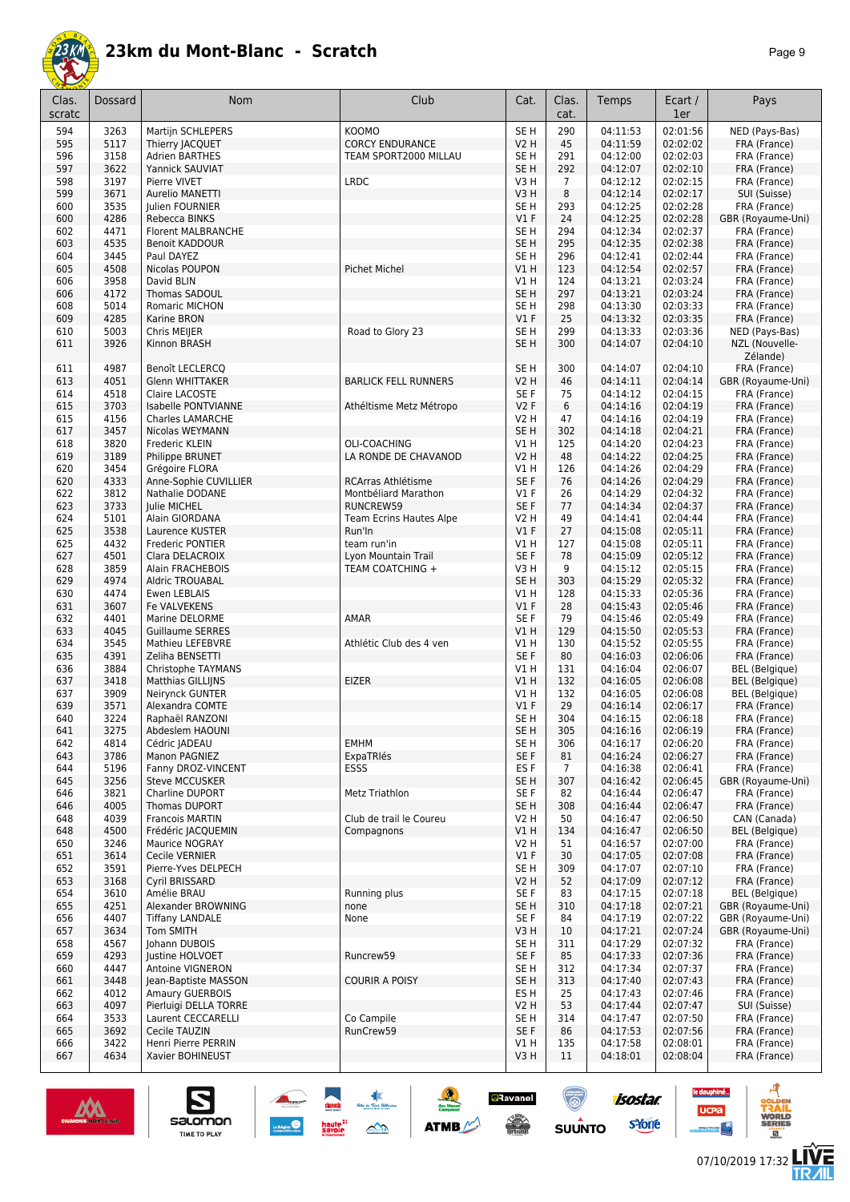

| Clas.      | Dossard      | <b>Nom</b>                                  | Club                              | Cat.                               | Clas.      | Temps                | Ecart /              | Pays                                           |
|------------|--------------|---------------------------------------------|-----------------------------------|------------------------------------|------------|----------------------|----------------------|------------------------------------------------|
| scratc     |              |                                             |                                   |                                    | cat.       |                      | 1er                  |                                                |
| 594        | 3263         | <b>Martijn SCHLEPERS</b>                    | <b>KOOMO</b>                      | SE <sub>H</sub>                    | 290        | 04:11:53             | 02:01:56             | NED (Pays-Bas)                                 |
| 595        | 5117<br>3158 | Thierry JACQUET                             | <b>CORCY ENDURANCE</b>            | <b>V2 H</b>                        | 45         | 04:11:59             | 02:02:02             | FRA (France)                                   |
| 596<br>597 | 3622         | <b>Adrien BARTHES</b><br>Yannick SAUVIAT    | TEAM SPORT2000 MILLAU             | SE <sub>H</sub><br>SE <sub>H</sub> | 291<br>292 | 04:12:00<br>04:12:07 | 02:02:03<br>02:02:10 | FRA (France)<br>FRA (France)                   |
| 598        | 3197         | Pierre VIVET                                | <b>LRDC</b>                       | V3H                                | 7          | 04:12:12             | 02:02:15             | FRA (France)                                   |
| 599        | 3671         | <b>Aurelio MANETTI</b>                      |                                   | V3H                                | 8          | 04:12:14             | 02:02:17             | SUI (Suisse)                                   |
| 600        | 3535         | Julien FOURNIER                             |                                   | SE <sub>H</sub>                    | 293        | 04:12:25             | 02:02:28             | FRA (France)                                   |
| 600        | 4286         | Rebecca BINKS                               |                                   | V1F                                | 24         | 04:12:25             | 02:02:28             | GBR (Royaume-Uni)                              |
| 602        | 4471         | Florent MALBRANCHE                          |                                   | SE <sub>H</sub>                    | 294        | 04:12:34             | 02:02:37             | FRA (France)                                   |
| 603<br>604 | 4535<br>3445 | Benoit KADDOUR<br>Paul DAYEZ                |                                   | SE H<br>SE <sub>H</sub>            | 295<br>296 | 04:12:35<br>04:12:41 | 02:02:38<br>02:02:44 | FRA (France)<br>FRA (France)                   |
| 605        | 4508         | Nicolas POUPON                              | <b>Pichet Michel</b>              | VIH                                | 123        | 04:12:54             | 02:02:57             | FRA (France)                                   |
| 606        | 3958         | David BLIN                                  |                                   | V1 H                               | 124        | 04:13:21             | 02:03:24             | FRA (France)                                   |
| 606        | 4172         | Thomas SADOUL                               |                                   | SE <sub>H</sub>                    | 297        | 04:13:21             | 02:03:24             | FRA (France)                                   |
| 608        | 5014         | Romaric MICHON                              |                                   | SE <sub>H</sub>                    | 298        | 04:13:30             | 02:03:33             | FRA (France)                                   |
| 609        | 4285         | Karine BRON                                 |                                   | $VI$ F                             | 25         | 04:13:32             | 02:03:35             | FRA (France)                                   |
| 610<br>611 | 5003<br>3926 | Chris MEIJER<br>Kinnon BRASH                | Road to Glory 23                  | SE H<br>SE <sub>H</sub>            | 299<br>300 | 04:13:33<br>04:14:07 | 02:03:36<br>02:04:10 | NED (Pays-Bas)<br>NZL (Nouvelle-               |
|            |              |                                             |                                   |                                    |            |                      |                      | Zélande)                                       |
| 611        | 4987         | Benoît LECLERCQ                             |                                   | SE <sub>H</sub>                    | 300        | 04:14:07             | 02:04:10             | FRA (France)                                   |
| 613        | 4051         | <b>Glenn WHITTAKER</b>                      | <b>BARLICK FELL RUNNERS</b>       | <b>V2 H</b>                        | 46         | 04:14:11             | 02:04:14             | GBR (Royaume-Uni)                              |
| 614        | 4518         | Claire LACOSTE                              |                                   | SE F                               | 75         | 04:14:12             | 02:04:15             | FRA (France)                                   |
| 615        | 3703         | Isabelle PONTVIANNE                         | Athéltisme Metz Métropo           | V2F                                | 6          | 04:14:16             | 02:04:19             | FRA (France)                                   |
| 615        | 4156<br>3457 | Charles LAMARCHE                            |                                   | V2 H<br>SE <sub>H</sub>            | 47<br>302  | 04:14:16             | 02:04:19<br>02:04:21 | FRA (France)                                   |
| 617<br>618 | 3820         | Nicolas WEYMANN<br>Frederic KLEIN           | OLI-COACHING                      | V1 H                               | 125        | 04:14:18<br>04:14:20 | 02:04:23             | FRA (France)<br>FRA (France)                   |
| 619        | 3189         | Philippe BRUNET                             | LA RONDE DE CHAVANOD              | <b>V2 H</b>                        | 48         | 04:14:22             | 02:04:25             | FRA (France)                                   |
| 620        | 3454         | Grégoire FLORA                              |                                   | V1 H                               | 126        | 04:14:26             | 02:04:29             | FRA (France)                                   |
| 620        | 4333         | Anne-Sophie CUVILLIER                       | <b>RCArras Athlétisme</b>         | SE F                               | 76         | 04:14:26             | 02:04:29             | FRA (France)                                   |
| 622        | 3812         | Nathalie DODANE                             | Montbéliard Marathon              | $VI$ F                             | 26         | 04:14:29             | 02:04:32             | FRA (France)                                   |
| 623        | 3733         | Julie MICHEL                                | RUNCREW59                         | SE F                               | 77         | 04:14:34             | 02:04:37             | FRA (France)                                   |
| 624<br>625 | 5101<br>3538 | Alain GIORDANA<br>Laurence KUSTER           | Team Ecrins Hautes Alpe<br>Run'In | <b>V2 H</b><br>$VI$ F              | 49<br>27   | 04:14:41<br>04:15:08 | 02:04:44<br>02:05:11 | FRA (France)<br>FRA (France)                   |
| 625        | 4432         | Frederic PONTIER                            | team run'in                       | V1 H                               | 127        | 04:15:08             | 02:05:11             | FRA (France)                                   |
| 627        | 4501         | Clara DELACROIX                             | Lyon Mountain Trail               | SE F                               | 78         | 04:15:09             | 02:05:12             | FRA (France)                                   |
| 628        | 3859         | Alain FRACHEBOIS                            | TEAM COATCHING +                  | V3H                                | 9          | 04:15:12             | 02:05:15             | FRA (France)                                   |
| 629        | 4974         | Aldric TROUABAL                             |                                   | SE <sub>H</sub>                    | 303        | 04:15:29             | 02:05:32             | FRA (France)                                   |
| 630        | 4474         | Ewen LEBLAIS                                |                                   | V1 H                               | 128        | 04:15:33             | 02:05:36             | FRA (France)                                   |
| 631<br>632 | 3607<br>4401 | Fe VALVEKENS<br>Marine DELORME              | AMAR                              | $VI$ F<br>SE F                     | 28<br>79   | 04:15:43<br>04:15:46 | 02:05:46<br>02:05:49 | FRA (France)<br>FRA (France)                   |
| 633        | 4045         | <b>Guillaume SERRES</b>                     |                                   | V1 H                               | 129        | 04:15:50             | 02:05:53             | FRA (France)                                   |
| 634        | 3545         | Mathieu LEFEBVRE                            | Athlétic Club des 4 ven           | V1 H                               | 130        | 04:15:52             | 02:05:55             | FRA (France)                                   |
| 635        | 4391         | Zeliha BENSETTI                             |                                   | SE F                               | 80         | 04:16:03             | 02:06:06             | FRA (France)                                   |
| 636        | 3884         | Christophe TAYMANS                          |                                   | V1 H                               | 131        | 04:16:04             | 02:06:07             | <b>BEL</b> (Belgique)                          |
| 637<br>637 | 3418<br>3909 | Matthias GILLIJNS<br>Neirynck GUNTER        | <b>EIZER</b>                      | V1H<br>V1 H                        | 132<br>132 | 04:16:05<br>04:16:05 | 02:06:08<br>02:06:08 | <b>BEL</b> (Belgique)<br><b>BEL</b> (Belgique) |
| 639        | 3571         | Alexandra COMTE                             |                                   | $VI$ F                             | 29         | 04:16:14             | 02:06:17             | FRA (France)                                   |
| 640        | 3224         | Raphaël RANZONI                             |                                   | SE <sub>H</sub>                    | 304        | 04:16:15             | 02:06:18             | FRA (France)                                   |
| 641        | 3275         | Abdeslem HAOUNI                             |                                   | SE H                               | 305        | 04:16:16             | 02:06:19             | FRA (France)                                   |
| 642        | 4814         | Cédric JADEAU                               | EMHM                              | SE <sub>H</sub>                    | 306        | 04:16:17             | 02:06:20             | FRA (France)                                   |
| 643        | 3786         | <b>Manon PAGNIEZ</b>                        | ExpaTRIés                         | SE F                               | 81         | 04:16:24             | 02:06:27             | FRA (France)                                   |
| 644<br>645 | 5196<br>3256 | Fanny DROZ-VINCENT<br><b>Steve MCCUSKER</b> | <b>ESSS</b>                       | ES F<br>SE H                       | 7<br>307   | 04:16:38<br>04:16:42 | 02:06:41<br>02:06:45 | FRA (France)<br>GBR (Royaume-Uni)              |
| 646        | 3821         | Charline DUPORT                             | Metz Triathlon                    | SE F                               | 82         | 04:16:44             | 02:06:47             | FRA (France)                                   |
| 646        | 4005         | Thomas DUPORT                               |                                   | SE H                               | 308        | 04:16:44             | 02:06:47             | FRA (France)                                   |
| 648        | 4039         | <b>Francois MARTIN</b>                      | Club de trail le Coureu           | V2 H                               | 50         | 04:16:47             | 02:06:50             | CAN (Canada)                                   |
| 648        | 4500         | Frédéric JACQUEMIN                          | Compagnons                        | V1 H                               | 134        | 04:16:47             | 02:06:50             | <b>BEL</b> (Belgique)                          |
| 650        | 3246         | Maurice NOGRAY                              |                                   | V2 H                               | 51         | 04:16:57             | 02:07:00             | FRA (France)                                   |
| 651<br>652 | 3614<br>3591 | Cecile VERNIER<br>Pierre-Yves DELPECH       |                                   | $VI$ F<br>SE <sub>H</sub>          | 30<br>309  | 04:17:05<br>04:17:07 | 02:07:08<br>02:07:10 | FRA (France)<br>FRA (France)                   |
| 653        | 3168         | Cyril BRISSARD                              |                                   | <b>V2 H</b>                        | 52         | 04:17:09             | 02:07:12             | FRA (France)                                   |
| 654        | 3610         | Amélie BRAU                                 | Running plus                      | SE F                               | 83         | 04:17:15             | 02:07:18             | <b>BEL</b> (Belgique)                          |
| 655        | 4251         | Alexander BROWNING                          | none                              | SE H                               | 310        | 04:17:18             | 02:07:21             | GBR (Royaume-Uni)                              |
| 656        | 4407         | <b>Tiffany LANDALE</b>                      | None                              | SE F                               | 84         | 04:17:19             | 02:07:22             | GBR (Royaume-Uni)                              |
| 657        | 3634         | Tom SMITH                                   |                                   | V3H                                | 10         | 04:17:21             | 02:07:24             | GBR (Royaume-Uni)                              |
| 658        | 4567         | Johann DUBOIS                               |                                   | SE H                               | 311        | 04:17:29             | 02:07:32             | FRA (France)                                   |
| 659<br>660 | 4293<br>4447 | Justine HOLVOET<br>Antoine VIGNERON         | Runcrew59                         | SE F<br>SE <sub>H</sub>            | 85<br>312  | 04:17:33<br>04:17:34 | 02:07:36<br>02:07:37 | FRA (France)<br>FRA (France)                   |
| 661        | 3448         | Jean-Baptiste MASSON                        | <b>COURIR A POISY</b>             | SE <sub>H</sub>                    | 313        | 04:17:40             | 02:07:43             | FRA (France)                                   |
| 662        | 4012         | Amaury GUERBOIS                             |                                   | ES <sub>H</sub>                    | 25         | 04:17:43             | 02:07:46             | FRA (France)                                   |
| 663        | 4097         | Pierluigi DELLA TORRE                       |                                   | V2 H                               | 53         | 04:17:44             | 02:07:47             | SUI (Suisse)                                   |
| 664        | 3533         | Laurent CECCARELLI                          | Co Campile                        | SE <sub>H</sub>                    | 314        | 04:17:47             | 02:07:50             | FRA (France)                                   |
| 665        | 3692         | Cecile TAUZIN                               | RunCrew59                         | SE F                               | 86         | 04:17:53             | 02:07:56             | FRA (France)                                   |
| 666        | 3422<br>4634 | Henri Pierre PERRIN                         |                                   | V1 H                               | 135<br>11  | 04:17:58             | 02:08:01             | FRA (France)                                   |
| 667        |              | Xavier BOHINEUST                            |                                   | V3H                                |            | 04:18:01             | 02:08:04             | FRA (France)                                   |

 $*$ 

 $\rightarrow$ 

ATMB



S

salomon

TIME TO PLAY

**isostar** 

sYone

(@)

 $su\overset{\bullet}{\mathsf{unro}}$ 

**aRavanel** 

**SENIOR** 

le dauphiné...

**UCPa** 

*<u>Antibook</u>* 



ه

 $\overline{a}$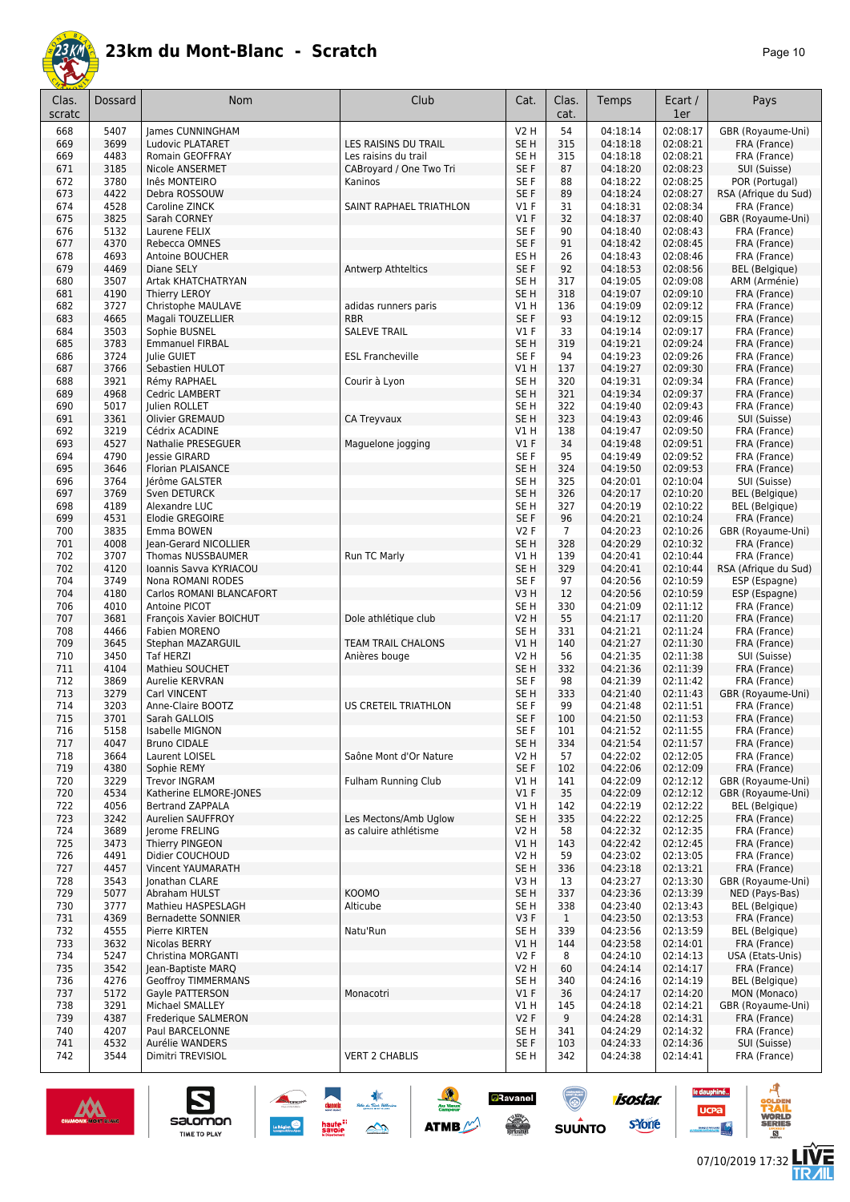

| 'age |  |
|------|--|
|------|--|

| Clas.<br>scratc | Dossard      | <b>Nom</b>                                    | Club                              | Cat.                    | Clas.<br>cat.  | Temps                | Ecart /<br>1er       | Pays                                 |
|-----------------|--------------|-----------------------------------------------|-----------------------------------|-------------------------|----------------|----------------------|----------------------|--------------------------------------|
| 668             | 5407         | James CUNNINGHAM                              |                                   | <b>V2 H</b>             | 54             | 04:18:14             | 02:08:17             | GBR (Royaume-Uni)                    |
| 669             | 3699         | Ludovic PLATARET                              | LES RAISINS DU TRAIL              | SE <sub>H</sub>         | 315            | 04:18:18             | 02:08:21             | FRA (France)                         |
| 669             | 4483         | Romain GEOFFRAY                               | Les raisins du trail              | SE H                    | 315            | 04:18:18             | 02:08:21             | FRA (France)                         |
| 671             | 3185         | Nicole ANSERMET                               | CABroyard / One Two Tri           | SE F                    | 87             | 04:18:20             | 02:08:23             | SUI (Suisse)                         |
| 672             | 3780         | Inês MONTEIRO                                 | Kaninos                           | SE F                    | 88             | 04:18:22             | 02:08:25             | POR (Portugal)                       |
| 673<br>674      | 4422<br>4528 | Debra ROSSOUW<br>Caroline ZINCK               | SAINT RAPHAEL TRIATHLON           | SE F<br>$VI$ F          | 89<br>31       | 04:18:24<br>04:18:31 | 02:08:27<br>02:08:34 | RSA (Afrique du Sud)<br>FRA (France) |
| 675             | 3825         | Sarah CORNEY                                  |                                   | $VI$ F                  | 32             | 04:18:37             | 02:08:40             | GBR (Royaume-Uni)                    |
| 676             | 5132         | Laurene FELIX                                 |                                   | SE F                    | 90             | 04:18:40             | 02:08:43             | FRA (France)                         |
| 677             | 4370         | Rebecca OMNES                                 |                                   | SE F                    | 91             | 04:18:42             | 02:08:45             | FRA (France)                         |
| 678             | 4693         | Antoine BOUCHER                               |                                   | ES <sub>H</sub>         | 26             | 04:18:43             | 02:08:46             | FRA (France)                         |
| 679             | 4469         | Diane SELY                                    | Antwerp Athteltics                | SE F                    | 92             | 04:18:53             | 02:08:56             | <b>BEL</b> (Belgique)                |
| 680             | 3507         | <b>Artak KHATCHATRYAN</b>                     |                                   | SE <sub>H</sub>         | 317            | 04:19:05             | 02:09:08             | ARM (Arménie)                        |
| 681             | 4190         | <b>Thierry LEROY</b>                          |                                   | SE <sub>H</sub>         | 318            | 04:19:07             | 02:09:10             | FRA (France)                         |
| 682             | 3727         | Christophe MAULAVE                            | adidas runners paris              | V1 H                    | 136            | 04:19:09             | 02:09:12             | FRA (France)                         |
| 683<br>684      | 4665<br>3503 | Magali TOUZELLIER<br>Sophie BUSNEL            | <b>RBR</b><br><b>SALEVE TRAIL</b> | SE F<br>$VI$ F          | 93<br>33       | 04:19:12<br>04:19:14 | 02:09:15<br>02:09:17 | FRA (France)<br>FRA (France)         |
| 685             | 3783         | <b>Emmanuel FIRBAL</b>                        |                                   | SE <sub>H</sub>         | 319            | 04:19:21             | 02:09:24             | FRA (France)                         |
| 686             | 3724         | Julie GUIET                                   | <b>ESL Francheville</b>           | SE F                    | 94             | 04:19:23             | 02:09:26             | FRA (France)                         |
| 687             | 3766         | Sebastien HULOT                               |                                   | V1H                     | 137            | 04:19:27             | 02:09:30             | FRA (France)                         |
| 688             | 3921         | Rémy RAPHAEL                                  | Courir à Lyon                     | SE H                    | 320            | 04:19:31             | 02:09:34             | FRA (France)                         |
| 689             | 4968         | Cedric LAMBERT                                |                                   | SE <sub>H</sub>         | 321            | 04:19:34             | 02:09:37             | FRA (France)                         |
| 690             | 5017         | Julien ROLLET                                 |                                   | SE H                    | 322            | 04:19:40             | 02:09:43             | FRA (France)                         |
| 691             | 3361         | Olivier GREMAUD                               | CA Treyvaux                       | SE <sub>H</sub>         | 323            | 04:19:43             | 02:09:46             | SUI (Suisse)                         |
| 692             | 3219         | Cédrix ACADINE                                |                                   | V1H                     | 138            | 04:19:47             | 02:09:50             | FRA (France)                         |
| 693<br>694      | 4527<br>4790 | <b>Nathalie PRESEGUER</b>                     | Maguelone jogging                 | $VI$ F<br>SE F          | 34<br>95       | 04:19:48             | 02:09:51<br>02:09:52 | FRA (France)                         |
| 695             | 3646         | Jessie GIRARD<br><b>Florian PLAISANCE</b>     |                                   | SE <sub>H</sub>         | 324            | 04:19:49<br>04:19:50 | 02:09:53             | FRA (France)<br>FRA (France)         |
| 696             | 3764         | Jérôme GALSTER                                |                                   | SE H                    | 325            | 04:20:01             | 02:10:04             | SUI (Suisse)                         |
| 697             | 3769         | Sven DETURCK                                  |                                   | SE <sub>H</sub>         | 326            | 04:20:17             | 02:10:20             | <b>BEL</b> (Belgique)                |
| 698             | 4189         | Alexandre LUC                                 |                                   | SE <sub>H</sub>         | 327            | 04:20:19             | 02:10:22             | <b>BEL</b> (Belgique)                |
| 699             | 4531         | Elodie GREGOIRE                               |                                   | SE F                    | 96             | 04:20:21             | 02:10:24             | FRA (France)                         |
| 700             | 3835         | Emma BOWEN                                    |                                   | V2F                     | $\overline{7}$ | 04:20:23             | 02:10:26             | GBR (Royaume-Uni)                    |
| 701             | 4008         | Jean-Gerard NICOLLIER                         |                                   | SE <sub>H</sub>         | 328            | 04:20:29             | 02:10:32             | FRA (France)                         |
| 702             | 3707         | Thomas NUSSBAUMER                             | Run TC Marly                      | V1H                     | 139            | 04:20:41             | 02:10:44             | FRA (France)                         |
| 702<br>704      | 4120<br>3749 | Ioannis Savva KYRIACOU                        |                                   | SE <sub>H</sub><br>SE F | 329<br>97      | 04:20:41<br>04:20:56 | 02:10:44<br>02:10:59 | RSA (Afrique du Sud)                 |
| 704             | 4180         | Nona ROMANI RODES<br>Carlos ROMANI BLANCAFORT |                                   | V3H                     | 12             | 04:20:56             | 02:10:59             | ESP (Espagne)<br>ESP (Espagne)       |
| 706             | 4010         | Antoine PICOT                                 |                                   | SE <sub>H</sub>         | 330            | 04:21:09             | 02:11:12             | FRA (France)                         |
| 707             | 3681         | François Xavier BOICHUT                       | Dole athlétique club              | V2 H                    | 55             | 04:21:17             | 02:11:20             | FRA (France)                         |
| 708             | 4466         | <b>Fabien MORENO</b>                          |                                   | SE H                    | 331            | 04:21:21             | 02:11:24             | FRA (France)                         |
| 709             | 3645         | Stephan MAZARGUIL                             | TEAM TRAIL CHALONS                | V1H                     | 140            | 04:21:27             | 02:11:30             | FRA (France)                         |
| 710             | 3450         | <b>Taf HERZI</b>                              | Anières bouge                     | <b>V2 H</b>             | 56             | 04:21:35             | 02:11:38             | SUI (Suisse)                         |
| 711             | 4104         | Mathieu SOUCHET                               |                                   | SE <sub>H</sub>         | 332            | 04:21:36             | 02:11:39             | FRA (France)                         |
| 712<br>713      | 3869<br>3279 | Aurelie KERVRAN<br>Carl VINCENT               |                                   | SE F<br>SE <sub>H</sub> | 98<br>333      | 04:21:39<br>04:21:40 | 02:11:42<br>02:11:43 | FRA (France)<br>GBR (Royaume-Uni)    |
| 714             | 3203         | Anne-Claire BOOTZ                             | US CRETEIL TRIATHLON              | SE <sub>F</sub>         | 99             | 04:21:48             | 02:11:51             | FRA (France)                         |
| 715             | 3701         | Sarah GALLOIS                                 |                                   | SE F                    | 100            | 04:21:50             | 02:11:53             | FRA (France)                         |
| 716             | 5158         | Isabelle MIGNON                               |                                   | SE F                    | 101            | 04:21:52             | 02:11:55             | FRA (France)                         |
| 717             | 4047         | <b>Bruno CIDALE</b>                           |                                   | SE <sub>H</sub>         | 334            | 04:21:54             | 02:11:57             | FRA (France)                         |
| 718             | 3664         | Laurent LOISEL                                | Saône Mont d'Or Nature            | V2 H                    | 57             | 04:22:02             | 02:12:05             | FRA (France)                         |
| 719             | 4380         | Sophie REMY                                   |                                   | SE F                    | 102            | 04:22:06             | 02:12:09             | FRA (France)                         |
| 720             | 3229         | <b>Trevor INGRAM</b>                          | Fulham Running Club               | V1 H                    | 141            | 04:22:09             | 02:12:12             | GBR (Royaume-Uni)                    |
| 720             | 4534         | Katherine ELMORE-JONES                        |                                   | $VI$ F                  | 35             | 04:22:09             | 02:12:12             | GBR (Royaume-Uni)                    |
| 722<br>723      | 4056<br>3242 | <b>Bertrand ZAPPALA</b><br>Aurelien SAUFFROY  | Les Mectons/Amb Uglow             | V1 H<br>SE <sub>H</sub> | 142<br>335     | 04:22:19<br>04:22:22 | 02:12:22<br>02:12:25 | BEL (Belgique)<br>FRA (France)       |
| 724             | 3689         | Jerome FRELING                                | as caluire athlétisme             | V2 H                    | 58             | 04:22:32             | 02:12:35             | FRA (France)                         |
| 725             | 3473         | Thierry PINGEON                               |                                   | VIH                     | 143            | 04:22:42             | 02:12:45             | FRA (France)                         |
| 726             | 4491         | Didier COUCHOUD                               |                                   | V2 H                    | 59             | 04:23:02             | 02:13:05             | FRA (France)                         |
| 727             | 4457         | Vincent YAUMARATH                             |                                   | SE <sub>H</sub>         | 336            | 04:23:18             | 02:13:21             | FRA (France)                         |
| 728             | 3543         | Jonathan CLARE                                |                                   | V3 H                    | 13             | 04:23:27             | 02:13:30             | GBR (Royaume-Uni)                    |
| 729             | 5077         | Abraham HULST                                 | <b>KOOMO</b>                      | SE <sub>H</sub>         | 337            | 04:23:36             | 02:13:39             | NED (Pays-Bas)                       |
| 730             | 3777         | Mathieu HASPESLAGH                            | Alticube                          | SE H                    | 338            | 04:23:40             | 02:13:43             | <b>BEL</b> (Belgique)                |
| 731             | 4369         | Bernadette SONNIER                            |                                   | V3F                     | $\mathbf{1}$   | 04:23:50             | 02:13:53             | FRA (France)                         |
| 732<br>733      | 4555<br>3632 | Pierre KIRTEN<br>Nicolas BERRY                | Natu'Run                          | SE H<br>V1H             | 339<br>144     | 04:23:56<br>04:23:58 | 02:13:59<br>02:14:01 | BEL (Belgique)<br>FRA (France)       |
| 734             | 5247         | Christina MORGANTI                            |                                   | V2F                     | 8              | 04:24:10             | 02:14:13             | USA (Etats-Unis)                     |
| 735             | 3542         | Jean-Baptiste MARQ                            |                                   | <b>V2 H</b>             | 60             | 04:24:14             | 02:14:17             | FRA (France)                         |
| 736             | 4276         | <b>Geoffroy TIMMERMANS</b>                    |                                   | SE H                    | 340            | 04:24:16             | 02:14:19             | <b>BEL</b> (Belgique)                |
| 737             | 5172         | Gayle PATTERSON                               | Monacotri                         | $VI$ F                  | 36             | 04:24:17             | 02:14:20             | MON (Monaco)                         |
| 738             | 3291         | Michael SMALLEY                               |                                   | V1 H                    | 145            | 04:24:18             | 02:14:21             | GBR (Royaume-Uni)                    |
| 739             | 4387         | Frederique SALMERON                           |                                   | V2F                     | 9              | 04:24:28             | 02:14:31             | FRA (France)                         |
| 740             | 4207         | Paul BARCELONNE                               |                                   | SE H                    | 341            | 04:24:29             | 02:14:32             | FRA (France)                         |
| 741<br>742      | 4532<br>3544 | Aurélie WANDERS<br>Dimitri TREVISIOL          | <b>VERT 2 CHABLIS</b>             | SE F<br>SE H            | 103<br>342     | 04:24:33<br>04:24:38 | 02:14:36<br>02:14:41 | SUI (Suisse)<br>FRA (France)         |
|                 |              |                                               |                                   |                         |                |                      |                      |                                      |



 $\n \ \, \underbrace{\sum\limits_{\text{SALOMOM}}$ 

**ANGEL 1989** 

 $\frac{1}{2}$ 

**ATMB** 

**a**Ravanel

 $\frac{1}{\sqrt{2}}$ 

ۿ

**SUUNTO** 

**Concrete** 

 $\underbrace{\qquad \qquad }_{\text{Lagrange}}\bigotimes$ 

**LIVE<br>TR***A***IL** 

**UCPa** 

**isostar** 

svone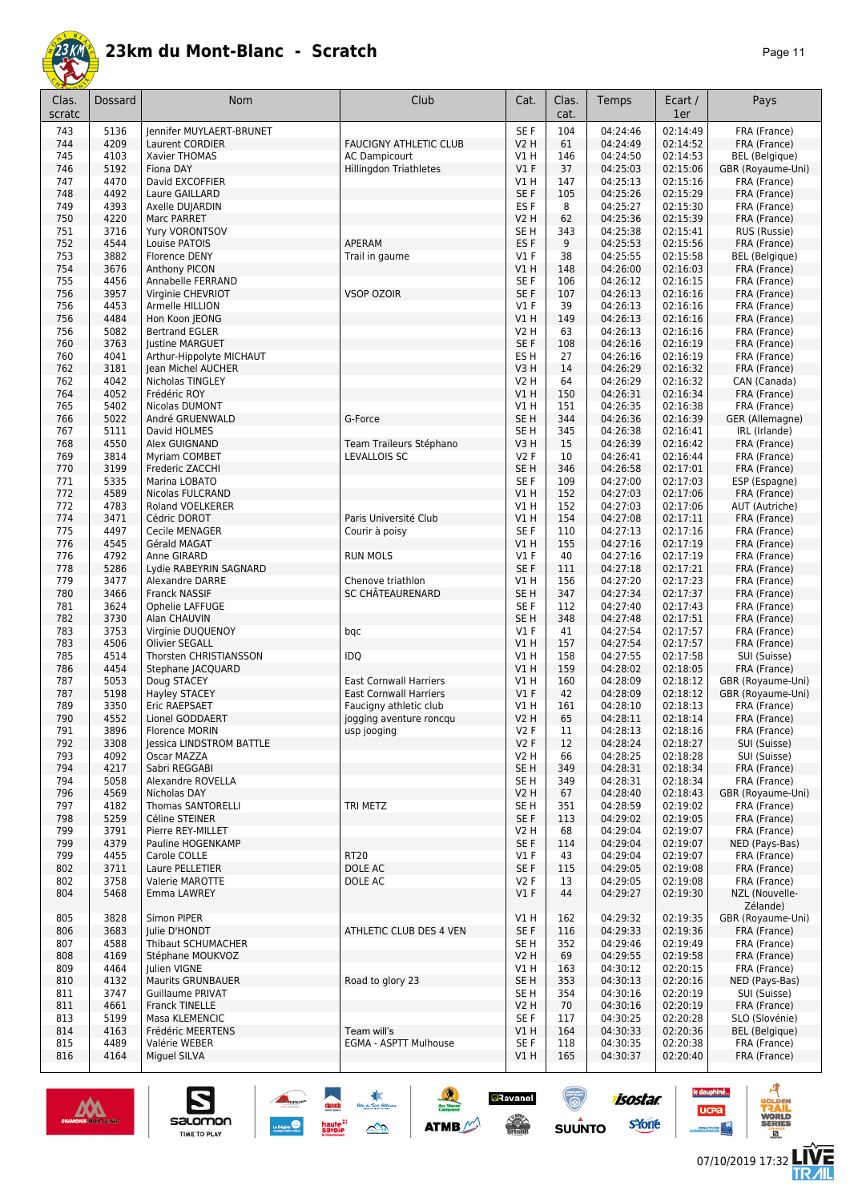

| age |  |  |
|-----|--|--|
|-----|--|--|

| Clas.<br>scratc | Dossard      | <b>Nom</b>                                 | Club                          | Cat.                               | Clas.<br>cat. | Temps                | Ecart /<br>1er       | Pays                            |
|-----------------|--------------|--------------------------------------------|-------------------------------|------------------------------------|---------------|----------------------|----------------------|---------------------------------|
| 743             | 5136         | Jennifer MUYLAERT-BRUNET                   |                               | SE <sub>F</sub>                    | 104           | 04:24:46             | 02:14:49             | FRA (France)                    |
| 744             | 4209         | Laurent CORDIER                            | <b>FAUCIGNY ATHLETIC CLUB</b> | <b>V2 H</b>                        | 61            | 04:24:49             | 02:14:52             | FRA (France)                    |
| 745             | 4103         | Xavier THOMAS                              | <b>AC Dampicourt</b>          | VIH                                | 146           | 04:24:50             | 02:14:53             | <b>BEL</b> (Belgique)           |
| 746             | 5192         | Fiona DAY                                  | <b>Hillingdon Triathletes</b> | V1F                                | 37            | 04:25:03             | 02:15:06             | GBR (Royaume-Uni)               |
| 747             | 4470<br>4492 | David EXCOFFIER                            |                               | V1 H                               | 147<br>105    | 04:25:13             | 02:15:16<br>02:15:29 | FRA (France)                    |
| 748<br>749      | 4393         | Laure GAILLARD<br>Axelle DUJARDIN          |                               | SE <sub>F</sub><br>ES <sub>F</sub> | 8             | 04:25:26<br>04:25:27 | 02:15:30             | FRA (France)<br>FRA (France)    |
| 750             | 4220         | Marc PARRET                                |                               | V2 H                               | 62            | 04:25:36             | 02:15:39             | FRA (France)                    |
| 751             | 3716         | Yury VORONTSOV                             |                               | SE H                               | 343           | 04:25:38             | 02:15:41             | RUS (Russie)                    |
| 752             | 4544         | Louise PATOIS                              | APERAM                        | ES <sub>F</sub>                    | 9             | 04:25:53             | 02:15:56             | FRA (France)                    |
| 753             | 3882         | <b>Florence DENY</b>                       | Trail in gaume                | $VI$ F                             | 38            | 04:25:55             | 02:15:58             | <b>BEL</b> (Belgique)           |
| 754             | 3676         | Anthony PICON                              |                               | V1 H                               | 148           | 04:26:00             | 02:16:03             | FRA (France)                    |
| 755             | 4456         | Annabelle FERRAND                          |                               | SE <sub>F</sub>                    | 106           | 04:26:12             | 02:16:15             | FRA (France)                    |
| 756<br>756      | 3957<br>4453 | Virginie CHEVRIOT<br>Armelle HILLION       | <b>VSOP OZOIR</b>             | SE <sub>F</sub><br>$VI$ F          | 107<br>39     | 04:26:13<br>04:26:13 | 02:16:16<br>02:16:16 | FRA (France)<br>FRA (France)    |
| 756             | 4484         | Hon Koon JEONG                             |                               | V1H                                | 149           | 04:26:13             | 02:16:16             | FRA (France)                    |
| 756             | 5082         | <b>Bertrand EGLER</b>                      |                               | V2 H                               | 63            | 04:26:13             | 02:16:16             | FRA (France)                    |
| 760             | 3763         | <b>Justine MARGUET</b>                     |                               | SE <sub>F</sub>                    | 108           | 04:26:16             | 02:16:19             | FRA (France)                    |
| 760             | 4041         | Arthur-Hippolyte MICHAUT                   |                               | ES H                               | 27            | 04:26:16             | 02:16:19             | FRA (France)                    |
| 762             | 3181         | Jean Michel AUCHER                         |                               | V3H                                | 14            | 04:26:29             | 02:16:32             | FRA (France)                    |
| 762             | 4042         | Nicholas TINGLEY                           |                               | V2 H                               | 64            | 04:26:29             | 02:16:32             | CAN (Canada)                    |
| 764             | 4052         | Frédéric ROY                               |                               | V1H                                | 150           | 04:26:31             | 02:16:34             | FRA (France)                    |
| 765<br>766      | 5402<br>5022 | Nicolas DUMONT<br>André GRUENWALD          | G-Force                       | V1 H<br>SE <sub>H</sub>            | 151<br>344    | 04:26:35<br>04:26:36 | 02:16:38<br>02:16:39 | FRA (France)<br>GER (Allemagne) |
| 767             | 5111         | David HOLMES                               |                               | SE H                               | 345           | 04:26:38             | 02:16:41             | IRL (Irlande)                   |
| 768             | 4550         | Alex GUIGNAND                              | Team Traileurs Stéphano       | V3H                                | 15            | 04:26:39             | 02:16:42             | FRA (France)                    |
| 769             | 3814         | Myriam COMBET                              | LEVALLOIS SC                  | <b>V2F</b>                         | 10            | 04:26:41             | 02:16:44             | FRA (France)                    |
| 770             | 3199         | Frederic ZACCHI                            |                               | SE <sub>H</sub>                    | 346           | 04:26:58             | 02:17:01             | FRA (France)                    |
| 771             | 5335         | Marina LOBATO                              |                               | SE <sub>F</sub>                    | 109           | 04:27:00             | 02:17:03             | ESP (Espagne)                   |
| 772             | 4589         | Nicolas FULCRAND                           |                               | V1H                                | 152           | 04:27:03             | 02:17:06             | FRA (France)                    |
| 772             | 4783         | Roland VOELKERER                           |                               | V1 H                               | 152           | 04:27:03             | 02:17:06             | AUT (Autriche)                  |
| 774             | 3471<br>4497 | Cédric DOROT                               | Paris Université Club         | V1 H<br>SE <sub>F</sub>            | 154<br>110    | 04:27:08             | 02:17:11             | FRA (France)                    |
| 775<br>776      | 4545         | Cecile MENAGER<br>Gérald MAGAT             | Courir à poisy                | V1H                                | 155           | 04:27:13<br>04:27:16 | 02:17:16<br>02:17:19 | FRA (France)<br>FRA (France)    |
| 776             | 4792         | Anne GIRARD                                | <b>RUN MOLS</b>               | $VI$ F                             | 40            | 04:27:16             | 02:17:19             | FRA (France)                    |
| 778             | 5286         | Lydie RABEYRIN SAGNARD                     |                               | SE F                               | 111           | 04:27:18             | 02:17:21             | FRA (France)                    |
| 779             | 3477         | Alexandre DARRE                            | Chenove triathlon             | V1 H                               | 156           | 04:27:20             | 02:17:23             | FRA (France)                    |
| 780             | 3466         | <b>Franck NASSIF</b>                       | <b>SC CHÂTEAURENARD</b>       | SE <sub>H</sub>                    | 347           | 04:27:34             | 02:17:37             | FRA (France)                    |
| 781             | 3624         | Ophelie LAFFUGE                            |                               | SE F                               | 112           | 04:27:40             | 02:17:43             | FRA (France)                    |
| 782             | 3730         | Alan CHAUVIN                               |                               | SE <sub>H</sub>                    | 348           | 04:27:48             | 02:17:51             | FRA (France)                    |
| 783<br>783      | 3753<br>4506 | Virginie DUQUENOY<br><b>Olivier SEGALL</b> | bqc                           | $VI$ F                             | 41<br>157     | 04:27:54             | 02:17:57<br>02:17:57 | FRA (France)                    |
| 785             | 4514         | Thorsten CHRISTIANSSON                     | <b>IDQ</b>                    | V1 H<br>V1 H                       | 158           | 04:27:54<br>04:27:55 | 02:17:58             | FRA (France)<br>SUI (Suisse)    |
| 786             | 4454         | Stephane JACQUARD                          |                               | V1H                                | 159           | 04:28:02             | 02:18:05             | FRA (France)                    |
| 787             | 5053         | Doug STACEY                                | <b>East Cornwall Harriers</b> | V1 H                               | 160           | 04:28:09             | 02:18:12             | GBR (Royaume-Uni)               |
| 787             | 5198         | <b>Hayley STACEY</b>                       | <b>East Cornwall Harriers</b> | $VI$ F                             | 42            | 04:28:09             | 02:18:12             | GBR (Royaume-Uni)               |
| 789             | 3350         | Eric RAEPSAET                              | Faucigny athletic club        | V1 H                               | 161           | 04:28:10             | 02:18:13             | FRA (France)                    |
| 790             | 4552         | Lionel GODDAERT                            | jogging aventure roncqu       | <b>V2 H</b>                        | 65            | 04:28:11             | 02:18:14             | FRA (France)                    |
| 791             | 3896         | <b>Florence MORIN</b>                      | usp jooging                   | <b>V2F</b>                         | 11            | 04:28:13             | 02:18:16             | FRA (France)                    |
| 792             | 3308<br>4092 | Jessica LINDSTROM BATTLE<br>Oscar MAZZA    |                               | V2F<br>V2 H                        | 12<br>66      | 04:28:24<br>04:28:25 | 02:18:27<br>02:18:28 | SUI (Suisse)<br>SUI (Suisse)    |
| 793<br>794      | 4217         | Sabri REGGABI                              |                               | SE <sub>H</sub>                    | 349           | 04:28:31             | 02:18:34             | FRA (France)                    |
| 794             | 5058         | Alexandre ROVELLA                          |                               | SE H                               | 349           | 04:28:31             | 02:18:34             | FRA (France)                    |
| 796             | 4569         | Nicholas DAY                               |                               | <b>V2 H</b>                        | 67            | 04:28:40             | 02:18:43             | GBR (Royaume-Uni)               |
| 797             | 4182         | Thomas SANTORELLI                          | TRI METZ                      | SE H                               | 351           | 04:28:59             | 02:19:02             | FRA (France)                    |
| 798             | 5259         | Céline STEINER                             |                               | SE F                               | 113           | 04:29:02             | 02:19:05             | FRA (France)                    |
| 799             | 3791         | Pierre REY-MILLET                          |                               | V2 H                               | 68            | 04:29:04             | 02:19:07             | FRA (France)                    |
| 799             | 4379         | Pauline HOGENKAMP                          |                               | SE <sub>F</sub>                    | 114           | 04:29:04             | 02:19:07             | NED (Pays-Bas)                  |
| 799<br>802      | 4455<br>3711 | Carole COLLE<br>Laure PELLETIER            | <b>RT20</b><br>DOLE AC        | $VI$ F<br>SE F                     | 43<br>115     | 04:29:04<br>04:29:05 | 02:19:07<br>02:19:08 | FRA (France)<br>FRA (France)    |
| 802             | 3758         | Valerie MAROTTE                            | DOLE AC                       | <b>V2F</b>                         | 13            | 04:29:05             | 02:19:08             | FRA (France)                    |
| 804             | 5468         | Emma LAWREY                                |                               | V1F                                | 44            | 04:29:27             | 02:19:30             | NZL (Nouvelle-<br>Zélande)      |
| 805             | 3828         | Simon PIPER                                |                               | VIH                                | 162           | 04:29:32             | 02:19:35             | GBR (Royaume-Uni)               |
| 806             | 3683         | Julie D'HONDT                              | ATHLETIC CLUB DES 4 VEN       | SE F                               | 116           | 04:29:33             | 02:19:36             | FRA (France)                    |
| 807             | 4588         | Thibaut SCHUMACHER                         |                               | SE H                               | 352           | 04:29:46             | 02:19:49             | FRA (France)                    |
| 808<br>809      | 4169<br>4464 | Stéphane MOUKVOZ<br>Julien VIGNE           |                               | V2 H<br>V1 H                       | 69            | 04:29:55             | 02:19:58             | FRA (France)<br>FRA (France)    |
| 810             | 4132         | <b>Maurits GRUNBAUER</b>                   | Road to glory 23              | SE H                               | 163<br>353    | 04:30:12<br>04:30:13 | 02:20:15<br>02:20:16 | NED (Pays-Bas)                  |
| 811             | 3747         | Guillaume PRIVAT                           |                               | SE H                               | 354           | 04:30:16             | 02:20:19             | SUI (Suisse)                    |
| 811             | 4661         | <b>Franck TINELLE</b>                      |                               | <b>V2 H</b>                        | 70            | 04:30:16             | 02:20:19             | FRA (France)                    |
| 813             | 5199         | Masa KLEMENCIC                             |                               | SE F                               | 117           | 04:30:25             | 02:20:28             | SLO (Slovénie)                  |
| 814             | 4163         | Frédéric MEERTENS                          | Team will's                   | V1 H                               | 164           | 04:30:33             | 02:20:36             | <b>BEL</b> (Belgique)           |
| 815             | 4489         | Valérie WEBER                              | EGMA - ASPTT Mulhouse         | SE <sub>F</sub>                    | 118           | 04:30:35             | 02:20:38             | FRA (France)                    |
| 816             | 4164         | Miguel SILVA                               |                               | V1H                                | 165           | 04:30:37             | 02:20:40             | FRA (France)                    |

an and the second second.<br>Second the first second second second in the second second second second second second second second second se

 $\sum_{i=1}^{n}$ 

haute<sup>::</sup><br>savoie



 $\sum_{\text{SALOMOM}}$ 

 $\begin{picture}(20,10) \put(0,0){\line(1,0){10}} \put(10,0){\line(1,0){10}} \put(10,0){\line(1,0){10}} \put(10,0){\line(1,0){10}} \put(10,0){\line(1,0){10}} \put(10,0){\line(1,0){10}} \put(10,0){\line(1,0){10}} \put(10,0){\line(1,0){10}} \put(10,0){\line(1,0){10}} \put(10,0){\line(1,0){10}} \put(10,0){\line(1,0){10}} \put(10,0){\line(1$ 

ø

**LĪŸĒ<br>TR***A***IL** 

isostar.

sYone

 $su\overset{\bullet}{\mathsf{unro}}$ 

**a**Ravanel

 $\frac{1}{\sqrt{2}}$ 

**Lating** 

**ATMB**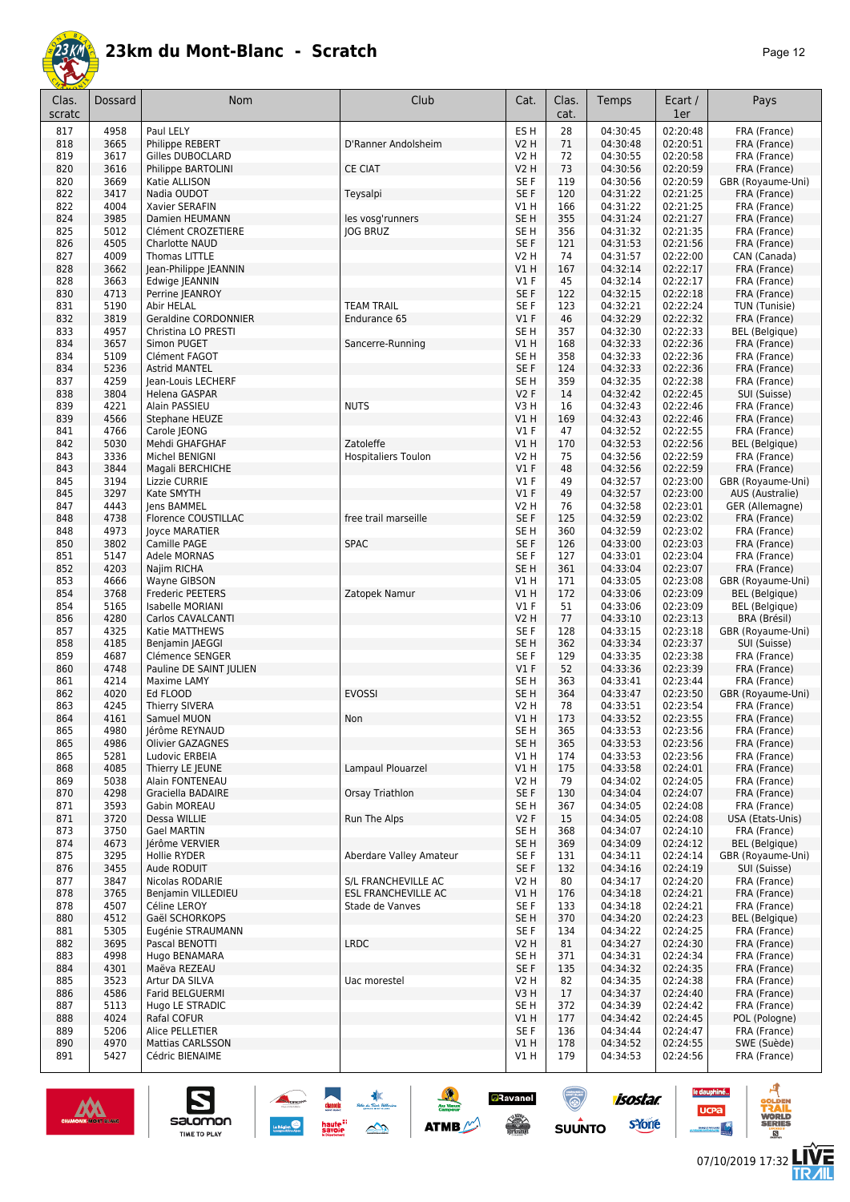

| Clas.<br>scratc | Dossard      | Nom                                   | Club                                | Cat.                               | Clas.<br>cat. | Temps                | Ecart /<br>1er       | Pays                                  |
|-----------------|--------------|---------------------------------------|-------------------------------------|------------------------------------|---------------|----------------------|----------------------|---------------------------------------|
| 817             | 4958         | Paul LELY                             |                                     | ES <sub>H</sub>                    | 28            | 04:30:45             | 02:20:48             | FRA (France)                          |
| 818             | 3665         | Philippe REBERT                       | D'Ranner Andolsheim                 | <b>V2 H</b>                        | 71            | 04:30:48             | 02:20:51             | FRA (France)                          |
| 819             | 3617         | Gilles DUBOCLARD                      |                                     | V2 H                               | 72            | 04:30:55             | 02:20:58             | FRA (France)                          |
| 820             | 3616         | Philippe BARTOLINI                    | <b>CE CIAT</b>                      | <b>V2 H</b>                        | 73            | 04:30:56             | 02:20:59             | FRA (France)                          |
| 820             | 3669         | Katie ALLISON                         |                                     | SE F                               | 119           | 04:30:56             | 02:20:59             | GBR (Royaume-Uni)                     |
| 822             | 3417         | Nadia OUDOT                           | Teysalpi                            | SE F                               | 120           | 04:31:22             | 02:21:25             | FRA (France)                          |
| 822<br>824      | 4004<br>3985 | Xavier SERAFIN<br>Damien HEUMANN      |                                     | V1H<br>SE <sub>H</sub>             | 166<br>355    | 04:31:22<br>04:31:24 | 02:21:25<br>02:21:27 | FRA (France)<br>FRA (France)          |
| 825             | 5012         | Clément CROZETIERE                    | les vosg'runners<br><b>JOG BRUZ</b> | SE H                               | 356           | 04:31:32             | 02:21:35             | FRA (France)                          |
| 826             | 4505         | Charlotte NAUD                        |                                     | SE F                               | 121           | 04:31:53             | 02:21:56             | FRA (France)                          |
| 827             | 4009         | Thomas LITTLE                         |                                     | <b>V2 H</b>                        | 74            | 04:31:57             | 02:22:00             | CAN (Canada)                          |
| 828             | 3662         | Jean-Philippe JEANNIN                 |                                     | V1H                                | 167           | 04:32:14             | 02:22:17             | FRA (France)                          |
| 828             | 3663         | Edwige JEANNIN                        |                                     | $VI$ F                             | 45            | 04:32:14             | 02:22:17             | FRA (France)                          |
| 830             | 4713         | Perrine JEANROY                       |                                     | SE F                               | 122           | 04:32:15             | 02:22:18             | FRA (France)                          |
| 831             | 5190         | Abir HELAL                            | <b>TEAM TRAIL</b>                   | SE <sub>F</sub>                    | 123           | 04:32:21             | 02:22:24             | TUN (Tunisie)                         |
| 832             | 3819         | <b>Geraldine CORDONNIER</b>           | Endurance 65                        | $VI$ F                             | 46            | 04:32:29             | 02:22:32             | FRA (France)                          |
| 833             | 4957         | Christina LO PRESTI                   |                                     | SE <sub>H</sub>                    | 357           | 04:32:30             | 02:22:33             | <b>BEL</b> (Belgique)                 |
| 834             | 3657         | Simon PUGET                           | Sancerre-Running                    | VIH                                | 168           | 04:32:33             | 02:22:36             | FRA (France)                          |
| 834<br>834      | 5109<br>5236 | Clément FAGOT<br><b>Astrid MANTEL</b> |                                     | SE <sub>H</sub><br>SE F            | 358<br>124    | 04:32:33<br>04:32:33 | 02:22:36<br>02:22:36 | FRA (France)<br>FRA (France)          |
| 837             | 4259         | Jean-Louis LECHERF                    |                                     | SE <sub>H</sub>                    | 359           | 04:32:35             | 02:22:38             | FRA (France)                          |
| 838             | 3804         | Helena GASPAR                         |                                     | V2F                                | 14            | 04:32:42             | 02:22:45             | SUI (Suisse)                          |
| 839             | 4221         | Alain PASSIEU                         | <b>NUTS</b>                         | V3H                                | 16            | 04:32:43             | 02:22:46             | FRA (France)                          |
| 839             | 4566         | Stephane HEUZE                        |                                     | V1H                                | 169           | 04:32:43             | 02:22:46             | FRA (France)                          |
| 841             | 4766         | Carole JEONG                          |                                     | $VI$ F                             | 47            | 04:32:52             | 02:22:55             | FRA (France)                          |
| 842             | 5030         | Mehdi GHAFGHAF                        | Zatoleffe                           | V1H                                | 170           | 04:32:53             | 02:22:56             | <b>BEL</b> (Belgique)                 |
| 843             | 3336         | Michel BENIGNI                        | <b>Hospitaliers Toulon</b>          | V2 H                               | 75            | 04:32:56             | 02:22:59             | FRA (France)                          |
| 843             | 3844         | Magali BERCHICHE                      |                                     | $VI$ F                             | 48            | 04:32:56             | 02:22:59             | FRA (France)                          |
| 845             | 3194         | Lizzie CURRIE                         |                                     | $VI$ F                             | 49            | 04:32:57             | 02:23:00             | GBR (Royaume-Uni)                     |
| 845             | 3297         | Kate SMYTH                            |                                     | $VI$ F                             | 49            | 04:32:57             | 02:23:00             | AUS (Australie)                       |
| 847             | 4443         | Jens BAMMEL                           |                                     | <b>V2 H</b>                        | 76            | 04:32:58             | 02:23:01             | GER (Allemagne)                       |
| 848             | 4738         | Florence COUSTILLAC                   | free trail marseille                | SE F                               | 125           | 04:32:59             | 02:23:02             | FRA (France)                          |
| 848<br>850      | 4973<br>3802 | <b>Joyce MARATIER</b><br>Camille PAGE | <b>SPAC</b>                         | SE <sub>H</sub><br>SE F            | 360<br>126    | 04:32:59<br>04:33:00 | 02:23:02<br>02:23:03 | FRA (France)<br>FRA (France)          |
| 851             | 5147         | Adele MORNAS                          |                                     | SE F                               | 127           | 04:33:01             | 02:23:04             | FRA (France)                          |
| 852             | 4203         | Najim RICHA                           |                                     | SE <sub>H</sub>                    | 361           | 04:33:04             | 02:23:07             | FRA (France)                          |
| 853             | 4666         | Wayne GIBSON                          |                                     | V1H                                | 171           | 04:33:05             | 02:23:08             | GBR (Royaume-Uni)                     |
| 854             | 3768         | <b>Frederic PEETERS</b>               | Zatopek Namur                       | <b>V1 H</b>                        | 172           | 04:33:06             | 02:23:09             | <b>BEL</b> (Belgique)                 |
| 854             | 5165         | Isabelle MORIANI                      |                                     | $VI$ F                             | 51            | 04:33:06             | 02:23:09             | <b>BEL</b> (Belgique)                 |
| 856             | 4280         | Carlos CAVALCANTI                     |                                     | <b>V2 H</b>                        | 77            | 04:33:10             | 02:23:13             | BRA (Brésil)                          |
| 857             | 4325         | Katie MATTHEWS                        |                                     | SE F                               | 128           | 04:33:15             | 02:23:18             | GBR (Royaume-Uni)                     |
| 858             | 4185         | Benjamin JAEGGI                       |                                     | SE H                               | 362           | 04:33:34             | 02:23:37             | SUI (Suisse)                          |
| 859             | 4687         | Clémence SENGER                       |                                     | SE F                               | 129           | 04:33:35             | 02:23:38             | FRA (France)                          |
| 860             | 4748         | Pauline DE SAINT JULIEN               |                                     | $VI$ F                             | 52            | 04:33:36             | 02:23:39             | FRA (France)                          |
| 861<br>862      | 4214<br>4020 | Maxime LAMY<br>Ed FLOOD               | <b>EVOSSI</b>                       | SE <sub>H</sub><br>SE <sub>H</sub> | 363<br>364    | 04:33:41<br>04:33:47 | 02:23:44<br>02:23:50 | FRA (France)<br>GBR (Royaume-Uni)     |
| 863             | 4245         | <b>Thierry SIVERA</b>                 |                                     | V2 H                               | 78            | 04:33:51             | 02:23:54             | FRA (France)                          |
| 864             | 4161         | Samuel MUON                           | Non                                 | VIH                                | 173           | 04:33:52             | 02:23:55             | FRA (France)                          |
| 865             | 4980         | Jerôme REYNAUD                        |                                     | SE H                               | 365           | 04:33:53             | 02:23:56             | FRA (France)                          |
| 865             | 4986         | Olivier GAZAGNES                      |                                     | SE <sub>H</sub>                    | 365           | 04:33:53             | 02:23:56             | FRA (France)                          |
| 865             | 5281         | Ludovic ERBEIA                        |                                     | V1H                                | 174           | 04:33:53             | 02:23:56             | FRA (France)                          |
| 868             | 4085         | Thierry LE IEUNE                      | Lampaul Plouarzel                   | V1H                                | 175           | 04:33:58             | 02:24:01             | FRA (France)                          |
| 869             | 5038         | Alain FONTENEAU                       |                                     | V2 H                               | 79            | 04:34:02             | 02:24:05             | FRA (France)                          |
| 870             | 4298         | Graciella BADAIRE                     | Orsay Triathlon                     | SE F                               | 130           | 04:34:04             | 02:24:07             | FRA (France)                          |
| 871             | 3593         | Gabin MOREAU                          |                                     | SE H                               | 367           | 04:34:05             | 02:24:08             | FRA (France)                          |
| 871             | 3720         | Dessa WILLIE<br><b>Gael MARTIN</b>    | Run The Alps                        | V <sub>2</sub> F                   | 15            | 04:34:05             | 02:24:08             | USA (Etats-Unis)                      |
| 873<br>874      | 3750<br>4673 | Jérôme VERVIER                        |                                     | SE H<br>SE <sub>H</sub>            | 368<br>369    | 04:34:07<br>04:34:09 | 02:24:10<br>02:24:12 | FRA (France)<br><b>BEL</b> (Belgique) |
| 875             | 3295         | Hollie RYDER                          | Aberdare Valley Amateur             | SE F                               | 131           | 04:34:11             | 02:24:14             | GBR (Royaume-Uni)                     |
| 876             | 3455         | Aude RODUIT                           |                                     | SE F                               | 132           | 04:34:16             | 02:24:19             | SUI (Suisse)                          |
| 877             | 3847         | Nicolas RODARIE                       | S/L FRANCHEVILLE AC                 | <b>V2 H</b>                        | 80            | 04:34:17             | 02:24:20             | FRA (France)                          |
| 878             | 3765         | Benjamin VILLEDIEU                    | ESL FRANCHEVILLE AC                 | V1 H                               | 176           | 04:34:18             | 02:24:21             | FRA (France)                          |
| 878             | 4507         | Céline LEROY                          | Stade de Vanves                     | SE F                               | 133           | 04:34:18             | 02:24:21             | FRA (France)                          |
| 880             | 4512         | Gaël SCHORKOPS                        |                                     | SE <sub>H</sub>                    | 370           | 04:34:20             | 02:24:23             | <b>BEL</b> (Belgique)                 |
| 881             | 5305         | Eugénie STRAUMANN                     |                                     | SE F                               | 134           | 04:34:22             | 02:24:25             | FRA (France)                          |
| 882             | 3695         | Pascal BENOTTI                        | <b>LRDC</b>                         | V2 H                               | 81            | 04:34:27             | 02:24:30             | FRA (France)                          |
| 883             | 4998         | Hugo BENAMARA                         |                                     | SE H                               | 371           | 04:34:31             | 02:24:34             | FRA (France)                          |
| 884             | 4301         | Maëva REZEAU                          |                                     | SE F                               | 135           | 04:34:32             | 02:24:35             | FRA (France)                          |
| 885             | 3523         | Artur DA SILVA                        | Uac morestel                        | V2 H                               | 82            | 04:34:35             | 02:24:38             | FRA (France)                          |
| 886<br>887      | 4586<br>5113 | Farid BELGUERMI<br>Hugo LE STRADIC    |                                     | V3H<br>SE H                        | 17<br>372     | 04:34:37<br>04:34:39 | 02:24:40<br>02:24:42 | FRA (France)<br>FRA (France)          |
| 888             | 4024         | Rafal COFUR                           |                                     | V1H                                | 177           | 04:34:42             | 02:24:45             | POL (Pologne)                         |
| 889             | 5206         | Alice PELLETIER                       |                                     | SE F                               | 136           | 04:34:44             | 02:24:47             | FRA (France)                          |
| 890             | 4970         | <b>Mattias CARLSSON</b>               |                                     | V1H                                | 178           | 04:34:52             | 02:24:55             | SWE (Suède)                           |
| 891             | 5427         | Cédric BIENAIME                       |                                     | V1 H                               | 179           | 04:34:53             | 02:24:56             | FRA (France)                          |

惠

 $\rightarrow$ 

 $\frac{1}{2}$ 

**ATMB** 

**a**Ravanel

**SERVICE** 

<u>(ම)</u>

 $su\overset{\bullet}{\mathsf{unro}}$ 



S

Salomon

le dauphiné...

**UCPa** 

C

isostar.

**s**Yone

ه

**LIVE<br>TR***A***IL**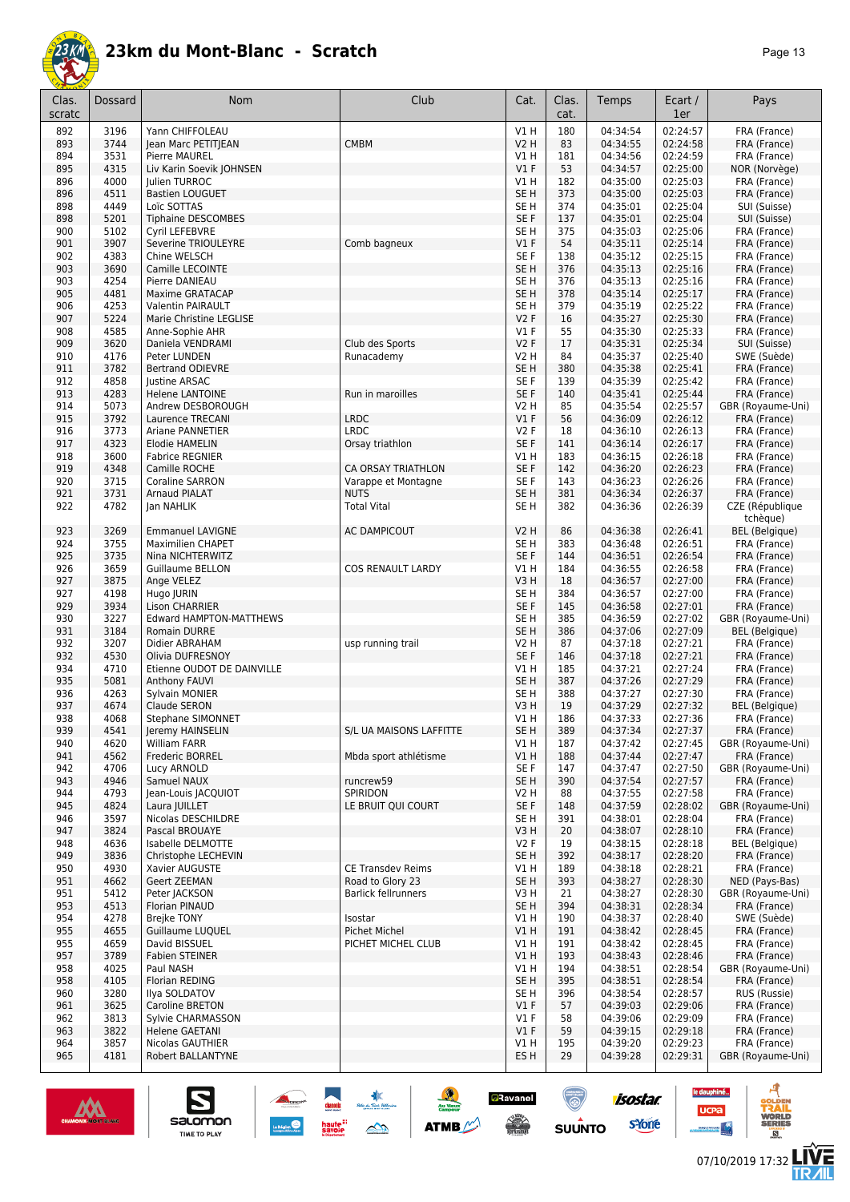

| Clas.<br>scratc | <b>Dossard</b> | <b>Nom</b>                                | Club                                      | Cat.                               | Clas.<br>cat. | Temps                | Ecart /<br>1er       | Pays                              |
|-----------------|----------------|-------------------------------------------|-------------------------------------------|------------------------------------|---------------|----------------------|----------------------|-----------------------------------|
| 892             | 3196           | Yann CHIFFOLEAU                           |                                           | V1H                                | 180           | 04:34:54             | 02:24:57             | FRA (France)                      |
| 893             | 3744           | Jean Marc PETITJEAN                       | <b>CMBM</b>                               | <b>V2 H</b>                        | 83            | 04:34:55             | 02:24:58             | FRA (France)                      |
| 894             | 3531           | Pierre MAUREL                             |                                           | V1 H                               | 181           | 04:34:56             | 02:24:59             | FRA (France)                      |
| 895<br>896      | 4315<br>4000   | Liv Karin Soevik JOHNSEN<br>Julien TURROC |                                           | V1F<br>V1 H                        | 53<br>182     | 04:34:57<br>04:35:00 | 02:25:00<br>02:25:03 | NOR (Norvège)<br>FRA (France)     |
| 896             | 4511           | <b>Bastien LOUGUET</b>                    |                                           | SE <sub>H</sub>                    | 373           | 04:35:00             | 02:25:03             | FRA (France)                      |
| 898             | 4449           | Loïc SOTTAS                               |                                           | SE <sub>H</sub>                    | 374           | 04:35:01             | 02:25:04             | SUI (Suisse)                      |
| 898             | 5201           | <b>Tiphaine DESCOMBES</b>                 |                                           | SE F                               | 137           | 04:35:01             | 02:25:04             | SUI (Suisse)                      |
| 900             | 5102           | Cyril LEFEBVRE                            |                                           | SE <sub>H</sub>                    | 375           | 04:35:03             | 02:25:06             | FRA (France)                      |
| 901             | 3907           | Severine TRIOULEYRE                       | Comb bagneux                              | V1F                                | 54            | 04:35:11             | 02:25:14             | FRA (France)                      |
| 902<br>903      | 4383<br>3690   | Chine WELSCH<br>Camille LECOINTE          |                                           | SE F<br>SE <sub>H</sub>            | 138<br>376    | 04:35:12<br>04:35:13 | 02:25:15<br>02:25:16 | FRA (France)<br>FRA (France)      |
| 903             | 4254           | Pierre DANIEAU                            |                                           | SE <sub>H</sub>                    | 376           | 04:35:13             | 02:25:16             | FRA (France)                      |
| 905             | 4481           | Maxime GRATACAP                           |                                           | SE <sub>H</sub>                    | 378           | 04:35:14             | 02:25:17             | FRA (France)                      |
| 906             | 4253           | Valentin PAIRAULT                         |                                           | SE H                               | 379           | 04:35:19             | 02:25:22             | FRA (France)                      |
| 907             | 5224           | Marie Christine LEGLISE                   |                                           | V2F                                | 16            | 04:35:27             | 02:25:30             | FRA (France)                      |
| 908             | 4585           | Anne-Sophie AHR                           |                                           | $VI$ F                             | 55            | 04:35:30             | 02:25:33             | FRA (France)                      |
| 909             | 3620           | Daniela VENDRAMI                          | Club des Sports                           | <b>V2F</b>                         | 17            | 04:35:31             | 02:25:34             | SUI (Suisse)                      |
| 910<br>911      | 4176<br>3782   | Peter LUNDEN<br><b>Bertrand ODIEVRE</b>   | Runacademy                                | <b>V2 H</b><br>SE <sub>H</sub>     | 84<br>380     | 04:35:37<br>04:35:38 | 02:25:40<br>02:25:41 | SWE (Suède)<br>FRA (France)       |
| 912             | 4858           | <b>Justine ARSAC</b>                      |                                           | SE <sub>F</sub>                    | 139           | 04:35:39             | 02:25:42             | FRA (France)                      |
| 913             | 4283           | <b>Helene LANTOINE</b>                    | Run in maroilles                          | SE F                               | 140           | 04:35:41             | 02:25:44             | FRA (France)                      |
| 914             | 5073           | Andrew DESBOROUGH                         |                                           | V2 H                               | 85            | 04:35:54             | 02:25:57             | GBR (Royaume-Uni)                 |
| 915             | 3792           | Laurence TRECANI                          | <b>LRDC</b>                               | $VI$ F                             | 56            | 04:36:09             | 02:26:12             | FRA (France)                      |
| 916             | 3773           | <b>Ariane PANNETIER</b>                   | <b>LRDC</b>                               | <b>V2F</b>                         | 18            | 04:36:10             | 02:26:13             | FRA (France)                      |
| 917             | 4323           | Elodie HAMELIN                            | Orsay triathlon                           | SE <sub>F</sub>                    | 141           | 04:36:14             | 02:26:17             | FRA (France)                      |
| 918<br>919      | 3600           | <b>Fabrice REGNIER</b>                    |                                           | V1H                                | 183           | 04:36:15             | 02:26:18             | FRA (France)<br>FRA (France)      |
| 920             | 4348<br>3715   | Camille ROCHE<br><b>Coraline SARRON</b>   | CA ORSAY TRIATHLON<br>Varappe et Montagne | SE <sub>F</sub><br>SE <sub>F</sub> | 142<br>143    | 04:36:20<br>04:36:23 | 02:26:23<br>02:26:26 | FRA (France)                      |
| 921             | 3731           | <b>Arnaud PIALAT</b>                      | <b>NUTS</b>                               | SE <sub>H</sub>                    | 381           | 04:36:34             | 02:26:37             | FRA (France)                      |
| 922             | 4782           | Jan NAHLIK                                | <b>Total Vital</b>                        | SE H                               | 382           | 04:36:36             | 02:26:39             | CZE (République<br>tchèque)       |
| 923             | 3269           | <b>Emmanuel LAVIGNE</b>                   | <b>AC DAMPICOUT</b>                       | V2 H                               | 86            | 04:36:38             | 02:26:41             | <b>BEL</b> (Belgique)             |
| 924             | 3755           | <b>Maximilien CHAPET</b>                  |                                           | SE H                               | 383           | 04:36:48             | 02:26:51             | FRA (France)                      |
| 925             | 3735           | Nina NICHTERWITZ                          |                                           | SE <sub>F</sub>                    | 144           | 04:36:51             | 02:26:54             | FRA (France)                      |
| 926             | 3659           | <b>Guillaume BELLON</b>                   | <b>COS RENAULT LARDY</b>                  | V1 H                               | 184           | 04:36:55             | 02:26:58             | FRA (France)                      |
| 927             | 3875           | Ange VELEZ                                |                                           | V3H                                | 18            | 04:36:57             | 02:27:00             | FRA (France)                      |
| 927<br>929      | 4198<br>3934   | Hugo JURIN<br><b>Lison CHARRIER</b>       |                                           | SE H<br>SE <sub>F</sub>            | 384<br>145    | 04:36:57<br>04:36:58 | 02:27:00<br>02:27:01 | FRA (France)                      |
| 930             | 3227           | <b>Edward HAMPTON-MATTHEWS</b>            |                                           | SE <sub>H</sub>                    | 385           | 04:36:59             | 02:27:02             | FRA (France)<br>GBR (Royaume-Uni) |
| 931             | 3184           | Romain DURRE                              |                                           | SE <sub>H</sub>                    | 386           | 04:37:06             | 02:27:09             | <b>BEL</b> (Belgique)             |
| 932             | 3207           | Didier ABRAHAM                            | usp running trail                         | V2 H                               | 87            | 04:37:18             | 02:27:21             | FRA (France)                      |
| 932             | 4530           | Olivia DUFRESNOY                          |                                           | SE <sub>F</sub>                    | 146           | 04:37:18             | 02:27:21             | FRA (France)                      |
| 934             | 4710           | Etienne OUDOT DE DAINVILLE                |                                           | V1H                                | 185           | 04:37:21             | 02:27:24             | FRA (France)                      |
| 935             | 5081           | <b>Anthony FAUVI</b>                      |                                           | SE <sub>H</sub>                    | 387           | 04:37:26             | 02:27:29             | FRA (France)                      |
| 936<br>937      | 4263<br>4674   | Sylvain MONIER<br>Claude SERON            |                                           | SE <sub>H</sub><br>V3H             | 388<br>19     | 04:37:27             | 02:27:30             | FRA (France)                      |
| 938             | 4068           | Stephane SIMONNET                         |                                           | V1 H                               | 186           | 04:37:29<br>04:37:33 | 02:27:32<br>02:27:36 | BEL (Belgique)<br>FRA (France)    |
| 939             | 4541           | Jeremy HAINSELIN                          | S/L UA MAISONS LAFFITTE                   | SE H                               | 389           | 04:37:34             | 02:27:37             | FRA (France)                      |
| 940             | 4620           | William FARR                              |                                           | V1 H                               | 187           | 04:37:42             | 02:27:45             | GBR (Royaume-Uni)                 |
| 941             | 4562           | Frederic BORREL                           | Mbda sport athlétisme                     | V1 H                               | 188           | 04:37:44             | 02:27:47             | FRA (France)                      |
| 942             | 4706           | Lucy ARNOLD                               |                                           | SE F                               | 147           | 04:37:47             | 02:27:50             | GBR (Royaume-Uni)                 |
| 943             | 4946           | Samuel NAUX                               | runcrew59                                 | SE H                               | 390           | 04:37:54             | 02:27:57             | FRA (France)                      |
| 944             | 4793<br>4824   | lean-Louis IACOUIOT                       | SPIRIDON<br>LE BRUIT QUI COURT            | V2 H<br>SE F                       | 88            | 04:37:55<br>04:37:59 | 02:27:58<br>02:28:02 | FRA (France)<br>GBR (Royaume-Uni) |
| 945<br>946      | 3597           | Laura JUILLET<br>Nicolas DESCHILDRE       |                                           | SE H                               | 148<br>391    | 04:38:01             | 02:28:04             | FRA (France)                      |
| 947             | 3824           | Pascal BROUAYE                            |                                           | V3H                                | 20            | 04:38:07             | 02:28:10             | FRA (France)                      |
| 948             | 4636           | Isabelle DELMOTTE                         |                                           | V2F                                | 19            | 04:38:15             | 02:28:18             | BEL (Belgique)                    |
| 949             | 3836           | Christophe LECHEVIN                       |                                           | SE H                               | 392           | 04:38:17             | 02:28:20             | FRA (France)                      |
| 950             | 4930           | Xavier AUGUSTE                            | <b>CE Transdev Reims</b>                  | V1 H                               | 189           | 04:38:18             | 02:28:21             | FRA (France)                      |
| 951             | 4662           | Geert ZEEMAN                              | Road to Glory 23                          | SE H                               | 393           | 04:38:27             | 02:28:30             | NED (Pays-Bas)                    |
| 951             | 5412           | Peter JACKSON                             | <b>Barlick fellrunners</b>                | V3 H                               | 21            | 04:38:27             | 02:28:30             | GBR (Royaume-Uni)                 |
| 953<br>954      | 4513<br>4278   | Florian PINAUD                            |                                           | SE H                               | 394           | 04:38:31             | 02:28:34<br>02:28:40 | FRA (France)                      |
| 955             | 4655           | <b>Brejke TONY</b><br>Guillaume LUQUEL    | Isostar<br><b>Pichet Michel</b>           | V1 H<br>VIH                        | 190<br>191    | 04:38:37<br>04:38:42 | 02:28:45             | SWE (Suède)<br>FRA (France)       |
| 955             | 4659           | David BISSUEL                             | PICHET MICHEL CLUB                        | V1 H                               | 191           | 04:38:42             | 02:28:45             | FRA (France)                      |
| 957             | 3789           | <b>Fabien STEINER</b>                     |                                           | V1H                                | 193           | 04:38:43             | 02:28:46             | FRA (France)                      |
| 958             | 4025           | Paul NASH                                 |                                           | V1H                                | 194           | 04:38:51             | 02:28:54             | GBR (Royaume-Uni)                 |
| 958             | 4105           | Florian REDING                            |                                           | SE <sub>H</sub>                    | 395           | 04:38:51             | 02:28:54             | FRA (France)                      |
| 960             | 3280           | Ilya SOLDATOV                             |                                           | SE H                               | 396           | 04:38:54             | 02:28:57             | RUS (Russie)                      |
| 961             | 3625           | Caroline BRETON                           |                                           | $VI$ F                             | 57            | 04:39:03             | 02:29:06             | FRA (France)                      |
| 962             | 3813           | Sylvie CHARMASSON                         |                                           | $VI$ F                             | 58            | 04:39:06             | 02:29:09             | FRA (France)                      |
| 963<br>964      | 3822<br>3857   | Helene GAETANI<br>Nicolas GAUTHIER        |                                           | $VI$ F<br>V1 H                     | 59<br>195     | 04:39:15<br>04:39:20 | 02:29:18<br>02:29:23 | FRA (France)<br>FRA (France)      |
| 965             | 4181           | Robert BALLANTYNE                         |                                           | ES H                               | 29            | 04:39:28             | 02:29:31             | GBR (Royaume-Uni)                 |
|                 |                |                                           |                                           |                                    |               |                      |                      |                                   |

東

 $\rightarrow$ 

 $\frac{1}{2}$ 

**ATMB** 

**a**Ravanel

**SERVICE** 

(@)

 $su\overset{\bullet}{\mathsf{unro}}$ 



S

Salomon



isostar.

**s**Yone

le dauphiné...

**UCPa** 

- 4



ه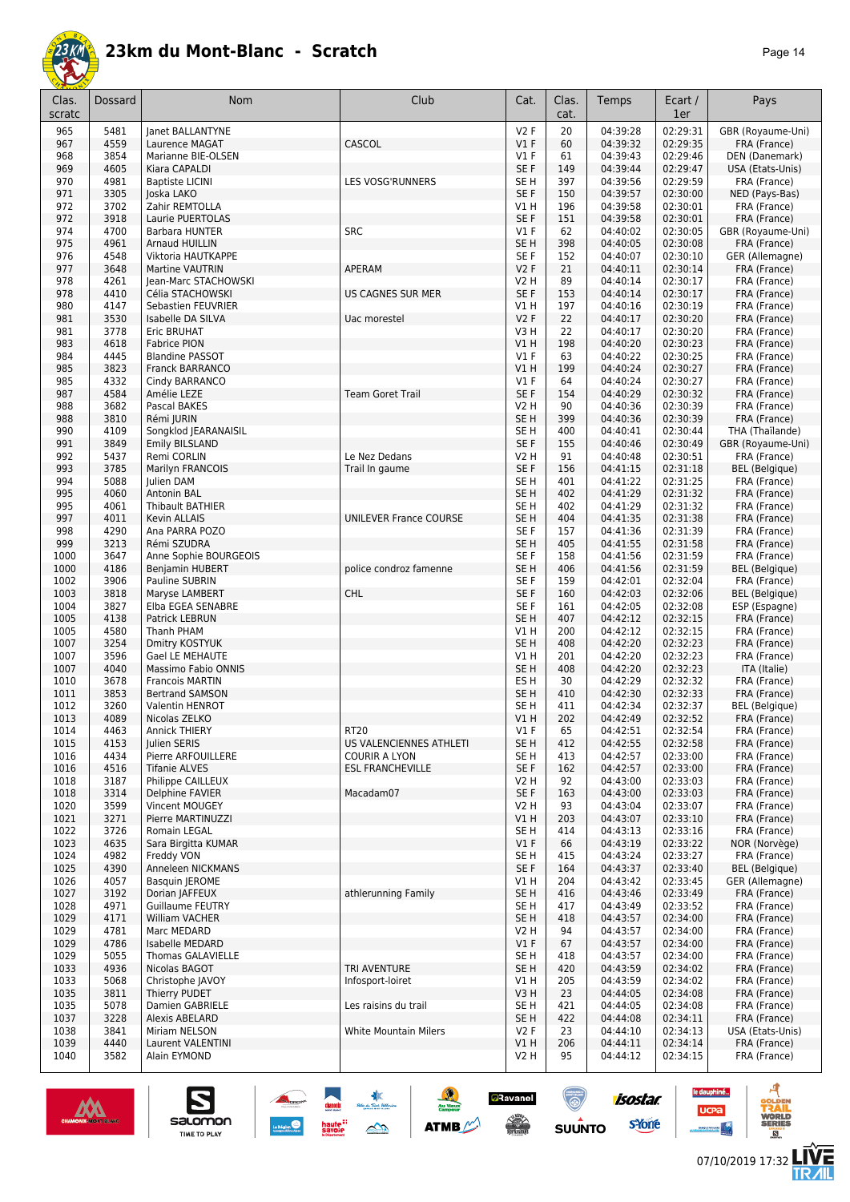

| Clas.<br>scratc | Dossard      | <b>Nom</b>                                 | Club                                            | Cat.                               | Clas.<br>cat. | Temps                | Ecart /<br>1er       | Pays                                     |
|-----------------|--------------|--------------------------------------------|-------------------------------------------------|------------------------------------|---------------|----------------------|----------------------|------------------------------------------|
| 965             | 5481         | Janet BALLANTYNE                           |                                                 | V2F                                | 20            | 04:39:28             | 02:29:31             | GBR (Royaume-Uni)                        |
| 967             | 4559         | Laurence MAGAT                             | CASCOL                                          | $VI$ F                             | 60            | 04:39:32             | 02:29:35             | FRA (France)                             |
| 968             | 3854         | Marianne BIE-OLSEN                         |                                                 | V1 F                               | 61            | 04:39:43             | 02:29:46             | DEN (Danemark)                           |
| 969             | 4605         | Kiara CAPALDI                              |                                                 | SE F                               | 149           | 04:39:44             | 02:29:47             | USA (Etats-Unis)                         |
| 970             | 4981         | <b>Baptiste LICINI</b>                     | LES VOSG'RUNNERS                                | SE H                               | 397           | 04:39:56             | 02:29:59             | FRA (France)                             |
| 971             | 3305<br>3702 | Joska LAKO                                 |                                                 | SE F<br>V1H                        | 150           | 04:39:57             | 02:30:00<br>02:30:01 | NED (Pays-Bas)                           |
| 972<br>972      | 3918         | Zahir REMTOLLA<br>Laurie PUERTOLAS         |                                                 | SE F                               | 196<br>151    | 04:39:58<br>04:39:58 | 02:30:01             | FRA (France)<br>FRA (France)             |
| 974             | 4700         | <b>Barbara HUNTER</b>                      | <b>SRC</b>                                      | $VI$ F                             | 62            | 04:40:02             | 02:30:05             | GBR (Royaume-Uni)                        |
| 975             | 4961         | <b>Arnaud HUILLIN</b>                      |                                                 | SE <sub>H</sub>                    | 398           | 04:40:05             | 02:30:08             | FRA (France)                             |
| 976             | 4548         | Viktoria HAUTKAPPE                         |                                                 | SE <sub>F</sub>                    | 152           | 04:40:07             | 02:30:10             | GER (Allemagne)                          |
| 977             | 3648         | Martine VAUTRIN                            | APERAM                                          | <b>V2F</b>                         | 21            | 04:40:11             | 02:30:14             | FRA (France)                             |
| 978             | 4261         | Jean-Marc STACHOWSKI                       |                                                 | V2 H                               | 89            | 04:40:14             | 02:30:17             | FRA (France)                             |
| 978<br>980      | 4410<br>4147 | Célia STACHOWSKI<br>Sebastien FEUVRIER     | <b>US CAGNES SUR MER</b>                        | SE F<br>V1 H                       | 153<br>197    | 04:40:14<br>04:40:16 | 02:30:17<br>02:30:19 | FRA (France)<br>FRA (France)             |
| 981             | 3530         | Isabelle DA SILVA                          | Uac morestel                                    | <b>V2F</b>                         | 22            | 04:40:17             | 02:30:20             | FRA (France)                             |
| 981             | 3778         | Eric BRUHAT                                |                                                 | V3H                                | 22            | 04:40:17             | 02:30:20             | FRA (France)                             |
| 983             | 4618         | <b>Fabrice PION</b>                        |                                                 | <b>V1 H</b>                        | 198           | 04:40:20             | 02:30:23             | FRA (France)                             |
| 984             | 4445         | <b>Blandine PASSOT</b>                     |                                                 | $VI$ F                             | 63            | 04:40:22             | 02:30:25             | FRA (France)                             |
| 985             | 3823         | <b>Franck BARRANCO</b>                     |                                                 | V1H                                | 199           | 04:40:24             | 02:30:27             | FRA (France)                             |
| 985             | 4332         | Cindy BARRANCO                             |                                                 | $VI$ F                             | 64            | 04:40:24             | 02:30:27             | FRA (France)                             |
| 987             | 4584<br>3682 | Amélie LEZE<br>Pascal BAKES                | <b>Team Goret Trail</b>                         | SE F<br>V2 H                       | 154<br>90     | 04:40:29<br>04:40:36 | 02:30:32<br>02:30:39 | FRA (France)                             |
| 988<br>988      | 3810         | Rémi JURIN                                 |                                                 | SE <sub>H</sub>                    | 399           | 04:40:36             | 02:30:39             | FRA (France)<br>FRA (France)             |
| 990             | 4109         | Songklod JEARANAISIL                       |                                                 | SE <sub>H</sub>                    | 400           | 04:40:41             | 02:30:44             | THA (Thaïlande)                          |
| 991             | 3849         | Emily BILSLAND                             |                                                 | SE F                               | 155           | 04:40:46             | 02:30:49             | GBR (Royaume-Uni)                        |
| 992             | 5437         | Remi CORLIN                                | Le Nez Dedans                                   | V2 H                               | 91            | 04:40:48             | 02:30:51             | FRA (France)                             |
| 993             | 3785         | Marilyn FRANCOIS                           | Trail In gaume                                  | SE F                               | 156           | 04:41:15             | 02:31:18             | <b>BEL</b> (Belgique)                    |
| 994             | 5088         | Julien DAM                                 |                                                 | SE H                               | 401           | 04:41:22             | 02:31:25             | FRA (France)                             |
| 995             | 4060         | Antonin BAL                                |                                                 | SE <sub>H</sub>                    | 402           | 04:41:29             | 02:31:32             | FRA (France)                             |
| 995             | 4061         | Thibault BATHIER                           |                                                 | SE H                               | 402           | 04:41:29             | 02:31:32             | FRA (France)                             |
| 997             | 4011         | Kevin ALLAIS                               | <b>UNILEVER France COURSE</b>                   | SE <sub>H</sub>                    | 404           | 04:41:35             | 02:31:38             | FRA (France)                             |
| 998<br>999      | 4290<br>3213 | Ana PARRA POZO<br>Rémi SZUDRA              |                                                 | SE <sub>F</sub><br>SE <sub>H</sub> | 157<br>405    | 04:41:36<br>04:41:55 | 02:31:39<br>02:31:58 | FRA (France)<br>FRA (France)             |
| 1000            | 3647         | Anne Sophie BOURGEOIS                      |                                                 | SE F                               | 158           | 04:41:56             | 02:31:59             | FRA (France)                             |
| 1000            | 4186         | <b>Benjamin HUBERT</b>                     | police condroz famenne                          | SE <sub>H</sub>                    | 406           | 04:41:56             | 02:31:59             | <b>BEL</b> (Belgique)                    |
| 1002            | 3906         | Pauline SUBRIN                             |                                                 | SE <sub>F</sub>                    | 159           | 04:42:01             | 02:32:04             | FRA (France)                             |
| 1003            | 3818         | Maryse LAMBERT                             | <b>CHL</b>                                      | SE F                               | 160           | 04:42:03             | 02:32:06             | <b>BEL</b> (Belgique)                    |
| 1004            | 3827         | Elba EGEA SENABRE                          |                                                 | SE F                               | 161           | 04:42:05             | 02:32:08             | ESP (Espagne)                            |
| 1005            | 4138         | Patrick LEBRUN                             |                                                 | SE <sub>H</sub>                    | 407           | 04:42:12             | 02:32:15             | FRA (France)                             |
| 1005            | 4580         | Thanh PHAM                                 |                                                 | V1 H                               | 200           | 04:42:12             | 02:32:15             | FRA (France)                             |
| 1007<br>1007    | 3254<br>3596 | Dmitry KOSTYUK<br><b>Gael LE MEHAUTE</b>   |                                                 | SE <sub>H</sub><br>V1 H            | 408<br>201    | 04:42:20<br>04:42:20 | 02:32:23<br>02:32:23 | FRA (France)<br>FRA (France)             |
| 1007            | 4040         | Massimo Fabio ONNIS                        |                                                 | SE <sub>H</sub>                    | 408           | 04:42:20             | 02:32:23             | ITA (Italie)                             |
| 1010            | 3678         | <b>Francois MARTIN</b>                     |                                                 | ES <sub>H</sub>                    | 30            | 04:42:29             | 02:32:32             | FRA (France)                             |
| 1011            | 3853         | <b>Bertrand SAMSON</b>                     |                                                 | SE <sub>H</sub>                    | 410           | 04:42:30             | 02:32:33             | FRA (France)                             |
| 1012            | 3260         | Valentin HENROT                            |                                                 | SE H                               | 411           | 04:42:34             | 02:32:37             | <b>BEL</b> (Belgique)                    |
| 1013            | 4089         | Nicolas ZELKO                              |                                                 | <b>V1 H</b>                        | 202           | 04:42:49             | 02:32:52             | FRA (France)                             |
| 1014            | 4463         | Annick THIERY                              | RT20                                            | $VI$ F                             | 65            | 04:42:51             | 02:32:54             | FRA (France)                             |
| 1015            | 4153         | Julien SERIS                               | US VALENCIENNES ATHLETI                         | SE H                               | 412           | 04:42:55             | 02:32:58             | FRA (France)<br>FRA (France)             |
| 1016<br>1016    | 4434<br>4516 | Pierre ARFOUILLERE<br><b>Tifanie ALVES</b> | <b>COURIR A LYON</b><br><b>ESL FRANCHEVILLE</b> | SE H<br>SE F                       | 413<br>162    | 04:42:57<br>04:42:57 | 02:33:00<br>02:33:00 | FRA (France)                             |
| 1018            | 3187         | Philippe CAILLEUX                          |                                                 | V2 H                               | 92            | 04:43:00             | 02:33:03             | FRA (France)                             |
| 1018            | 3314         | Delphine FAVIER                            | Macadam07                                       | SE F                               | 163           | 04:43:00             | 02:33:03             | FRA (France)                             |
| 1020            | 3599         | Vincent MOUGEY                             |                                                 | V2 H                               | 93            | 04:43:04             | 02:33:07             | FRA (France)                             |
| 1021            | 3271         | Pierre MARTINUZZI                          |                                                 | V1H                                | 203           | 04:43:07             | 02:33:10             | FRA (France)                             |
| 1022            | 3726         | Romain LEGAL                               |                                                 | SE H                               | 414           | 04:43:13             | 02:33:16             | FRA (France)                             |
| 1023            | 4635         | Sara Birgitta KUMAR                        |                                                 | $VI$ F                             | 66            | 04:43:19             | 02:33:22             | NOR (Norvège)                            |
| 1024            | 4982         | Freddy VON                                 |                                                 | SE H                               | 415           | 04:43:24             | 02:33:27             | FRA (France)                             |
| 1025<br>1026    | 4390<br>4057 | Anneleen NICKMANS<br>Basquin JEROME        |                                                 | SE F<br>V1 H                       | 164<br>204    | 04:43:37<br>04:43:42 | 02:33:40<br>02:33:45 | <b>BEL</b> (Belgique)<br>GER (Allemagne) |
| 1027            | 3192         | Dorian JAFFEUX                             | athlerunning Family                             | SE H                               | 416           | 04:43:46             | 02:33:49             | FRA (France)                             |
| 1028            | 4971         | <b>Guillaume FEUTRY</b>                    |                                                 | SE H                               | 417           | 04:43:49             | 02:33:52             | FRA (France)                             |
| 1029            | 4171         | William VACHER                             |                                                 | SE H                               | 418           | 04:43:57             | 02:34:00             | FRA (France)                             |
| 1029            | 4781         | Marc MEDARD                                |                                                 | V2 H                               | 94            | 04:43:57             | 02:34:00             | FRA (France)                             |
| 1029            | 4786         | Isabelle MEDARD                            |                                                 | V1 F                               | 67            | 04:43:57             | 02:34:00             | FRA (France)                             |
| 1029            | 5055         | Thomas GALAVIELLE                          |                                                 | SE H                               | 418           | 04:43:57             | 02:34:00             | FRA (France)                             |
| 1033            | 4936         | Nicolas BAGOT                              | TRI AVENTURE                                    | SE H                               | 420           | 04:43:59             | 02:34:02             | FRA (France)                             |
| 1033<br>1035    | 5068<br>3811 | Christophe JAVOY<br>Thierry PUDET          | Infosport-loiret                                | V1 H<br>V3H                        | 205<br>23     | 04:43:59<br>04:44:05 | 02:34:02<br>02:34:08 | FRA (France)<br>FRA (France)             |
| 1035            | 5078         | Damien GABRIELE                            | Les raisins du trail                            | SE H                               | 421           | 04:44:05             | 02:34:08             | FRA (France)                             |
| 1037            | 3228         | Alexis ABELARD                             |                                                 | SE H                               | 422           | 04:44:08             | 02:34:11             | FRA (France)                             |
| 1038            | 3841         | Miriam NELSON                              | <b>White Mountain Milers</b>                    | V2F                                | 23            | 04:44:10             | 02:34:13             | USA (Etats-Unis)                         |
| 1039            | 4440         | Laurent VALENTINI                          |                                                 | V1H                                | 206           | 04:44:11             | 02:34:14             | FRA (France)                             |
| 1040            | 3582         | Alain EYMOND                               |                                                 | V2 H                               | 95            | 04:44:12             | 02:34:15             | FRA (France)                             |

惠

 $\rightarrow$ 

 $\frac{1}{2}$ 

ATMB

**a**Ravanel

**SERVICE** 

<u>(ම)</u>

 $su\overset{\bullet}{\mathsf{unro}}$ 



S

Salomon

isostar.

**s**Yone

le dauphiné...

**UCPa** 

**Excession Contract** 



ه

*ORLD*<br>ERIES

 $<sup>B</sup>$ </sup>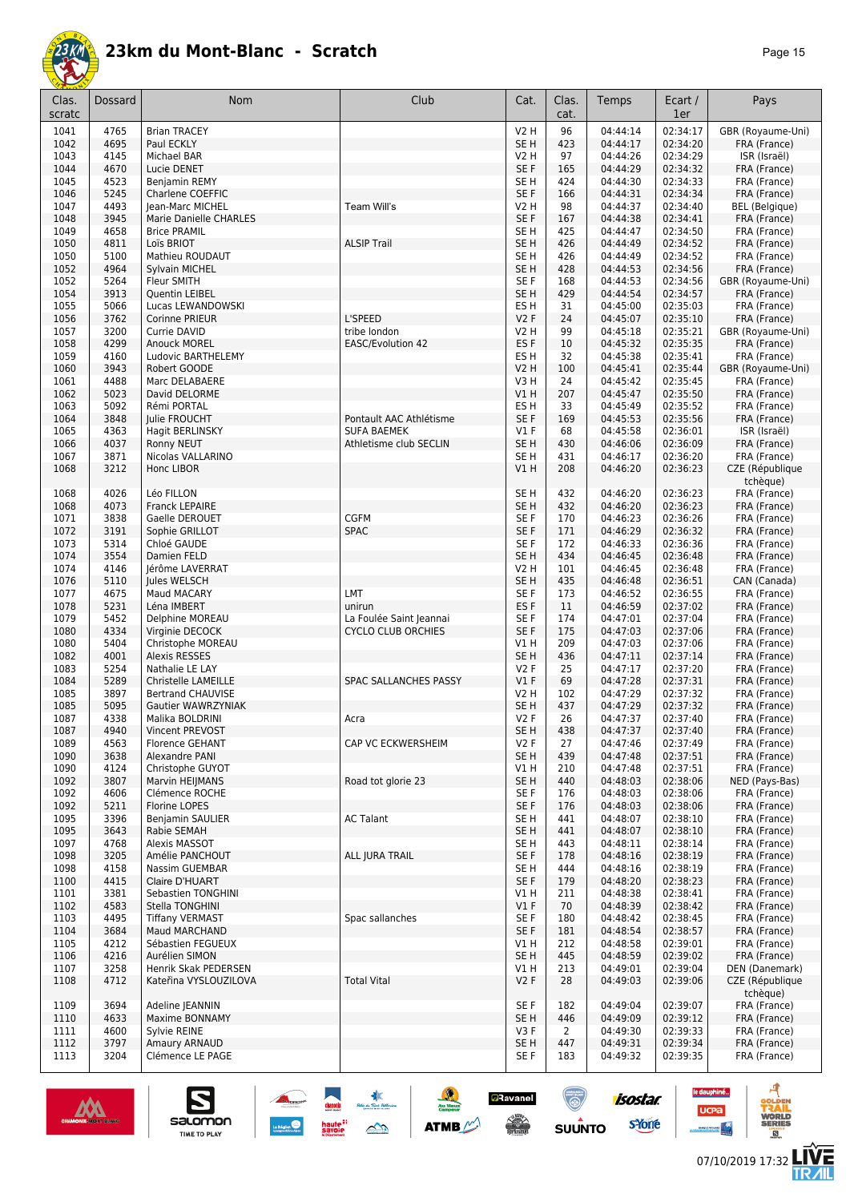

| Clas.<br>scratc | Dossard      | Nom                                  | Club                                         | Cat.                          | Clas.<br>cat.  | Temps                | Ecart /<br>1er       | Pays                         |
|-----------------|--------------|--------------------------------------|----------------------------------------------|-------------------------------|----------------|----------------------|----------------------|------------------------------|
| 1041            | 4765         | <b>Brian TRACEY</b>                  |                                              | <b>V2 H</b>                   | 96             | 04:44:14             | 02:34:17             | GBR (Royaume-Uni)            |
| 1042            | 4695         | Paul ECKLY                           |                                              | SE <sub>H</sub>               | 423            | 04:44:17             | 02:34:20             | FRA (France)                 |
| 1043            | 4145         | Michael BAR                          |                                              | <b>V2 H</b>                   | 97             | 04:44:26             | 02:34:29             | ISR (Israël)                 |
| 1044            | 4670         | Lucie DENET                          |                                              | SE <sub>F</sub>               | 165            | 04:44:29             | 02:34:32             | FRA (France)                 |
| 1045<br>1046    | 4523<br>5245 | Benjamin REMY                        |                                              | SE <sub>H</sub><br>SE F       | 424<br>166     | 04:44:30<br>04:44:31 | 02:34:33<br>02:34:34 | FRA (France)<br>FRA (France) |
| 1047            | 4493         | Charlene COEFFIC<br>Jean-Marc MICHEL | Team Will's                                  | <b>V2 H</b>                   | 98             | 04:44:37             | 02:34:40             | <b>BEL</b> (Belgique)        |
| 1048            | 3945         | Marie Danielle CHARLES               |                                              | SE F                          | 167            | 04:44:38             | 02:34:41             | FRA (France)                 |
| 1049            | 4658         | <b>Brice PRAMIL</b>                  |                                              | SE <sub>H</sub>               | 425            | 04:44:47             | 02:34:50             | FRA (France)                 |
| 1050            | 4811         | Loïs BRIOT                           | <b>ALSIP Trail</b>                           | SE <sub>H</sub>               | 426            | 04:44:49             | 02:34:52             | FRA (France)                 |
| 1050            | 5100         | <b>Mathieu ROUDAUT</b>               |                                              | SE <sub>H</sub>               | 426            | 04:44:49             | 02:34:52             | FRA (France)                 |
| 1052            | 4964         | Sylvain MICHEL                       |                                              | SE <sub>H</sub>               | 428            | 04:44:53             | 02:34:56             | FRA (France)                 |
| 1052            | 5264         | Fleur SMITH                          |                                              | SE F                          | 168            | 04:44:53             | 02:34:56             | GBR (Royaume-Uni)            |
| 1054            | 3913         | Quentin LEIBEL                       |                                              | SE <sub>H</sub>               | 429            | 04:44:54             | 02:34:57             | FRA (France)                 |
| 1055<br>1056    | 5066<br>3762 | Lucas LEWANDOWSKI<br>Corinne PRIEUR  | L'SPEED                                      | ES <sub>H</sub><br><b>V2F</b> | 31<br>24       | 04:45:00<br>04:45:07 | 02:35:03<br>02:35:10 | FRA (France)<br>FRA (France) |
| 1057            | 3200         | Currie DAVID                         | tribe london                                 | <b>V2 H</b>                   | 99             | 04:45:18             | 02:35:21             | GBR (Royaume-Uni)            |
| 1058            | 4299         | <b>Anouck MOREL</b>                  | EASC/Evolution 42                            | ES <sub>F</sub>               | 10             | 04:45:32             | 02:35:35             | FRA (France)                 |
| 1059            | 4160         | Ludovic BARTHELEMY                   |                                              | ES H                          | 32             | 04:45:38             | 02:35:41             | FRA (France)                 |
| 1060            | 3943         | Robert GOODE                         |                                              | <b>V2 H</b>                   | 100            | 04:45:41             | 02:35:44             | GBR (Royaume-Uni)            |
| 1061            | 4488         | Marc DELABAERE                       |                                              | V3H                           | 24             | 04:45:42             | 02:35:45             | FRA (France)                 |
| 1062            | 5023         | David DELORME                        |                                              | VIH                           | 207            | 04:45:47             | 02:35:50             | FRA (France)                 |
| 1063            | 5092         | Rémi PORTAL                          |                                              | ES <sub>H</sub>               | 33             | 04:45:49             | 02:35:52             | FRA (France)                 |
| 1064            | 3848         | Julie FROUCHT                        | Pontault AAC Athlétisme                      | SE F                          | 169            | 04:45:53             | 02:35:56             | FRA (France)                 |
| 1065<br>1066    | 4363<br>4037 | Hagit BERLINSKY<br>Ronny NEUT        | <b>SUFA BAEMEK</b><br>Athletisme club SECLIN | $VI$ F<br>SE <sub>H</sub>     | 68<br>430      | 04:45:58<br>04:46:06 | 02:36:01<br>02:36:09 | ISR (Israël)<br>FRA (France) |
| 1067            | 3871         | Nicolas VALLARINO                    |                                              | SE <sub>H</sub>               | 431            | 04:46:17             | 02:36:20             | FRA (France)                 |
| 1068            | 3212         | Honc LIBOR                           |                                              | V1H                           | 208            | 04:46:20             | 02:36:23             | CZE (République              |
|                 |              |                                      |                                              |                               |                |                      |                      | tchèque)                     |
| 1068            | 4026         | Léo FILLON                           |                                              | SE <sub>H</sub>               | 432            | 04:46:20             | 02:36:23             | FRA (France)                 |
| 1068            | 4073         | Franck LEPAIRE                       |                                              | SE <sub>H</sub>               | 432            | 04:46:20             | 02:36:23             | FRA (France)                 |
| 1071            | 3838<br>3191 | Gaelle DEROUET                       | <b>CGFM</b><br><b>SPAC</b>                   | SE F                          | 170            | 04:46:23             | 02:36:26<br>02:36:32 | FRA (France)                 |
| 1072<br>1073    | 5314         | Sophie GRILLOT<br>Chloé GAUDE        |                                              | SE F<br>SE F                  | 171<br>172     | 04:46:29<br>04:46:33 | 02:36:36             | FRA (France)<br>FRA (France) |
| 1074            | 3554         | Damien FELD                          |                                              | SE <sub>H</sub>               | 434            | 04:46:45             | 02:36:48             | FRA (France)                 |
| 1074            | 4146         | Jérôme LAVERRAT                      |                                              | <b>V2 H</b>                   | 101            | 04:46:45             | 02:36:48             | FRA (France)                 |
| 1076            | 5110         | Jules WELSCH                         |                                              | SE <sub>H</sub>               | 435            | 04:46:48             | 02:36:51             | CAN (Canada)                 |
| 1077            | 4675         | Maud MACARY                          | LMT                                          | SE <sub>F</sub>               | 173            | 04:46:52             | 02:36:55             | FRA (France)                 |
| 1078            | 5231         | Léna IMBERT                          | unirun                                       | ES <sub>F</sub>               | 11             | 04:46:59             | 02:37:02             | FRA (France)                 |
| 1079            | 5452         | Delphine MOREAU                      | La Foulée Saint Jeannai                      | SE F                          | 174            | 04:47:01             | 02:37:04             | FRA (France)                 |
| 1080            | 4334         | Virginie DECOCK                      | <b>CYCLO CLUB ORCHIES</b>                    | SE F                          | 175            | 04:47:03             | 02:37:06             | FRA (France)                 |
| 1080<br>1082    | 5404<br>4001 | Christophe MOREAU<br>Alexis RESSES   |                                              | V1H<br>SE <sub>H</sub>        | 209<br>436     | 04:47:03<br>04:47:11 | 02:37:06<br>02:37:14 | FRA (France)<br>FRA (France) |
| 1083            | 5254         | Nathalie LE LAY                      |                                              | V2F                           | 25             | 04:47:17             | 02:37:20             | FRA (France)                 |
| 1084            | 5289         | Christelle LAMEILLE                  | <b>SPAC SALLANCHES PASSY</b>                 | $VI$ F                        | 69             | 04:47:28             | 02:37:31             | FRA (France)                 |
| 1085            | 3897         | <b>Bertrand CHAUVISE</b>             |                                              | V2 H                          | 102            | 04:47:29             | 02:37:32             | FRA (France)                 |
| 1085            | 5095         | Gautier WAWRZYNIAK                   |                                              | SE <sub>H</sub>               | 437            | 04:47:29             | 02:37:32             | FRA (France)                 |
| 1087            | 4338         | Malika BOLDRINI                      | Acra                                         | V2F                           | 26             | 04:47:37             | 02:37:40             | FRA (France)                 |
| 1087            | 4940         | Vincent PREVOST                      |                                              | SE H                          | 438            | 04:47:37             | 02:37:40             | FRA (France)                 |
| 1089            | 4563         | Florence GEHANT                      | CAP VC ECKWERSHEIM                           | V2F                           | 27             | 04:47:46             | 02:37:49             | FRA (France)                 |
| 1090<br>1090    | 3638<br>4124 | Alexandre PANI<br>Christophe GUYOT   |                                              | SE <sub>H</sub><br>V1 H       | 439<br>210     | 04:47:48<br>04:47:48 | 02:37:51<br>02:37:51 | FRA (France)<br>FRA (France) |
| 1092            | 3807         | Marvin HEIJMANS                      | Road tot glorie 23                           | SE <sub>H</sub>               | 440            | 04:48:03             | 02:38:06             | NED (Pays-Bas)               |
| 1092            | 4606         | Clémence ROCHE                       |                                              | SE F                          | 176            | 04:48:03             | 02:38:06             | FRA (France)                 |
| 1092            | 5211         | <b>Florine LOPES</b>                 |                                              | SE F                          | 176            | 04:48:03             | 02:38:06             | FRA (France)                 |
| 1095            | 3396         | Benjamin SAULIER                     | <b>AC Talant</b>                             | SE <sub>H</sub>               | 441            | 04:48:07             | 02:38:10             | FRA (France)                 |
| 1095            | 3643         | Rabie SEMAH                          |                                              | SE <sub>H</sub>               | 441            | 04:48:07             | 02:38:10             | FRA (France)                 |
| 1097            | 4768         | Alexis MASSOT                        |                                              | SE H                          | 443            | 04:48:11             | 02:38:14             | FRA (France)                 |
| 1098            | 3205         | Amélie PANCHOUT                      | ALL JURA TRAIL                               | SE F                          | 178            | 04:48:16             | 02:38:19             | FRA (France)                 |
| 1098<br>1100    | 4158<br>4415 | Nassim GUEMBAR<br>Claire D'HUART     |                                              | SE <sub>H</sub><br>SE F       | 444<br>179     | 04:48:16<br>04:48:20 | 02:38:19<br>02:38:23 | FRA (France)<br>FRA (France) |
| 1101            | 3381         | Sebastien TONGHINI                   |                                              | V1H                           | 211            | 04:48:38             | 02:38:41             | FRA (France)                 |
| 1102            | 4583         | Stella TONGHINI                      |                                              | $VI$ F                        | 70             | 04:48:39             | 02:38:42             | FRA (France)                 |
| 1103            | 4495         | <b>Tiffany VERMAST</b>               | Spac sallanches                              | SE F                          | 180            | 04:48:42             | 02:38:45             | FRA (France)                 |
| 1104            | 3684         | Maud MARCHAND                        |                                              | SE F                          | 181            | 04:48:54             | 02:38:57             | FRA (France)                 |
| 1105            | 4212         | Sébastien FEGUEUX                    |                                              | V1H                           | 212            | 04:48:58             | 02:39:01             | FRA (France)                 |
| 1106            | 4216         | Aurélien SIMON                       |                                              | SE <sub>H</sub>               | 445            | 04:48:59             | 02:39:02             | FRA (France)                 |
| 1107            | 3258         | Henrik Skak PEDERSEN                 |                                              | V1 H                          | 213            | 04:49:01             | 02:39:04             | DEN (Danemark)               |
| 1108            | 4712         | Kateřina VYSLOUZILOVA                | <b>Total Vital</b>                           | V2F                           | 28             | 04:49:03             | 02:39:06             | CZE (République<br>tchèque)  |
| 1109            | 3694         | Adeline JEANNIN                      |                                              | SE F                          | 182            | 04:49:04             | 02:39:07             | FRA (France)                 |
| 1110            | 4633         | Maxime BONNAMY                       |                                              | SE <sub>H</sub>               | 446            | 04:49:09             | 02:39:12             | FRA (France)                 |
| 1111            | 4600         | Sylvie REINE                         |                                              | V3F                           | $\overline{2}$ | 04:49:30             | 02:39:33             | FRA (France)                 |
| 1112            | 3797         | Amaury ARNAUD                        |                                              | SE <sub>H</sub>               | 447            | 04:49:31             | 02:39:34             | FRA (France)                 |
| 1113            | 3204         | Clémence LE PAGE                     |                                              | SE F                          | 183            | 04:49:32             | 02:39:35             | FRA (France)                 |

囊

 $\rightarrow$ 

 $\frac{1}{2}$ 

**ATMB** 

**a**Ravanel

**SERVICE** 

 $\bigcirc$ 

 $su\overset{\bullet}{\mathsf{unro}}$ 



S

salomon

TIME TO PLAY

**LIVE<br>TR***A***IL** 

le dauphiné...

**UCPa** 

**Excession Contract** 

isostar.

**s**Yone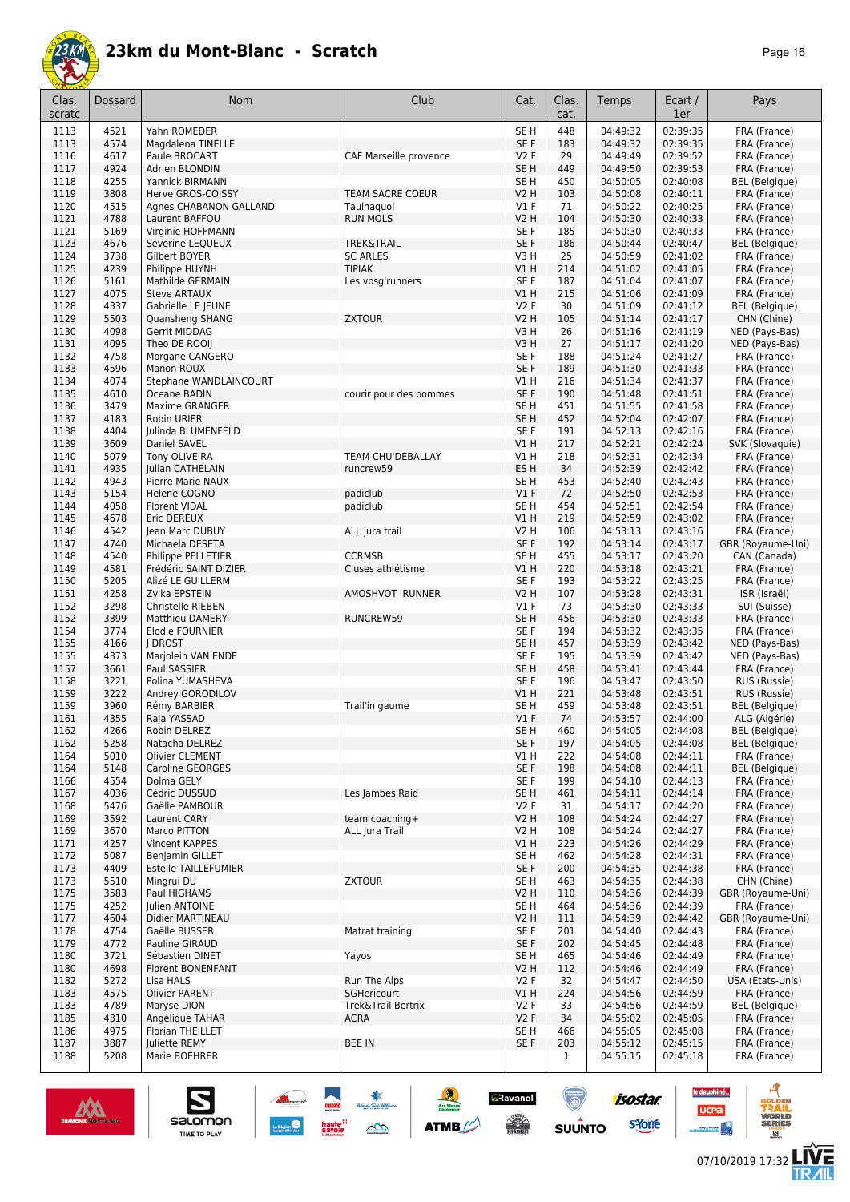

| Clas.<br>scratc | <b>Dossard</b> | <b>Nom</b>                             | Club                             | Cat.                       | Clas.<br>cat. | Temps                | Ecart /<br>1er       | Pays                                  |
|-----------------|----------------|----------------------------------------|----------------------------------|----------------------------|---------------|----------------------|----------------------|---------------------------------------|
| 1113            | 4521           | Yahn ROMEDER                           |                                  | SE <sub>H</sub>            | 448           | 04:49:32             | 02:39:35             | FRA (France)                          |
| 1113            | 4574           | Magdalena TINELLE                      |                                  | SE F                       | 183           | 04:49:32             | 02:39:35             | FRA (France)                          |
| 1116            | 4617<br>4924   | Paule BROCART<br><b>Adrien BLONDIN</b> | CAF Marseille provence           | V2F<br>SE <sub>H</sub>     | 29<br>449     | 04:49:49<br>04:49:50 | 02:39:52<br>02:39:53 | FRA (France)                          |
| 1117<br>1118    | 4255           | Yannick BIRMANN                        |                                  | SE H                       | 450           | 04:50:05             | 02:40:08             | FRA (France)<br><b>BEL</b> (Belgique) |
| 1119            | 3808           | Herve GROS-COISSY                      | <b>TEAM SACRE COEUR</b>          | V2 H                       | 103           | 04:50:08             | 02:40:11             | FRA (France)                          |
| 1120            | 4515           | Agnes CHABANON GALLAND                 | Taulhaquoi                       | $VI$ F                     | 71            | 04:50:22             | 02:40:25             | FRA (France)                          |
| 1121            | 4788           | Laurent BAFFOU                         | <b>RUN MOLS</b>                  | V2 H                       | 104           | 04:50:30             | 02:40:33             | FRA (France)                          |
| 1121            | 5169           | Virginie HOFFMANN                      |                                  | SE F                       | 185           | 04:50:30             | 02:40:33             | FRA (France)                          |
| 1123            | 4676           | Severine LEQUEUX                       | <b>TREK&amp;TRAIL</b>            | SE <sub>F</sub>            | 186           | 04:50:44             | 02:40:47             | <b>BEL</b> (Belgique)                 |
| 1124<br>1125    | 3738<br>4239   | Gilbert BOYER<br>Philippe HUYNH        | <b>SC ARLES</b><br><b>TIPIAK</b> | V3H<br><b>V1 H</b>         | 25<br>214     | 04:50:59<br>04:51:02 | 02:41:02<br>02:41:05 | FRA (France)<br>FRA (France)          |
| 1126            | 5161           | Mathilde GERMAIN                       | Les vosg'runners                 | SE F                       | 187           | 04:51:04             | 02:41:07             | FRA (France)                          |
| 1127            | 4075           | <b>Steve ARTAUX</b>                    |                                  | V1H                        | 215           | 04:51:06             | 02:41:09             | FRA (France)                          |
| 1128            | 4337           | Gabrielle LE JEUNE                     |                                  | V2F                        | 30            | 04:51:09             | 02:41:12             | <b>BEL</b> (Belgique)                 |
| 1129            | 5503           | Quansheng SHANG                        | <b>ZXTOUR</b>                    | <b>V2 H</b>                | 105           | 04:51:14             | 02:41:17             | CHN (Chine)                           |
| 1130            | 4098           | Gerrit MIDDAG                          |                                  | V3H                        | 26            | 04:51:16             | 02:41:19             | NED (Pays-Bas)                        |
| 1131            | 4095           | Theo DE ROOIJ                          |                                  | V3H                        | 27            | 04:51:17             | 02:41:20             | NED (Pays-Bas)                        |
| 1132<br>1133    | 4758<br>4596   | Morgane CANGERO<br>Manon ROUX          |                                  | SE F<br>SE F               | 188<br>189    | 04:51:24<br>04:51:30 | 02:41:27<br>02:41:33 | FRA (France)<br>FRA (France)          |
| 1134            | 4074           | Stephane WANDLAINCOURT                 |                                  | V1 H                       | 216           | 04:51:34             | 02:41:37             | FRA (France)                          |
| 1135            | 4610           | Oceane BADIN                           | courir pour des pommes           | SE F                       | 190           | 04:51:48             | 02:41:51             | FRA (France)                          |
| 1136            | 3479           | Maxime GRANGER                         |                                  | SE H                       | 451           | 04:51:55             | 02:41:58             | FRA (France)                          |
| 1137            | 4183           | <b>Robin URIER</b>                     |                                  | SE H                       | 452           | 04:52:04             | 02:42:07             | FRA (France)                          |
| 1138            | 4404           | <b>Iulinda BLUMENFELD</b>              |                                  | SE <sub>F</sub>            | 191           | 04:52:13             | 02:42:16             | FRA (France)                          |
| 1139            | 3609           | Daniel SAVEL                           |                                  | V1 H                       | 217           | 04:52:21             | 02:42:24             | SVK (Slovaquie)                       |
| 1140            | 5079           | Tony OLIVEIRA                          | TEAM CHU'DEBALLAY                | V1 H                       | 218           | 04:52:31             | 02:42:34             | FRA (France)                          |
| 1141<br>1142    | 4935<br>4943   | Julian CATHELAIN<br>Pierre Marie NAUX  | runcrew59                        | ES <sub>H</sub><br>SE H    | 34<br>453     | 04:52:39<br>04:52:40 | 02:42:42<br>02:42:43 | FRA (France)<br>FRA (France)          |
| 1143            | 5154           | Helene COGNO                           | padiclub                         | V1F                        | 72            | 04:52:50             | 02:42:53             | FRA (France)                          |
| 1144            | 4058           | <b>Florent VIDAL</b>                   | padiclub                         | SE <sub>H</sub>            | 454           | 04:52:51             | 02:42:54             | FRA (France)                          |
| 1145            | 4678           | Eric DEREUX                            |                                  | V1H                        | 219           | 04:52:59             | 02:43:02             | FRA (France)                          |
| 1146            | 4542           | Jean Marc DUBUY                        | ALL jura trail                   | <b>V2 H</b>                | 106           | 04:53:13             | 02:43:16             | FRA (France)                          |
| 1147            | 4740           | Michaela DESETA                        |                                  | SE F                       | 192           | 04:53:14             | 02:43:17             | GBR (Royaume-Uni)                     |
| 1148            | 4540           | Philippe PELLETIER                     | <b>CCRMSB</b>                    | SE H                       | 455           | 04:53:17             | 02:43:20             | CAN (Canada)                          |
| 1149            | 4581           | Frédéric SAINT DIZIER                  | Cluses athlétisme                | V1 H                       | 220           | 04:53:18             | 02:43:21             | FRA (France)                          |
| 1150            | 5205           | Alizé LE GUILLERM                      |                                  | SE <sub>F</sub>            | 193           | 04:53:22             | 02:43:25             | FRA (France)                          |
| 1151<br>1152    | 4258<br>3298   | Zvika EPSTEIN<br>Christelle RIEBEN     | AMOSHVOT RUNNER                  | V2 H<br>$VI$ F             | 107<br>73     | 04:53:28<br>04:53:30 | 02:43:31<br>02:43:33 | ISR (Israël)                          |
| 1152            | 3399           | <b>Matthieu DAMERY</b>                 | RUNCREW59                        | SE <sub>H</sub>            | 456           | 04:53:30             | 02:43:33             | SUI (Suisse)<br>FRA (France)          |
| 1154            | 3774           | Elodie FOURNIER                        |                                  | SE F                       | 194           | 04:53:32             | 02:43:35             | FRA (France)                          |
| 1155            | 4166           | <b>I DROST</b>                         |                                  | SE <sub>H</sub>            | 457           | 04:53:39             | 02:43:42             | NED (Pays-Bas)                        |
| 1155            | 4373           | Marjolein VAN ENDE                     |                                  | SE <sub>F</sub>            | 195           | 04:53:39             | 02:43:42             | NED (Pays-Bas)                        |
| 1157            | 3661           | Paul SASSIER                           |                                  | SE <sub>H</sub>            | 458           | 04:53:41             | 02:43:44             | FRA (France)                          |
| 1158            | 3221           | Polina YUMASHEVA                       |                                  | SE <sub>F</sub>            | 196           | 04:53:47             | 02:43:50             | RUS (Russie)                          |
| 1159            | 3222           | Andrey GORODILOV                       |                                  | V1 H                       | 221           | 04:53:48             | 02:43:51             | RUS (Russie)                          |
| 1159<br>1161    | 3960<br>4355   | Rémy BARBIER<br>Raja YASSAD            | Trail'in gaume                   | SE H<br>$VI$ F             | 459<br>74     | 04:53:48<br>04:53:57 | 02:43:51             | BEL (Belgique)<br>ALG (Algérie)       |
| 1162            | 4266           | Robin DELREZ                           |                                  | SE H                       | 460           | 04:54:05             | 02:44:00<br>02:44:08 | <b>BEL</b> (Belgique)                 |
| 1162            | 5258           | Natacha DELREZ                         |                                  | SE F                       | 197           | 04:54:05             | 02:44:08             | <b>BEL</b> (Belgique)                 |
| 1164            | 5010           | Olivier CLEMENT                        |                                  | V1 H                       | 222           | 04:54:08             | 02:44:11             | FRA (France)                          |
| 1164            | 5148           | Caroline GEORGES                       |                                  | SE F                       | 198           | 04:54:08             | 02:44:11             | <b>BEL</b> (Belgique)                 |
| 1166            | 4554           | Dolma GELY                             |                                  | SE F                       | 199           | 04:54:10             | 02:44:13             | FRA (France)                          |
| 1167            | 4036           | Cédric DUSSUD                          | Les Jambes Raid                  | SE H                       | 461           | 04:54:11             | 02:44:14             | FRA (France)                          |
| 1168            | 5476           | Gaëlle PAMBOUR                         |                                  | V2F                        | 31            | 04:54:17             | 02:44:20             | FRA (France)                          |
| 1169<br>1169    | 3592<br>3670   | Laurent CARY<br>Marco PITTON           | team coaching+<br>ALL Jura Trail | <b>V2 H</b><br><b>V2 H</b> | 108<br>108    | 04:54:24<br>04:54:24 | 02:44:27<br>02:44:27 | FRA (France)                          |
| 1171            | 4257           | Vincent KAPPES                         |                                  | VIH                        | 223           | 04:54:26             | 02:44:29             | FRA (France)<br>FRA (France)          |
| 1172            | 5087           | Benjamin GILLET                        |                                  | SE H                       | 462           | 04:54:28             | 02:44:31             | FRA (France)                          |
| 1173            | 4409           | <b>Estelle TAILLEFUMIER</b>            |                                  | SE F                       | 200           | 04:54:35             | 02:44:38             | FRA (France)                          |
| 1173            | 5510           | Mingrui DU                             | <b>ZXTOUR</b>                    | SE H                       | 463           | 04:54:35             | 02:44:38             | CHN (Chine)                           |
| 1175            | 3583           | Paul HIGHAMS                           |                                  | V2 H                       | 110           | 04:54:36             | 02:44:39             | GBR (Royaume-Uni)                     |
| 1175            | 4252           | Julien ANTOINE                         |                                  | SE H                       | 464           | 04:54:36             | 02:44:39             | FRA (France)                          |
| 1177            | 4604           | Didier MARTINEAU                       |                                  | V2 H                       | 111           | 04:54:39             | 02:44:42             | GBR (Royaume-Uni)                     |
| 1178            | 4754           | Gaëlle BUSSER                          | Matrat training                  | SE F                       | 201           | 04:54:40             | 02:44:43             | FRA (France)                          |
| 1179<br>1180    | 4772<br>3721   | Pauline GIRAUD<br>Sébastien DINET      | Yayos                            | SE F<br>SE H               | 202<br>465    | 04:54:45<br>04:54:46 | 02:44:48<br>02:44:49 | FRA (France)<br>FRA (France)          |
| 1180            | 4698           | Florent BONENFANT                      |                                  | V2 H                       | 112           | 04:54:46             | 02:44:49             | FRA (France)                          |
| 1182            | 5272           | Lisa HALS                              | Run The Alps                     | <b>V2F</b>                 | 32            | 04:54:47             | 02:44:50             | USA (Etats-Unis)                      |
| 1183            | 4575           | <b>Olivier PARENT</b>                  | SGHericourt                      | VIH                        | 224           | 04:54:56             | 02:44:59             | FRA (France)                          |
| 1183            | 4789           | Maryse DION                            | Trek&Trail Bertrix               | V2F                        | 33            | 04:54:56             | 02:44:59             | BEL (Belgique)                        |
| 1185            | 4310           | Angélique TAHAR                        | <b>ACRA</b>                      | V2F                        | 34            | 04:55:02             | 02:45:05             | FRA (France)                          |
| 1186            | 4975           | Florian THEILLET                       |                                  | SE H                       | 466           | 04:55:05             | 02:45:08             | FRA (France)                          |
| 1187            | 3887           | <b>Juliette REMY</b>                   | <b>BEE IN</b>                    | SE F                       | 203           | 04:55:12             | 02:45:15             | FRA (France)                          |
| 1188            | 5208           | Marie BOEHRER                          |                                  |                            | $\mathbf{1}$  | 04:55:15             | 02:45:18             | FRA (France)                          |

惠

 $\rightarrow$ 

 $\frac{1}{2}$ 

**ATMB** 

**a**Ravanel

**SERVICE** 

<u>(ම)</u>

 $su\overset{\bullet}{\mathsf{unro}}$ 



S

Salomon

isostar.

**s**Yone

le dauphiné...

**UCPa** 

C



ه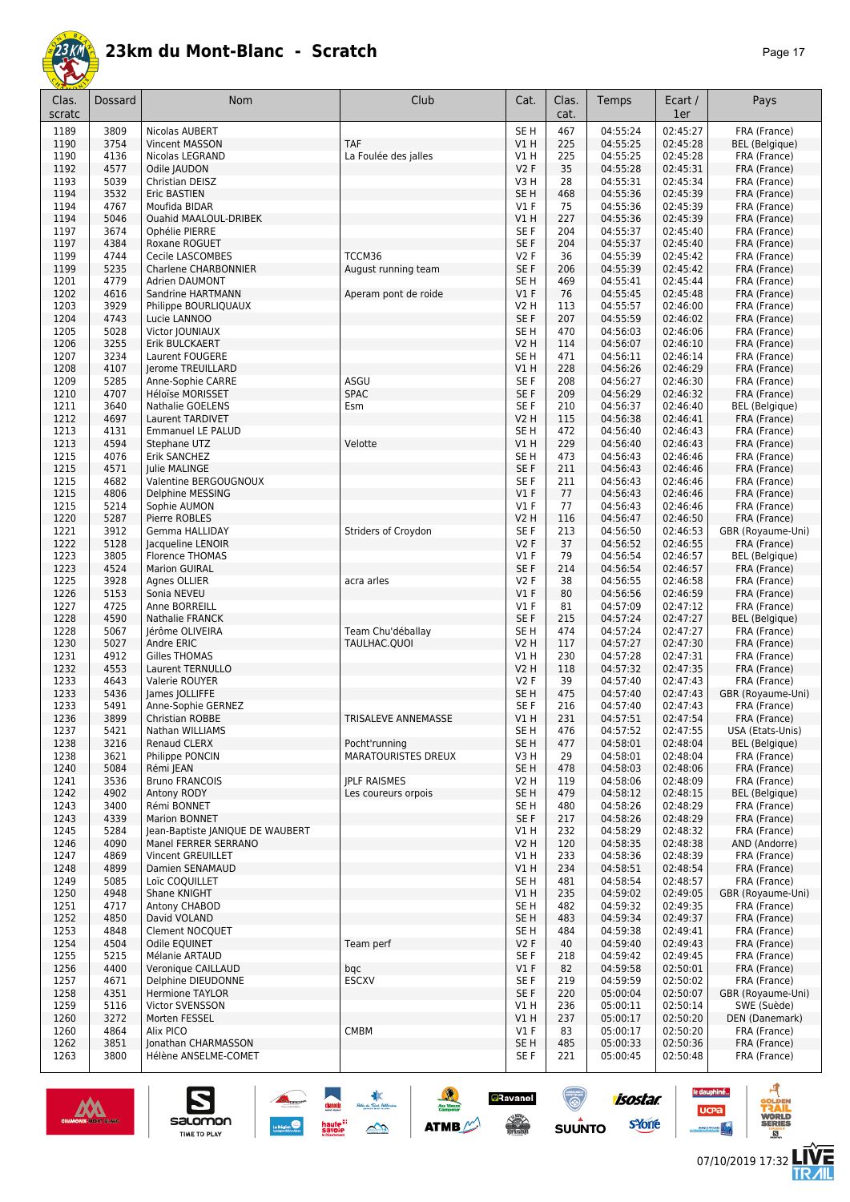

| Clas.<br>scratc | Dossard      | Nom                                            | Club                       | Cat.                    | Clas.<br>cat. | Temps                | Ecart /<br>1er       | Pays                              |
|-----------------|--------------|------------------------------------------------|----------------------------|-------------------------|---------------|----------------------|----------------------|-----------------------------------|
| 1189            | 3809         | Nicolas AUBERT                                 |                            | SE <sub>H</sub>         | 467           | 04:55:24             | 02:45:27             | FRA (France)                      |
| 1190            | 3754         | <b>Vincent MASSON</b>                          | <b>TAF</b>                 | V1H                     | 225           | 04:55:25             | 02:45:28             | <b>BEL</b> (Belgique)             |
| 1190            | 4136         | Nicolas LEGRAND                                | La Foulée des jalles       | V1 H                    | 225           | 04:55:25             | 02:45:28             | FRA (France)                      |
| 1192            | 4577         | Odile IAUDON                                   |                            | <b>V2F</b>              | 35            | 04:55:28             | 02:45:31             | FRA (France)                      |
| 1193<br>1194    | 5039         | Christian DEISZ<br>Eric BASTIEN                |                            | V3H<br>SE <sub>H</sub>  | 28<br>468     | 04:55:31             | 02:45:34<br>02:45:39 | FRA (France)                      |
| 1194            | 3532<br>4767 | Moufida BIDAR                                  |                            | $VI$ F                  | 75            | 04:55:36<br>04:55:36 | 02:45:39             | FRA (France)<br>FRA (France)      |
| 1194            | 5046         | Ouahid MAALOUL-DRIBEK                          |                            | V1 H                    | 227           | 04:55:36             | 02:45:39             | FRA (France)                      |
| 1197            | 3674         | Ophélie PIERRE                                 |                            | SE <sub>F</sub>         | 204           | 04:55:37             | 02:45:40             | FRA (France)                      |
| 1197            | 4384         | Roxane ROGUET                                  |                            | SE F                    | 204           | 04:55:37             | 02:45:40             | FRA (France)                      |
| 1199            | 4744         | Cecile LASCOMBES                               | TCCM36                     | <b>V2F</b>              | 36            | 04:55:39             | 02:45:42             | FRA (France)                      |
| 1199            | 5235         | <b>Charlene CHARBONNIER</b>                    | August running team        | SE F                    | 206           | 04:55:39             | 02:45:42             | FRA (France)                      |
| 1201            | 4779         | Adrien DAUMONT                                 |                            | SE <sub>H</sub>         | 469           | 04:55:41             | 02:45:44             | FRA (France)                      |
| 1202            | 4616         | Sandrine HARTMANN                              | Aperam pont de roide       | $VI$ F                  | 76            | 04:55:45             | 02:45:48             | FRA (France)                      |
| 1203<br>1204    | 3929<br>4743 | Philippe BOURLIQUAUX<br>Lucie LANNOO           |                            | V2 H<br>SE F            | 113<br>207    | 04:55:57<br>04:55:59 | 02:46:00<br>02:46:02 | FRA (France)                      |
| 1205            | 5028         | Victor JOUNIAUX                                |                            | SE <sub>H</sub>         | 470           | 04:56:03             | 02:46:06             | FRA (France)<br>FRA (France)      |
| 1206            | 3255         | Erik BULCKAERT                                 |                            | V2 H                    | 114           | 04:56:07             | 02:46:10             | FRA (France)                      |
| 1207            | 3234         | Laurent FOUGERE                                |                            | SE <sub>H</sub>         | 471           | 04:56:11             | 02:46:14             | FRA (France)                      |
| 1208            | 4107         | <b>lerome TREUILLARD</b>                       |                            | V1 H                    | 228           | 04:56:26             | 02:46:29             | FRA (France)                      |
| 1209            | 5285         | Anne-Sophie CARRE                              | ASGU                       | SE F                    | 208           | 04:56:27             | 02:46:30             | FRA (France)                      |
| 1210            | 4707         | <b>Héloïse MORISSET</b>                        | <b>SPAC</b>                | SE F                    | 209           | 04:56:29             | 02:46:32             | FRA (France)                      |
| 1211            | 3640         | Nathalie GOELENS                               | Esm                        | SE F                    | 210           | 04:56:37             | 02:46:40             | BEL (Belgique)                    |
| 1212            | 4697         | Laurent TARDIVET                               |                            | <b>V2 H</b>             | 115           | 04:56:38             | 02:46:41             | FRA (France)                      |
| 1213<br>1213    | 4131<br>4594 | <b>Emmanuel LE PALUD</b><br>Stephane UTZ       | Velotte                    | SE <sub>H</sub><br>V1H  | 472<br>229    | 04:56:40<br>04:56:40 | 02:46:43<br>02:46:43 | FRA (France)<br>FRA (France)      |
| 1215            | 4076         | Erik SANCHEZ                                   |                            | SE <sub>H</sub>         | 473           | 04:56:43             | 02:46:46             | FRA (France)                      |
| 1215            | 4571         | Julie MALINGE                                  |                            | SE F                    | 211           | 04:56:43             | 02:46:46             | FRA (France)                      |
| 1215            | 4682         | Valentine BERGOUGNOUX                          |                            | SE F                    | 211           | 04:56:43             | 02:46:46             | FRA (France)                      |
| 1215            | 4806         | Delphine MESSING                               |                            | V1F                     | 77            | 04:56:43             | 02:46:46             | FRA (France)                      |
| 1215            | 5214         | Sophie AUMON                                   |                            | $VI$ F                  | 77            | 04:56:43             | 02:46:46             | FRA (France)                      |
| 1220            | 5287         | Pierre ROBLES                                  |                            | V2 H                    | 116           | 04:56:47             | 02:46:50             | FRA (France)                      |
| 1221            | 3912         | Gemma HALLIDAY                                 | Striders of Croydon        | SE F                    | 213           | 04:56:50             | 02:46:53             | GBR (Royaume-Uni)                 |
| 1222            | 5128         | Jacqueline LENOIR                              |                            | V2F<br>$VI$ F           | 37<br>79      | 04:56:52             | 02:46:55             | FRA (France)                      |
| 1223<br>1223    | 3805<br>4524 | <b>Florence THOMAS</b><br><b>Marion GUIRAL</b> |                            | SE F                    | 214           | 04:56:54<br>04:56:54 | 02:46:57<br>02:46:57 | BEL (Belgique)<br>FRA (France)    |
| 1225            | 3928         | Agnes OLLIER                                   | acra arles                 | <b>V2F</b>              | 38            | 04:56:55             | 02:46:58             | FRA (France)                      |
| 1226            | 5153         | Sonia NEVEU                                    |                            | $VI$ F                  | 80            | 04:56:56             | 02:46:59             | FRA (France)                      |
| 1227            | 4725         | Anne BORREILL                                  |                            | $VI$ F                  | 81            | 04:57:09             | 02:47:12             | FRA (France)                      |
| 1228            | 4590         | <b>Nathalie FRANCK</b>                         |                            | SE F                    | 215           | 04:57:24             | 02:47:27             | <b>BEL</b> (Belgique)             |
| 1228            | 5067         | Jérôme OLIVEIRA                                | Team Chu'déballay          | SE <sub>H</sub>         | 474           | 04:57:24             | 02:47:27             | FRA (France)                      |
| 1230            | 5027         | Andre ERIC                                     | TAULHAC.QUOI               | <b>V2 H</b>             | 117           | 04:57:27             | 02:47:30             | FRA (France)                      |
| 1231            | 4912         | Gilles THOMAS                                  |                            | V1 H                    | 230           | 04:57:28             | 02:47:31             | FRA (France)                      |
| 1232<br>1233    | 4553<br>4643 | Laurent TERNULLO<br>Valerie ROUYER             |                            | V2 H<br><b>V2F</b>      | 118<br>39     | 04:57:32<br>04:57:40 | 02:47:35<br>02:47:43 | FRA (France)<br>FRA (France)      |
| 1233            | 5436         | James JOLLIFFE                                 |                            | SE <sub>H</sub>         | 475           | 04:57:40             | 02:47:43             | GBR (Royaume-Uni)                 |
| 1233            | 5491         | Anne-Sophie GERNEZ                             |                            | SE F                    | 216           | 04:57:40             | 02:47:43             | FRA (France)                      |
| 1236            | 3899         | Christian ROBBE                                | <b>TRISALEVE ANNEMASSE</b> | V1H                     | 231           | 04:57:51             | 02:47:54             | FRA (France)                      |
| 1237            | 5421         | Nathan WILLIAMS                                |                            | SE H                    | 4/6           | 04:57:52             | 02:47:55             | USA (Etats-Unis)                  |
| 1238            | 3216         | Renaud CLERX                                   | Pocht'running              | SE <sub>H</sub>         | 477           | 04:58:01             | 02:48:04             | <b>BEL</b> (Belgique)             |
| 1238            | 3621         | Philippe PONCIN                                | MARATOURISTES DREUX        | V3H                     | 29            | 04:58:01             | 02:48:04             | FRA (France)                      |
| 1240<br>1241    | 5084<br>3536 | Rémi JEAN<br><b>Bruno FRANCOIS</b>             | <b>IPLF RAISMES</b>        | SE <sub>H</sub><br>V2 H | 478<br>119    | 04:58:03<br>04:58:06 | 02:48:06<br>02:48:09 | FRA (France)<br>FRA (France)      |
| 1242            | 4902         | Antony RODY                                    | Les coureurs orpois        | SE <sub>H</sub>         | 479           | 04:58:12             | 02:48:15             | <b>BEL</b> (Belgique)             |
| 1243            | 3400         | Rémi BONNET                                    |                            | SE H                    | 480           | 04:58:26             | 02:48:29             | FRA (France)                      |
| 1243            | 4339         | <b>Marion BONNET</b>                           |                            | SE F                    | 217           | 04:58:26             | 02:48:29             | FRA (France)                      |
| 1245            | 5284         | Jean-Baptiste JANIQUE DE WAUBERT               |                            | V1H                     | 232           | 04:58:29             | 02:48:32             | FRA (France)                      |
| 1246            | 4090         | Manel FERRER SERRANO                           |                            | V2 H                    | 120           | 04:58:35             | 02:48:38             | AND (Andorre)                     |
| 1247            | 4869         | Vincent GREUILLET                              |                            | V1 H                    | 233           | 04:58:36             | 02:48:39             | FRA (France)                      |
| 1248            | 4899         | Damien SENAMAUD                                |                            | V1H                     | 234           | 04:58:51             | 02:48:54             | FRA (France)                      |
| 1249<br>1250    | 5085<br>4948 | Loïc COQUILLET                                 |                            | SE H<br>V1H             | 481<br>235    | 04:58:54<br>04:59:02 | 02:48:57<br>02:49:05 | FRA (France)                      |
| 1251            | 4717         | Shane KNIGHT<br>Antony CHABOD                  |                            | SE H                    | 482           | 04:59:32             | 02:49:35             | GBR (Royaume-Uni)<br>FRA (France) |
| 1252            | 4850         | David VOLAND                                   |                            | SE H                    | 483           | 04:59:34             | 02:49:37             | FRA (France)                      |
| 1253            | 4848         | Clement NOCQUET                                |                            | SE H                    | 484           | 04:59:38             | 02:49:41             | FRA (France)                      |
| 1254            | 4504         | Odile EQUINET                                  | Team perf                  | V2F                     | 40            | 04:59:40             | 02:49:43             | FRA (France)                      |
| 1255            | 5215         | Mélanie ARTAUD                                 |                            | SE F                    | 218           | 04:59:42             | 02:49:45             | FRA (France)                      |
| 1256            | 4400         | Veronique CAILLAUD                             | bqc                        | $VI$ F                  | 82            | 04:59:58             | 02:50:01             | FRA (France)                      |
| 1257            | 4671         | Delphine DIEUDONNE                             | <b>ESCXV</b>               | SE F                    | 219           | 04:59:59             | 02:50:02             | FRA (France)                      |
| 1258            | 4351         | <b>Hermione TAYLOR</b>                         |                            | SE F                    | 220           | 05:00:04             | 02:50:07             | GBR (Royaume-Uni)                 |
| 1259<br>1260    | 5116<br>3272 | Victor SVENSSON<br>Morten FESSEL               |                            | V1 H<br>V1 H            | 236<br>237    | 05:00:11<br>05:00:17 | 02:50:14<br>02:50:20 | SWE (Suède)<br>DEN (Danemark)     |
| 1260            | 4864         | Alix PICO                                      | CMBM                       | $VI$ F                  | 83            | 05:00:17             | 02:50:20             | FRA (France)                      |
| 1262            | 3851         | Jonathan CHARMASSON                            |                            | SE <sub>H</sub>         | 485           | 05:00:33             | 02:50:36             | FRA (France)                      |
| 1263            | 3800         | Hélène ANSELME-COMET                           |                            | SE F                    | 221           | 05:00:45             | 02:50:48             | FRA (France)                      |

大会

 $\rightarrow$ 

 $\frac{1}{2}$ 

ATMB

**a**Ravanel

**SERVICE** 

(@)

 $su\overset{\bullet}{\mathsf{unro}}$ 



S

Salomon

le dauphiné...

**UCPa** 

**Excession Contract** 

isostar.

**s**Yone

ه

**LIVE<br>TR***A***IL**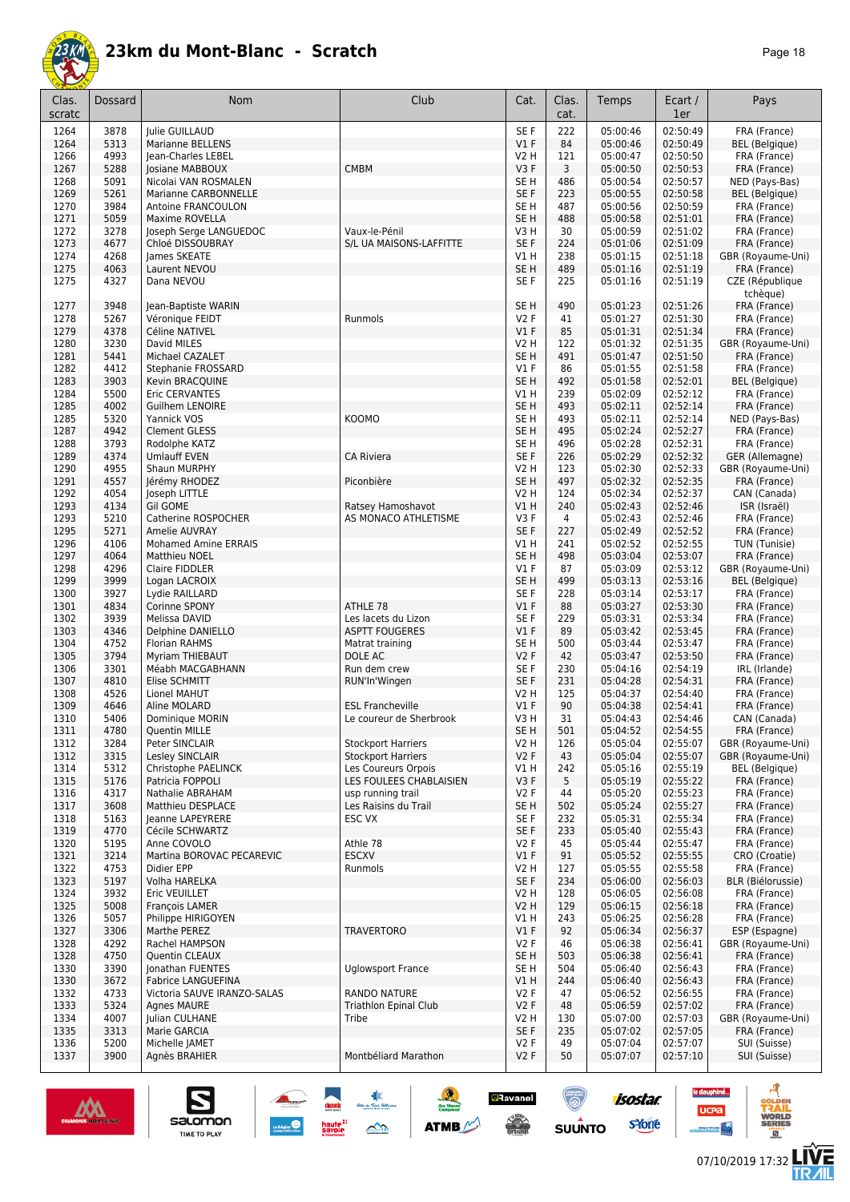

| Clas.<br>scratc | Dossard      | Nom                                  | Club                                               | Cat.                               | Clas.<br>cat. | Temps                | Ecart /<br>1er       | Pays                                  |
|-----------------|--------------|--------------------------------------|----------------------------------------------------|------------------------------------|---------------|----------------------|----------------------|---------------------------------------|
| 1264            | 3878         | Julie GUILLAUD                       |                                                    | SE F                               | 222           | 05:00:46             | 02:50:49             | FRA (France)                          |
| 1264            | 5313         | <b>Marianne BELLENS</b>              |                                                    | V1F                                | 84            | 05:00:46             | 02:50:49             | <b>BEL</b> (Belgique)                 |
| 1266            | 4993         | Jean-Charles LEBEL                   |                                                    | V2 H                               | 121           | 05:00:47             | 02:50:50             | FRA (France)                          |
| 1267            | 5288         | Josiane MABBOUX                      | <b>CMBM</b>                                        | V3F                                | 3             | 05:00:50             | 02:50:53             | FRA (France)                          |
| 1268            | 5091         | Nicolai VAN ROSMALEN                 |                                                    | SE <sub>H</sub>                    | 486           | 05:00:54             | 02:50:57             | NED (Pays-Bas)                        |
| 1269<br>1270    | 5261<br>3984 | Marianne CARBONNELLE                 |                                                    | SE F<br>SE <sub>H</sub>            | 223<br>487    | 05:00:55<br>05:00:56 | 02:50:58<br>02:50:59 | <b>BEL</b> (Belgique)                 |
| 1271            | 5059         | Antoine FRANCOULON<br>Maxime ROVELLA |                                                    | SE <sub>H</sub>                    | 488           | 05:00:58             | 02:51:01             | FRA (France)<br>FRA (France)          |
| 1272            | 3278         | Joseph Serge LANGUEDOC               | Vaux-le-Pénil                                      | V3H                                | 30            | 05:00:59             | 02:51:02             | FRA (France)                          |
| 1273            | 4677         | Chloé DISSOUBRAY                     | S/L UA MAISONS-LAFFITTE                            | SE F                               | 224           | 05:01:06             | 02:51:09             | FRA (France)                          |
| 1274            | 4268         | James SKEATE                         |                                                    | V1H                                | 238           | 05:01:15             | 02:51:18             | GBR (Royaume-Uni)                     |
| 1275            | 4063         | Laurent NEVOU                        |                                                    | SE <sub>H</sub>                    | 489           | 05:01:16             | 02:51:19             | FRA (France)                          |
| 1275            | 4327         | Dana NEVOU                           |                                                    | SE F                               | 225           | 05:01:16             | 02:51:19             | CZE (République<br>tchèque)           |
| 1277            | 3948         | Jean-Baptiste WARIN                  |                                                    | SE <sub>H</sub>                    | 490           | 05:01:23             | 02:51:26             | FRA (France)                          |
| 1278            | 5267         | Véronique FEIDT                      | Runmols                                            | V2F                                | 41            | 05:01:27             | 02:51:30             | FRA (France)                          |
| 1279<br>1280    | 4378<br>3230 | Céline NATIVEL<br>David MILES        |                                                    | V1F<br>V2 H                        | 85<br>122     | 05:01:31<br>05:01:32 | 02:51:34<br>02:51:35 | FRA (France)<br>GBR (Royaume-Uni)     |
| 1281            | 5441         | Michael CAZALET                      |                                                    | SE <sub>H</sub>                    | 491           | 05:01:47             | 02:51:50             | FRA (France)                          |
| 1282            | 4412         | Stephanie FROSSARD                   |                                                    | V1F                                | 86            | 05:01:55             | 02:51:58             | FRA (France)                          |
| 1283            | 3903         | Kevin BRACQUINE                      |                                                    | SE H                               | 492           | 05:01:58             | 02:52:01             | <b>BEL</b> (Belgique)                 |
| 1284            | 5500         | Eric CERVANTES                       |                                                    | V1H                                | 239           | 05:02:09             | 02:52:12             | FRA (France)                          |
| 1285            | 4002         | <b>Guilhem LENOIRE</b>               |                                                    | SE <sub>H</sub>                    | 493           | 05:02:11             | 02:52:14             | FRA (France)                          |
| 1285            | 5320         | Yannick VOS                          | <b>KOOMO</b>                                       | SE <sub>H</sub>                    | 493           | 05:02:11             | 02:52:14             | NED (Pays-Bas)                        |
| 1287            | 4942         | <b>Clement GLESS</b>                 |                                                    | SE <sub>H</sub>                    | 495           | 05:02:24             | 02:52:27             | FRA (France)                          |
| 1288            | 3793         | Rodolphe KATZ                        |                                                    | SE <sub>H</sub>                    | 496           | 05:02:28             | 02:52:31             | FRA (France)                          |
| 1289            | 4374<br>4955 | <b>Umlauff EVEN</b>                  | <b>CA Riviera</b>                                  | SE F<br><b>V2 H</b>                | 226           | 05:02:29<br>05:02:30 | 02:52:32<br>02:52:33 | GER (Allemagne)<br>GBR (Royaume-Uni)  |
| 1290<br>1291    | 4557         | Shaun MURPHY<br>Jérémy RHODEZ        | Piconbière                                         | SE <sub>H</sub>                    | 123<br>497    | 05:02:32             | 02:52:35             | FRA (France)                          |
| 1292            | 4054         | Joseph LITTLE                        |                                                    | <b>V2 H</b>                        | 124           | 05:02:34             | 02:52:37             | CAN (Canada)                          |
| 1293            | 4134         | <b>Gil GOME</b>                      | Ratsey Hamoshavot                                  | VIH                                | 240           | 05:02:43             | 02:52:46             | ISR (Israël)                          |
| 1293            | 5210         | Catherine ROSPOCHER                  | AS MONACO ATHLETISME                               | V3F                                | 4             | 05:02:43             | 02:52:46             | FRA (France)                          |
| 1295            | 5271         | Amelie AUVRAY                        |                                                    | SE F                               | 227           | 05:02:49             | 02:52:52             | FRA (France)                          |
| 1296            | 4106         | <b>Mohamed Amine ERRAIS</b>          |                                                    | V1H                                | 241           | 05:02:52             | 02:52:55             | TUN (Tunisie)                         |
| 1297            | 4064         | Matthieu NOEL                        |                                                    | SE <sub>H</sub>                    | 498           | 05:03:04             | 02:53:07             | FRA (France)                          |
| 1298            | 4296         | Claire FIDDLER                       |                                                    | $VI$ F                             | 87            | 05:03:09             | 02:53:12             | GBR (Royaume-Uni)                     |
| 1299<br>1300    | 3999<br>3927 | Logan LACROIX<br>Lydie RAILLARD      |                                                    | SE <sub>H</sub><br>SE <sub>F</sub> | 499<br>228    | 05:03:13<br>05:03:14 | 02:53:16<br>02:53:17 | <b>BEL</b> (Belgique)<br>FRA (France) |
| 1301            | 4834         | Corinne SPONY                        | ATHLE 78                                           | V1F                                | 88            | 05:03:27             | 02:53:30             | FRA (France)                          |
| 1302            | 3939         | Melissa DAVID                        | Les lacets du Lizon                                | SE <sub>F</sub>                    | 229           | 05:03:31             | 02:53:34             | FRA (France)                          |
| 1303            | 4346         | Delphine DANIELLO                    | <b>ASPTT FOUGERES</b>                              | V1F                                | 89            | 05:03:42             | 02:53:45             | FRA (France)                          |
| 1304            | 4752         | <b>Florian RAHMS</b>                 | Matrat training                                    | SE <sub>H</sub>                    | 500           | 05:03:44             | 02:53:47             | FRA (France)                          |
| 1305            | 3794         | Myriam THIEBAUT                      | DOLE AC                                            | V2F                                | 42            | 05:03:47             | 02:53:50             | FRA (France)                          |
| 1306            | 3301         | Méabh MACGABHANN                     | Run dem crew                                       | SE F                               | 230           | 05:04:16             | 02:54:19             | IRL (Irlande)                         |
| 1307            | 4810         | Elise SCHMITT                        | RUN'In'Wingen                                      | SE F                               | 231           | 05:04:28             | 02:54:31             | FRA (France)                          |
| 1308            | 4526<br>4646 | Lionel MAHUT                         |                                                    | V2 H                               | 125<br>90     | 05:04:37             | 02:54:40             | FRA (France)                          |
| 1309<br>1310    | 5406         | Aline MOLARD<br>Dominique MORIN      | <b>ESL Francheville</b><br>Le coureur de Sherbrook | $VI$ F<br>V3H                      | 31            | 05:04:38<br>05:04:43 | 02:54:41<br>02:54:46 | FRA (France)<br>CAN (Canada)          |
| 1311            | 4/80         | Quentin MILLE                        |                                                    | SE H                               | 501           | 05:04:52             | 02:54:55             | FRA (France)                          |
| 1312            | 3284         | Peter SINCLAIR                       | <b>Stockport Harriers</b>                          | V2 H                               | 126           | 05:05:04             | 02:55:07             | GBR (Royaume-Uni)                     |
| 1312            | 3315         | Lesley SINCLAIR                      | <b>Stockport Harriers</b>                          | V2F                                | 43            | 05:05:04             | 02:55:07             | GBR (Royaume-Uni)                     |
| 1314            | 5312         | Christophe PAELINCK                  | Les Coureurs Orpois                                | V1H                                | 242           | 05:05:16             | 02:55:19             | <b>BEL</b> (Belgique)                 |
| 1315            | 5176         | Patricia FOPPOLI                     | LES FOULEES CHABLAISIEN                            | V3F                                | 5             | 05:05:19             | 02:55:22             | FRA (France)                          |
| 1316            | 4317         | Nathalie ABRAHAM                     | usp running trail                                  | V2F                                | 44            | 05:05:20             | 02:55:23             | FRA (France)                          |
| 1317            | 3608         | Matthieu DESPLACE                    | Les Raisins du Trail                               | SE <sub>H</sub>                    | 502           | 05:05:24             | 02:55:27             | FRA (France)                          |
| 1318<br>1319    | 5163<br>4770 | Jeanne LAPEYRERE<br>Cécile SCHWARTZ  | ESC VX                                             | SE F<br>SE F                       | 232<br>233    | 05:05:31<br>05:05:40 | 02:55:34<br>02:55:43 | FRA (France)<br>FRA (France)          |
| 1320            | 5195         | Anne COVOLO                          | Athle 78                                           | V2F                                | 45            | 05:05:44             | 02:55:47             | FRA (France)                          |
| 1321            | 3214         | Martina BOROVAC PECAREVIC            | <b>ESCXV</b>                                       | $VI$ F                             | 91            | 05:05:52             | 02:55:55             | CRO (Croatie)                         |
| 1322            | 4753         | Didier EPP                           | Runmols                                            | V2 H                               | 127           | 05:05:55             | 02:55:58             | FRA (France)                          |
| 1323            | 5197         | Volha HARELKA                        |                                                    | SE F                               | 234           | 05:06:00             | 02:56:03             | <b>BLR (Biélorussie)</b>              |
| 1324            | 3932         | Eric VEUILLET                        |                                                    | <b>V2 H</b>                        | 128           | 05:06:05             | 02:56:08             | FRA (France)                          |
| 1325            | 5008         | <b>Francois LAMER</b>                |                                                    | <b>V2 H</b>                        | 129           | 05:06:15             | 02:56:18             | FRA (France)                          |
| 1326            | 5057         | Philippe HIRIGOYEN                   |                                                    | V1H                                | 243           | 05:06:25             | 02:56:28             | FRA (France)                          |
| 1327<br>1328    | 3306         | Marthe PEREZ                         | <b>TRAVERTORO</b>                                  | $VI$ F<br>V2F                      | 92<br>46      | 05:06:34<br>05:06:38 | 02:56:37<br>02:56:41 | ESP (Espagne)                         |
| 1328            | 4292<br>4750 | Rachel HAMPSON<br>Quentin CLEAUX     |                                                    | SE H                               | 503           | 05:06:38             | 02:56:41             | GBR (Royaume-Uni)<br>FRA (France)     |
| 1330            | 3390         | Jonathan FUENTES                     | <b>Uglowsport France</b>                           | SE H                               | 504           | 05:06:40             | 02:56:43             | FRA (France)                          |
| 1330            | 3672         | Fabrice LANGUEFINA                   |                                                    | V1 H                               | 244           | 05:06:40             | 02:56:43             | FRA (France)                          |
| 1332            | 4733         | Victoria SAUVE IRANZO-SALAS          | <b>RANDO NATURE</b>                                | V2F                                | 47            | 05:06:52             | 02:56:55             | FRA (France)                          |
| 1333            | 5324         | <b>Agnes MAURE</b>                   | <b>Triathlon Epinal Club</b>                       | V2F                                | 48            | 05:06:59             | 02:57:02             | FRA (France)                          |
| 1334            | 4007         | Julian CULHANE                       | Tribe                                              | V2 H                               | 130           | 05:07:00             | 02:57:03             | GBR (Royaume-Uni)                     |
| 1335            | 3313         | Marie GARCIA                         |                                                    | SE F                               | 235           | 05:07:02             | 02:57:05             | FRA (France)                          |
| 1336            | 5200         | Michelle JAMET                       | Montbéliard Marathon                               | V2F                                | 49            | 05:07:04             | 02:57:07             | SUI (Suisse)                          |
| 1337            | 3900         | Agnès BRAHIER                        |                                                    | V2F                                | 50            | 05:07:07             | 02:57:10             | SUI (Suisse)                          |



S

salomon

TIME TO PLAY

**a**Ravanel

le dauphiné...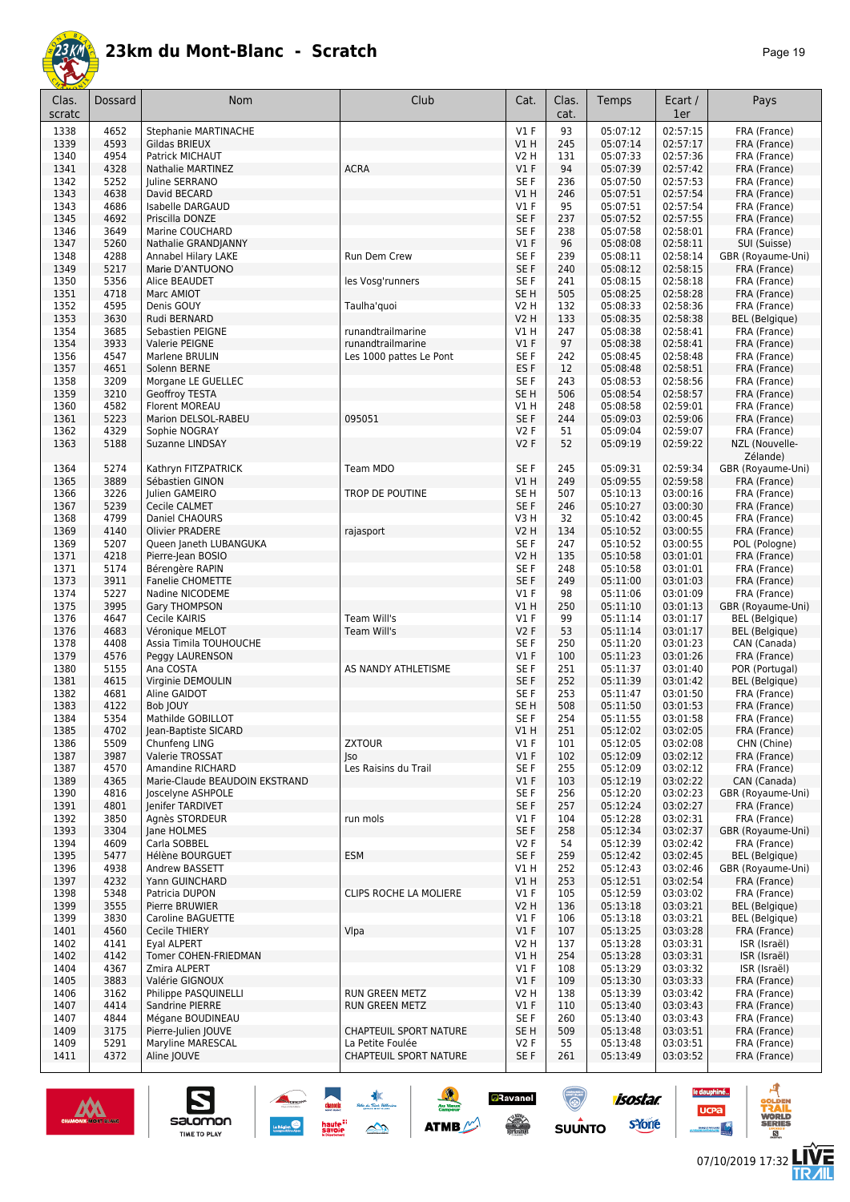

| Clas.        | Dossard      | <b>Nom</b>                                         | Club                          | Cat.                    | Clas.      | Temps                | Ecart /              | Pays                                    |
|--------------|--------------|----------------------------------------------------|-------------------------------|-------------------------|------------|----------------------|----------------------|-----------------------------------------|
| scratc       |              |                                                    |                               |                         | cat.       |                      | 1er                  |                                         |
| 1338         | 4652         | <b>Stephanie MARTINACHE</b>                        |                               | $VI$ F                  | 93         | 05:07:12             | 02:57:15             | FRA (France)                            |
| 1339         | 4593         | Gildas BRIEUX                                      |                               | V1H                     | 245        | 05:07:14             | 02:57:17             | FRA (France)                            |
| 1340         | 4954         | Patrick MICHAUT                                    |                               | V2 H                    | 131        | 05:07:33             | 02:57:36             | FRA (France)                            |
| 1341<br>1342 | 4328<br>5252 | Nathalie MARTINEZ                                  | <b>ACRA</b>                   | $VI$ F<br>SE F          | 94<br>236  | 05:07:39<br>05:07:50 | 02:57:42<br>02:57:53 | FRA (France)<br>FRA (France)            |
| 1343         | 4638         | Juline SERRANO<br>David BECARD                     |                               | V1 H                    | 246        | 05:07:51             | 02:57:54             | FRA (France)                            |
| 1343         | 4686         | Isabelle DARGAUD                                   |                               | $VI$ F                  | 95         | 05:07:51             | 02:57:54             | FRA (France)                            |
| 1345         | 4692         | Priscilla DONZE                                    |                               | SE F                    | 237        | 05:07:52             | 02:57:55             | FRA (France)                            |
| 1346         | 3649         | Marine COUCHARD                                    |                               | SE F                    | 238        | 05:07:58             | 02:58:01             | FRA (France)                            |
| 1347         | 5260         | Nathalie GRANDJANNY                                |                               | $VI$ F                  | 96         | 05:08:08             | 02:58:11             | SUI (Suisse)                            |
| 1348         | 4288         | Annabel Hilary LAKE                                | Run Dem Crew                  | SE F                    | 239        | 05:08:11             | 02:58:14             | GBR (Royaume-Uni)                       |
| 1349         | 5217         | Marie D'ANTUONO                                    |                               | SE F                    | 240        | 05:08:12             | 02:58:15             | FRA (France)<br>FRA (France)            |
| 1350<br>1351 | 5356<br>4718 | Alice BEAUDET<br>Marc AMIOT                        | les Vosg'runners              | SE F<br>SE H            | 241<br>505 | 05:08:15<br>05:08:25 | 02:58:18<br>02:58:28 | FRA (France)                            |
| 1352         | 4595         | Denis GOUY                                         | Taulha'quoi                   | V2 H                    | 132        | 05:08:33             | 02:58:36             | FRA (France)                            |
| 1353         | 3630         | Rudi BERNARD                                       |                               | V2 H                    | 133        | 05:08:35             | 02:58:38             | <b>BEL</b> (Belgique)                   |
| 1354         | 3685         | Sebastien PEIGNE                                   | runandtrailmarine             | V1 H                    | 247        | 05:08:38             | 02:58:41             | FRA (France)                            |
| 1354         | 3933         | Valerie PEIGNE                                     | runandtrailmarine             | $VI$ F                  | 97         | 05:08:38             | 02:58:41             | FRA (France)                            |
| 1356         | 4547         | Marlene BRULIN                                     | Les 1000 pattes Le Pont       | SE F                    | 242        | 05:08:45             | 02:58:48             | FRA (France)                            |
| 1357<br>1358 | 4651<br>3209 | Solenn BERNE<br>Morgane LE GUELLEC                 |                               | ES <sub>F</sub><br>SE F | 12<br>243  | 05:08:48<br>05:08:53 | 02:58:51<br>02:58:56 | FRA (France)<br>FRA (France)            |
| 1359         | 3210         | Geoffroy TESTA                                     |                               | SE <sub>H</sub>         | 506        | 05:08:54             | 02:58:57             | FRA (France)                            |
| 1360         | 4582         | Florent MOREAU                                     |                               | V1 H                    | 248        | 05:08:58             | 02:59:01             | FRA (France)                            |
| 1361         | 5223         | Marion DELSOL-RABEU                                | 095051                        | SE F                    | 244        | 05:09:03             | 02:59:06             | FRA (France)                            |
| 1362         | 4329         | Sophie NOGRAY                                      |                               | V2F                     | 51         | 05:09:04             | 02:59:07             | FRA (France)                            |
| 1363         | 5188         | Suzanne LINDSAY                                    |                               | V2F                     | 52         | 05:09:19             | 02:59:22             | NZL (Nouvelle-                          |
|              |              |                                                    |                               |                         |            |                      |                      | Zélande)                                |
| 1364         | 5274         | Kathryn FITZPATRICK                                | Team MDO                      | SE F                    | 245        | 05:09:31             | 02:59:34             | GBR (Royaume-Uni)                       |
| 1365<br>1366 | 3889<br>3226 | Sébastien GINON<br>Julien GAMEIRO                  | TROP DE POUTINE               | V1 H<br>SE <sub>H</sub> | 249<br>507 | 05:09:55<br>05:10:13 | 02:59:58<br>03:00:16 | FRA (France)<br>FRA (France)            |
| 1367         | 5239         | Cecile CALMET                                      |                               | SE <sub>F</sub>         | 246        | 05:10:27             | 03:00:30             | FRA (France)                            |
| 1368         | 4799         | Daniel CHAOURS                                     |                               | V3 H                    | 32         | 05:10:42             | 03:00:45             | FRA (France)                            |
| 1369         | 4140         | <b>Olivier PRADERE</b>                             | rajasport                     | V2 H                    | 134        | 05:10:52             | 03:00:55             | FRA (France)                            |
| 1369         | 5207         | Queen Janeth LUBANGUKA                             |                               | SE F                    | 247        | 05:10:52             | 03:00:55             | POL (Pologne)                           |
| 1371         | 4218         | Pierre-Jean BOSIO                                  |                               | V2 H                    | 135        | 05:10:58             | 03:01:01             | FRA (France)                            |
| 1371         | 5174         | Bérengère RAPIN                                    |                               | SE F                    | 248        | 05:10:58             | 03:01:01             | FRA (France)                            |
| 1373<br>1374 | 3911<br>5227 | <b>Fanelie CHOMETTE</b><br>Nadine NICODEME         |                               | SE F<br>$VI$ F          | 249<br>98  | 05:11:00<br>05:11:06 | 03:01:03<br>03:01:09 | FRA (France)<br>FRA (France)            |
| 1375         | 3995         | Gary THOMPSON                                      |                               | V1 H                    | 250        | 05:11:10             | 03:01:13             | GBR (Royaume-Uni)                       |
| 1376         | 4647         | Cecile KAIRIS                                      | Team Will's                   | $VI$ F                  | 99         | 05:11:14             | 03:01:17             | <b>BEL</b> (Belgique)                   |
| 1376         | 4683         | Véronique MELOT                                    | Team Will's                   | V2F                     | 53         | 05:11:14             | 03:01:17             | <b>BEL</b> (Belgique)                   |
| 1378         | 4408         | Assia Timila TOUHOUCHE                             |                               | SE F                    | 250        | 05:11:20             | 03:01:23             | CAN (Canada)                            |
| 1379         | 4576         | Peggy LAURENSON                                    |                               | $VI$ F                  | 100        | 05:11:23             | 03:01:26             | FRA (France)                            |
| 1380<br>1381 | 5155<br>4615 | Ana COSTA<br>Virginie DEMOULIN                     | AS NANDY ATHLETISME           | SE F<br>SE F            | 251<br>252 | 05:11:37<br>05:11:39 | 03:01:40<br>03:01:42 | POR (Portugal)<br><b>BEL</b> (Belgique) |
| 1382         | 4681         | Aline GAIDOT                                       |                               | SE F                    | 253        | 05:11:47             | 03:01:50             | FRA (France)                            |
| 1383         | 4122         | Bob JOUY                                           |                               | SE H                    | 508        | 05:11:50             | 03:01:53             | FRA (France)                            |
| 1384         | 5354         | Mathilde GOBILLOT                                  |                               | SE F                    | 254        | 05:11:55             | 03:01:58             | FRA (France)                            |
| 1385         | 4702         | Jean-Baptiste SICARD                               |                               | VIH                     | 251        | 05:12:02             | 03:02:05             | FRA (France)                            |
| 1386         | 5509         | Chunfeng LING                                      | <b>ZXTOUR</b>                 | V1 F                    | 101        | 05:12:05             | 03:02:08             | CHN (Chine)                             |
| 1387         | 3987         | Valerie TROSSAT                                    | Jso                           | $VI$ F                  | 102        | 05:12:09             | 03:02:12             | FRA (France)                            |
| 1387<br>1389 | 4570<br>4365 | Amandine RICHARD<br>Marie-Claude BEAUDOIN EKSTRAND | Les Raisins du Trail          | SE F<br>$VI$ F          | 255<br>103 | 05:12:09<br>05:12:19 | 03:02:12<br>03:02:22 | FRA (France)<br>CAN (Canada)            |
| 1390         | 4816         | Joscelyne ASHPOLE                                  |                               | SE F                    | 256        | 05:12:20             | 03:02:23             | GBR (Royaume-Uni)                       |
| 1391         | 4801         | Jenifer TARDIVET                                   |                               | SE F                    | 257        | 05:12:24             | 03:02:27             | FRA (France)                            |
| 1392         | 3850         | Agnès STORDEUR                                     | run mols                      | V1F                     | 104        | 05:12:28             | 03:02:31             | FRA (France)                            |
| 1393         | 3304         | Jane HOLMES                                        |                               | SE F                    | 258        | 05:12:34             | 03:02:37             | GBR (Royaume-Uni)                       |
| 1394         | 4609         | Carla SOBBEL                                       |                               | V2F                     | 54         | 05:12:39             | 03:02:42             | FRA (France)                            |
| 1395         | 5477         | Hélène BOURGUET                                    | <b>ESM</b>                    | SE F                    | 259        | 05:12:42             | 03:02:45             | <b>BEL</b> (Belgique)                   |
| 1396<br>1397 | 4938<br>4232 | Andrew BASSETT<br>Yann GUINCHARD                   |                               | V1H<br>V1H              | 252<br>253 | 05:12:43<br>05:12:51 | 03:02:46<br>03:02:54 | GBR (Royaume-Uni)<br>FRA (France)       |
| 1398         | 5348         | Patricia DUPON                                     | CLIPS ROCHE LA MOLIERE        | $VI$ F                  | 105        | 05:12:59             | 03:03:02             | FRA (France)                            |
| 1399         | 3555         | Pierre BRUWIER                                     |                               | <b>V2 H</b>             | 136        | 05:13:18             | 03:03:21             | <b>BEL</b> (Belgique)                   |
| 1399         | 3830         | Caroline BAGUETTE                                  |                               | $VI$ F                  | 106        | 05:13:18             | 03:03:21             | <b>BEL</b> (Belgique)                   |
| 1401         | 4560         | Cecile THIERY                                      | Vlpa                          | V1F                     | 107        | 05:13:25             | 03:03:28             | FRA (France)                            |
| 1402         | 4141         | Eyal ALPERT                                        |                               | <b>V2 H</b>             | 137        | 05:13:28             | 03:03:31             | ISR (Israël)                            |
| 1402         | 4142         | Tomer COHEN-FRIEDMAN                               |                               | V1H                     | 254        | 05:13:28             | 03:03:31             | ISR (Israël)                            |
| 1404<br>1405 | 4367<br>3883 | Zmira ALPERT<br>Valérie GIGNOUX                    |                               | $VI$ F<br>$VI$ F        | 108<br>109 | 05:13:29<br>05:13:30 | 03:03:32<br>03:03:33 | ISR (Israël)<br>FRA (France)            |
| 1406         | 3162         | Philippe PASQUINELLI                               | RUN GREEN METZ                | V2 H                    | 138        | 05:13:39             | 03:03:42             | FRA (France)                            |
| 1407         | 4414         | Sandrine PIERRE                                    | RUN GREEN METZ                | $VI$ F                  | 110        | 05:13:40             | 03:03:43             | FRA (France)                            |
| 1407         | 4844         | Mégane BOUDINEAU                                   |                               | SE F                    | 260        | 05:13:40             | 03:03:43             | FRA (France)                            |
| 1409         | 3175         | Pierre-Julien JOUVE                                | <b>CHAPTEUIL SPORT NATURE</b> | SE H                    | 509        | 05:13:48             | 03:03:51             | FRA (France)                            |
| 1409         | 5291         | Maryline MARESCAL                                  | La Petite Foulée              | V2F                     | 55         | 05:13:48             | 03:03:51             | FRA (France)                            |
| 1411         | 4372         | Aline JOUVE                                        | CHAPTEUIL SPORT NATURE        | SE F                    | 261        | 05:13:49             | 03:03:52             | FRA (France)                            |

大學

 $\rightarrow$ 

**ATMB** 

**a**Ravanel

**SERVICE** 

(@)

 $su\overset{\bullet}{\mathsf{unro}}$ 



S

salomon

TIME TO PLAY

**isostar** 

sYone

le dauphiné...

**UCPa** 

*<u>Antibook</u>* 

ه

**VORLD**<br>ERIES

**LIVE<br>TR***A***IL** 

 $<sup>B</sup>$ </sup>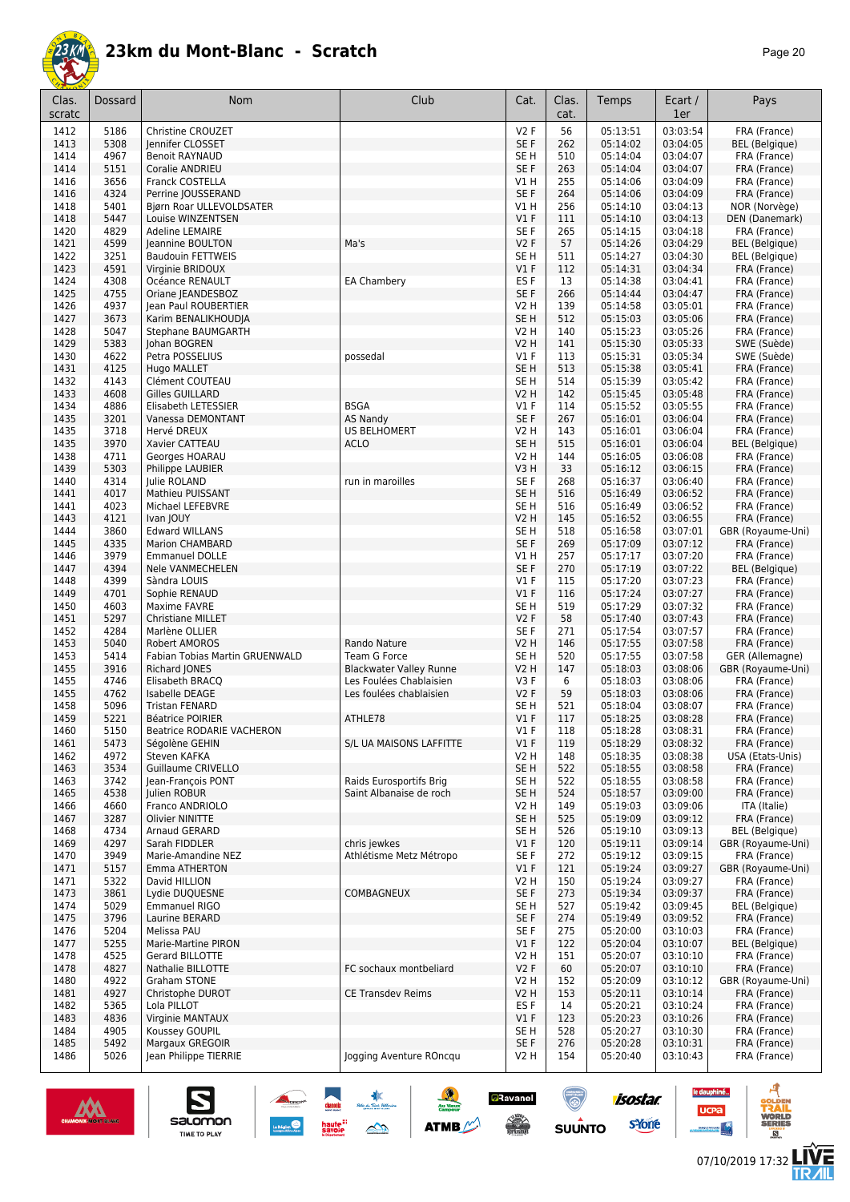

| Clas.<br>scratc | Dossard      | Nom                                             | Club                           | Cat.                      | Clas.<br>cat. | Temps                | Ecart /<br>1er       | Pays                                  |
|-----------------|--------------|-------------------------------------------------|--------------------------------|---------------------------|---------------|----------------------|----------------------|---------------------------------------|
| 1412            | 5186         | Christine CROUZET                               |                                | V2F                       | 56            | 05:13:51             | 03:03:54             | FRA (France)                          |
| 1413            | 5308         | Jennifer CLOSSET                                |                                | SE F                      | 262           | 05:14:02             | 03:04:05             | BEL (Belgique)                        |
| 1414            | 4967         | <b>Benoit RAYNAUD</b>                           |                                | SE H                      | 510           | 05:14:04<br>05:14:04 | 03:04:07             | FRA (France)                          |
| 1414<br>1416    | 5151<br>3656 | Coralie ANDRIEU<br>Franck COSTELLA              |                                | SE F<br>V1 H              | 263<br>255    | 05:14:06             | 03:04:07<br>03:04:09 | FRA (France)<br>FRA (France)          |
| 1416            | 4324         | Perrine JOUSSERAND                              |                                | SE F                      | 264           | 05:14:06             | 03:04:09             | FRA (France)                          |
| 1418            | 5401         | Bjørn Roar ULLEVOLDSATER                        |                                | V1H                       | 256           | 05:14:10             | 03:04:13             | NOR (Norvège)                         |
| 1418            | 5447         | Louise WINZENTSEN                               |                                | V1F                       | 111           | 05:14:10             | 03:04:13             | DEN (Danemark)                        |
| 1420            | 4829         | <b>Adeline LEMAIRE</b>                          |                                | SE F                      | 265           | 05:14:15             | 03:04:18             | FRA (France)                          |
| 1421            | 4599         | <b>Ieannine BOULTON</b>                         | Ma's                           | <b>V2F</b>                | 57            | 05:14:26             | 03:04:29             | BEL (Belgique)                        |
| 1422<br>1423    | 3251<br>4591 | <b>Baudouin FETTWEIS</b><br>Virginie BRIDOUX    |                                | SE H<br>V1F               | 511<br>112    | 05:14:27<br>05:14:31 | 03:04:30<br>03:04:34 | BEL (Belgique)<br>FRA (France)        |
| 1424            | 4308         | Océance RENAULT                                 | EA Chambery                    | ES <sub>F</sub>           | 13            | 05:14:38             | 03:04:41             | FRA (France)                          |
| 1425            | 4755         | Oriane JEANDESBOZ                               |                                | SE F                      | 266           | 05:14:44             | 03:04:47             | FRA (France)                          |
| 1426            | 4937         | Jean Paul ROUBERTIER                            |                                | V2 H                      | 139           | 05:14:58             | 03:05:01             | FRA (France)                          |
| 1427            | 3673         | Karim BENALIKHOUDJA                             |                                | SE <sub>H</sub>           | 512           | 05:15:03             | 03:05:06             | FRA (France)                          |
| 1428            | 5047         | Stephane BAUMGARTH                              |                                | <b>V2 H</b>               | 140           | 05:15:23             | 03:05:26             | FRA (France)                          |
| 1429            | 5383         | Johan BOGREN                                    |                                | <b>V2 H</b>               | 141           | 05:15:30             | 03:05:33             | SWE (Suède)                           |
| 1430<br>1431    | 4622<br>4125 | Petra POSSELIUS<br>Hugo MALLET                  | possedal                       | $VI$ F<br>SE <sub>H</sub> | 113<br>513    | 05:15:31<br>05:15:38 | 03:05:34<br>03:05:41 | SWE (Suède)<br>FRA (France)           |
| 1432            | 4143         | Clément COUTEAU                                 |                                | SE H                      | 514           | 05:15:39             | 03:05:42             | FRA (France)                          |
| 1433            | 4608         | <b>Gilles GUILLARD</b>                          |                                | V2 H                      | 142           | 05:15:45             | 03:05:48             | FRA (France)                          |
| 1434            | 4886         | <b>Elisabeth LETESSIER</b>                      | <b>BSGA</b>                    | $VI$ F                    | 114           | 05:15:52             | 03:05:55             | FRA (France)                          |
| 1435            | 3201         | Vanessa DEMONTANT                               | <b>AS Nandy</b>                | SE F                      | 267           | 05:16:01             | 03:06:04             | FRA (France)                          |
| 1435            | 3718         | Hervé DREUX                                     | <b>US BELHOMERT</b>            | <b>V2 H</b>               | 143           | 05:16:01             | 03:06:04             | FRA (France)                          |
| 1435<br>1438    | 3970<br>4711 | Xavier CATTEAU<br>Georges HOARAU                | <b>ACLO</b>                    | SE <sub>H</sub><br>V2 H   | 515<br>144    | 05:16:01<br>05:16:05 | 03:06:04<br>03:06:08 | <b>BEL</b> (Belgique)<br>FRA (France) |
| 1439            | 5303         | Philippe LAUBIER                                |                                | V3H                       | 33            | 05:16:12             | 03:06:15             | FRA (France)                          |
| 1440            | 4314         | Julie ROLAND                                    | run in maroilles               | SE <sub>F</sub>           | 268           | 05:16:37             | 03:06:40             | FRA (France)                          |
| 1441            | 4017         | Mathieu PUISSANT                                |                                | SE <sub>H</sub>           | 516           | 05:16:49             | 03:06:52             | FRA (France)                          |
| 1441            | 4023         | Michael LEFEBVRE                                |                                | SE <sub>H</sub>           | 516           | 05:16:49             | 03:06:52             | FRA (France)                          |
| 1443            | 4121         | Ivan JOUY                                       |                                | <b>V2 H</b>               | 145           | 05:16:52             | 03:06:55             | FRA (France)                          |
| 1444            | 3860<br>4335 | <b>Edward WILLANS</b>                           |                                | SE <sub>H</sub>           | 518           | 05:16:58             | 03:07:01             | GBR (Royaume-Uni)                     |
| 1445<br>1446    | 3979         | <b>Marion CHAMBARD</b><br><b>Emmanuel DOLLE</b> |                                | SE <sub>F</sub><br>V1 H   | 269<br>257    | 05:17:09<br>05:17:17 | 03:07:12<br>03:07:20 | FRA (France)<br>FRA (France)          |
| 1447            | 4394         | <b>Nele VANMECHELEN</b>                         |                                | SE F                      | 270           | 05:17:19             | 03:07:22             | BEL (Belgique)                        |
| 1448            | 4399         | Sàndra LOUIS                                    |                                | $VI$ F                    | 115           | 05:17:20             | 03:07:23             | FRA (France)                          |
| 1449            | 4701         | Sophie RENAUD                                   |                                | V1F                       | 116           | 05:17:24             | 03:07:27             | FRA (France)                          |
| 1450            | 4603         | <b>Maxime FAVRE</b>                             |                                | SE <sub>H</sub>           | 519           | 05:17:29             | 03:07:32             | FRA (France)                          |
| 1451            | 5297         | <b>Christiane MILLET</b>                        |                                | <b>V2F</b>                | 58            | 05:17:40             | 03:07:43             | FRA (France)                          |
| 1452<br>1453    | 4284<br>5040 | Marlène OLLIER<br>Robert AMOROS                 | Rando Nature                   | SE F<br>V2 H              | 271<br>146    | 05:17:54<br>05:17:55 | 03:07:57<br>03:07:58 | FRA (France)<br>FRA (France)          |
| 1453            | 5414         | Fabian Tobias Martin GRUENWALD                  | Team G Force                   | SE <sub>H</sub>           | 520           | 05:17:55             | 03:07:58             | GER (Allemagne)                       |
| 1455            | 3916         | Richard JONES                                   | <b>Blackwater Valley Runne</b> | <b>V2 H</b>               | 147           | 05:18:03             | 03:08:06             | GBR (Royaume-Uni)                     |
| 1455            | 4746         | Elisabeth BRACQ                                 | Les Foulées Chablaisien        | V3F                       | 6             | 05:18:03             | 03:08:06             | FRA (France)                          |
| 1455            | 4762         | Isabelle DEAGE                                  | Les foulées chablaisien        | <b>V2F</b>                | 59            | 05:18:03             | 03:08:06             | FRA (France)                          |
| 1458            | 5096         | <b>Tristan FENARD</b>                           |                                | SE H                      | 521           | 05:18:04             | 03:08:07             | FRA (France)                          |
| 1459            | 5221         | <b>Béatrice POIRIER</b>                         | ATHLE78                        | $VI$ F                    | 117           | 05:18:25             | 03:08:28             | FRA (France)                          |
| 1460<br>1461    | 5150<br>5473 | Beatrice RODARIE VACHERON<br>Ségolène GEHIN     | S/L UA MAISONS LAFFITTE        | V1 F<br>V1F               | 118<br>119    | 05:18:28<br>05:18:29 | 03:08:31<br>03:08:32 | FRA (France)<br>FRA (France)          |
| 1462            | 4972         | Steven KAFKA                                    |                                | V2 H                      | 148           | 05:18:35             | 03:08:38             | USA (Etats-Unis)                      |
| 1463            | 3534         | Guillaume CRIVELLO                              |                                | SE <sub>H</sub>           | 522           | 05:18:55             | 03:08:58             | FRA (France)                          |
| 1463            | 3742         | Jean-François PONT                              | Raids Eurosportifs Brig        | SE H                      | 522           | 05:18:55             | 03:08:58             | FRA (France)                          |
| 1465            | 4538<br>4660 | Julien ROBUR<br>Franco ANDRIOLO                 | Saint Albanaise de roch        | SE H                      | 524           | 05:18:57<br>05:19:03 | 03:09:00<br>03:09:06 | FRA (France)<br>ITA (Italie)          |
| 1466<br>1467    | 3287         | <b>Olivier NINITTE</b>                          |                                | V2 H<br>SE H              | 149<br>525    | 05:19:09             | 03:09:12             | FRA (France)                          |
| 1468            | 4734         | Arnaud GERARD                                   |                                | SE H                      | 526           | 05:19:10             | 03:09:13             | BEL (Belgique)                        |
| 1469            | 4297         | Sarah FIDDLER                                   | chris jewkes                   | $VI$ F                    | 120           | 05:19:11             | 03:09:14             | GBR (Royaume-Uni)                     |
| 1470            | 3949         | Marie-Amandine NEZ                              | Athlétisme Metz Métropo        | SE F                      | 272           | 05:19:12             | 03:09:15             | FRA (France)                          |
| 1471            | 5157         | Emma ATHERTON                                   |                                | $VI$ F                    | 121           | 05:19:24             | 03:09:27             | GBR (Royaume-Uni)                     |
| 1471            | 5322         | David HILLION                                   |                                | V2 H                      | 150           | 05:19:24             | 03:09:27             | FRA (France)                          |
| 1473<br>1474    | 3861<br>5029 | Lydie DUQUESNE<br><b>Emmanuel RIGO</b>          | COMBAGNEUX                     | SE F<br>SE H              | 273<br>527    | 05:19:34<br>05:19:42 | 03:09:37<br>03:09:45 | FRA (France)<br>BEL (Belgique)        |
| 1475            | 3796         | Laurine BERARD                                  |                                | SE F                      | 274           | 05:19:49             | 03:09:52             | FRA (France)                          |
| 1476            | 5204         | Melissa PAU                                     |                                | SE F                      | 275           | 05:20:00             | 03:10:03             | FRA (France)                          |
| 1477            | 5255         | Marie-Martine PIRON                             |                                | V1F                       | 122           | 05:20:04             | 03:10:07             | BEL (Belgique)                        |
| 1478            | 4525         | Gerard BILLOTTE                                 |                                | V2 H                      | 151           | 05:20:07             | 03:10:10             | FRA (France)                          |
| 1478            | 4827         | Nathalie BILLOTTE                               | FC sochaux montbeliard         | V2F                       | 60            | 05:20:07             | 03:10:10             | FRA (France)                          |
| 1480            | 4922         | Graham STONE                                    |                                | <b>V2 H</b>               | 152           | 05:20:09             | 03:10:12             | GBR (Royaume-Uni)                     |
| 1481<br>1482    | 4927<br>5365 | Christophe DUROT<br>Lola PILLOT                 | <b>CE Transdev Reims</b>       | V2 H<br>ES F              | 153<br>14     | 05:20:11<br>05:20:21 | 03:10:14<br>03:10:24 | FRA (France)<br>FRA (France)          |
| 1483            | 4836         | Virginie MANTAUX                                |                                | $VI$ F                    | 123           | 05:20:23             | 03:10:26             | FRA (France)                          |
| 1484            | 4905         | Koussey GOUPIL                                  |                                | SE H                      | 528           | 05:20:27             | 03:10:30             | FRA (France)                          |
| 1485            | 5492         | Margaux GREGOIR                                 |                                | SE F                      | 276           | 05:20:28             | 03:10:31             | FRA (France)                          |
| 1486            | 5026         | Jean Philippe TIERRIE                           | Jogging Aventure ROncqu        | V2 H                      | 154           | 05:20:40             | 03:10:43             | FRA (France)                          |

大会

 $\rightarrow$ 

 $\frac{1}{2}$ 

**ATMB** 

**a**Ravanel

**SERVICE** 

(@)

 $su\overset{\bullet}{\mathsf{unro}}$ 



S

Salomon

le dauphiné...

**UCPa** 

- 4

isostar.

**s**Yone



ه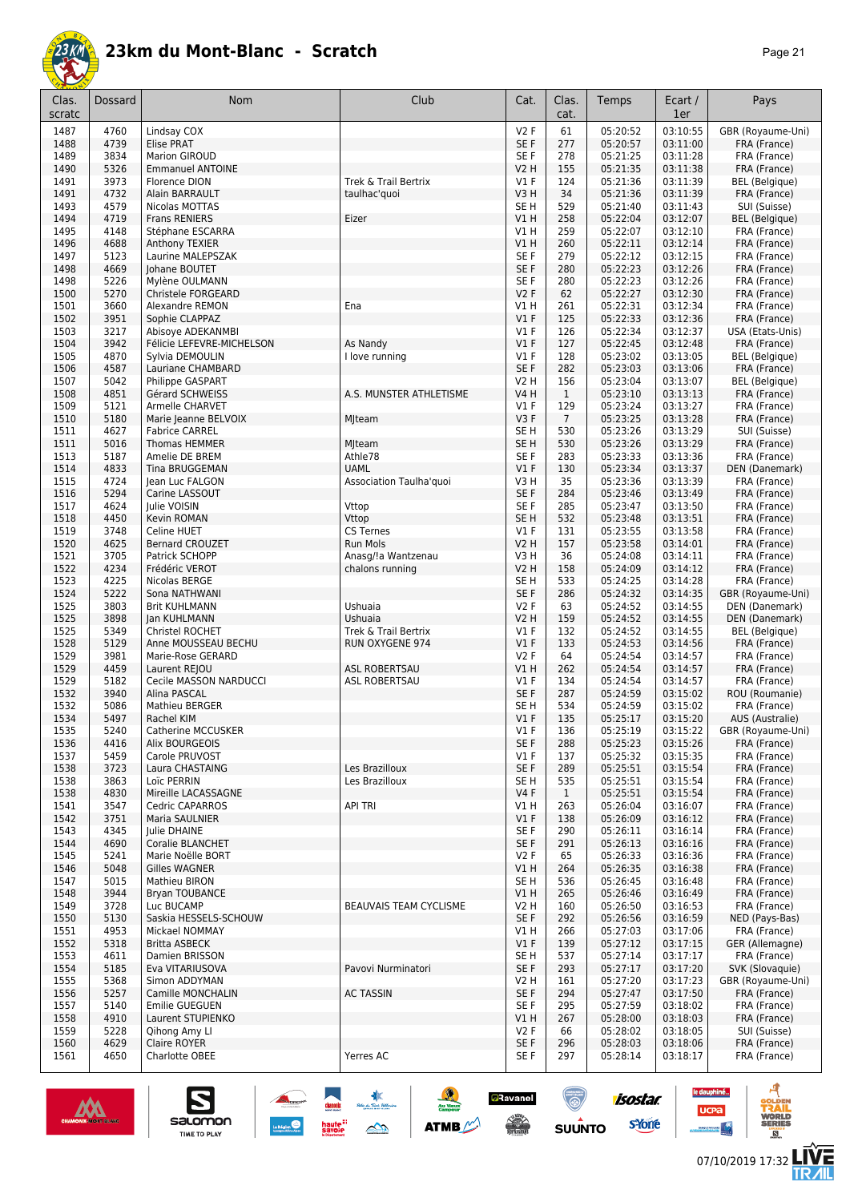

| Clas.<br>scratc | Dossard      | Nom                                      | Club                                  | Cat.                    | Clas.<br>cat.  | Temps                | Ecart /<br>1er       | Pays                                  |
|-----------------|--------------|------------------------------------------|---------------------------------------|-------------------------|----------------|----------------------|----------------------|---------------------------------------|
| 1487            | 4760         | Lindsay COX                              |                                       | <b>V2F</b>              | 61             | 05:20:52             | 03:10:55             | GBR (Royaume-Uni)                     |
| 1488            | 4739         | <b>Elise PRAT</b>                        |                                       | SE F                    | 277            | 05:20:57             | 03:11:00             | FRA (France)                          |
| 1489            | 3834         | Marion GIROUD                            |                                       | SE F                    | 278            | 05:21:25             | 03:11:28             | FRA (France)                          |
| 1490<br>1491    | 5326<br>3973 | <b>Emmanuel ANTOINE</b><br>Florence DION | Trek & Trail Bertrix                  | V2 H<br>$VI$ F          | 155<br>124     | 05:21:35<br>05:21:36 | 03:11:38<br>03:11:39 | FRA (France)<br><b>BEL</b> (Belgique) |
| 1491            | 4732         | Alain BARRAULT                           | taulhac'quoi                          | V3H                     | 34             | 05:21:36             | 03:11:39             | FRA (France)                          |
| 1493            | 4579         | Nicolas MOTTAS                           |                                       | SE H                    | 529            | 05:21:40             | 03:11:43             | SUI (Suisse)                          |
| 1494            | 4719         | Frans RENIERS                            | Eizer                                 | V1H                     | 258            | 05:22:04             | 03:12:07             | <b>BEL</b> (Belgique)                 |
| 1495            | 4148         | Stéphane ESCARRA                         |                                       | V1 H                    | 259            | 05:22:07             | 03:12:10             | FRA (France)                          |
| 1496            | 4688         | Anthony TEXIER                           |                                       | V1H                     | 260            | 05:22:11             | 03:12:14             | FRA (France)                          |
| 1497<br>1498    | 5123<br>4669 | Laurine MALEPSZAK<br>Johane BOUTET       |                                       | SE F<br>SE F            | 279<br>280     | 05:22:12<br>05:22:23 | 03:12:15<br>03:12:26 | FRA (France)<br>FRA (France)          |
| 1498            | 5226         | Mylène OULMANN                           |                                       | SE <sub>F</sub>         | 280            | 05:22:23             | 03:12:26             | FRA (France)                          |
| 1500            | 5270         | Christele FORGEARD                       |                                       | V2F                     | 62             | 05:22:27             | 03:12:30             | FRA (France)                          |
| 1501            | 3660         | Alexandre REMON                          | Ena                                   | V1 H                    | 261            | 05:22:31             | 03:12:34             | FRA (France)                          |
| 1502            | 3951         | Sophie CLAPPAZ                           |                                       | $VI$ F                  | 125            | 05:22:33             | 03:12:36             | FRA (France)                          |
| 1503            | 3217         | Abisoye ADEKANMBI                        |                                       | $VI$ F                  | 126            | 05:22:34             | 03:12:37             | USA (Etats-Unis)                      |
| 1504            | 3942<br>4870 | Félicie LEFEVRE-MICHELSON                | As Nandy                              | $VI$ F<br>$VI$ F        | 127            | 05:22:45<br>05:23:02 | 03:12:48<br>03:13:05 | FRA (France)<br><b>BEL</b> (Belgique) |
| 1505<br>1506    | 4587         | Sylvia DEMOULIN<br>Lauriane CHAMBARD     | I love running                        | SE F                    | 128<br>282     | 05:23:03             | 03:13:06             | FRA (France)                          |
| 1507            | 5042         | Philippe GASPART                         |                                       | <b>V2 H</b>             | 156            | 05:23:04             | 03:13:07             | <b>BEL</b> (Belgique)                 |
| 1508            | 4851         | Gérard SCHWEISS                          | A.S. MUNSTER ATHLETISME               | <b>V4 H</b>             | $\mathbf{1}$   | 05:23:10             | 03:13:13             | FRA (France)                          |
| 1509            | 5121         | <b>Armelle CHARVET</b>                   |                                       | V1 F                    | 129            | 05:23:24             | 03:13:27             | FRA (France)                          |
| 1510            | 5180         | Marie Jeanne BELVOIX                     | Mjteam                                | V3F                     | $\overline{7}$ | 05:23:25             | 03:13:28             | FRA (France)                          |
| 1511            | 4627         | <b>Fabrice CARREL</b>                    |                                       | SE <sub>H</sub>         | 530            | 05:23:26             | 03:13:29             | SUI (Suisse)                          |
| 1511<br>1513    | 5016<br>5187 | <b>Thomas HEMMER</b><br>Amelie DE BREM   | Mjteam<br>Athle78                     | SE <sub>H</sub><br>SE F | 530<br>283     | 05:23:26<br>05:23:33 | 03:13:29<br>03:13:36 | FRA (France)<br>FRA (France)          |
| 1514            | 4833         | <b>Tina BRUGGEMAN</b>                    | <b>UAML</b>                           | $VI$ F                  | 130            | 05:23:34             | 03:13:37             | DEN (Danemark)                        |
| 1515            | 4724         | Jean Luc FALGON                          | Association Taulha'quoi               | V3 H                    | 35             | 05:23:36             | 03:13:39             | FRA (France)                          |
| 1516            | 5294         | Carine LASSOUT                           |                                       | SE F                    | 284            | 05:23:46             | 03:13:49             | FRA (France)                          |
| 1517            | 4624         | Julie VOISIN                             | Vttop                                 | SE F                    | 285            | 05:23:47             | 03:13:50             | FRA (France)                          |
| 1518            | 4450         | Kevin ROMAN                              | Vttop                                 | SE <sub>H</sub>         | 532            | 05:23:48             | 03:13:51             | FRA (France)                          |
| 1519            | 3748         | Celine HUET                              | <b>CS Ternes</b>                      | $VI$ F                  | 131            | 05:23:55             | 03:13:58             | FRA (France)                          |
| 1520<br>1521    | 4625<br>3705 | <b>Bernard CROUZET</b><br>Patrick SCHOPP | <b>Run Mols</b><br>Anasg/!a Wantzenau | <b>V2 H</b><br>V3H      | 157<br>36      | 05:23:58<br>05:24:08 | 03:14:01<br>03:14:11 | FRA (France)<br>FRA (France)          |
| 1522            | 4234         | Frédéric VEROT                           | chalons running                       | V2 H                    | 158            | 05:24:09             | 03:14:12             | FRA (France)                          |
| 1523            | 4225         | Nicolas BERGE                            |                                       | SE H                    | 533            | 05:24:25             | 03:14:28             | FRA (France)                          |
| 1524            | 5222         | Sona NATHWANI                            |                                       | SE F                    | 286            | 05:24:32             | 03:14:35             | GBR (Royaume-Uni)                     |
| 1525            | 3803         | <b>Brit KUHLMANN</b>                     | Ushuaia                               | V2F                     | 63             | 05:24:52             | 03:14:55             | DEN (Danemark)                        |
| 1525            | 3898         | Jan KUHLMANN                             | Ushuaia                               | <b>V2 H</b>             | 159            | 05:24:52             | 03:14:55             | DEN (Danemark)                        |
| 1525<br>1528    | 5349<br>5129 | Christel ROCHET<br>Anne MOUSSEAU BECHU   | Trek & Trail Bertrix                  | $VI$ F<br>$VI$ F        | 132<br>133     | 05:24:52<br>05:24:53 | 03:14:55<br>03:14:56 | BEL (Belgique)                        |
| 1529            | 3981         | Marie-Rose GERARD                        | RUN OXYGENE 974                       | V2F                     | 64             | 05:24:54             | 03:14:57             | FRA (France)<br>FRA (France)          |
| 1529            | 4459         | Laurent REJOU                            | <b>ASL ROBERTSAU</b>                  | V1 H                    | 262            | 05:24:54             | 03:14:57             | FRA (France)                          |
| 1529            | 5182         | Cecile MASSON NARDUCCI                   | <b>ASL ROBERTSAU</b>                  | $VI$ F                  | 134            | 05:24:54             | 03:14:57             | FRA (France)                          |
| 1532            | 3940         | Alina PASCAL                             |                                       | SE F                    | 287            | 05:24:59             | 03:15:02             | ROU (Roumanie)                        |
| 1532            | 5086         | <b>Mathieu BERGER</b>                    |                                       | SE H                    | 534            | 05:24:59             | 03:15:02             | FRA (France)                          |
| 1534            | 5497         | Rachel KIM                               |                                       | $VI$ F                  | 135            | 05:25:17             | 03:15:20             | AUS (Australie)                       |
| 1535<br>1536    | 5240<br>4416 | Catherine MCCUSKER<br>Alix BOURGEOIS     |                                       | V1 F<br>SE F            | 136<br>288     | 05:25:19<br>05:25:23 | 03:15:22<br>03:15:26 | GBR (Royaume-Uni)<br>FRA (France)     |
| 1537            | 5459         | Carole PRUVOST                           |                                       | $VI$ F                  | 137            | 05:25:32             | 03:15:35             | FRA (France)                          |
| 1538            | 3723         | Laura CHASTAING                          | Les Brazilloux                        | SE F                    | 289            | 05:25:51             | 03:15:54             | FRA (France)                          |
| 1538            | 3863         | Loïc PERRIN                              | Les Brazilloux                        | SE H                    | 535            | 05:25:51             | 03:15:54             | FRA (France)                          |
| 1538            | 4830         | Mireille LACASSAGNE                      |                                       | <b>V4F</b>              | $\mathbf{1}$   | 05:25:51             | 03:15:54             | FRA (France)                          |
| 1541            | 3547         | <b>Cedric CAPARROS</b>                   | <b>API TRI</b>                        | V1 H                    | 263            | 05:26:04             | 03:16:07             | FRA (France)                          |
| 1542<br>1543    | 3751<br>4345 | Maria SAULNIER<br>Julie DHAINE           |                                       | V1F<br>SE F             | 138<br>290     | 05:26:09<br>05:26:11 | 03:16:12<br>03:16:14 | FRA (France)<br>FRA (France)          |
| 1544            | 4690         | <b>Coralie BLANCHET</b>                  |                                       | SE F                    | 291            | 05:26:13             | 03:16:16             | FRA (France)                          |
| 1545            | 5241         | Marie Noëlle BORT                        |                                       | V2F                     | 65             | 05:26:33             | 03:16:36             | FRA (France)                          |
| 1546            | 5048         | <b>Gilles WAGNER</b>                     |                                       | V1 H                    | 264            | 05:26:35             | 03:16:38             | FRA (France)                          |
| 1547            | 5015         | Mathieu BIRON                            |                                       | SE H                    | 536            | 05:26:45             | 03:16:48             | FRA (France)                          |
| 1548            | 3944         | <b>Bryan TOUBANCE</b>                    |                                       | V1H                     | 265            | 05:26:46             | 03:16:49             | FRA (France)                          |
| 1549            | 3728         | Luc BUCAMP                               | <b>BEAUVAIS TEAM CYCLISME</b>         | V2 H                    | 160            | 05:26:50             | 03:16:53             | FRA (France)                          |
| 1550<br>1551    | 5130<br>4953 | Saskia HESSELS-SCHOUW<br>Mickael NOMMAY  |                                       | SE F<br><b>V1 H</b>     | 292<br>266     | 05:26:56<br>05:27:03 | 03:16:59<br>03:17:06 | NED (Pays-Bas)<br>FRA (France)        |
| 1552            | 5318         | <b>Britta ASBECK</b>                     |                                       | V1F                     | 139            | 05:27:12             | 03:17:15             | GER (Allemagne)                       |
| 1553            | 4611         | Damien BRISSON                           |                                       | SE <sub>H</sub>         | 537            | 05:27:14             | 03:17:17             | FRA (France)                          |
| 1554            | 5185         | Eva VITARIUSOVA                          | Pavovi Nurminatori                    | SE F                    | 293            | 05:27:17             | 03:17:20             | SVK (Slovaquie)                       |
| 1555            | 5368         | Simon ADDYMAN                            |                                       | V2 H                    | 161            | 05:27:20             | 03:17:23             | GBR (Royaume-Uni)                     |
| 1556            | 5257         | Camille MONCHALIN                        | <b>AC TASSIN</b>                      | SE F                    | 294            | 05:27:47             | 03:17:50             | FRA (France)                          |
| 1557            | 5140         | Emilie GUEGUEN                           |                                       | SE F                    | 295            | 05:27:59             | 03:18:02             | FRA (France)                          |
| 1558<br>1559    | 4910<br>5228 | Laurent STUPIENKO                        |                                       | V1 H<br>V2 F            | 267<br>66      | 05:28:00             | 03:18:03             | FRA (France)                          |
| 1560            | 4629         | Qihong Amy Ll<br>Claire ROYER            |                                       | SE F                    | 296            | 05:28:02<br>05:28:03 | 03:18:05<br>03:18:06 | SUI (Suisse)<br>FRA (France)          |
| 1561            | 4650         | Charlotte OBEE                           | Yerres AC                             | SE F                    | 297            | 05:28:14             | 03:18:17             | FRA (France)                          |
|                 |              |                                          |                                       |                         |                |                      |                      |                                       |

大会

 $\rightarrow$ 

 $\frac{1}{2}$ 

**ATMB** 

**a**Ravanel

**SERVICE** 

 $\bigcirc$ 

 $su\overset{\bullet}{\mathsf{unro}}$ 



S

Salomon

- 4

le dauphiné...

**UCPa** 

isostar.

**s**Yone

ه

**LIVE<br>TR***A***IL**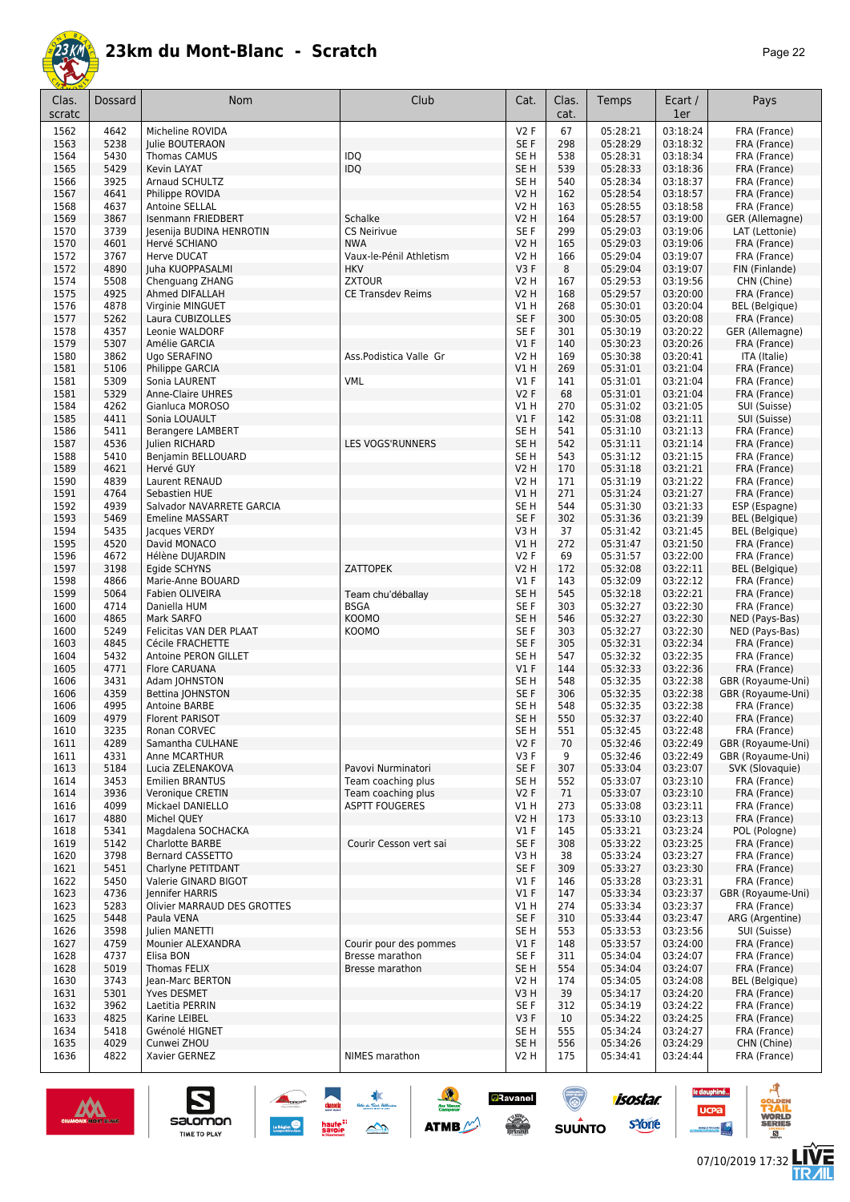

| n<br>ıc |  |
|---------|--|
|---------|--|

| Clas.<br>scratc | Dossard      | <b>Nom</b>                                     | Club                     | Cat.                   | Clas.<br>cat. | Temps                | Ecart /<br>1er       | Pays                                  |
|-----------------|--------------|------------------------------------------------|--------------------------|------------------------|---------------|----------------------|----------------------|---------------------------------------|
| 1562            | 4642         | Micheline ROVIDA                               |                          | V2F                    | 67            | 05:28:21             | 03:18:24             | FRA (France)                          |
| 1563            | 5238         | Julie BOUTERAON                                |                          | SE F                   | 298           | 05:28:29             | 03:18:32             | FRA (France)                          |
| 1564            | 5430         | <b>Thomas CAMUS</b>                            | <b>IDQ</b>               | SE H                   | 538           | 05:28:31             | 03:18:34             | FRA (France)                          |
| 1565            | 5429         | Kevin LAYAT                                    | IDQ                      | SE <sub>H</sub>        | 539           | 05:28:33             | 03:18:36             | FRA (France)                          |
| 1566            | 3925<br>4641 | Arnaud SCHULTZ                                 |                          | SE H                   | 540           | 05:28:34             | 03:18:37<br>03:18:57 | FRA (France)                          |
| 1567<br>1568    | 4637         | Philippe ROVIDA<br>Antoine SELLAL              |                          | V2 H<br><b>V2 H</b>    | 162<br>163    | 05:28:54<br>05:28:55 | 03:18:58             | FRA (France)<br>FRA (France)          |
| 1569            | 3867         | <b>Isenmann FRIEDBERT</b>                      | Schalke                  | <b>V2 H</b>            | 164           | 05:28:57             | 03:19:00             | GER (Allemagne)                       |
| 1570            | 3739         | Jesenija BUDINA HENROTIN                       | <b>CS Neirivue</b>       | SE F                   | 299           | 05:29:03             | 03:19:06             | LAT (Lettonie)                        |
| 1570            | 4601         | Hervé SCHIANO                                  | <b>NWA</b>               | V2 H                   | 165           | 05:29:03             | 03:19:06             | FRA (France)                          |
| 1572            | 3767         | Herve DUCAT                                    | Vaux-le-Pénil Athletism  | V2 H                   | 166           | 05:29:04             | 03:19:07             | FRA (France)                          |
| 1572            | 4890         | Juha KUOPPASALMI                               | <b>HKV</b>               | V3F                    | 8             | 05:29:04             | 03:19:07             | FIN (Finlande)                        |
| 1574            | 5508         | Chenguang ZHANG                                | <b>ZXTOUR</b>            | V2 H                   | 167           | 05:29:53             | 03:19:56             | CHN (Chine)                           |
| 1575            | 4925         | Ahmed DIFALLAH                                 | <b>CE Transdev Reims</b> | V2 H                   | 168           | 05:29:57             | 03:20:00             | FRA (France)                          |
| 1576            | 4878         | Virginie MINGUET                               |                          | V1 H                   | 268           | 05:30:01             | 03:20:04             | <b>BEL</b> (Belgique)                 |
| 1577            | 5262         | Laura CUBIZOLLES                               |                          | SE F                   | 300           | 05:30:05             | 03:20:08             | FRA (France)                          |
| 1578            | 4357         | Leonie WALDORF                                 |                          | SE F                   | 301           | 05:30:19             | 03:20:22             | GER (Allemagne)                       |
| 1579            | 5307         | Amélie GARCIA                                  |                          | V1F                    | 140           | 05:30:23             | 03:20:26             | FRA (France)                          |
| 1580<br>1581    | 3862<br>5106 | Ugo SERAFINO<br>Philippe GARCIA                | Ass.Podistica Valle Gr   | <b>V2 H</b><br>V1H     | 169<br>269    | 05:30:38<br>05:31:01 | 03:20:41<br>03:21:04 | ITA (Italie)<br>FRA (France)          |
| 1581            | 5309         | Sonia LAURENT                                  | <b>VML</b>               | $VI$ F                 | 141           | 05:31:01             | 03:21:04             | FRA (France)                          |
| 1581            | 5329         | <b>Anne-Claire UHRES</b>                       |                          | V2F                    | 68            | 05:31:01             | 03:21:04             | FRA (France)                          |
| 1584            | 4262         | Gianluca MOROSO                                |                          | V1 H                   | 270           | 05:31:02             | 03:21:05             | SUI (Suisse)                          |
| 1585            | 4411         | Sonia LOUAULT                                  |                          | V1F                    | 142           | 05:31:08             | 03:21:11             | SUI (Suisse)                          |
| 1586            | 5411         | <b>Berangere LAMBERT</b>                       |                          | SE <sub>H</sub>        | 541           | 05:31:10             | 03:21:13             | FRA (France)                          |
| 1587            | 4536         | Julien RICHARD                                 | LES VOGS'RUNNERS         | SE <sub>H</sub>        | 542           | 05:31:11             | 03:21:14             | FRA (France)                          |
| 1588            | 5410         | Benjamin BELLOUARD                             |                          | SE H                   | 543           | 05:31:12             | 03:21:15             | FRA (France)                          |
| 1589            | 4621         | Hervé GUY                                      |                          | V2 H                   | 170           | 05:31:18             | 03:21:21             | FRA (France)                          |
| 1590            | 4839         | Laurent RENAUD                                 |                          | V2 H                   | 171           | 05:31:19             | 03:21:22             | FRA (France)                          |
| 1591            | 4764         | Sebastien HUE                                  |                          | VIH                    | 271           | 05:31:24             | 03:21:27             | FRA (France)                          |
| 1592            | 4939         | Salvador NAVARRETE GARCIA                      |                          | SE <sub>H</sub>        | 544           | 05:31:30             | 03:21:33             | ESP (Espagne)                         |
| 1593            | 5469         | <b>Emeline MASSART</b>                         |                          | SE F                   | 302           | 05:31:36             | 03:21:39             | <b>BEL</b> (Belgique)                 |
| 1594            | 5435         | Jacques VERDY                                  |                          | V3H                    | 37            | 05:31:42             | 03:21:45             | <b>BEL</b> (Belgique)                 |
| 1595            | 4520         | David MONACO                                   |                          | V1 H                   | 272           | 05:31:47             | 03:21:50             | FRA (France)                          |
| 1596            | 4672         | Hélène DUJARDIN                                |                          | V2F                    | 69            | 05:31:57             | 03:22:00             | FRA (France)                          |
| 1597<br>1598    | 3198<br>4866 | Egide SCHYNS<br>Marie-Anne BOUARD              | ZATTOPEK                 | <b>V2 H</b><br>$VI$ F  | 172<br>143    | 05:32:08<br>05:32:09 | 03:22:11<br>03:22:12 | <b>BEL</b> (Belgique)<br>FRA (France) |
| 1599            | 5064         | Fabien OLIVEIRA                                | Team chu'déballay        | SE <sub>H</sub>        | 545           | 05:32:18             | 03:22:21             | FRA (France)                          |
| 1600            | 4714         | Daniella HUM                                   | <b>BSGA</b>              | SE F                   | 303           | 05:32:27             | 03:22:30             | FRA (France)                          |
| 1600            | 4865         | Mark SARFO                                     | <b>KOOMO</b>             | SE H                   | 546           | 05:32:27             | 03:22:30             | NED (Pays-Bas)                        |
| 1600            | 5249         | Felicitas VAN DER PLAAT                        | KOOMO                    | SE F                   | 303           | 05:32:27             | 03:22:30             | NED (Pays-Bas)                        |
| 1603            | 4845         | Cécile FRACHETTE                               |                          | SE F                   | 305           | 05:32:31             | 03:22:34             | FRA (France)                          |
| 1604            | 5432         | Antoine PERON GILLET                           |                          | SE <sub>H</sub>        | 547           | 05:32:32             | 03:22:35             | FRA (France)                          |
| 1605            | 4771         | <b>Flore CARUANA</b>                           |                          | V1F                    | 144           | 05:32:33             | 03:22:36             | FRA (France)                          |
| 1606            | 3431         | Adam JOHNSTON                                  |                          | SE <sub>H</sub>        | 548           | 05:32:35             | 03:22:38             | GBR (Royaume-Uni)                     |
| 1606            | 4359         | Bettina JOHNSTON                               |                          | SE F                   | 306           | 05:32:35             | 03:22:38             | GBR (Royaume-Uni)                     |
| 1606            | 4995         | Antoine BARBE                                  |                          | SE <sub>H</sub>        | 548           | 05:32:35             | 03:22:38             | FRA (France)                          |
| 1609            | 4979         | Florent PARISOT                                |                          | SE <sub>H</sub>        | 550           | 05:32:37             | 03:22:40             | FRA (France)                          |
| 1610<br>1611    | 3235<br>4289 | Ronan CORVEC<br>Samantha CULHANE               |                          | SE <sub>H</sub><br>V2F | 551<br>70     | 05:32:45<br>05:32:46 | 03:22:48<br>03:22:49 | FRA (France)<br>GBR (Royaume-Uni)     |
| 1611            | 4331         | Anne MCARTHUR                                  |                          | V3F                    | 9             | 05:32:46             | 03:22:49             | GBR (Royaume-Uni)                     |
| 1613            | 5184         | Lucia ZELENAKOVA                               | Pavovi Nurminatori       | SE F                   | 307           | 05:33:04             | 03:23:07             | SVK (Slovaquie)                       |
| 1614            | 3453         | <b>Emilien BRANTUS</b>                         | Team coaching plus       | SE H                   | 552           | 05:33:07             | 03:23:10             | FRA (France)                          |
| 1614            | 3936         | Veronique CRETIN                               | Team coaching plus       | V2F                    | 71            | 05:33:07             | 03:23:10             | FRA (France)                          |
| 1616            | 4099         | Mickael DANIELLO                               | <b>ASPTT FOUGERES</b>    | V1 H                   | 273           | 05:33:08             | 03:23:11             | FRA (France)                          |
| 1617            | 4880         | Michel QUEY                                    |                          | V2 H                   | 173           | 05:33:10             | 03:23:13             | FRA (France)                          |
| 1618            | 5341         | Magdalena SOCHACKA                             |                          | $VI$ F                 | 145           | 05:33:21             | 03:23:24             | POL (Pologne)                         |
| 1619            | 5142         | Charlotte BARBE                                | Courir Cesson vert sai   | SE F                   | 308           | 05:33:22             | 03:23:25             | FRA (France)                          |
| 1620            | 3798         | Bernard CASSETTO                               |                          | V3H                    | 38            | 05:33:24             | 03:23:27             | FRA (France)                          |
| 1621            | 5451         | Charlyne PETITDANT                             |                          | SE F                   | 309           | 05:33:27             | 03:23:30             | FRA (France)                          |
| 1622            | 5450         | Valerie GINARD BIGOT<br><b>Iennifer HARRIS</b> |                          | $VI$ F                 | 146           | 05:33:28             | 03:23:31             | FRA (France)                          |
| 1623            | 4736         |                                                |                          | V1F                    | 147           | 05:33:34             | 03:23:37             | GBR (Royaume-Uni)                     |
| 1623<br>1625    | 5283<br>5448 | Olivier MARRAUD DES GROTTES<br>Paula VENA      |                          | V1 H<br>SE F           | 274<br>310    | 05:33:34<br>05:33:44 | 03:23:37<br>03:23:47 | FRA (France)<br>ARG (Argentine)       |
| 1626            | 3598         | Julien MANETTI                                 |                          | SE H                   | 553           | 05:33:53             | 03:23:56             | SUI (Suisse)                          |
| 1627            | 4759         | Mounier ALEXANDRA                              | Courir pour des pommes   | $VI$ F                 | 148           | 05:33:57             | 03:24:00             | FRA (France)                          |
| 1628            | 4737         | Elisa BON                                      | Bresse marathon          | SE F                   | 311           | 05:34:04             | 03:24:07             | FRA (France)                          |
| 1628            | 5019         | <b>Thomas FELIX</b>                            | Bresse marathon          | SE <sub>H</sub>        | 554           | 05:34:04             | 03:24:07             | FRA (France)                          |
| 1630            | 3743         | Jean-Marc BERTON                               |                          | V2 H                   | 174           | 05:34:05             | 03:24:08             | <b>BEL</b> (Belgique)                 |
| 1631            | 5301         | Yves DESMET                                    |                          | V3H                    | 39            | 05:34:17             | 03:24:20             | FRA (France)                          |
| 1632            | 3962         | Laetitia PERRIN                                |                          | SE F                   | 312           | 05:34:19             | 03:24:22             | FRA (France)                          |
| 1633            | 4825         | Karine LEIBEL                                  |                          | V3F                    | 10            | 05:34:22             | 03:24:25             | FRA (France)                          |
| 1634            | 5418         | Gwénolé HIGNET                                 |                          | SE H                   | 555           | 05:34:24             | 03:24:27             | FRA (France)                          |
| 1635            | 4029         | Cunwei ZHOU                                    |                          | SE H                   | 556           | 05:34:26             | 03:24:29             | CHN (Chine)                           |
| 1636            | 4822         | Xavier GERNEZ                                  | NIMES marathon           | V2 H                   | 175           | 05:34:41             | 03:24:44             | FRA (France)                          |



 $\n \ \, \underbrace{\sum\limits_{\text{SALOMOM}}$ 

**ANGEL 1989** 

 $\frac{1}{2}$ 

**ATMB** 

**a**Ravanel

 $\frac{1}{\sqrt{2}}$ 

ۿ

**SUUNTO** 

**Concrete** 

 $\underbrace{\qquad \qquad }_{\text{Lagrange}}\bigotimes$ 



**LIVE<br>TR***A***IL** 

**UCPa** 

**isostar** 

svone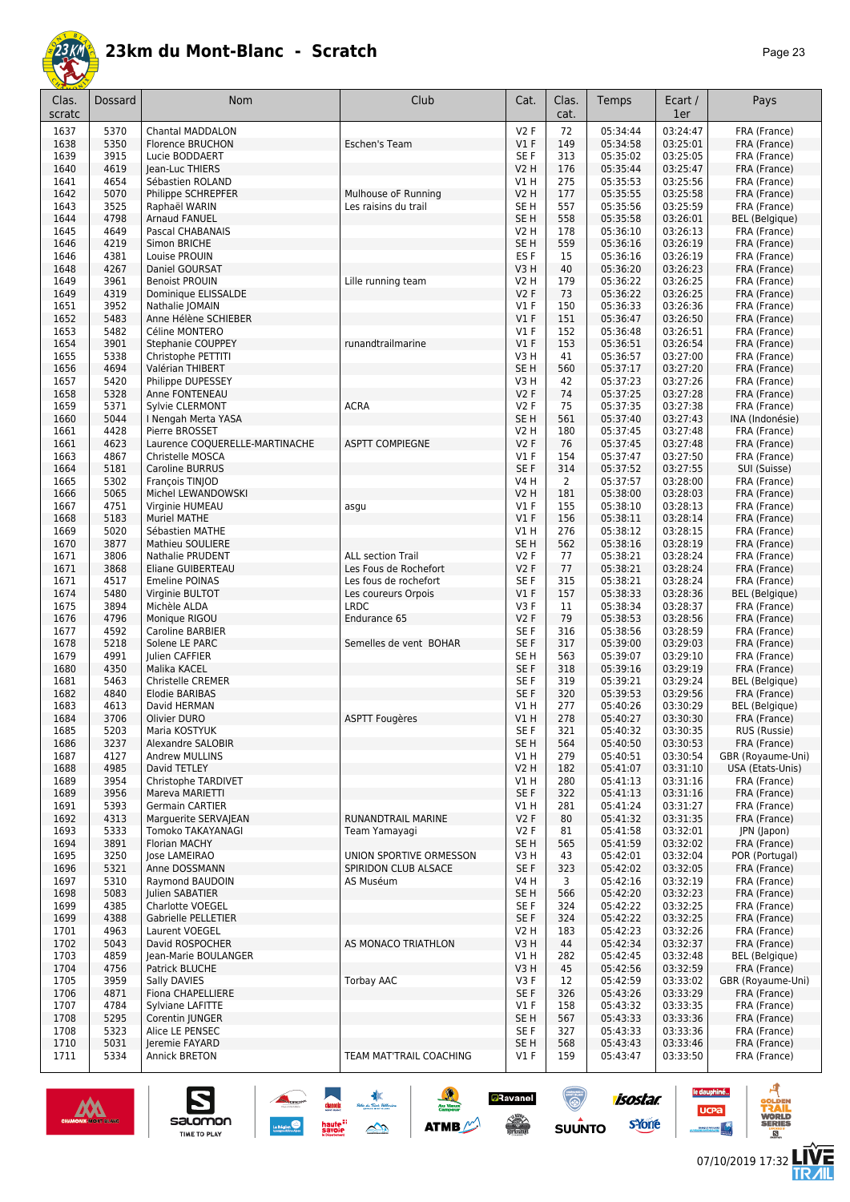

| aae |  |
|-----|--|
|-----|--|

| Clas.<br>scratc | Dossard      | Nom                                               | Club                                         | Cat.                      | Clas.<br>cat.         | Temps                | Ecart /<br>1er       | Pays                                  |
|-----------------|--------------|---------------------------------------------------|----------------------------------------------|---------------------------|-----------------------|----------------------|----------------------|---------------------------------------|
| 1637            | 5370         | Chantal MADDALON                                  |                                              | <b>V2F</b>                | 72                    | 05:34:44             | 03:24:47             | FRA (France)                          |
| 1638            | 5350         | <b>Florence BRUCHON</b>                           | Eschen's Team                                | $VI$ F                    | 149                   | 05:34:58             | 03:25:01             | FRA (France)                          |
| 1639            | 3915         | Lucie BODDAERT                                    |                                              | SE F                      | 313                   | 05:35:02             | 03:25:05             | FRA (France)                          |
| 1640<br>1641    | 4619<br>4654 | Jean-Luc THIERS<br>Sébastien ROLAND               |                                              | V <sub>2</sub> H<br>V1 H  | 176<br>275            | 05:35:44<br>05:35:53 | 03:25:47<br>03:25:56 | FRA (France)<br>FRA (France)          |
| 1642            | 5070         | Philippe SCHREPFER                                | Mulhouse oF Running                          | V2 H                      | 177                   | 05:35:55             | 03:25:58             | FRA (France)                          |
| 1643            | 3525         | Raphaël WARIN                                     | Les raisins du trail                         | SE <sub>H</sub>           | 557                   | 05:35:56             | 03:25:59             | FRA (France)                          |
| 1644            | 4798         | <b>Arnaud FANUEL</b>                              |                                              | SE <sub>H</sub>           | 558                   | 05:35:58             | 03:26:01             | <b>BEL</b> (Belgique)                 |
| 1645            | 4649         | Pascal CHABANAIS                                  |                                              | V <sub>2</sub> H          | 178                   | 05:36:10             | 03:26:13             | FRA (France)                          |
| 1646            | 4219         | <b>Simon BRICHE</b>                               |                                              | SE <sub>H</sub>           | 559                   | 05:36:16             | 03:26:19             | FRA (France)                          |
| 1646<br>1648    | 4381<br>4267 | Louise PROUIN<br>Daniel GOURSAT                   |                                              | ES <sub>F</sub><br>V3H    | 15<br>40              | 05:36:16<br>05:36:20 | 03:26:19<br>03:26:23 | FRA (France)<br>FRA (France)          |
| 1649            | 3961         | <b>Benoist PROUIN</b>                             | Lille running team                           | V2 H                      | 179                   | 05:36:22             | 03:26:25             | FRA (France)                          |
| 1649            | 4319         | Dominique ELISSALDE                               |                                              | <b>V2F</b>                | 73                    | 05:36:22             | 03:26:25             | FRA (France)                          |
| 1651            | 3952         | Nathalie JOMAIN                                   |                                              | $VI$ F                    | 150                   | 05:36:33             | 03:26:36             | FRA (France)                          |
| 1652            | 5483         | Anne Hélène SCHIEBER                              |                                              | V1F                       | 151                   | 05:36:47             | 03:26:50             | FRA (France)                          |
| 1653            | 5482         | Céline MONTERO                                    |                                              | $VI$ F                    | 152                   | 05:36:48             | 03:26:51             | FRA (France)                          |
| 1654            | 3901         | <b>Stephanie COUPPEY</b>                          | runandtrailmarine                            | V1F<br>V3H                | 153<br>41             | 05:36:51<br>05:36:57 | 03:26:54<br>03:27:00 | FRA (France)                          |
| 1655<br>1656    | 5338<br>4694 | Christophe PETTITI<br>Valérian THIBERT            |                                              | SE <sub>H</sub>           | 560                   | 05:37:17             | 03:27:20             | FRA (France)<br>FRA (France)          |
| 1657            | 5420         | Philippe DUPESSEY                                 |                                              | V3H                       | 42                    | 05:37:23             | 03:27:26             | FRA (France)                          |
| 1658            | 5328         | Anne FONTENEAU                                    |                                              | <b>V2F</b>                | 74                    | 05:37:25             | 03:27:28             | FRA (France)                          |
| 1659            | 5371         | <b>Sylvie CLERMONT</b>                            | <b>ACRA</b>                                  | <b>V2F</b>                | 75                    | 05:37:35             | 03:27:38             | FRA (France)                          |
| 1660            | 5044         | I Nengah Merta YASA                               |                                              | SE <sub>H</sub>           | 561                   | 05:37:40             | 03:27:43             | INA (Indonésie)                       |
| 1661            | 4428         | Pierre BROSSET                                    |                                              | V2 H                      | 180                   | 05:37:45             | 03:27:48             | FRA (France)                          |
| 1661            | 4623         | Laurence COQUERELLE-MARTINACHE                    | <b>ASPTT COMPIEGNE</b>                       | V <sub>2</sub> F          | 76                    | 05:37:45             | 03:27:48             | FRA (France)                          |
| 1663            | 4867         | Christelle MOSCA                                  |                                              | $VI$ F                    | 154                   | 05:37:47             | 03:27:50             | FRA (France)                          |
| 1664<br>1665    | 5181<br>5302 | <b>Caroline BURRUS</b><br>François TINJOD         |                                              | SE <sub>F</sub><br>V4 H   | 314<br>$\overline{2}$ | 05:37:52<br>05:37:57 | 03:27:55<br>03:28:00 | SUI (Suisse)<br>FRA (France)          |
| 1666            | 5065         | Michel LEWANDOWSKI                                |                                              | <b>V2 H</b>               | 181                   | 05:38:00             | 03:28:03             | FRA (France)                          |
| 1667            | 4751         | Virginie HUMEAU                                   | asgu                                         | <b>V1 F</b>               | 155                   | 05:38:10             | 03:28:13             | FRA (France)                          |
| 1668            | 5183         | <b>Muriel MATHE</b>                               |                                              | $VI$ F                    | 156                   | 05:38:11             | 03:28:14             | FRA (France)                          |
| 1669            | 5020         | Sébastien MATHE                                   |                                              | V1 H                      | 276                   | 05:38:12             | 03:28:15             | FRA (France)                          |
| 1670            | 3877         | Mathieu SOULIERE                                  |                                              | SE <sub>H</sub>           | 562                   | 05:38:16             | 03:28:19             | FRA (France)                          |
| 1671            | 3806         | Nathalie PRUDENT                                  | <b>ALL section Trail</b>                     | V2F                       | 77                    | 05:38:21             | 03:28:24             | FRA (France)                          |
| 1671            | 3868         | Eliane GUIBERTEAU                                 | Les Fous de Rochefort                        | <b>V2F</b>                | 77                    | 05:38:21             | 03:28:24             | FRA (France)                          |
| 1671<br>1674    | 4517<br>5480 | <b>Emeline POINAS</b><br>Virginie BULTOT          | Les fous de rochefort<br>Les coureurs Orpois | SE F<br>$VI$ F            | 315<br>157            | 05:38:21<br>05:38:33 | 03:28:24<br>03:28:36 | FRA (France)<br><b>BEL</b> (Belgique) |
| 1675            | 3894         | Michèle ALDA                                      | <b>LRDC</b>                                  | V3F                       | 11                    | 05:38:34             | 03:28:37             | FRA (France)                          |
| 1676            | 4796         | Monique RIGOU                                     | Endurance 65                                 | <b>V2F</b>                | 79                    | 05:38:53             | 03:28:56             | FRA (France)                          |
| 1677            | 4592         | Caroline BARBIER                                  |                                              | SE <sub>F</sub>           | 316                   | 05:38:56             | 03:28:59             | FRA (France)                          |
| 1678            | 5218         | Solene LE PARC                                    | Semelles de vent BOHAR                       | SE F                      | 317                   | 05:39:00             | 03:29:03             | FRA (France)                          |
| 1679            | 4991         | Julien CAFFIER                                    |                                              | SE <sub>H</sub>           | 563                   | 05:39:07             | 03:29:10             | FRA (France)                          |
| 1680            | 4350         | Malika KACEL                                      |                                              | SE <sub>F</sub>           | 318                   | 05:39:16             | 03:29:19             | FRA (France)                          |
| 1681<br>1682    | 5463<br>4840 | <b>Christelle CREMER</b><br><b>Elodie BARIBAS</b> |                                              | SE F<br>SE <sub>F</sub>   | 319<br>320            | 05:39:21<br>05:39:53 | 03:29:24<br>03:29:56 | <b>BEL</b> (Belgique)<br>FRA (France) |
| 1683            | 4613         | David HERMAN                                      |                                              | V1 H                      | 277                   | 05:40:26             | 03:30:29             | <b>BEL</b> (Belgique)                 |
| 1684            | 3706         | Olivier DURO                                      | ASPTT Fougères                               | VIH                       | 278                   | 05:40:27             | 03:30:30             | FRA (France)                          |
| 1685            | 5203         | Maria KOSTYUK                                     |                                              | SE F                      | 321                   | 05:40:32             | 03:30:35             | RUS (Russie)                          |
| 1686            | 3237         | Alexandre SALOBIR                                 |                                              | SE H                      | 564                   | 05:40:50             | 03:30:53             | FRA (France)                          |
| 1687            | 4127         | <b>Andrew MULLINS</b>                             |                                              | V1 H                      | 279                   | 05:40:51             | 03:30:54             | GBR (Royaume-Uni)                     |
| 1688            | 4985         | David TETLEY                                      |                                              | V2 H                      | 182                   | 05:41:07             | 03:31:10             | USA (Etats-Unis)                      |
| 1689            | 3954         | Christophe TARDIVET                               |                                              | V1 H<br>SE F              | 280                   | 05:41:13<br>05:41:13 | 03:31:16<br>03:31:16 | FRA (France)                          |
| 1689<br>1691    | 3956<br>5393 | Mareva MARIETTI<br><b>Germain CARTIER</b>         |                                              | V1 H                      | 322<br>281            | 05:41:24             | 03:31:27             | FRA (France)<br>FRA (France)          |
| 1692            | 4313         | Marguerite SERVAJEAN                              | RUNANDTRAIL MARINE                           | V2F                       | 80                    | 05:41:32             | 03:31:35             | FRA (France)                          |
| 1693            | 5333         | Tomoko TAKAYANAGI                                 | Team Yamayagi                                | V2F                       | 81                    | 05:41:58             | 03:32:01             | JPN (Japon)                           |
| 1694            | 3891         | <b>Florian MACHY</b>                              |                                              | SE <sub>H</sub>           | 565                   | 05:41:59             | 03:32:02             | FRA (France)                          |
| 1695            | 3250         | Jose LAMEIRAO                                     | UNION SPORTIVE ORMESSON                      | V3H                       | 43                    | 05:42:01             | 03:32:04             | POR (Portugal)                        |
| 1696            | 5321         | Anne DOSSMANN                                     | SPIRIDON CLUB ALSACE                         | SE F                      | 323                   | 05:42:02             | 03:32:05             | FRA (France)                          |
| 1697            | 5310         | Raymond BAUDOIN                                   | AS Muséum                                    | V4 H                      | 3                     | 05:42:16             | 03:32:19             | FRA (France)                          |
| 1698            | 5083<br>4385 | <b>Iulien SABATIER</b><br>Charlotte VOEGEL        |                                              | SE <sub>H</sub>           | 566                   | 05:42:20             | 03:32:23             | FRA (France)                          |
| 1699<br>1699    | 4388         | Gabrielle PELLETIER                               |                                              | SE F<br>SE F              | 324<br>324            | 05:42:22<br>05:42:22 | 03:32:25<br>03:32:25 | FRA (France)<br>FRA (France)          |
| 1701            | 4963         | Laurent VOEGEL                                    |                                              | V2 H                      | 183                   | 05:42:23             | 03:32:26             | FRA (France)                          |
| 1702            | 5043         | David ROSPOCHER                                   | AS MONACO TRIATHLON                          | V3H                       | 44                    | 05:42:34             | 03:32:37             | FRA (France)                          |
| 1703            | 4859         | Jean-Marie BOULANGER                              |                                              | V1 H                      | 282                   | 05:42:45             | 03:32:48             | <b>BEL</b> (Belgique)                 |
| 1704            | 4756         | Patrick BLUCHE                                    |                                              | V3H                       | 45                    | 05:42:56             | 03:32:59             | FRA (France)                          |
| 1705            | 3959         | Sally DAVIES                                      | <b>Torbay AAC</b>                            | V3F                       | 12                    | 05:42:59             | 03:33:02             | GBR (Royaume-Uni)                     |
| 1706            | 4871         | Fiona CHAPELLIERE                                 |                                              | SE F                      | 326                   | 05:43:26             | 03:33:29             | FRA (France)                          |
| 1707<br>1708    | 4784<br>5295 | Sylviane LAFITTE<br>Corentin JUNGER               |                                              | $VI$ F<br>SE <sub>H</sub> | 158<br>567            | 05:43:32<br>05:43:33 | 03:33:35<br>03:33:36 | FRA (France)<br>FRA (France)          |
| 1708            | 5323         | Alice LE PENSEC                                   |                                              | SE F                      | 327                   | 05:43:33             | 03:33:36             | FRA (France)                          |
| 1710            | 5031         | Jeremie FAYARD                                    |                                              | SE <sub>H</sub>           | 568                   | 05:43:43             | 03:33:46             | FRA (France)                          |
| 1711            | 5334         | <b>Annick BRETON</b>                              | TEAM MAT'TRAIL COACHING                      | $VI$ F                    | 159                   | 05:43:47             | 03:33:50             | FRA (France)                          |
|                 |              |                                                   |                                              |                           |                       |                      |                      |                                       |

**A** 

haute<sup>::</sup><br>savoie

 $\triangle$ 



 $\sum_{\text{SALOMOM}}$ 

 $\sum_{\substack{\text{Lip} \text{adj} \text{adj} \text{adj} \text{adj} \text{adj} \text{adj} \text{adj}}$ 

ucpa

 $\overline{a}$ 

**LIVE<br>TR***A***IL** 

isostar.

sYone

 $su\overset{\bullet}{\mathsf{unro}}$ 

**a**Ravanel

 $\frac{1}{\sqrt{2}}$ 

**And Man** 

**ATMB**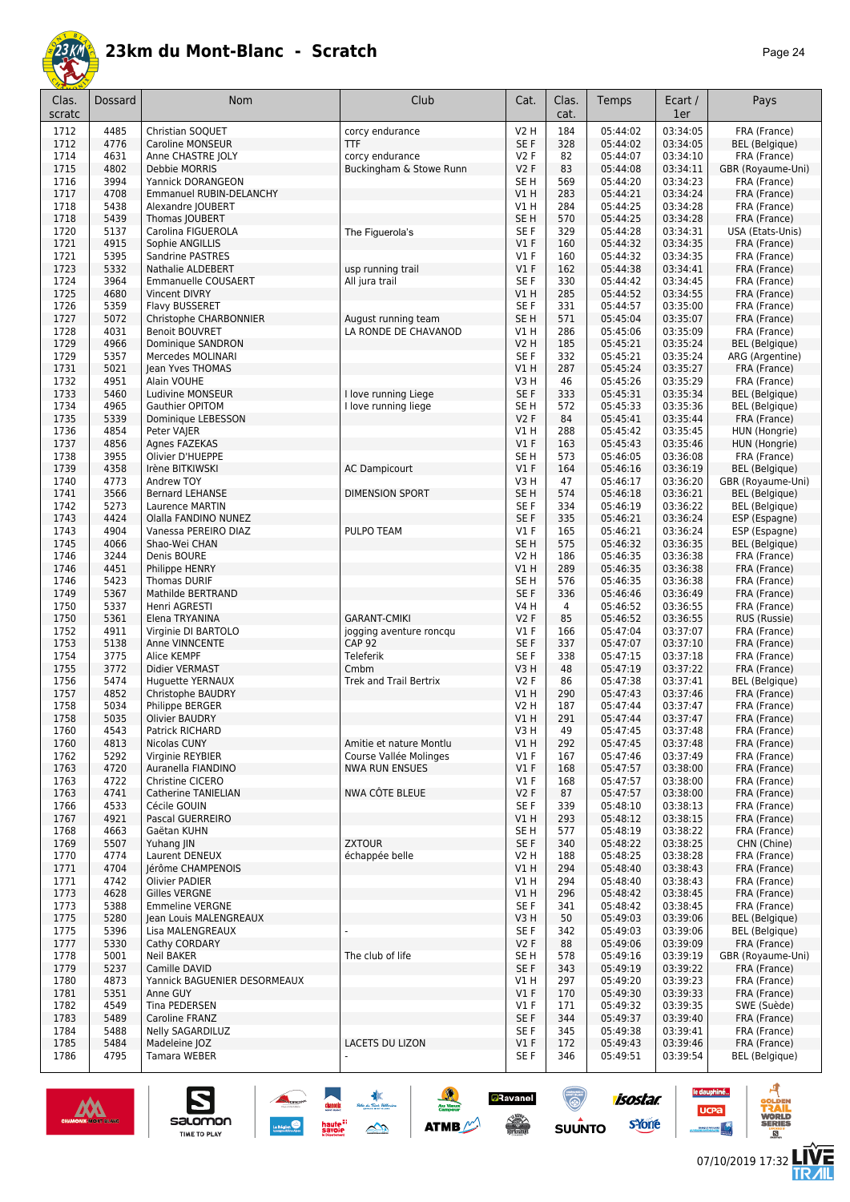

| Clas.<br>scratc | Dossard      | Nom                                          | Club                          | Cat.                    | Clas.<br>cat.  | Temps                | Ecart /<br>1er       | Pays                         |
|-----------------|--------------|----------------------------------------------|-------------------------------|-------------------------|----------------|----------------------|----------------------|------------------------------|
| 1712            | 4485         | Christian SOQUET                             | corcy endurance               | V2 H                    | 184            | 05:44:02             | 03:34:05             | FRA (France)                 |
| 1712            | 4776         | Caroline MONSEUR                             | <b>TTF</b>                    | SE F                    | 328            | 05:44:02             | 03:34:05             | <b>BEL</b> (Belgique)        |
| 1714            | 4631         | Anne CHASTRE JOLY                            | corcy endurance               | V2F                     | 82             | 05:44:07             | 03:34:10             | FRA (France)                 |
| 1715            | 4802         | Debbie MORRIS                                | Buckingham & Stowe Runn       | V2F                     | 83             | 05:44:08             | 03:34:11             | GBR (Royaume-Uni)            |
| 1716            | 3994         | Yannick DORANGEON                            |                               | SE <sub>H</sub>         | 569            | 05:44:20             | 03:34:23             | FRA (France)                 |
| 1717            | 4708         | Emmanuel RUBIN-DELANCHY                      |                               | V1 H                    | 283            | 05:44:21             | 03:34:24             | FRA (France)                 |
| 1718            | 5438         | Alexandre JOUBERT                            |                               | V1 H                    | 284            | 05:44:25             | 03:34:28             | FRA (France)                 |
| 1718            | 5439         | Thomas JOUBERT                               |                               | SE <sub>H</sub>         | 570            | 05:44:25             | 03:34:28             | FRA (France)                 |
| 1720            | 5137         | Carolina FIGUEROLA                           | The Figuerola's               | SE F                    | 329            | 05:44:28             | 03:34:31             | USA (Etats-Unis)             |
| 1721            | 4915         | Sophie ANGILLIS                              |                               | V1F                     | 160            | 05:44:32             | 03:34:35             | FRA (France)                 |
| 1721            | 5395         | Sandrine PASTRES                             |                               | <b>V1 F</b>             | 160            | 05:44:32             | 03:34:35             | FRA (France)                 |
| 1723            | 5332         | <b>Nathalie ALDEBERT</b>                     | usp running trail             | $VI$ F                  | 162            | 05:44:38             | 03:34:41             | FRA (France)                 |
| 1724<br>1725    | 3964<br>4680 | <b>Emmanuelle COUSAERT</b>                   | All jura trail                | SE <sub>F</sub>         | 330<br>285     | 05:44:42             | 03:34:45<br>03:34:55 | FRA (France)                 |
| 1726            | 5359         | <b>Vincent DIVRY</b><br>Flavy BUSSERET       |                               | V1 H<br>SE F            | 331            | 05:44:52<br>05:44:57 | 03:35:00             | FRA (France)<br>FRA (France) |
| 1727            | 5072         | Christophe CHARBONNIER                       | August running team           | SE <sub>H</sub>         | 571            | 05:45:04             | 03:35:07             | FRA (France)                 |
| 1728            | 4031         | <b>Benoit BOUVRET</b>                        | LA RONDE DE CHAVANOD          | V1 H                    | 286            | 05:45:06             | 03:35:09             | FRA (France)                 |
| 1729            | 4966         | Dominique SANDRON                            |                               | V2 H                    | 185            | 05:45:21             | 03:35:24             | BEL (Belgique)               |
| 1729            | 5357         | Mercedes MOLINARI                            |                               | SE F                    | 332            | 05:45:21             | 03:35:24             | ARG (Argentine)              |
| 1731            | 5021         | Jean Yves THOMAS                             |                               | V1 H                    | 287            | 05:45:24             | 03:35:27             | FRA (France)                 |
| 1732            | 4951         | Alain VOUHE                                  |                               | V3H                     | 46             | 05:45:26             | 03:35:29             | FRA (France)                 |
| 1733            | 5460         | Ludivine MONSEUR                             | I love running Liege          | SE F                    | 333            | 05:45:31             | 03:35:34             | <b>BEL</b> (Belgique)        |
| 1734            | 4965         | <b>Gauthier OPITOM</b>                       | I love running liege          | SE <sub>H</sub>         | 572            | 05:45:33             | 03:35:36             | <b>BEL</b> (Belgique)        |
| 1735            | 5339         | Dominique LEBESSON                           |                               | <b>V2F</b>              | 84             | 05:45:41             | 03:35:44             | FRA (France)                 |
| 1736            | 4854         | Peter VAJER                                  |                               | V1 H                    | 288            | 05:45:42             | 03:35:45             | HUN (Hongrie)                |
| 1737            | 4856         | Agnes FAZEKAS                                |                               | V1F                     | 163            | 05:45:43             | 03:35:46             | HUN (Hongrie)                |
| 1738            | 3955         | Olivier D'HUEPPE                             |                               | SE <sub>H</sub>         | 573            | 05:46:05             | 03:36:08             | FRA (France)                 |
| 1739            | 4358         | Irène BITKIWSKI                              | <b>AC Dampicourt</b>          | $VI$ F                  | 164            | 05:46:16             | 03:36:19             | BEL (Belgique)               |
| 1740            | 4773         | Andrew TOY                                   |                               | V3 H                    | 47             | 05:46:17             | 03:36:20             | GBR (Royaume-Uni)            |
| 1741            | 3566         | <b>Bernard LEHANSE</b>                       | <b>DIMENSION SPORT</b>        | SE <sub>H</sub>         | 574            | 05:46:18             | 03:36:21             | BEL (Belgique)               |
| 1742            | 5273         | Laurence MARTIN                              |                               | SE F                    | 334            | 05:46:19             | 03:36:22             | BEL (Belgique)               |
| 1743            | 4424         | Olalla FANDINO NUNEZ                         |                               | SE F                    | 335            | 05:46:21             | 03:36:24             | ESP (Espagne)                |
| 1743            | 4904         | Vanessa PEREIRO DIAZ                         | PULPO TEAM                    | V1F                     | 165            | 05:46:21             | 03:36:24             | ESP (Espagne)                |
| 1745            | 4066         | Shao-Wei CHAN                                |                               | SE <sub>H</sub>         | 575            | 05:46:32             | 03:36:35             | <b>BEL</b> (Belgique)        |
| 1746            | 3244         | Denis BOURE                                  |                               | V2 H                    | 186            | 05:46:35             | 03:36:38             | FRA (France)                 |
| 1746<br>1746    | 4451         | <b>Philippe HENRY</b><br><b>Thomas DURIF</b> |                               | VIH                     | 289            | 05:46:35             | 03:36:38             | FRA (France)                 |
| 1749            | 5423<br>5367 | Mathilde BERTRAND                            |                               | SE <sub>H</sub><br>SE F | 576<br>336     | 05:46:35<br>05:46:46 | 03:36:38<br>03:36:49 | FRA (France)<br>FRA (France) |
| 1750            | 5337         | Henri AGRESTI                                |                               | V4 H                    | $\overline{4}$ | 05:46:52             | 03:36:55             | FRA (France)                 |
| 1750            | 5361         | Elena TRYANINA                               | <b>GARANT-CMIKI</b>           | <b>V2F</b>              | 85             | 05:46:52             | 03:36:55             | RUS (Russie)                 |
| 1752            | 4911         | Virginie DI BARTOLO                          | jogging aventure roncqu       | $VI$ F                  | 166            | 05:47:04             | 03:37:07             | FRA (France)                 |
| 1753            | 5138         | Anne VINNCENTE                               | <b>CAP 92</b>                 | SE F                    | 337            | 05:47:07             | 03:37:10             | FRA (France)                 |
| 1754            | 3775         | Alice KEMPF                                  | Teleferik                     | SE F                    | 338            | 05:47:15             | 03:37:18             | FRA (France)                 |
| 1755            | 3772         | Didier VERMAST                               | Cmbm                          | V3 H                    | 48             | 05:47:19             | 03:37:22             | FRA (France)                 |
| 1756            | 5474         | Huguette YERNAUX                             | <b>Trek and Trail Bertrix</b> | <b>V2F</b>              | 86             | 05:47:38             | 03:37:41             | BEL (Belgique)               |
| 1757            | 4852         | Christophe BAUDRY                            |                               | V1 H                    | 290            | 05:47:43             | 03:37:46             | FRA (France)                 |
| 1758            | 5034         | Philippe BERGER                              |                               | V2 H                    | 187            | 05:47:44             | 03:37:47             | FRA (France)                 |
| 1758            | 5035         | <b>Olivier BAUDRY</b>                        |                               | V1 H                    | 291            | 05:47:44             | 03:37:47             | FRA (France)                 |
| 1760            | 4543         | Patrick RICHARD                              |                               | V3 H                    | 49             | 05:47:45             | 03:37:48             | FRA (France)                 |
| 1760            | 4813         | Nicolas CUNY                                 | Amitie et nature Montlu       | V1 H                    | 292            | 05:47:45             | 03:37:48             | FRA (France)                 |
| 1762            | 5292         | Virginie REYBIER                             | Course Vallée Molinges        | $VI$ F                  | 167            | 05:47:46             | 03:37:49             | FRA (France)                 |
| 1763            | 4720         | Auranella FIANDINO                           | <b>NWA RUN ENSUES</b>         | $VI$ F                  | 168            | 05:47:57             | 03:38:00             | FRA (France)                 |
| 1763            | 4722         | Christine CICERO                             |                               | $VI$ F                  | 168            | 05:47:57             | 03:38:00             | FRA (France)                 |
| 1763            | 4741         | <b>Catherine TANIELIAN</b>                   | NWA CÔTE BLEUE                | V2F                     | 87             | 05:47:57             | 03:38:00             | FRA (France)                 |
| 1766            | 4533         | Cécile GOUIN                                 |                               | SE F                    | 339            | 05:48:10             | 03:38:13             | FRA (France)                 |
| 1767<br>1768    | 4921<br>4663 | Pascal GUERREIRO<br>Gaëtan KUHN              |                               | V1 H<br>SE H            | 293<br>577     | 05:48:12<br>05:48:19 | 03:38:15<br>03:38:22 | FRA (France)<br>FRA (France) |
| 1769            | 5507         |                                              | <b>ZXTOUR</b>                 | SE F                    | 340            | 05:48:22             | 03:38:25             | CHN (Chine)                  |
| 1770            | 4774         | Yuhang JIN<br>Laurent DENEUX                 | échappée belle                | V2 H                    | 188            | 05:48:25             | 03:38:28             | FRA (France)                 |
| 1771            | 4704         | Jérôme CHAMPENOIS                            |                               | V1 H                    | 294            | 05:48:40             | 03:38:43             | FRA (France)                 |
| 1771            | 4742         | Olivier PADIER                               |                               | V1 H                    | 294            | 05:48:40             | 03:38:43             | FRA (France)                 |
| 1773            | 4628         | Gilles VERGNE                                |                               | V1H                     | 296            | 05:48:42             | 03:38:45             | FRA (France)                 |
| 1773            | 5388         | <b>Emmeline VERGNE</b>                       |                               | SE F                    | 341            | 05:48:42             | 03:38:45             | FRA (France)                 |
| 1775            | 5280         | Jean Louis MALENGREAUX                       |                               | V3 H                    | 50             | 05:49:03             | 03:39:06             | <b>BEL</b> (Belgique)        |
| 1775            | 5396         | Lisa MALENGREAUX                             |                               | SE F                    | 342            | 05:49:03             | 03:39:06             | BEL (Belgique)               |
| 1777            | 5330         | Cathy CORDARY                                |                               | V2F                     | 88             | 05:49:06             | 03:39:09             | FRA (France)                 |
| 1778            | 5001         | Neil BAKER                                   | The club of life              | SE H                    | 578            | 05:49:16             | 03:39:19             | GBR (Royaume-Uni)            |
| 1779            | 5237         | Camille DAVID                                |                               | SE F                    | 343            | 05:49:19             | 03:39:22             | FRA (France)                 |
| 1780            | 4873         | Yannick BAGUENIER DESORMEAUX                 |                               | V1 H                    | 297            | 05:49:20             | 03:39:23             | FRA (France)                 |
| 1781            | 5351         | Anne GUY                                     |                               | V1F                     | 170            | 05:49:30             | 03:39:33             | FRA (France)                 |
| 1782            | 4549         | Tina PEDERSEN                                |                               | $VI$ F                  | 171            | 05:49:32             | 03:39:35             | SWE (Suède)                  |
| 1783            | 5489         | Caroline FRANZ                               |                               | SE F                    | 344            | 05:49:37             | 03:39:40             | FRA (France)                 |
| 1784            | 5488         | <b>Nelly SAGARDILUZ</b>                      |                               | SE F                    | 345            | 05:49:38             | 03:39:41             | FRA (France)                 |
| 1785            | 5484         | Madeleine JOZ                                | LACETS DU LIZON               | V1F                     | 172            | 05:49:43             | 03:39:46             | FRA (France)                 |
| 1786            | 4795         | Tamara WEBER                                 |                               | SE F                    | 346            | 05:49:51             | 03:39:54             | BEL (Belgique)               |

大会

 $\rightarrow$ 

 $\frac{1}{2}$ 

**ATMB** 

**a**Ravanel

**SERVICE** 

(@)

 $su\overset{\bullet}{\mathsf{unro}}$ 



S

Salomon

le dauphiné...

**UCPa** 

- 4

isostar.

**s**Yone

ه

**LIVE<br>TR***A***IL**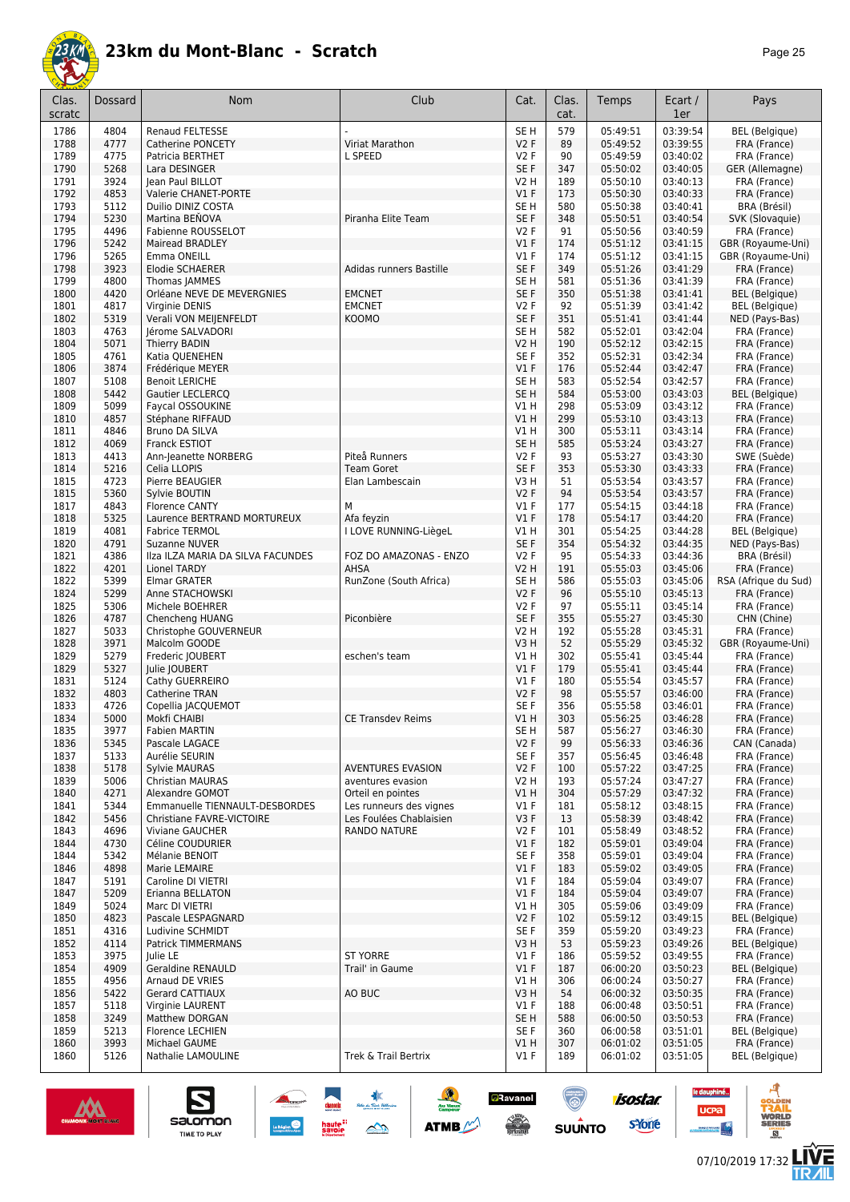

| 'age | c<br>כ |
|------|--------|
|------|--------|

| Clas.<br>scratc | Dossard      | Nom                                                         | Club                                               | Cat.                          | Clas.<br>cat. | Temps                | Ecart /<br>1er       | Pays                                    |
|-----------------|--------------|-------------------------------------------------------------|----------------------------------------------------|-------------------------------|---------------|----------------------|----------------------|-----------------------------------------|
| 1786            | 4804         | <b>Renaud FELTESSE</b>                                      |                                                    | SE <sub>H</sub>               | 579           | 05:49:51             | 03:39:54             | <b>BEL</b> (Belgique)                   |
| 1788            | 4777         | <b>Catherine PONCETY</b>                                    | Viriat Marathon                                    | <b>V2F</b>                    | 89            | 05:49:52             | 03:39:55             | FRA (France)                            |
| 1789            | 4775         | Patricia BERTHET                                            | L SPEED                                            | <b>V2F</b>                    | 90            | 05:49:59             | 03:40:02             | FRA (France)                            |
| 1790            | 5268         | Lara DESINGER                                               |                                                    | SE <sub>F</sub>               | 347           | 05:50:02             | 03:40:05             | GER (Allemagne)                         |
| 1791            | 3924         | lean Paul BILLOT                                            |                                                    | <b>V2 H</b>                   | 189           | 05:50:10             | 03:40:13             | FRA (France)                            |
| 1792<br>1793    | 4853<br>5112 | Valerie CHANET-PORTE<br>Duilio DINIZ COSTA                  |                                                    | V1F<br>SE <sub>H</sub>        | 173<br>580    | 05:50:30<br>05:50:38 | 03:40:33<br>03:40:41 | FRA (France)<br>BRA (Brésil)            |
| 1794            | 5230         | Martina BENOVA                                              | Piranha Elite Team                                 | SE <sub>F</sub>               | 348           | 05:50:51             | 03:40:54             | SVK (Slovaquie)                         |
| 1795            | 4496         | Fabienne ROUSSELOT                                          |                                                    | <b>V2F</b>                    | 91            | 05:50:56             | 03:40:59             | FRA (France)                            |
| 1796            | 5242         | <b>Mairead BRADLEY</b>                                      |                                                    | V1F                           | 174           | 05:51:12             | 03:41:15             | GBR (Royaume-Uni)                       |
| 1796            | 5265         | Emma ONEILL                                                 |                                                    | $VI$ F                        | 174           | 05:51:12             | 03:41:15             | GBR (Royaume-Uni)                       |
| 1798            | 3923         | <b>Elodie SCHAERER</b>                                      | Adidas runners Bastille                            | SE F                          | 349           | 05:51:26             | 03:41:29             | FRA (France)                            |
| 1799            | 4800         | Thomas JAMMES                                               |                                                    | SE <sub>H</sub>               | 581           | 05:51:36             | 03:41:39             | FRA (France)                            |
| 1800            | 4420<br>4817 | Orléane NEVE DE MEVERGNIES                                  | <b>EMCNET</b><br><b>EMCNET</b>                     | SE <sub>F</sub><br><b>V2F</b> | 350<br>92     | 05:51:38<br>05:51:39 | 03:41:41<br>03:41:42 | <b>BEL</b> (Belgique)                   |
| 1801<br>1802    | 5319         | Virginie DENIS<br>Verali VON MEIJENFELDT                    | KOOMO                                              | SE <sub>F</sub>               | 351           | 05:51:41             | 03:41:44             | <b>BEL</b> (Belgique)<br>NED (Pays-Bas) |
| 1803            | 4763         | Jérome SALVADORI                                            |                                                    | SE <sub>H</sub>               | 582           | 05:52:01             | 03:42:04             | FRA (France)                            |
| 1804            | 5071         | <b>Thierry BADIN</b>                                        |                                                    | V2 H                          | 190           | 05:52:12             | 03:42:15             | FRA (France)                            |
| 1805            | 4761         | Katia QUENEHEN                                              |                                                    | SE <sub>F</sub>               | 352           | 05:52:31             | 03:42:34             | FRA (France)                            |
| 1806            | 3874         | Frédérique MEYER                                            |                                                    | $VI$ F                        | 176           | 05:52:44             | 03:42:47             | FRA (France)                            |
| 1807            | 5108         | <b>Benoit LERICHE</b>                                       |                                                    | SE <sub>H</sub>               | 583           | 05:52:54             | 03:42:57             | FRA (France)                            |
| 1808            | 5442         | <b>Gautier LECLERCQ</b>                                     |                                                    | SE <sub>H</sub>               | 584           | 05:53:00             | 03:43:03             | <b>BEL</b> (Belgique)                   |
| 1809<br>1810    | 5099<br>4857 | Faycal OSSOUKINE<br>Stéphane RIFFAUD                        |                                                    | V1 H<br>V1H                   | 298<br>299    | 05:53:09<br>05:53:10 | 03:43:12<br>03:43:13 | FRA (France)<br>FRA (France)            |
| 1811            | 4846         | <b>Bruno DA SILVA</b>                                       |                                                    | V1 H                          | 300           | 05:53:11             | 03:43:14             | FRA (France)                            |
| 1812            | 4069         | Franck ESTIOT                                               |                                                    | SE <sub>H</sub>               | 585           | 05:53:24             | 03:43:27             | FRA (France)                            |
| 1813            | 4413         | Ann-Jeanette NORBERG                                        | Piteå Runners                                      | V <sub>2</sub> F              | 93            | 05:53:27             | 03:43:30             | SWE (Suède)                             |
| 1814            | 5216         | Celia LLOPIS                                                | <b>Team Goret</b>                                  | SE <sub>F</sub>               | 353           | 05:53:30             | 03:43:33             | FRA (France)                            |
| 1815            | 4723         | Pierre BEAUGIER                                             | Elan Lambescain                                    | V3H                           | 51            | 05:53:54             | 03:43:57             | FRA (France)                            |
| 1815            | 5360         | Sylvie BOUTIN                                               |                                                    | <b>V2F</b>                    | 94            | 05:53:54             | 03:43:57             | FRA (France)                            |
| 1817            | 4843         | <b>Florence CANTY</b>                                       | M<br>Afa feyzin                                    | $VI$ F                        | 177           | 05:54:15             | 03:44:18             | FRA (France)                            |
| 1818<br>1819    | 5325<br>4081 | Laurence BERTRAND MORTUREUX<br><b>Fabrice TERMOL</b>        | I LOVE RUNNING-LiègeL                              | $VI$ F<br>VIH                 | 178<br>301    | 05:54:17<br>05:54:25 | 03:44:20<br>03:44:28 | FRA (France)<br><b>BEL</b> (Belgique)   |
| 1820            | 4791         | Suzanne NUVER                                               |                                                    | SE F                          | 354           | 05:54:32             | 03:44:35             | NED (Pays-Bas)                          |
| 1821            | 4386         | Ilza ILZA MARIA DA SILVA FACUNDES                           | FOZ DO AMAZONAS - ENZO                             | <b>V2F</b>                    | 95            | 05:54:33             | 03:44:36             | BRA (Brésil)                            |
| 1822            | 4201         | <b>Lionel TARDY</b>                                         | AHSA                                               | <b>V2 H</b>                   | 191           | 05:55:03             | 03:45:06             | FRA (France)                            |
| 1822            | 5399         | <b>Elmar GRATER</b>                                         | RunZone (South Africa)                             | SE H                          | 586           | 05:55:03             | 03:45:06             | RSA (Afrique du Sud)                    |
| 1824            | 5299         | Anne STACHOWSKI                                             |                                                    | V2F                           | 96            | 05:55:10             | 03:45:13             | FRA (France)                            |
| 1825            | 5306<br>4787 | Michele BOEHRER                                             | Piconbière                                         | <b>V2F</b><br>SE <sub>F</sub> | 97            | 05:55:11<br>05:55:27 | 03:45:14<br>03:45:30 | FRA (France)<br>CHN (Chine)             |
| 1826<br>1827    | 5033         | Chencheng HUANG<br>Christophe GOUVERNEUR                    |                                                    | <b>V2 H</b>                   | 355<br>192    | 05:55:28             | 03:45:31             | FRA (France)                            |
| 1828            | 3971         | Malcolm GOODE                                               |                                                    | V3H                           | 52            | 05:55:29             | 03:45:32             | GBR (Royaume-Uni)                       |
| 1829            | 5279         | Frederic JOUBERT                                            | eschen's team                                      | V1 H                          | 302           | 05:55:41             | 03:45:44             | FRA (France)                            |
| 1829            | 5327         | Julie JOUBERT                                               |                                                    | $VI$ F                        | 179           | 05:55:41             | 03:45:44             | FRA (France)                            |
| 1831            | 5124         | Cathy GUERREIRO                                             |                                                    | $VI$ F                        | 180           | 05:55:54             | 03:45:57             | FRA (France)                            |
| 1832            | 4803         | Catherine TRAN                                              |                                                    | <b>V2F</b>                    | 98            | 05:55:57             | 03:46:00             | FRA (France)                            |
| 1833<br>1834    | 4726<br>5000 | Copellia JACQUEMOT                                          | <b>CE Transdev Reims</b>                           | SE F<br>V1 H                  | 356<br>303    | 05:55:58<br>05:56:25 | 03:46:01             | FRA (France)                            |
| 1835            | 3977         | Mokfi CHAIBI<br>Fabien MARTIN                               |                                                    | SE H                          | 587           | 05:56:27             | 03:46:28<br>03:46:30 | FRA (France)<br>FRA (France)            |
| 1836            | 5345         | Pascale LAGACE                                              |                                                    | V2F                           | 99            | 05:56:33             | 03:46:36             | CAN (Canada)                            |
| 1837            | 5133         | Aurélie SEURIN                                              |                                                    | SE F                          | 357           | 05:56:45             | 03:46:48             | FRA (France)                            |
| 1838            | 5178         | <b>Sylvie MAURAS</b>                                        | <b>AVENTURES EVASION</b>                           | V2F                           | 100           | 05:57:22             | 03:47:25             | FRA (France)                            |
| 1839            | 5006         | Christian MAURAS                                            | aventures evasion                                  | V2 H                          | 193           | 05:57:24             | 03:47:27             | FRA (France)                            |
| 1840            | 4271         | Alexandre GOMOT                                             | Orteil en pointes                                  | V1H                           | 304           | 05:57:29             | 03:47:32             | FRA (France)                            |
| 1841<br>1842    | 5344<br>5456 | Emmanuelle TIENNAULT-DESBORDES<br>Christiane FAVRE-VICTOIRE | Les runneurs des vignes<br>Les Foulées Chablaisien | $VI$ F<br>V3F                 | 181<br>13     | 05:58:12<br>05:58:39 | 03:48:15<br>03:48:42 | FRA (France)<br>FRA (France)            |
| 1843            | 4696         | <b>Viviane GAUCHER</b>                                      | <b>RANDO NATURE</b>                                | V2F                           | 101           | 05:58:49             | 03:48:52             | FRA (France)                            |
| 1844            | 4730         | Céline COUDURIER                                            |                                                    | $VI$ F                        | 182           | 05:59:01             | 03:49:04             | FRA (France)                            |
| 1844            | 5342         | Mélanie BENOIT                                              |                                                    | SE F                          | 358           | 05:59:01             | 03:49:04             | FRA (France)                            |
| 1846            | 4898         | Marie LEMAIRE                                               |                                                    | V1F                           | 183           | 05:59:02             | 03:49:05             | FRA (France)                            |
| 1847            | 5191         | Caroline DI VIETRI                                          |                                                    | $VI$ F                        | 184           | 05:59:04             | 03:49:07             | FRA (France)                            |
| 1847            | 5209         | Erianna BELLATON                                            |                                                    | V1F                           | 184           | 05:59:04             | 03:49:07             | FRA (France)                            |
| 1849<br>1850    | 5024<br>4823 | Marc DI VIETRI<br>Pascale LESPAGNARD                        |                                                    | V1 H<br>V2F                   | 305<br>102    | 05:59:06<br>05:59:12 | 03:49:09<br>03:49:15 | FRA (France)<br><b>BEL</b> (Belgique)   |
| 1851            | 4316         | Ludivine SCHMIDT                                            |                                                    | SE F                          | 359           | 05:59:20             | 03:49:23             | FRA (France)                            |
| 1852            | 4114         | Patrick TIMMERMANS                                          |                                                    | V3 H                          | 53            | 05:59:23             | 03:49:26             | <b>BEL</b> (Belgique)                   |
| 1853            | 3975         | Julie LE                                                    | <b>ST YORRE</b>                                    | $VI$ F                        | 186           | 05:59:52             | 03:49:55             | FRA (France)                            |
| 1854            | 4909         | <b>Geraldine RENAULD</b>                                    | Trail' in Gaume                                    | V1F                           | 187           | 06:00:20             | 03:50:23             | <b>BEL</b> (Belgique)                   |
| 1855            | 4956         | Arnaud DE VRIES                                             |                                                    | V1 H                          | 306           | 06:00:24             | 03:50:27             | FRA (France)                            |
| 1856            | 5422         | Gerard CATTIAUX                                             | AO BUC                                             | V3 H                          | 54            | 06:00:32             | 03:50:35             | FRA (France)                            |
| 1857<br>1858    | 5118<br>3249 | Virginie LAURENT<br>Matthew DORGAN                          |                                                    | $VI$ F<br>SE H                | 188<br>588    | 06:00:48<br>06:00:50 | 03:50:51<br>03:50:53 | FRA (France)<br>FRA (France)            |
| 1859            | 5213         | <b>Florence LECHIEN</b>                                     |                                                    | SE F                          | 360           | 06:00:58             | 03:51:01             | <b>BEL</b> (Belgique)                   |
| 1860            | 3993         | Michael GAUME                                               |                                                    | V1H                           | 307           | 06:01:02             | 03:51:05             | FRA (France)                            |
| 1860            | 5126         | Nathalie LAMOULINE                                          | Trek & Trail Bertrix                               | $VI$ F                        | 189           | 06:01:02             | 03:51:05             | <b>BEL</b> (Belgique)                   |
|                 |              |                                                             |                                                    |                               |               |                      |                      |                                         |

**A**C<br>Angles Service

 $\sum_{i=1}^{n}$ 

haute"<br>savoie



 $\sum_{\text{SALOMOM}}$ 

 $\mathbf{e}$ 

isostar.

sYone

 $su\overset{\bullet}{\mathsf{unro}}$ 

**a**Ravanel

 $\frac{1}{\sqrt{2}}$ 

**Au Vieu**<br>Campon

**ATMB** 



ø